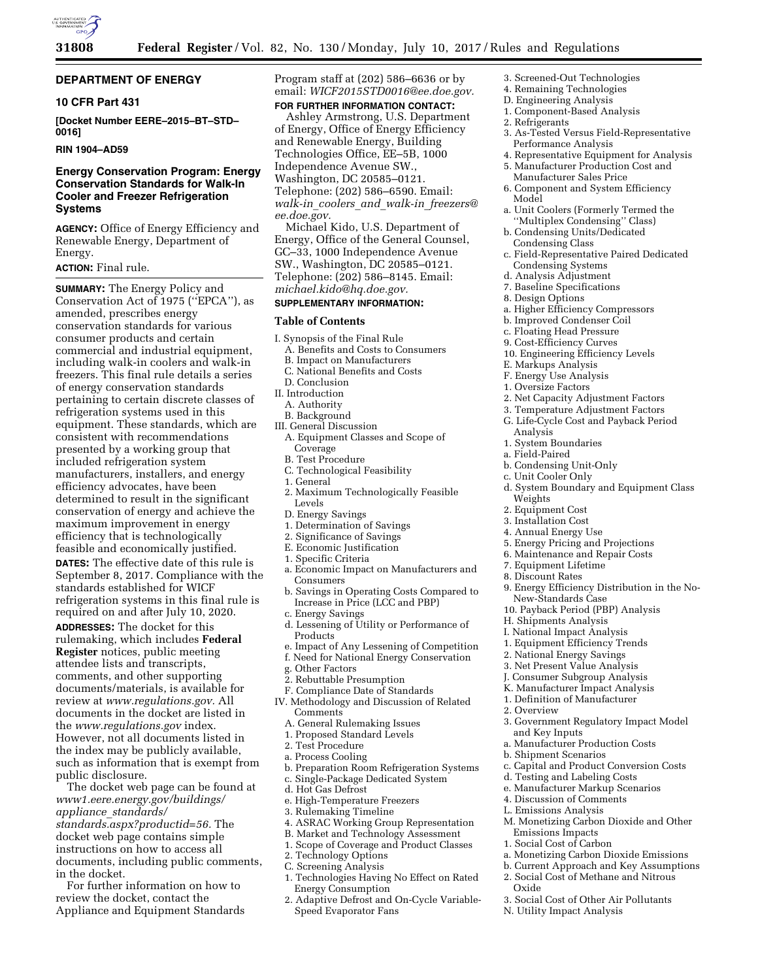

## **DEPARTMENT OF ENERGY**

# **10 CFR Part 431**

**[Docket Number EERE–2015–BT–STD– 0016]** 

## **RIN 1904–AD59**

# **Energy Conservation Program: Energy Conservation Standards for Walk-In Cooler and Freezer Refrigeration Systems**

**AGENCY:** Office of Energy Efficiency and Renewable Energy, Department of Energy.

### **ACTION:** Final rule.

**SUMMARY:** The Energy Policy and Conservation Act of 1975 (''EPCA''), as amended, prescribes energy conservation standards for various consumer products and certain commercial and industrial equipment, including walk-in coolers and walk-in freezers. This final rule details a series of energy conservation standards pertaining to certain discrete classes of refrigeration systems used in this equipment. These standards, which are consistent with recommendations presented by a working group that included refrigeration system manufacturers, installers, and energy efficiency advocates, have been determined to result in the significant conservation of energy and achieve the maximum improvement in energy efficiency that is technologically feasible and economically justified.

**DATES:** The effective date of this rule is September 8, 2017. Compliance with the standards established for WICF refrigeration systems in this final rule is required on and after July 10, 2020. **ADDRESSES:** The docket for this rulemaking, which includes **Federal Register** notices, public meeting attendee lists and transcripts, comments, and other supporting documents/materials, is available for review at *[www.regulations.gov.](http://www.regulations.gov)* All documents in the docket are listed in the *[www.regulations.gov](http://www.regulations.gov)* index. However, not all documents listed in the index may be publicly available, such as information that is exempt from public disclosure.

The docket web page can be found at *[www1.eere.energy.gov/buildings/](http://www1.eere.energy.gov/buildings/appliance_standards/standards.aspx?productid=56) appliance*\_*[standards/](http://www1.eere.energy.gov/buildings/appliance_standards/standards.aspx?productid=56) [standards.aspx?productid=56.](http://www1.eere.energy.gov/buildings/appliance_standards/standards.aspx?productid=56)* The docket web page contains simple instructions on how to access all documents, including public comments, in the docket.

For further information on how to review the docket, contact the Appliance and Equipment Standards Program staff at (202) 586–6636 or by email: *[WICF2015STD0016@ee.doe.gov.](mailto:WICF2015STD0016@ee.doe.gov)*  **FOR FURTHER INFORMATION CONTACT:** 

Ashley Armstrong, U.S. Department of Energy, Office of Energy Efficiency and Renewable Energy, Building Technologies Office, EE–5B, 1000 Independence Avenue SW., Washington, DC 20585–0121. Telephone: (202) 586–6590. Email: *walk-in*\_*coolers*\_*and*\_*walk-in*\_*[freezers@](mailto:walk-in_coolers_and_walk-in_freezers@ee.doe.gov) [ee.doe.gov.](mailto:walk-in_coolers_and_walk-in_freezers@ee.doe.gov)* 

Michael Kido, U.S. Department of Energy, Office of the General Counsel, GC–33, 1000 Independence Avenue SW., Washington, DC 20585–0121. Telephone: (202) 586–8145. Email: *[michael.kido@hq.doe.gov.](mailto:michael.kido@hq.doe.gov)* 

## **SUPPLEMENTARY INFORMATION:**

# **Table of Contents**

- I. Synopsis of the Final Rule
- A. Benefits and Costs to Consumers B. Impact on Manufacturers
- C. National Benefits and Costs
- D. Conclusion
- II. Introduction
- A. Authority
- B. Background
- III. General Discussion A. Equipment Classes and Scope of **Coverage** 
	- B. Test Procedure
	- C. Technological Feasibility
	- 1. General
	- 2. Maximum Technologically Feasible Levels
	- D. Energy Savings
	- 1. Determination of Savings
- 2. Significance of Savings
- E. Economic Justification
- 1. Specific Criteria
- a. Economic Impact on Manufacturers and Consumers
- b. Savings in Operating Costs Compared to Increase in Price (LCC and PBP)
- c. Energy Savings
- d. Lessening of Utility or Performance of Products
- e. Impact of Any Lessening of Competition f. Need for National Energy Conservation
- g. Other Factors
- 2. Rebuttable Presumption
- F. Compliance Date of Standards
- IV. Methodology and Discussion of Related Comments
	- A. General Rulemaking Issues
	- 1. Proposed Standard Levels
	- 2. Test Procedure
	- a. Process Cooling
	- b. Preparation Room Refrigeration Systems
	- c. Single-Package Dedicated System
	- d. Hot Gas Defrost
- e. High-Temperature Freezers
- 3. Rulemaking Timeline
- 4. ASRAC Working Group Representation
- B. Market and Technology Assessment
- 1. Scope of Coverage and Product Classes
- 2. Technology Options
- C. Screening Analysis 1. Technologies Having No Effect on Rated Energy Consumption
- 2. Adaptive Defrost and On-Cycle Variable-Speed Evaporator Fans
- 3. Screened-Out Technologies
- 4. Remaining Technologies
- D. Engineering Analysis
- 1. Component-Based Analysis
- 2. Refrigerants
- 3. As-Tested Versus Field-Representative Performance Analysis
- 4. Representative Equipment for Analysis 5. Manufacturer Production Cost and
- Manufacturer Sales Price 6. Component and System Efficiency
- Model a. Unit Coolers (Formerly Termed the
- ''Multiplex Condensing'' Class)
- b. Condensing Units/Dedicated Condensing Class
- c. Field-Representative Paired Dedicated Condensing Systems
- d. Analysis Adjustment
- 7. Baseline Specifications
- 8. Design Options
- a. Higher Efficiency Compressors
- b. Improved Condenser Coil
- c. Floating Head Pressure
- 9. Cost-Efficiency Curves
- 10. Engineering Efficiency Levels
- E. Markups Analysis
- F. Energy Use Analysis
- 1. Oversize Factors
- 2. Net Capacity Adjustment Factors
- 3. Temperature Adjustment Factors
- G. Life-Cycle Cost and Payback Period Analysis
- 1. System Boundaries
- a. Field-Paired
- b. Condensing Unit-Only
- c. Unit Cooler Only
- d. System Boundary and Equipment Class Weights
- 2. Equipment Cost
- 3. Installation Cost
- 4. Annual Energy Use
- 5. Energy Pricing and Projections
- 6. Maintenance and Repair Costs
- 7. Equipment Lifetime
- 8. Discount Rates

2. Overview

Oxide

and Key Inputs

b. Shipment Scenarios

Emissions Impacts 1. Social Cost of Carbon

N. Utility Impact Analysis

9. Energy Efficiency Distribution in the No-New-Standards Case

3. Government Regulatory Impact Model

c. Capital and Product Conversion Costs

M. Monetizing Carbon Dioxide and Other

a. Monetizing Carbon Dioxide Emissions b. Current Approach and Key Assumptions 2. Social Cost of Methane and Nitrous

3. Social Cost of Other Air Pollutants

a. Manufacturer Production Costs

d. Testing and Labeling Costs e. Manufacturer Markup Scenarios 4. Discussion of Comments L. Emissions Analysis

- 10. Payback Period (PBP) Analysis
- H. Shipments Analysis

I. National Impact Analysis 1. Equipment Efficiency Trends 2. National Energy Savings 3. Net Present Value Analysis J. Consumer Subgroup Analysis K. Manufacturer Impact Analysis 1. Definition of Manufacturer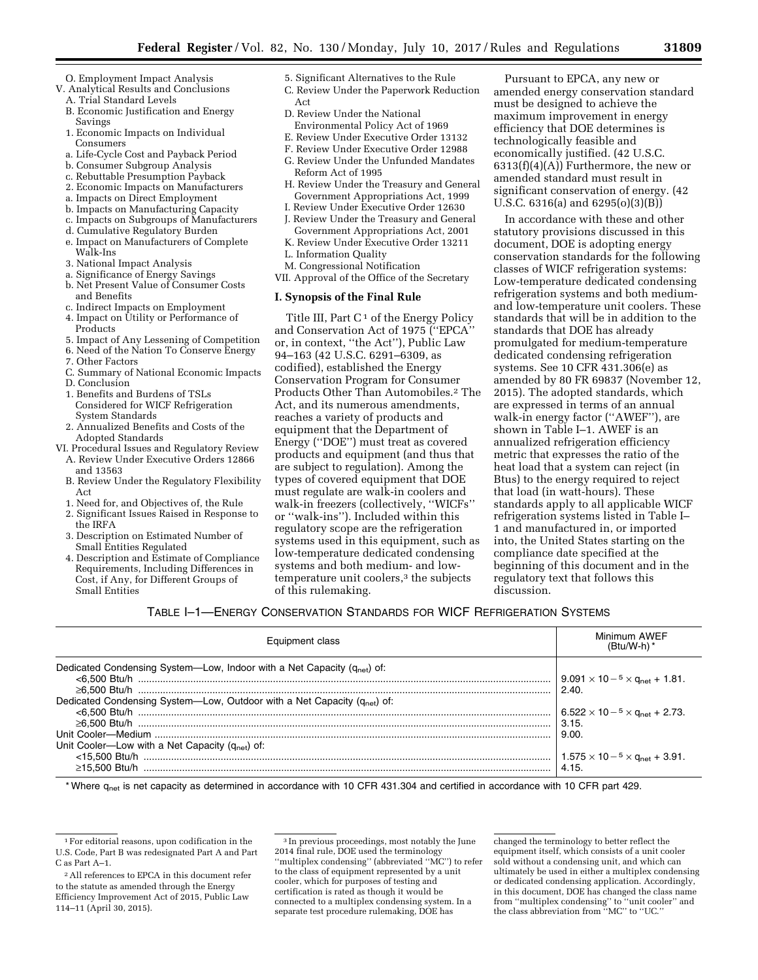- O. Employment Impact Analysis
- V. Analytical Results and Conclusions A. Trial Standard Levels
	- B. Economic Justification and Energy Savings
	- 1. Economic Impacts on Individual Consumers
	- a. Life-Cycle Cost and Payback Period
	- b. Consumer Subgroup Analysis c. Rebuttable Presumption Payback
	- 2. Economic Impacts on Manufacturers
	- a. Impacts on Direct Employment
	- b. Impacts on Manufacturing Capacity
	- c. Impacts on Subgroups of Manufacturers
	- d. Cumulative Regulatory Burden
	- e. Impact on Manufacturers of Complete Walk-Ins
	- 3. National Impact Analysis
	- a. Significance of Energy Savings
	- b. Net Present Value of Consumer Costs and Benefits
	- c. Indirect Impacts on Employment
	- 4. Impact on Utility or Performance of
	- Products
	- 5. Impact of Any Lessening of Competition 6. Need of the Nation To Conserve Energy
	-
	- 7. Other Factors
	- C. Summary of National Economic Impacts
	- D. Conclusion
	- 1. Benefits and Burdens of TSLs Considered for WICF Refrigeration System Standards
	- 2. Annualized Benefits and Costs of the Adopted Standards
- VI. Procedural Issues and Regulatory Review A. Review Under Executive Orders 12866
	- and 13563
	- B. Review Under the Regulatory Flexibility Act
	- 1. Need for, and Objectives of, the Rule
	- 2. Significant Issues Raised in Response to the IRFA
	- 3. Description on Estimated Number of Small Entities Regulated
	- 4. Description and Estimate of Compliance Requirements, Including Differences in Cost, if Any, for Different Groups of Small Entities
- 5. Significant Alternatives to the Rule
- C. Review Under the Paperwork Reduction Act
- D. Review Under the National Environmental Policy Act of 1969
- E. Review Under Executive Order 13132
- F. Review Under Executive Order 12988
- G. Review Under the Unfunded Mandates Reform Act of 1995
- H. Review Under the Treasury and General Government Appropriations Act, 1999
- I. Review Under Executive Order 12630
- J. Review Under the Treasury and General Government Appropriations Act, 2001 K. Review Under Executive Order 13211
- L. Information Quality
- M. Congressional Notification
- VII. Approval of the Office of the Secretary

## **I. Synopsis of the Final Rule**

Title III, Part  $C<sup>1</sup>$  of the Energy Policy and Conservation Act of 1975 (''EPCA'' or, in context, ''the Act''), Public Law 94–163 (42 U.S.C. 6291–6309, as codified), established the Energy Conservation Program for Consumer Products Other Than Automobiles.2 The Act, and its numerous amendments, reaches a variety of products and equipment that the Department of Energy (''DOE'') must treat as covered products and equipment (and thus that are subject to regulation). Among the types of covered equipment that DOE must regulate are walk-in coolers and walk-in freezers (collectively, ''WICFs'' or ''walk-ins''). Included within this regulatory scope are the refrigeration systems used in this equipment, such as low-temperature dedicated condensing systems and both medium- and lowtemperature unit coolers,<sup>3</sup> the subjects of this rulemaking.

Pursuant to EPCA, any new or amended energy conservation standard must be designed to achieve the maximum improvement in energy efficiency that DOE determines is technologically feasible and economically justified. (42 U.S.C.  $6313(f)(4)(A)$  Furthermore, the new or amended standard must result in significant conservation of energy. (42 U.S.C. 6316(a) and 6295(o)(3)(B))

In accordance with these and other statutory provisions discussed in this document, DOE is adopting energy conservation standards for the following classes of WICF refrigeration systems: Low-temperature dedicated condensing refrigeration systems and both mediumand low-temperature unit coolers. These standards that will be in addition to the standards that DOE has already promulgated for medium-temperature dedicated condensing refrigeration systems. See 10 CFR 431.306(e) as amended by 80 FR 69837 (November 12, 2015). The adopted standards, which are expressed in terms of an annual walk-in energy factor (''AWEF''), are shown in Table I–1. AWEF is an annualized refrigeration efficiency metric that expresses the ratio of the heat load that a system can reject (in Btus) to the energy required to reject that load (in watt-hours). These standards apply to all applicable WICF refrigeration systems listed in Table I– 1 and manufactured in, or imported into, the United States starting on the compliance date specified at the beginning of this document and in the regulatory text that follows this discussion.

## TABLE I–1—ENERGY CONSERVATION STANDARDS FOR WICF REFRIGERATION SYSTEMS

| Equipment class                                                                      | Minimum AWEF<br>$(Btu/W-h)$ *                                   |
|--------------------------------------------------------------------------------------|-----------------------------------------------------------------|
| Dedicated Condensing System—Low, Indoor with a Net Capacity (q <sub>net</sub> ) of:  | $9.091 \times 10^{-5} \times$ G <sub>net</sub> + 1.81.<br>2.40  |
| Dedicated Condensing System—Low, Outdoor with a Net Capacity (q <sub>net</sub> ) of: | $6.522 \times 10^{-5} \times$ G <sub>net</sub> + 2.73.<br>3.15. |
| Unit Cooler—Low with a Net Capacity $(q_{net})$ of:                                  | 9.00.                                                           |
|                                                                                      | $1.575 \times 10^{-5} \times$ G <sub>net</sub> + 3.91.<br>4.15. |

\* Where q<sub>net</sub> is net capacity as determined in accordance with 10 CFR 431.304 and certified in accordance with 10 CFR part 429.

<sup>1</sup>For editorial reasons, upon codification in the U.S. Code, Part B was redesignated Part A and Part C as Part A–1.

<sup>2</sup>All references to EPCA in this document refer to the statute as amended through the Energy Efficiency Improvement Act of 2015, Public Law 114–11 (April 30, 2015).

<sup>3</sup> In previous proceedings, most notably the June 2014 final rule, DOE used the terminology ''multiplex condensing'' (abbreviated ''MC'') to refer to the class of equipment represented by a unit cooler, which for purposes of testing and certification is rated as though it would be connected to a multiplex condensing system. In a separate test procedure rulemaking, DOE has

changed the terminology to better reflect the equipment itself, which consists of a unit cooler sold without a condensing unit, and which can ultimately be used in either a multiplex condensing or dedicated condensing application. Accordingly, in this document, DOE has changed the class name from ''multiplex condensing'' to ''unit cooler'' and the class abbreviation from ''MC'' to ''UC.''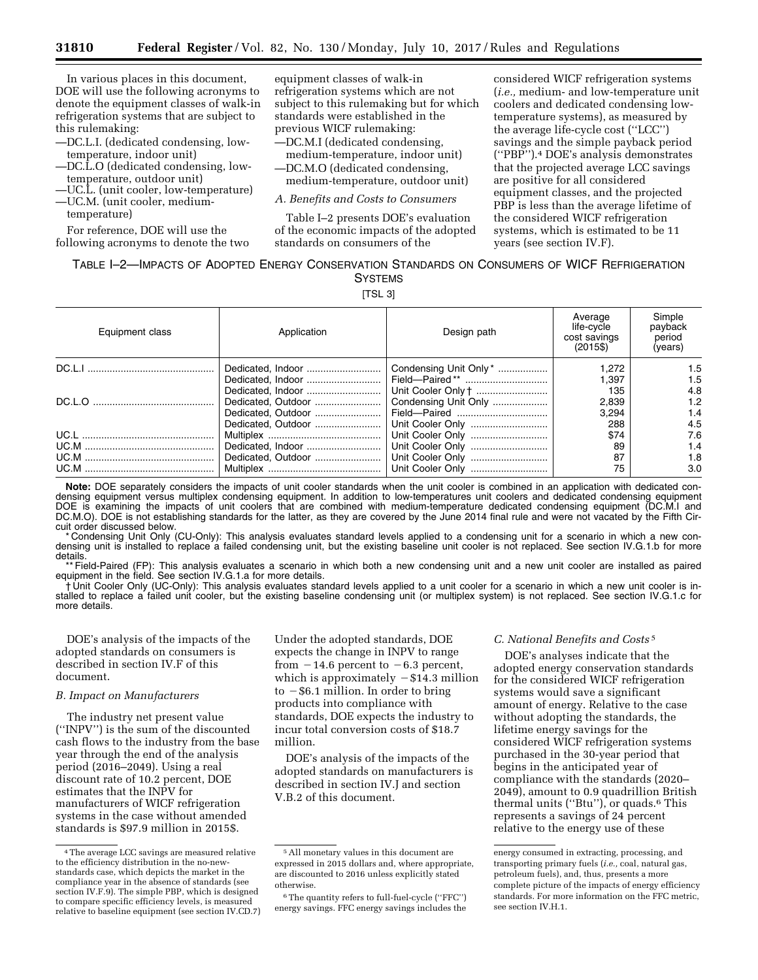In various places in this document, DOE will use the following acronyms to denote the equipment classes of walk-in refrigeration systems that are subject to this rulemaking:

- —DC.L.I. (dedicated condensing, lowtemperature, indoor unit)
- —DC.L.O (dedicated condensing, lowtemperature, outdoor unit)
- —UC.L. (unit cooler, low-temperature) —UC.M. (unit cooler, medium-
- temperature)

For reference, DOE will use the following acronyms to denote the two equipment classes of walk-in refrigeration systems which are not subject to this rulemaking but for which standards were established in the previous WICF rulemaking:

—DC.M.I (dedicated condensing, medium-temperature, indoor unit)

—DC.M.O (dedicated condensing,

medium-temperature, outdoor unit)

# *A. Benefits and Costs to Consumers*

Table I–2 presents DOE's evaluation of the economic impacts of the adopted standards on consumers of the

considered WICF refrigeration systems (*i.e.,* medium- and low-temperature unit coolers and dedicated condensing lowtemperature systems), as measured by the average life-cycle cost (''LCC'') savings and the simple payback period (''PBP'').4 DOE's analysis demonstrates that the projected average LCC savings are positive for all considered equipment classes, and the projected PBP is less than the average lifetime of the considered WICF refrigeration systems, which is estimated to be 11 years (see section IV.F).

# TABLE I–2—IMPACTS OF ADOPTED ENERGY CONSERVATION STANDARDS ON CONSUMERS OF WICF REFRIGERATION **SYSTEMS**

[TSL 3]

| Equipment class | Application        | Design path            | Average<br>life-cycle<br>cost savings<br>$(2015\$ | Simple<br>payback<br>period<br>(vears) |
|-----------------|--------------------|------------------------|---------------------------------------------------|----------------------------------------|
|                 |                    | Condensing Unit Only * | 1.272                                             | 1.5                                    |
|                 |                    |                        | 1.397                                             | 1.5                                    |
|                 | Dedicated, Indoor  | Unit Cooler Only †     | 135                                               | 4.8                                    |
|                 | Dedicated, Outdoor | Condensing Unit Only   | 2.839                                             | 1.2                                    |
|                 | Dedicated, Outdoor |                        | 3.294                                             | 1.4                                    |
|                 | Dedicated, Outdoor |                        | 288                                               | 4.5                                    |
|                 |                    |                        | \$74                                              | 7.6                                    |
|                 | Dedicated, Indoor  |                        | 89                                                | 1.4                                    |
|                 | Dedicated, Outdoor |                        | 87                                                | 1.8                                    |
|                 |                    | Unit Cooler Only       | 75                                                | 3.0                                    |

**Note:** DOE separately considers the impacts of unit cooler standards when the unit cooler is combined in an application with dedicated condensing equipment versus multiplex condensing equipment. In addition to low-temperatures unit coolers and dedicated condensing equipment DOE is examining the impacts of unit coolers that are combined with medium-temperature dedicated condensing equipment (DC.M.I and DC.M.O). DOE is not establishing standards for the latter, as they are covered by the June 2014 final rule and were not vacated by the Fifth Circuit order discussed below.

\* Condensing Unit Only (CU-Only): This analysis evaluates standard levels applied to a condensing unit for a scenario in which a new condensing unit is installed to replace a failed condensing unit, but the existing baseline unit cooler is not replaced. See section IV.G.1.b for more details.

\*\* Field-Paired (FP): This analysis evaluates a scenario in which both a new condensing unit and a new unit cooler are installed as paired equipment in the field. See section IV.G.1.a for more details.

† Unit Cooler Only (UC-Only): This analysis evaluates standard levels applied to a unit cooler for a scenario in which a new unit cooler is installed to replace a failed unit cooler, but the existing baseline condensing unit (or multiplex system) is not replaced. See section IV.G.1.c for more details.

DOE's analysis of the impacts of the adopted standards on consumers is described in section IV.F of this document.

### *B. Impact on Manufacturers*

The industry net present value (''INPV'') is the sum of the discounted cash flows to the industry from the base year through the end of the analysis period (2016–2049). Using a real discount rate of 10.2 percent, DOE estimates that the INPV for manufacturers of WICF refrigeration systems in the case without amended standards is \$97.9 million in 2015\$.

Under the adopted standards, DOE expects the change in INPV to range from  $-14.6$  percent to  $-6.3$  percent, which is approximately  $- $14.3$  million to  $-$ \$6.1 million. In order to bring products into compliance with standards, DOE expects the industry to incur total conversion costs of \$18.7 million.

DOE's analysis of the impacts of the adopted standards on manufacturers is described in section IV.J and section V.B.2 of this document.

## *C. National Benefits and Costs* 5

DOE's analyses indicate that the adopted energy conservation standards for the considered WICF refrigeration systems would save a significant amount of energy. Relative to the case without adopting the standards, the lifetime energy savings for the considered WICF refrigeration systems purchased in the 30-year period that begins in the anticipated year of compliance with the standards (2020– 2049), amount to 0.9 quadrillion British thermal units (''Btu''), or quads.6 This represents a savings of 24 percent relative to the energy use of these

<sup>4</sup>The average LCC savings are measured relative to the efficiency distribution in the no-newstandards case, which depicts the market in the compliance year in the absence of standards (see section IV.F.9). The simple PBP, which is designed to compare specific efficiency levels, is measured relative to baseline equipment (see section IV.CD.7)

<sup>5</sup>All monetary values in this document are expressed in 2015 dollars and, where appropriate, are discounted to 2016 unless explicitly stated otherwise.

<sup>6</sup>The quantity refers to full-fuel-cycle (''FFC'') energy savings. FFC energy savings includes the

energy consumed in extracting, processing, and transporting primary fuels (*i.e.,* coal, natural gas, petroleum fuels), and, thus, presents a more complete picture of the impacts of energy efficiency standards. For more information on the FFC metric, see section IV.H.1.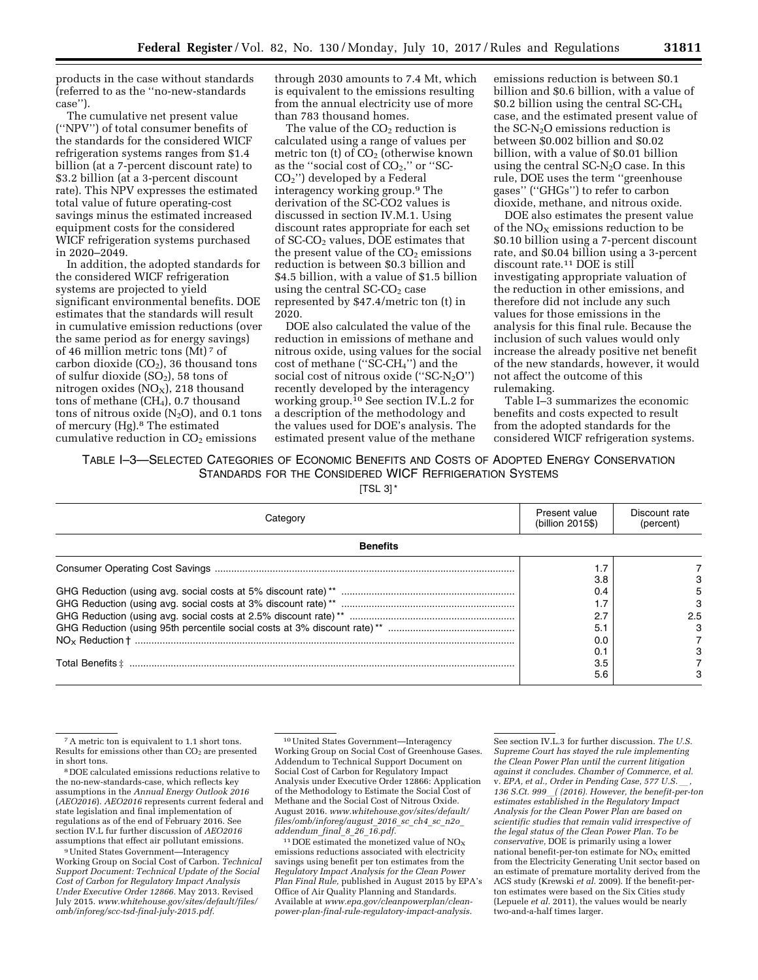products in the case without standards (referred to as the ''no-new-standards case'').

The cumulative net present value (''NPV'') of total consumer benefits of the standards for the considered WICF refrigeration systems ranges from \$1.4 billion (at a 7-percent discount rate) to \$3.2 billion (at a 3-percent discount rate). This NPV expresses the estimated total value of future operating-cost savings minus the estimated increased equipment costs for the considered WICF refrigeration systems purchased in 2020–2049.

In addition, the adopted standards for the considered WICF refrigeration systems are projected to yield significant environmental benefits. DOE estimates that the standards will result in cumulative emission reductions (over the same period as for energy savings) of 46 million metric tons (Mt) 7 of carbon dioxide  $(CO<sub>2</sub>)$ , 36 thousand tons of sulfur dioxide  $(SO<sub>2</sub>)$ , 58 tons of nitrogen oxides ( $NO<sub>X</sub>$ ), 218 thousand tons of methane  $(CH<sub>4</sub>)$ , 0.7 thousand tons of nitrous oxide  $(N_2O)$ , and 0.1 tons of mercury (Hg).8 The estimated cumulative reduction in  $CO<sub>2</sub>$  emissions

through 2030 amounts to 7.4 Mt, which is equivalent to the emissions resulting from the annual electricity use of more than 783 thousand homes.

The value of the  $CO<sub>2</sub>$  reduction is calculated using a range of values per metric ton  $(t)$  of  $CO<sub>2</sub>$  (otherwise known as the "social cost of  $CO<sub>2</sub>$ ," or "SC-CO2'') developed by a Federal interagency working group.9 The derivation of the SC-CO2 values is discussed in section IV.M.1. Using discount rates appropriate for each set of SC-CO2 values, DOE estimates that the present value of the  $CO<sub>2</sub>$  emissions reduction is between \$0.3 billion and \$4.5 billion, with a value of \$1.5 billion using the central  $SC-CO<sub>2</sub>$  case represented by \$47.4/metric ton (t) in 2020.

DOE also calculated the value of the reduction in emissions of methane and nitrous oxide, using values for the social cost of methane (''SC-CH4'') and the social cost of nitrous oxide  $('SC-N<sub>2</sub>O")$ recently developed by the interagency working group.10 See section IV.L.2 for a description of the methodology and the values used for DOE's analysis. The estimated present value of the methane

emissions reduction is between \$0.1 billion and \$0.6 billion, with a value of \$0.2 billion using the central SC-CH4 case, and the estimated present value of the  $SC-N<sub>2</sub>O$  emissions reduction is between \$0.002 billion and \$0.02 billion, with a value of \$0.01 billion using the central  $SC-N<sub>2</sub>O$  case. In this rule, DOE uses the term ''greenhouse gases'' (''GHGs'') to refer to carbon dioxide, methane, and nitrous oxide.

DOE also estimates the present value of the  $NO<sub>X</sub>$  emissions reduction to be \$0.10 billion using a 7-percent discount rate, and \$0.04 billion using a 3-percent discount rate.<sup>11</sup> DOE is still investigating appropriate valuation of the reduction in other emissions, and therefore did not include any such values for those emissions in the analysis for this final rule. Because the inclusion of such values would only increase the already positive net benefit of the new standards, however, it would not affect the outcome of this rulemaking.

Table I–3 summarizes the economic benefits and costs expected to result from the adopted standards for the considered WICF refrigeration systems.

# TABLE I–3—SELECTED CATEGORIES OF ECONOMIC BENEFITS AND COSTS OF ADOPTED ENERGY CONSERVATION STANDARDS FOR THE CONSIDERED WICF REFRIGERATION SYSTEMS

[TSL 3] \*

| Categorv        | Present value<br>(billion 2015\$) | Discount rate<br>(percent) |
|-----------------|-----------------------------------|----------------------------|
| <b>Benefits</b> |                                   |                            |
|                 | 3.8                               |                            |
|                 | 0.4                               |                            |
|                 | 2.7                               | 2.5                        |
|                 | 5.                                |                            |
|                 | 0.0<br>0.7                        |                            |
|                 | 3.5                               |                            |
|                 | 5.6                               |                            |

<sup>7</sup>A metric ton is equivalent to 1.1 short tons. Results for emissions other than  $CO<sub>2</sub>$  are presented in short tons.

8 DOE calculated emissions reductions relative to the no-new-standards-case, which reflects key assumptions in the *Annual Energy Outlook 2016*  (*AEO2016*). *AEO2016* represents current federal and state legislation and final implementation of regulations as of the end of February 2016. See section IV.L fur further discussion of *AEO2016*  assumptions that effect air pollutant emissions.

9United States Government—Interagency Working Group on Social Cost of Carbon. *Technical Support Document: Technical Update of the Social Cost of Carbon for Regulatory Impact Analysis Under Executive Order 12866.* May 2013. Revised July 2015. *[www.whitehouse.gov/sites/default/files/](http://www.whitehouse.gov/sites/default/files/omb/inforeg/scc-tsd-final-july-2015.pdf) [omb/inforeg/scc-tsd-final-july-2015.pdf.](http://www.whitehouse.gov/sites/default/files/omb/inforeg/scc-tsd-final-july-2015.pdf)* 

 $^{11}$  DOE estimated the monetized value of  $\rm{NO_X}$ emissions reductions associated with electricity savings using benefit per ton estimates from the *Regulatory Impact Analysis for the Clean Power Plan Final Rule,* published in August 2015 by EPA's Office of Air Quality Planning and Standards. Available at *[www.epa.gov/cleanpowerplan/clean](http://www.epa.gov/cleanpowerplan/clean-power-plan-final-rule-regulatory-impact-analysis)[power-plan-final-rule-regulatory-impact-analysis.](http://www.epa.gov/cleanpowerplan/clean-power-plan-final-rule-regulatory-impact-analysis)* 

See section IV.L.3 for further discussion. *The U.S. Supreme Court has stayed the rule implementing the Clean Power Plan until the current litigation against it concludes. Chamber of Commerce, et al.*  v. *EPA, et al., Order in Pending Case, 577 U.S.*l*, 136 S.Ct. 999*l*( (2016). However, the benefit-per-ton estimates established in the Regulatory Impact Analysis for the Clean Power Plan are based on scientific studies that remain valid irrespective of the legal status of the Clean Power Plan. To be conservative,* DOE is primarily using a lower national benefit-per-ton estimate for  $NO<sub>x</sub>$  emitted from the Electricity Generating Unit sector based on an estimate of premature mortality derived from the ACS study (Krewski *et al.* 2009). If the benefit-perton estimates were based on the Six Cities study (Lepuele *et al.* 2011), the values would be nearly two-and-a-half times larger.

<sup>10</sup>United States Government—Interagency Working Group on Social Cost of Greenhouse Gases. Addendum to Technical Support Document on Social Cost of Carbon for Regulatory Impact Analysis under Executive Order 12866: Application of the Methodology to Estimate the Social Cost of Methane and the Social Cost of Nitrous Oxide. August 2016. *[www.whitehouse.gov/sites/default/](http://www.whitehouse.gov/sites/default/files/omb/inforeg/august_2016_sc_ch4_sc_n2o_addendum_final_8_26_16.pdf) [files/omb/inforeg/august](http://www.whitehouse.gov/sites/default/files/omb/inforeg/august_2016_sc_ch4_sc_n2o_addendum_final_8_26_16.pdf)*\_*2016*\_*sc*\_*ch4*\_*sc*\_*n2o*\_ *[addendum](http://www.whitehouse.gov/sites/default/files/omb/inforeg/august_2016_sc_ch4_sc_n2o_addendum_final_8_26_16.pdf)*\_*final*\_*8*\_*26*\_*16.pdf.*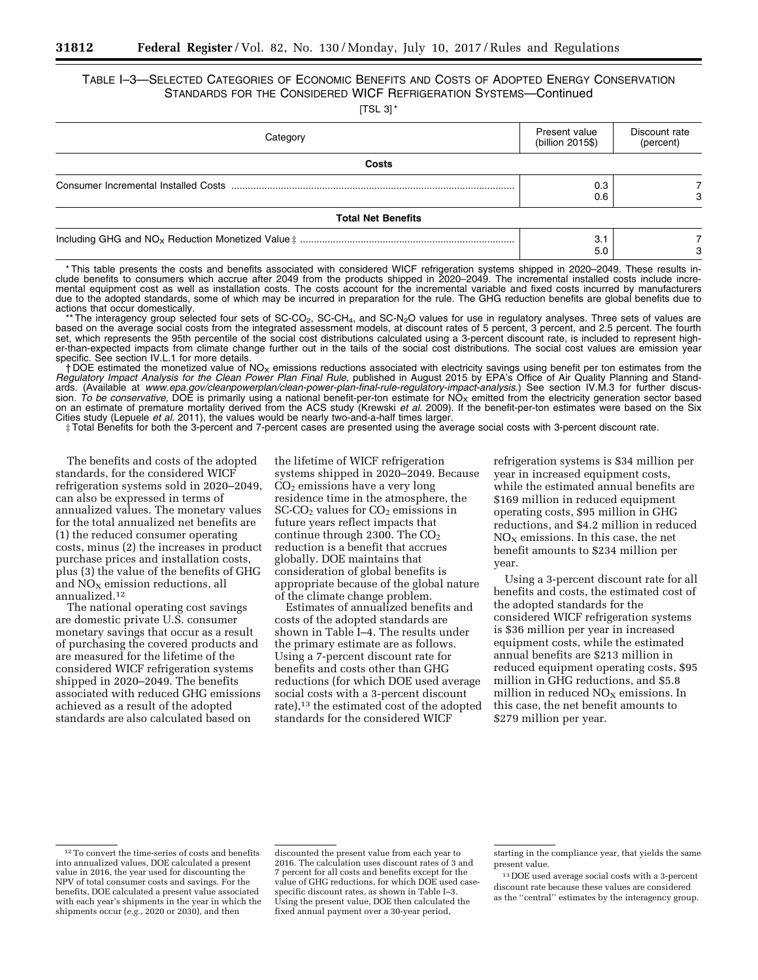# TABLE I–3—SELECTED CATEGORIES OF ECONOMIC BENEFITS AND COSTS OF ADOPTED ENERGY CONSERVATION STANDARDS FOR THE CONSIDERED WICF REFRIGERATION SYSTEMS—Continued

 $[TSI 3]$   $*$ 

| Category                  | Present value<br>(billion 2015\$) | Discount rate<br>(percent) |
|---------------------------|-----------------------------------|----------------------------|
| Costs                     |                                   |                            |
|                           | 0.3<br>0.6                        |                            |
| <b>Total Net Benefits</b> |                                   |                            |
|                           | 3.1<br>5.0                        | з                          |

\* This table presents the costs and benefits associated with considered WICF refrigeration systems shipped in 2020–2049. These results include benefits to consumers which accrue after 2049 from the products shipped in 2020–2049. The incremental installed costs include incremental equipment cost as well as installation costs. The costs account for the incremental variable and fixed costs incurred by manufacturers due to the adopted standards, some of which may be incurred in preparation for the rule. The GHG reduction benefits are global benefits due to actions that occur domestically.

\* The interagency group selected four sets of SC-CO<sub>2</sub>, SC-CH<sub>4</sub>, and SC-N<sub>2</sub>O values for use in regulatory analyses. Three sets of values are based on the average social costs from the integrated assessment models, at discount rates of 5 percent, 3 percent, and 2.5 percent. The fourth set, which represents the 95th percentile of the social cost distributions calculated using a 3-percent discount rate, is included to represent higher-than-expected impacts from climate change further out in the tails of the social cost distributions. The social cost values are emission year specific. See section IV.L.1 for more details.

† DOE estimated the monetized value of NOX emissions reductions associated with electricity savings using benefit per ton estimates from the *Regulatory Impact Analysis for the Clean Power Plan Final Rule, published in August 2015 by EPA's Office of Air Quality Planning and Stand*ards. (Available at *[www.epa.gov/cleanpowerplan/clean-power-plan-final-rule-regulatory-impact-analysis.](http://www.epa.gov/cleanpowerplan/clean-power-plan-final-rule-regulatory-impact-analysis)*) See section IV.M.3 for further discussion. To be conservative, DOE is primarily using a national benefit-per-ton estimate for NO<sub>X</sub> emitted from the electricity generation sector based on an estimate of premature mortality derived from the ACS study (Krewski *et al.* 2009). If the benefit-per-ton estimates were based on the Six Cities study (Lepuele *et al.* 2011), the values would be nearly two-and-a-half times larger.

‡ Total Benefits for both the 3-percent and 7-percent cases are presented using the average social costs with 3-percent discount rate.

The benefits and costs of the adopted standards, for the considered WICF refrigeration systems sold in 2020–2049, can also be expressed in terms of annualized values. The monetary values for the total annualized net benefits are (1) the reduced consumer operating costs, minus (2) the increases in product purchase prices and installation costs, plus (3) the value of the benefits of GHG and  $NO<sub>X</sub>$  emission reductions, all annualized.12

The national operating cost savings are domestic private U.S. consumer monetary savings that occur as a result of purchasing the covered products and are measured for the lifetime of the considered WICF refrigeration systems shipped in 2020–2049. The benefits associated with reduced GHG emissions achieved as a result of the adopted standards are also calculated based on

the lifetime of WICF refrigeration systems shipped in 2020–2049. Because  $CO<sub>2</sub>$  emissions have a very long residence time in the atmosphere, the  $SC$ - $CO<sub>2</sub>$  values for  $CO<sub>2</sub>$  emissions in future years reflect impacts that continue through 2300. The  $CO<sub>2</sub>$ reduction is a benefit that accrues globally. DOE maintains that consideration of global benefits is appropriate because of the global nature of the climate change problem.

Estimates of annualized benefits and costs of the adopted standards are shown in Table I–4. The results under the primary estimate are as follows. Using a 7-percent discount rate for benefits and costs other than GHG reductions (for which DOE used average social costs with a 3-percent discount rate),<sup>13</sup> the estimated cost of the adopted standards for the considered WICF

refrigeration systems is \$34 million per year in increased equipment costs, while the estimated annual benefits are \$169 million in reduced equipment operating costs, \$95 million in GHG reductions, and \$4.2 million in reduced  $NO<sub>x</sub>$  emissions. In this case, the net benefit amounts to \$234 million per year.

Using a 3-percent discount rate for all benefits and costs, the estimated cost of the adopted standards for the considered WICF refrigeration systems is \$36 million per year in increased equipment costs, while the estimated annual benefits are \$213 million in reduced equipment operating costs, \$95 million in GHG reductions, and \$5.8 million in reduced  $NO<sub>X</sub>$  emissions. In this case, the net benefit amounts to \$279 million per year.

 $^{\rm 12}\rm{To}$  convert the time-series of costs and benefits into annualized values, DOE calculated a present value in 2016, the year used for discounting the NPV of total consumer costs and savings. For the benefits, DOE calculated a present value associated with each year's shipments in the year in which the shipments occur (*e.g.,* 2020 or 2030), and then

discounted the present value from each year to 2016. The calculation uses discount rates of 3 and 7 percent for all costs and benefits except for the value of GHG reductions, for which DOE used casespecific discount rates, as shown in Table I–3. Using the present value, DOE then calculated the fixed annual payment over a 30-year period,

starting in the compliance year, that yields the same present value.

<sup>13</sup> DOE used average social costs with a 3-percent discount rate because these values are considered as the ''central'' estimates by the interagency group.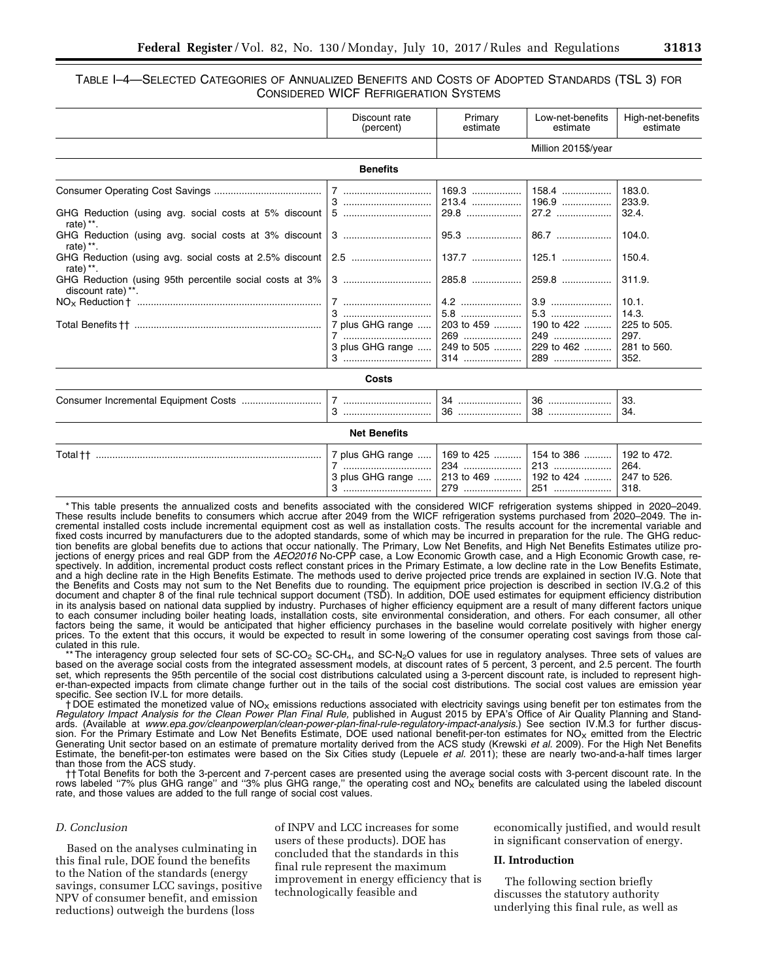# TABLE I–4—SELECTED CATEGORIES OF ANNUALIZED BENEFITS AND COSTS OF ADOPTED STANDARDS (TSL 3) FOR CONSIDERED WICF REFRIGERATION SYSTEMS

|                                                                                                                                        | Discount rate<br>(percent)                | Primary<br>estimate             | Low-net-benefits<br>estimate                            | High-net-benefits<br>estimate                                |
|----------------------------------------------------------------------------------------------------------------------------------------|-------------------------------------------|---------------------------------|---------------------------------------------------------|--------------------------------------------------------------|
|                                                                                                                                        |                                           |                                 | Million 2015\$/year                                     |                                                              |
|                                                                                                                                        | <b>Benefits</b>                           |                                 |                                                         |                                                              |
| GHG Reduction (using avg. social costs at 5% discount                                                                                  | 5                                         | 169.3<br>213.4<br>29.8          | 158.4<br>196.9<br>27.2                                  | 183.0.<br>233.9.<br>32.4.                                    |
| rate) **.<br>rate) $**$ .                                                                                                              |                                           | $95.3$                          | 86.7                                                    | 104.0.                                                       |
| rate) **.                                                                                                                              |                                           | $137.7$                         | $125.1$                                                 | 150.4.                                                       |
| GHG Reduction (using 95th percentile social costs at 3%<br>discount rate) **.                                                          |                                           | 285.8                           | $259.8$                                                 | 311.9.                                                       |
|                                                                                                                                        | 7 plus GHG range<br>7<br>3 plus GHG range | 203 to 459<br>269<br>249 to 505 | 190 to 422<br>249<br>229 to 462<br>289                  | 10.1.<br>14.3.<br>225 to 505.<br>297.<br>281 to 560.<br>352. |
|                                                                                                                                        | Costs                                     |                                 |                                                         |                                                              |
|                                                                                                                                        |                                           |                                 | 36<br>38                                                | 33.<br>34.                                                   |
|                                                                                                                                        | <b>Net Benefits</b>                       |                                 |                                                         |                                                              |
|                                                                                                                                        | 7 plus GHG range<br>7<br>3 plus GHG range | 169 to 425<br>234               | 154 to 386<br>213<br>213 to 469    192 to 424   <br>251 | 192 to 472.<br>264.<br>247 to 526.<br>318.                   |
| *This table was easily becomplied and some benefits acceptated with the considered MHOE additionalism customer eliminated in 0000,0040 |                                           |                                 |                                                         |                                                              |

This table presents the annualized costs and benefits associated with the considered WICF refrigeration systems shipped in 2020–2049. These results include benefits to consumers which accrue after 2049 from the WICF refrigeration systems purchased from 2020–2049. The incremental installed costs include incremental equipment cost as well as installation costs. The results account for the incremental variable and fixed costs incurred by manufacturers due to the adopted standards, some of which may be incurred in preparation for the rule. The GHG reduction benefits are global benefits due to actions that occur nationally. The Primary, Low Net Benefits, and High Net Benefits Estimates utilize projections of energy prices and real GDP from the *AEO2016* No-CPP case, a Low Economic Growth case, and a High Economic Growth case, respectively. In addition, incremental product costs reflect constant prices in the Primary Estimate, a low decline rate in the Low Benefits Estimate, and a high decline rate in the High Benefits Estimate. The methods used to derive projected price trends are explained in section IV.G. Note that the Benefits and Costs may not sum to the Net Benefits due to rounding. The equipment price projection is described in section IV.G.2 of this document and chapter 8 of the final rule technical support document (TSD). In addition, DOE used estimates for equipment efficiency distribution in its analysis based on national data supplied by industry. Purchases of higher efficiency equipment are a result of many different factors unique to each consumer including boiler heating loads, installation costs, site environmental consideration, and others. For each consumer, all other factors being the same, it would be anticipated that higher efficiency purchases in the baseline would correlate positively with higher energy prices. To the extent that this occurs, it would be expected to result in some lowering of the consumer operating cost savings from those calculated in this rule.

The interagency group selected four sets of SC-CO<sub>2</sub> SC-CH<sub>4</sub>, and SC-N<sub>2</sub>O values for use in regulatory analyses. Three sets of values are based on the average social costs from the integrated assessment models, at discount rates of 5 percent, 3 percent, and 2.5 percent. The fourth set, which represents the 95th percentile of the social cost distributions calculated using a 3-percent discount rate, is included to represent higher-than-expected impacts from climate change further out in the tails of the social cost distributions. The social cost values are emission year specific. See section IV.L for more details.

 $\dagger$  DOE estimated the monetized value of NO<sub>X</sub> emissions reductions associated with electricity savings using benefit per ton estimates from the *Regulatory Impact Analysis for the Clean Power Plan Final Rule, published in August 2015 by EPA's Office of Air Quality Planning and Stand*ards. (Available at *[www.epa.gov/cleanpowerplan/clean-power-plan-final-rule-regulatory-impact-analysis.](http://www.epa.gov/cleanpowerplan/clean-power-plan-final-rule-regulatory-impact-analysis)*) See section IV.M.3 for further discussion. For the Primary Estimate and Low Net Benefits Estimate, DOE used national benefit-per-ton estimates for NO<sub>X</sub> emitted from the Electric<br>Generating Unit sector based on an estimate of premature mortality derived from Estimate, the benefit-per-ton estimates were based on the Six Cities study (Lepuele *et al.* 2011); these are nearly two-and-a-half times larger than those from the ACS study.

†† Total Benefits for both the 3-percent and 7-percent cases are presented using the average social costs with 3-percent discount rate. In the rows labeled "7% plus GHG range" and "3% plus GHG range," the operating cost and NO<sub>X</sub> benefits are calculated using the labeled discount rate, and those values are added to the full range of social cost values.

### *D. Conclusion*

Based on the analyses culminating in this final rule, DOE found the benefits to the Nation of the standards (energy savings, consumer LCC savings, positive NPV of consumer benefit, and emission reductions) outweigh the burdens (loss

of INPV and LCC increases for some users of these products). DOE has concluded that the standards in this final rule represent the maximum improvement in energy efficiency that is technologically feasible and

economically justified, and would result in significant conservation of energy.

### **II. Introduction**

The following section briefly discusses the statutory authority underlying this final rule, as well as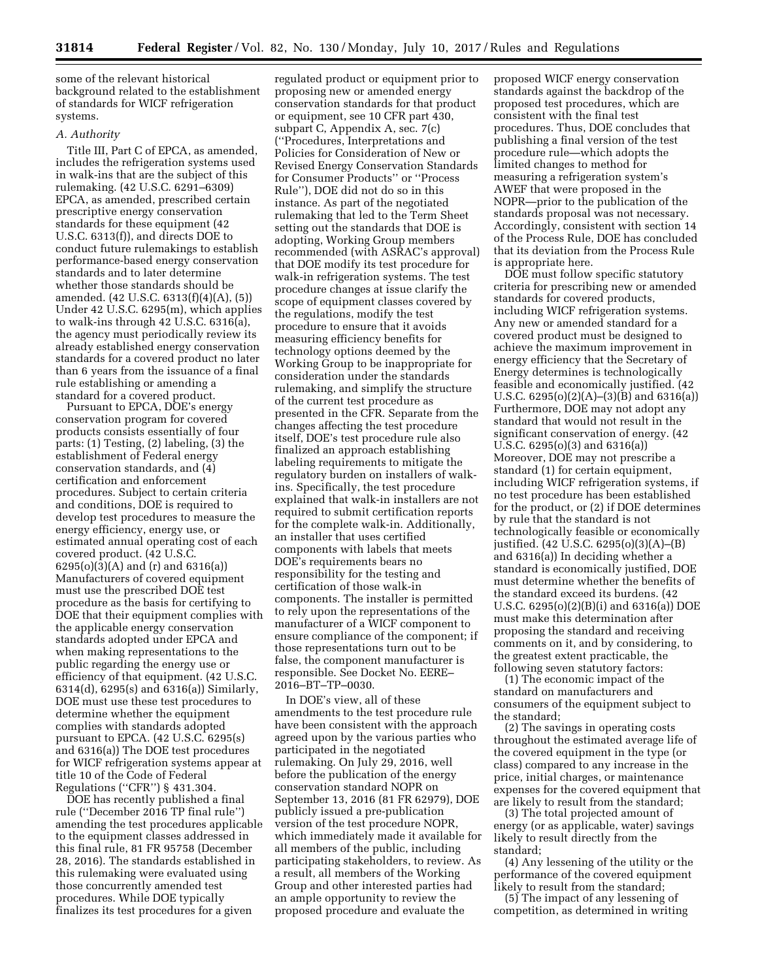some of the relevant historical background related to the establishment of standards for WICF refrigeration systems.

### *A. Authority*

Title III, Part C of EPCA, as amended, includes the refrigeration systems used in walk-ins that are the subject of this rulemaking. (42 U.S.C. 6291–6309) EPCA, as amended, prescribed certain prescriptive energy conservation standards for these equipment (42 U.S.C. 6313(f)), and directs DOE to conduct future rulemakings to establish performance-based energy conservation standards and to later determine whether those standards should be amended. (42 U.S.C. 6313(f)(4)(A), (5)) Under 42 U.S.C. 6295(m), which applies to walk-ins through 42 U.S.C. 6316(a), the agency must periodically review its already established energy conservation standards for a covered product no later than 6 years from the issuance of a final rule establishing or amending a standard for a covered product.

Pursuant to EPCA, DOE's energy conservation program for covered products consists essentially of four parts: (1) Testing, (2) labeling, (3) the establishment of Federal energy conservation standards, and (4) certification and enforcement procedures. Subject to certain criteria and conditions, DOE is required to develop test procedures to measure the energy efficiency, energy use, or estimated annual operating cost of each covered product. (42 U.S.C. 6295(o)(3)(A) and (r) and 6316(a)) Manufacturers of covered equipment must use the prescribed DOE test procedure as the basis for certifying to DOE that their equipment complies with the applicable energy conservation standards adopted under EPCA and when making representations to the public regarding the energy use or efficiency of that equipment. (42 U.S.C. 6314(d), 6295(s) and 6316(a)) Similarly, DOE must use these test procedures to determine whether the equipment complies with standards adopted pursuant to EPCA. (42 U.S.C. 6295(s) and 6316(a)) The DOE test procedures for WICF refrigeration systems appear at title 10 of the Code of Federal Regulations (''CFR'') § 431.304.

DOE has recently published a final rule (''December 2016 TP final rule'') amending the test procedures applicable to the equipment classes addressed in this final rule, 81 FR 95758 (December 28, 2016). The standards established in this rulemaking were evaluated using those concurrently amended test procedures. While DOE typically finalizes its test procedures for a given

regulated product or equipment prior to proposing new or amended energy conservation standards for that product or equipment, see 10 CFR part 430, subpart C, Appendix A, sec. 7(c) (''Procedures, Interpretations and Policies for Consideration of New or Revised Energy Conservation Standards for Consumer Products'' or ''Process Rule''), DOE did not do so in this instance. As part of the negotiated rulemaking that led to the Term Sheet setting out the standards that DOE is adopting, Working Group members recommended (with ASRAC's approval) that DOE modify its test procedure for walk-in refrigeration systems. The test procedure changes at issue clarify the scope of equipment classes covered by the regulations, modify the test procedure to ensure that it avoids measuring efficiency benefits for technology options deemed by the Working Group to be inappropriate for consideration under the standards rulemaking, and simplify the structure of the current test procedure as presented in the CFR. Separate from the changes affecting the test procedure itself, DOE's test procedure rule also finalized an approach establishing labeling requirements to mitigate the regulatory burden on installers of walkins. Specifically, the test procedure explained that walk-in installers are not required to submit certification reports for the complete walk-in. Additionally, an installer that uses certified components with labels that meets DOE's requirements bears no responsibility for the testing and certification of those walk-in components. The installer is permitted to rely upon the representations of the manufacturer of a WICF component to ensure compliance of the component; if those representations turn out to be false, the component manufacturer is responsible. See Docket No. EERE– 2016–BT–TP–0030.

In DOE's view, all of these amendments to the test procedure rule have been consistent with the approach agreed upon by the various parties who participated in the negotiated rulemaking. On July 29, 2016, well before the publication of the energy conservation standard NOPR on September 13, 2016 (81 FR 62979), DOE publicly issued a pre-publication version of the test procedure NOPR, which immediately made it available for all members of the public, including participating stakeholders, to review. As a result, all members of the Working Group and other interested parties had an ample opportunity to review the proposed procedure and evaluate the

proposed WICF energy conservation standards against the backdrop of the proposed test procedures, which are consistent with the final test procedures. Thus, DOE concludes that publishing a final version of the test procedure rule—which adopts the limited changes to method for measuring a refrigeration system's AWEF that were proposed in the NOPR—prior to the publication of the standards proposal was not necessary. Accordingly, consistent with section 14 of the Process Rule, DOE has concluded that its deviation from the Process Rule is appropriate here.

DOE must follow specific statutory criteria for prescribing new or amended standards for covered products, including WICF refrigeration systems. Any new or amended standard for a covered product must be designed to achieve the maximum improvement in energy efficiency that the Secretary of Energy determines is technologically feasible and economically justified. (42 U.S.C.  $6295(o)(2)(A)–(3)(B)$  and  $6316(a)$ Furthermore, DOE may not adopt any standard that would not result in the significant conservation of energy. (42 U.S.C. 6295(o)(3) and 6316(a)) Moreover, DOE may not prescribe a standard (1) for certain equipment, including WICF refrigeration systems, if no test procedure has been established for the product, or (2) if DOE determines by rule that the standard is not technologically feasible or economically justified. (42 U.S.C. 6295(o)(3)(A)–(B) and 6316(a)) In deciding whether a standard is economically justified, DOE must determine whether the benefits of the standard exceed its burdens. (42 U.S.C. 6295(o)(2)(B)(i) and 6316(a)) DOE must make this determination after proposing the standard and receiving comments on it, and by considering, to the greatest extent practicable, the following seven statutory factors:

(1) The economic impact of the standard on manufacturers and consumers of the equipment subject to the standard;

(2) The savings in operating costs throughout the estimated average life of the covered equipment in the type (or class) compared to any increase in the price, initial charges, or maintenance expenses for the covered equipment that are likely to result from the standard;

(3) The total projected amount of energy (or as applicable, water) savings likely to result directly from the standard;

(4) Any lessening of the utility or the performance of the covered equipment likely to result from the standard;

(5) The impact of any lessening of competition, as determined in writing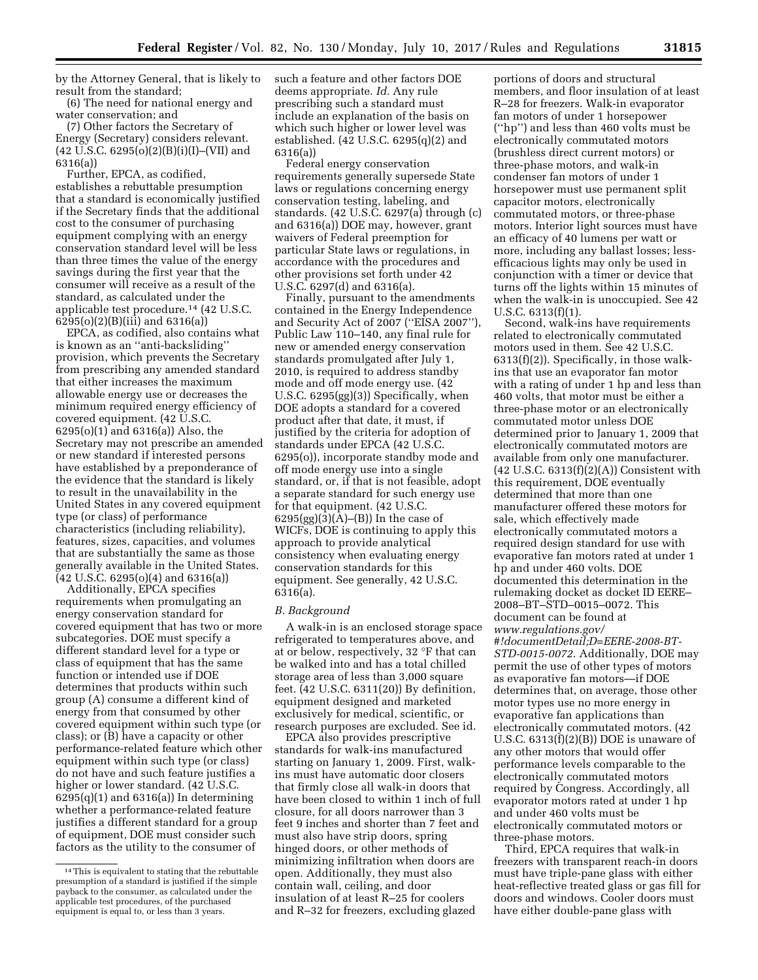by the Attorney General, that is likely to result from the standard;

(6) The need for national energy and water conservation; and

(7) Other factors the Secretary of Energy (Secretary) considers relevant.  $(42 \text{ U.S.C. } 6295(0)(2)(B)(i)(I)–(VII) \text{ and }$ 6316(a))

Further, EPCA, as codified, establishes a rebuttable presumption that a standard is economically justified if the Secretary finds that the additional cost to the consumer of purchasing equipment complying with an energy conservation standard level will be less than three times the value of the energy savings during the first year that the consumer will receive as a result of the standard, as calculated under the applicable test procedure.14 (42 U.S.C. 6295(o)(2)(B)(iii) and 6316(a))

EPCA, as codified, also contains what is known as an ''anti-backsliding'' provision, which prevents the Secretary from prescribing any amended standard that either increases the maximum allowable energy use or decreases the minimum required energy efficiency of covered equipment. (42 U.S.C. 6295(o)(1) and 6316(a)) Also, the Secretary may not prescribe an amended or new standard if interested persons have established by a preponderance of the evidence that the standard is likely to result in the unavailability in the United States in any covered equipment type (or class) of performance characteristics (including reliability), features, sizes, capacities, and volumes that are substantially the same as those generally available in the United States. (42 U.S.C. 6295(o)(4) and 6316(a))

Additionally, EPCA specifies requirements when promulgating an energy conservation standard for covered equipment that has two or more subcategories. DOE must specify a different standard level for a type or class of equipment that has the same function or intended use if DOE determines that products within such group (A) consume a different kind of energy from that consumed by other covered equipment within such type (or class); or (B) have a capacity or other performance-related feature which other equipment within such type (or class) do not have and such feature justifies a higher or lower standard. (42 U.S.C.  $6295(q)(1)$  and  $6316(a)$ ) In determining whether a performance-related feature justifies a different standard for a group of equipment, DOE must consider such factors as the utility to the consumer of

such a feature and other factors DOE deems appropriate. *Id.* Any rule prescribing such a standard must include an explanation of the basis on which such higher or lower level was established. (42 U.S.C. 6295(q)(2) and 6316(a))

Federal energy conservation requirements generally supersede State laws or regulations concerning energy conservation testing, labeling, and standards. (42 U.S.C. 6297(a) through (c) and 6316(a)) DOE may, however, grant waivers of Federal preemption for particular State laws or regulations, in accordance with the procedures and other provisions set forth under 42 U.S.C. 6297(d) and 6316(a).

Finally, pursuant to the amendments contained in the Energy Independence and Security Act of 2007 (''EISA 2007''), Public Law 110–140, any final rule for new or amended energy conservation standards promulgated after July 1, 2010, is required to address standby mode and off mode energy use. (42 U.S.C. 6295(gg)(3)) Specifically, when DOE adopts a standard for a covered product after that date, it must, if justified by the criteria for adoption of standards under EPCA (42 U.S.C. 6295(o)), incorporate standby mode and off mode energy use into a single standard, or, if that is not feasible, adopt a separate standard for such energy use for that equipment. (42 U.S.C.  $6295(gg)(3)(A)$ –(B)) In the case of WICFs, DOE is continuing to apply this approach to provide analytical consistency when evaluating energy conservation standards for this equipment. See generally, 42 U.S.C. 6316(a).

# *B. Background*

A walk-in is an enclosed storage space refrigerated to temperatures above, and at or below, respectively, 32 °F that can be walked into and has a total chilled storage area of less than 3,000 square feet. (42 U.S.C. 6311(20)) By definition, equipment designed and marketed exclusively for medical, scientific, or research purposes are excluded. See id.

EPCA also provides prescriptive standards for walk-ins manufactured starting on January 1, 2009. First, walkins must have automatic door closers that firmly close all walk-in doors that have been closed to within 1 inch of full closure, for all doors narrower than 3 feet 9 inches and shorter than 7 feet and must also have strip doors, spring hinged doors, or other methods of minimizing infiltration when doors are open. Additionally, they must also contain wall, ceiling, and door insulation of at least R–25 for coolers and R–32 for freezers, excluding glazed

portions of doors and structural members, and floor insulation of at least R–28 for freezers. Walk-in evaporator fan motors of under 1 horsepower (''hp'') and less than 460 volts must be electronically commutated motors (brushless direct current motors) or three-phase motors, and walk-in condenser fan motors of under 1 horsepower must use permanent split capacitor motors, electronically commutated motors, or three-phase motors. Interior light sources must have an efficacy of 40 lumens per watt or more, including any ballast losses; lessefficacious lights may only be used in conjunction with a timer or device that turns off the lights within 15 minutes of when the walk-in is unoccupied. See 42 U.S.C. 6313(f)(1).

Second, walk-ins have requirements related to electronically commutated motors used in them. See 42 U.S.C. 6313(f)(2)). Specifically, in those walkins that use an evaporator fan motor with a rating of under 1 hp and less than 460 volts, that motor must be either a three-phase motor or an electronically commutated motor unless DOE determined prior to January 1, 2009 that electronically commutated motors are available from only one manufacturer.  $(42 \text{ U.S.C. } 6313 \text{ (f)} \text{ (2)} \text{ (A)})$  Consistent with this requirement, DOE eventually determined that more than one manufacturer offered these motors for sale, which effectively made electronically commutated motors a required design standard for use with evaporative fan motors rated at under 1 hp and under 460 volts. DOE documented this determination in the rulemaking docket as docket ID EERE– 2008–BT–STD–0015–0072. This document can be found at *[www.regulations.gov/](http://www.regulations.gov/#!documentDetail;D=EERE-2008-BT-STD-0015-0072) [#!documentDetail;D=EERE-2008-BT-](http://www.regulations.gov/#!documentDetail;D=EERE-2008-BT-STD-0015-0072)[STD-0015-0072](http://www.regulations.gov/#!documentDetail;D=EERE-2008-BT-STD-0015-0072)*. Additionally, DOE may permit the use of other types of motors as evaporative fan motors—if DOE determines that, on average, those other motor types use no more energy in evaporative fan applications than electronically commutated motors. (42 U.S.C.  $6313(f)(2)(B)$ ) DOE is unaware of any other motors that would offer performance levels comparable to the electronically commutated motors required by Congress. Accordingly, all evaporator motors rated at under 1 hp and under 460 volts must be electronically commutated motors or three-phase motors.

Third, EPCA requires that walk-in freezers with transparent reach-in doors must have triple-pane glass with either heat-reflective treated glass or gas fill for doors and windows. Cooler doors must have either double-pane glass with

<sup>14</sup>This is equivalent to stating that the rebuttable presumption of a standard is justified if the simple payback to the consumer, as calculated under the applicable test procedures, of the purchased equipment is equal to, or less than 3 years.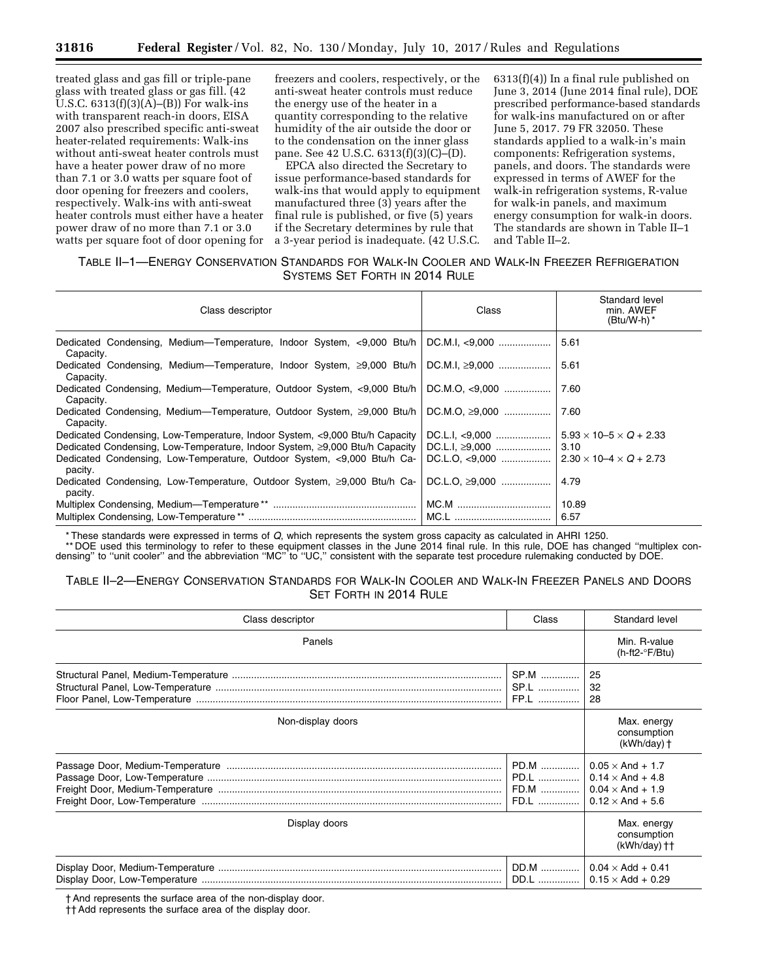treated glass and gas fill or triple-pane glass with treated glass or gas fill. (42 U.S.C.  $6313(f)(3)(A)$ –(B)) For walk-ins with transparent reach-in doors, EISA 2007 also prescribed specific anti-sweat heater-related requirements: Walk-ins without anti-sweat heater controls must have a heater power draw of no more than 7.1 or 3.0 watts per square foot of door opening for freezers and coolers, respectively. Walk-ins with anti-sweat heater controls must either have a heater power draw of no more than 7.1 or 3.0 watts per square foot of door opening for

freezers and coolers, respectively, or the anti-sweat heater controls must reduce the energy use of the heater in a quantity corresponding to the relative humidity of the air outside the door or to the condensation on the inner glass pane. See 42 U.S.C. 6313(f)(3)(C)–(D).

EPCA also directed the Secretary to issue performance-based standards for walk-ins that would apply to equipment manufactured three (3) years after the final rule is published, or five (5) years if the Secretary determines by rule that a 3-year period is inadequate. (42 U.S.C.

6313(f)(4)) In a final rule published on June 3, 2014 (June 2014 final rule), DOE prescribed performance-based standards for walk-ins manufactured on or after June 5, 2017. 79 FR 32050. These standards applied to a walk-in's main components: Refrigeration systems, panels, and doors. The standards were expressed in terms of AWEF for the walk-in refrigeration systems, R-value for walk-in panels, and maximum energy consumption for walk-in doors. The standards are shown in Table II–1 and Table II–2.

# TABLE II–1—ENERGY CONSERVATION STANDARDS FOR WALK-IN COOLER AND WALK-IN FREEZER REFRIGERATION SYSTEMS SET FORTH IN 2014 RULE

| Class descriptor                                                                    | Class                | Standard level<br>min. AWEF<br>$(Btu/W-h)^*$ |
|-------------------------------------------------------------------------------------|----------------------|----------------------------------------------|
| Capacity.                                                                           |                      | 5.61                                         |
| Dedicated Condensing, Medium—Temperature, Indoor System, ≥9,000 Btu/h<br>Capacity.  | DC.M.I, $\geq 9,000$ | 5.61                                         |
| Dedicated Condensing, Medium-Temperature, Outdoor System, <9,000 Btu/h<br>Capacity. | $DC.M.O. \leq 9.000$ | 7.60                                         |
| Dedicated Condensing, Medium—Temperature, Outdoor System, ≥9,000 Btu/h<br>Capacity. | DC.M.O, $\geq 9,000$ | 7.60                                         |
| Dedicated Condensing, Low-Temperature, Indoor System, <9,000 Btu/h Capacity         | DC.L.I, <9,000       | $5.93 \times 10 - 5 \times Q + 2.33$         |
| Dedicated Condensing, Low-Temperature, Indoor System, ≥9,000 Btu/h Capacity         | DC.L.I, ≥9,000       | 3.10                                         |
| Dedicated Condensing, Low-Temperature, Outdoor System, <9,000 Btu/h Ca-<br>pacity.  | $DC.L.O. < 9.000$    | $2.30 \times 10 - 4 \times Q + 2.73$         |
| Dedicated Condensing, Low-Temperature, Outdoor System, ≥9,000 Btu/h Ca-<br>pacity.  | DC.L.O, $\geq 9,000$ | 4.79                                         |
|                                                                                     |                      | 10.89                                        |
|                                                                                     |                      | 6.57                                         |

\* These standards were expressed in terms of *Q*, which represents the system gross capacity as calculated in AHRI 1250.

\*\* DOE used this terminology to refer to these equipment classes in the June 2014 final rule. In this rule, DOE has changed ''multiplex condensing'' to ''unit cooler'' and the abbreviation ''MC'' to ''UC,'' consistent with the separate test procedure rulemaking conducted by DOE.

# TABLE II–2—ENERGY CONSERVATION STANDARDS FOR WALK-IN COOLER AND WALK-IN FREEZER PANELS AND DOORS SET FORTH IN 2014 RULE

| Class descriptor<br>Class |                                                                                                          | Standard level                                       |
|---------------------------|----------------------------------------------------------------------------------------------------------|------------------------------------------------------|
| Panels                    |                                                                                                          | Min. R-value<br>$(h-ft2-\nF/Btu)$                    |
| SP.M<br>SP.L<br>FP.L      |                                                                                                          | 25<br>32<br>28                                       |
| Non-display doors         |                                                                                                          | Max. energy<br>consumption<br>$(kWh/day)$ †          |
|                           | PD.M<br>$0.05 \times$ And + 1.7<br>PD.L   <br>$0.14 \times$ And + 4.8<br>$0.12 \times$ And + 5.6<br>FD.L |                                                      |
| Display doors             |                                                                                                          | Max. energy<br>consumption<br>$(kWh/day)$ ††         |
| DD.M<br>DD.L              |                                                                                                          | $0.04 \times$ Add + 0.41<br>$0.15 \times$ Add + 0.29 |

† And represents the surface area of the non-display door.

†† Add represents the surface area of the display door.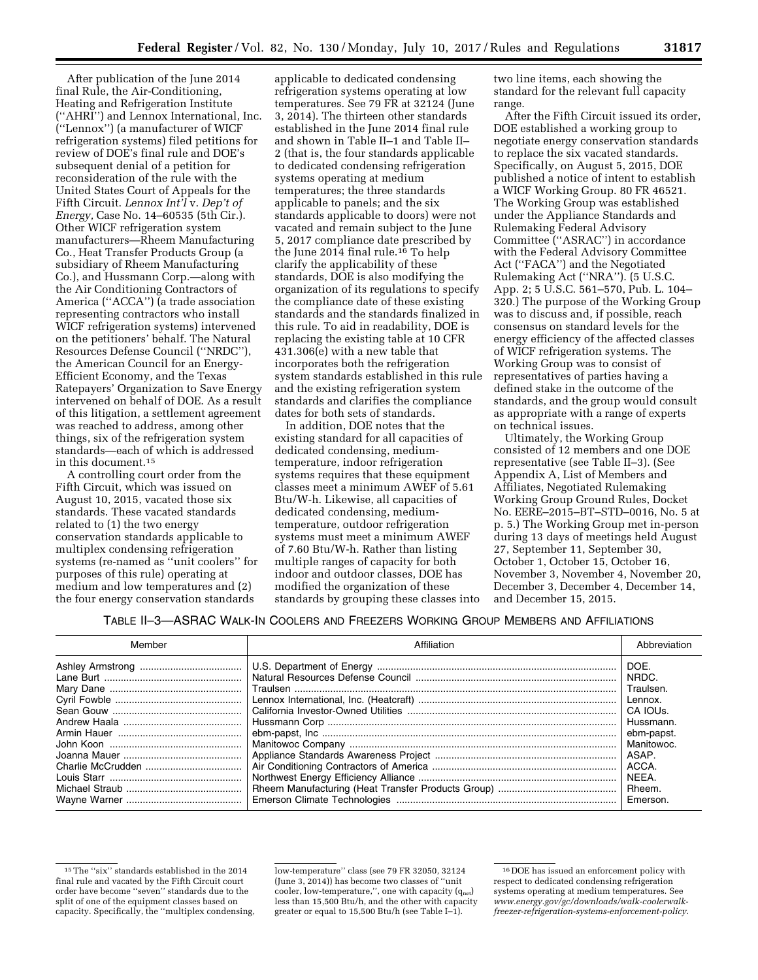After publication of the June 2014 final Rule, the Air-Conditioning, Heating and Refrigeration Institute (''AHRI'') and Lennox International, Inc. (''Lennox'') (a manufacturer of WICF refrigeration systems) filed petitions for review of DOE's final rule and DOE's subsequent denial of a petition for reconsideration of the rule with the United States Court of Appeals for the Fifth Circuit. *Lennox Int'l* v. *Dep't of Energy,* Case No. 14–60535 (5th Cir.). Other WICF refrigeration system manufacturers—Rheem Manufacturing Co., Heat Transfer Products Group (a subsidiary of Rheem Manufacturing Co.), and Hussmann Corp.—along with the Air Conditioning Contractors of America (''ACCA'') (a trade association representing contractors who install WICF refrigeration systems) intervened on the petitioners' behalf. The Natural Resources Defense Council (''NRDC''), the American Council for an Energy-Efficient Economy, and the Texas Ratepayers' Organization to Save Energy intervened on behalf of DOE. As a result of this litigation, a settlement agreement was reached to address, among other things, six of the refrigeration system standards—each of which is addressed in this document.15

A controlling court order from the Fifth Circuit, which was issued on August 10, 2015, vacated those six standards. These vacated standards related to (1) the two energy conservation standards applicable to multiplex condensing refrigeration systems (re-named as ''unit coolers'' for purposes of this rule) operating at medium and low temperatures and (2) the four energy conservation standards

applicable to dedicated condensing refrigeration systems operating at low temperatures. See 79 FR at 32124 (June 3, 2014). The thirteen other standards established in the June 2014 final rule and shown in Table II–1 and Table II– 2 (that is, the four standards applicable to dedicated condensing refrigeration systems operating at medium temperatures; the three standards applicable to panels; and the six standards applicable to doors) were not vacated and remain subject to the June 5, 2017 compliance date prescribed by the June 2014 final rule.<sup>16</sup> To help clarify the applicability of these standards, DOE is also modifying the organization of its regulations to specify the compliance date of these existing standards and the standards finalized in this rule. To aid in readability, DOE is replacing the existing table at 10 CFR 431.306(e) with a new table that incorporates both the refrigeration system standards established in this rule and the existing refrigeration system standards and clarifies the compliance dates for both sets of standards.

In addition, DOE notes that the existing standard for all capacities of dedicated condensing, mediumtemperature, indoor refrigeration systems requires that these equipment classes meet a minimum AWEF of 5.61 Btu/W-h. Likewise, all capacities of dedicated condensing, mediumtemperature, outdoor refrigeration systems must meet a minimum AWEF of 7.60 Btu/W-h. Rather than listing multiple ranges of capacity for both indoor and outdoor classes, DOE has modified the organization of these standards by grouping these classes into two line items, each showing the standard for the relevant full capacity range.

After the Fifth Circuit issued its order, DOE established a working group to negotiate energy conservation standards to replace the six vacated standards. Specifically, on August 5, 2015, DOE published a notice of intent to establish a WICF Working Group. 80 FR 46521. The Working Group was established under the Appliance Standards and Rulemaking Federal Advisory Committee (''ASRAC'') in accordance with the Federal Advisory Committee Act (''FACA'') and the Negotiated Rulemaking Act (''NRA''). (5 U.S.C. App. 2; 5 U.S.C. 561–570, Pub. L. 104– 320.) The purpose of the Working Group was to discuss and, if possible, reach consensus on standard levels for the energy efficiency of the affected classes of WICF refrigeration systems. The Working Group was to consist of representatives of parties having a defined stake in the outcome of the standards, and the group would consult as appropriate with a range of experts on technical issues.

Ultimately, the Working Group consisted of 12 members and one DOE representative (see Table II–3). (See Appendix A, List of Members and Affiliates, Negotiated Rulemaking Working Group Ground Rules, Docket No. EERE–2015–BT–STD–0016, No. 5 at p. 5.) The Working Group met in-person during 13 days of meetings held August 27, September 11, September 30, October 1, October 15, October 16, November 3, November 4, November 20, December 3, December 4, December 14, and December 15, 2015.

TABLE II–3—ASRAC WALK-IN COOLERS AND FREEZERS WORKING GROUP MEMBERS AND AFFILIATIONS

| Member | Affiliation | Abbreviation |
|--------|-------------|--------------|
|        |             | DOE.         |
|        |             | NRDC.        |
|        |             | Traulsen.    |
|        |             | Lennox.      |
|        |             | CA IOUS.     |
|        |             | Hussmann.    |
|        |             | ebm-papst.   |
|        |             | Manitowoc.   |
|        |             | ASAP.        |
|        |             | ACCA.        |
|        |             | NEEA.        |
|        |             | Rheem.       |
|        |             | Emerson.     |

low-temperature'' class (see 79 FR 32050, 32124 (June 3, 2014)) has become two classes of ''unit cooler, low-temperature,", one with capacity  $(q_{net})$ less than 15,500 Btu/h, and the other with capacity greater or equal to 15,500 Btu/h (see Table I–1).

<sup>15</sup>The ''six'' standards established in the 2014 final rule and vacated by the Fifth Circuit court order have become ''seven'' standards due to the split of one of the equipment classes based on capacity. Specifically, the ''multiplex condensing,

<sup>16</sup> DOE has issued an enforcement policy with respect to dedicated condensing refrigeration systems operating at medium temperatures. See *[www.energy.gov/gc/downloads/walk-coolerwalk](http://www.energy.gov/gc/downloads/walk-coolerwalk-freezer-refrigeration-systems-enforcement-policy)[freezer-refrigeration-systems-enforcement-policy](http://www.energy.gov/gc/downloads/walk-coolerwalk-freezer-refrigeration-systems-enforcement-policy)*.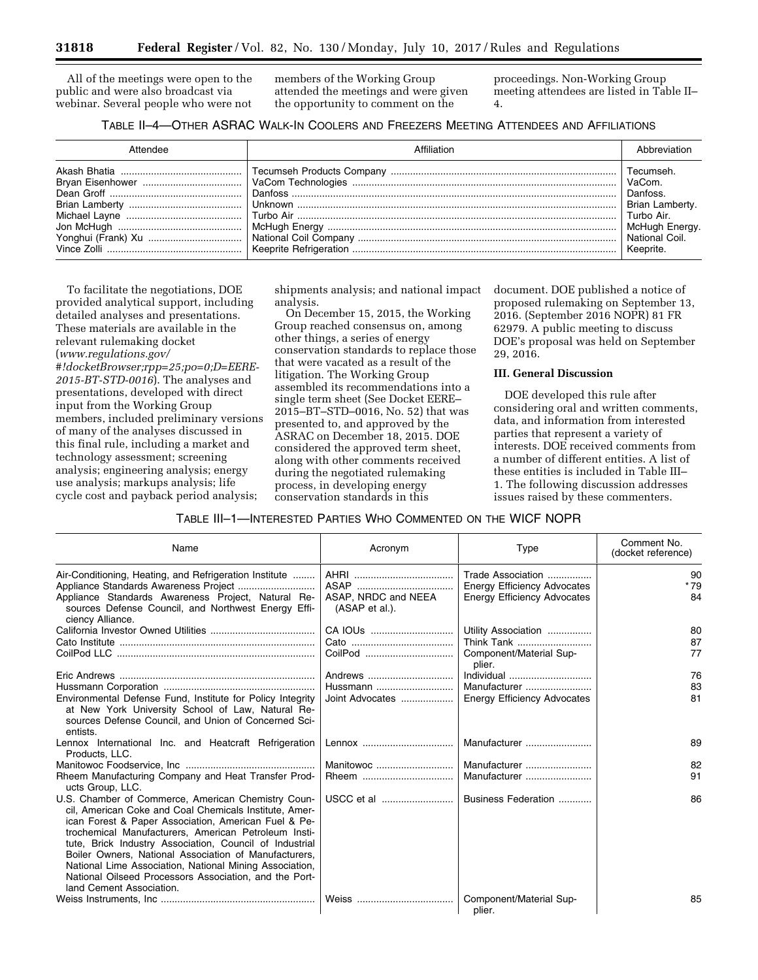All of the meetings were open to the public and were also broadcast via webinar. Several people who were not members of the Working Group attended the meetings and were given the opportunity to comment on the

proceedings. Non-Working Group meeting attendees are listed in Table II– 4.

# TABLE II–4—OTHER ASRAC WALK-IN COOLERS AND FREEZERS MEETING ATTENDEES AND AFFILIATIONS

| Attendee | Affiliation | Ahbreviation                                               |
|----------|-------------|------------------------------------------------------------|
|          |             | Danfoss.<br>Brian Lamberty.<br>McHugh Energy.<br>Keeprite. |

To facilitate the negotiations, DOE provided analytical support, including detailed analyses and presentations. These materials are available in the relevant rulemaking docket (*[www.regulations.gov/](http://www.regulations.gov/#!docketBrowser;rpp=25;po=0;D=EERE-2015-BT-STD-0016) [#!docketBrowser;rpp=25;po=0;D=EERE-](http://www.regulations.gov/#!docketBrowser;rpp=25;po=0;D=EERE-2015-BT-STD-0016)[2015-BT-STD-0016](http://www.regulations.gov/#!docketBrowser;rpp=25;po=0;D=EERE-2015-BT-STD-0016)*). The analyses and presentations, developed with direct input from the Working Group members, included preliminary versions of many of the analyses discussed in this final rule, including a market and technology assessment; screening analysis; engineering analysis; energy use analysis; markups analysis; life cycle cost and payback period analysis;

shipments analysis; and national impact analysis.

On December 15, 2015, the Working Group reached consensus on, among other things, a series of energy conservation standards to replace those that were vacated as a result of the litigation. The Working Group assembled its recommendations into a single term sheet (See Docket EERE– 2015–BT–STD–0016, No. 52) that was presented to, and approved by the ASRAC on December 18, 2015. DOE considered the approved term sheet, along with other comments received during the negotiated rulemaking process, in developing energy conservation standards in this

document. DOE published a notice of proposed rulemaking on September 13, 2016. (September 2016 NOPR) 81 FR 62979. A public meeting to discuss DOE's proposal was held on September 29, 2016.

# **III. General Discussion**

DOE developed this rule after considering oral and written comments, data, and information from interested parties that represent a variety of interests. DOE received comments from a number of different entities. A list of these entities is included in Table III– 1. The following discussion addresses issues raised by these commenters.

## TABLE III–1—INTERESTED PARTIES WHO COMMENTED ON THE WICF NOPR

| Name                                                                                                                                                                                                                                                                                                                                                                                                                                                                                              | Acronym                               | Type                                                                                          | Comment No.<br>(docket reference) |
|---------------------------------------------------------------------------------------------------------------------------------------------------------------------------------------------------------------------------------------------------------------------------------------------------------------------------------------------------------------------------------------------------------------------------------------------------------------------------------------------------|---------------------------------------|-----------------------------------------------------------------------------------------------|-----------------------------------|
| Air-Conditioning, Heating, and Refrigeration Institute<br>Appliance Standards Awareness Project, Natural Re-<br>sources Defense Council, and Northwest Energy Effi-<br>ciency Alliance.                                                                                                                                                                                                                                                                                                           | ASAP, NRDC and NEEA<br>(ASAP et al.). | Trade Association<br><b>Energy Efficiency Advocates</b><br><b>Energy Efficiency Advocates</b> | 90<br>$*79$<br>84                 |
|                                                                                                                                                                                                                                                                                                                                                                                                                                                                                                   | CA IOUs                               | Utility Association                                                                           | 80                                |
|                                                                                                                                                                                                                                                                                                                                                                                                                                                                                                   |                                       | Think Tank                                                                                    | 87                                |
|                                                                                                                                                                                                                                                                                                                                                                                                                                                                                                   | CoilPod                               | Component/Material Sup-<br>plier.                                                             | 77                                |
|                                                                                                                                                                                                                                                                                                                                                                                                                                                                                                   | Andrews                               |                                                                                               | 76                                |
|                                                                                                                                                                                                                                                                                                                                                                                                                                                                                                   | Hussmann                              | Manufacturer                                                                                  | 83                                |
| Environmental Defense Fund, Institute for Policy Integrity<br>at New York University School of Law, Natural Re-<br>sources Defense Council, and Union of Concerned Sci-<br>entists.                                                                                                                                                                                                                                                                                                               | Joint Advocates                       | <b>Energy Efficiency Advocates</b>                                                            | 81                                |
| Lennox International Inc. and Heatcraft Refrigeration<br>Products, LLC.                                                                                                                                                                                                                                                                                                                                                                                                                           | Lennox                                | Manufacturer                                                                                  | 89                                |
|                                                                                                                                                                                                                                                                                                                                                                                                                                                                                                   | Manitowoc                             | Manufacturer                                                                                  | 82                                |
| Rheem Manufacturing Company and Heat Transfer Prod-<br>ucts Group, LLC.                                                                                                                                                                                                                                                                                                                                                                                                                           | Rheem                                 | Manufacturer                                                                                  | 91                                |
| U.S. Chamber of Commerce, American Chemistry Coun-<br>cil, American Coke and Coal Chemicals Institute, Amer-<br>ican Forest & Paper Association, American Fuel & Pe-<br>trochemical Manufacturers, American Petroleum Insti-<br>tute, Brick Industry Association, Council of Industrial<br>Boiler Owners, National Association of Manufacturers,<br>National Lime Association, National Mining Association,<br>National Oilseed Processors Association, and the Port-<br>land Cement Association. |                                       | Business Federation                                                                           | 86                                |
|                                                                                                                                                                                                                                                                                                                                                                                                                                                                                                   |                                       | Component/Material Sup-<br>plier.                                                             | 85                                |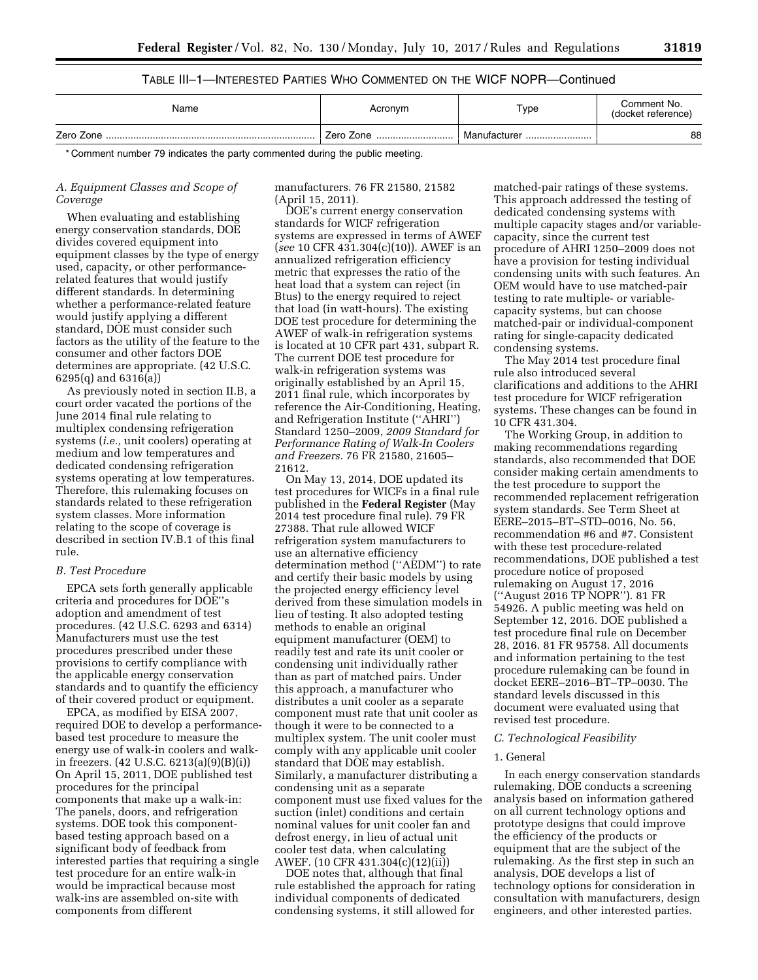# TABLE III–1—INTERESTED PARTIES WHO COMMENTED ON THE WICF NOPR—Continued

| Name | Acronym   | Type         | Comment No.<br>(docket reference) |
|------|-----------|--------------|-----------------------------------|
|      | Zero Zone | Manufacturer | 88                                |

\* Comment number 79 indicates the party commented during the public meeting.

## *A. Equipment Classes and Scope of Coverage*

When evaluating and establishing energy conservation standards, DOE divides covered equipment into equipment classes by the type of energy used, capacity, or other performancerelated features that would justify different standards. In determining whether a performance-related feature would justify applying a different standard, DOE must consider such factors as the utility of the feature to the consumer and other factors DOE determines are appropriate. (42 U.S.C. 6295(q) and 6316(a))

As previously noted in section II.B, a court order vacated the portions of the June 2014 final rule relating to multiplex condensing refrigeration systems (*i.e.,* unit coolers) operating at medium and low temperatures and dedicated condensing refrigeration systems operating at low temperatures. Therefore, this rulemaking focuses on standards related to these refrigeration system classes. More information relating to the scope of coverage is described in section IV.B.1 of this final rule.

### *B. Test Procedure*

EPCA sets forth generally applicable criteria and procedures for DOE''s adoption and amendment of test procedures. (42 U.S.C. 6293 and 6314) Manufacturers must use the test procedures prescribed under these provisions to certify compliance with the applicable energy conservation standards and to quantify the efficiency of their covered product or equipment.

EPCA, as modified by EISA 2007, required DOE to develop a performancebased test procedure to measure the energy use of walk-in coolers and walkin freezers. (42 U.S.C. 6213(a)(9)(B)(i)) On April 15, 2011, DOE published test procedures for the principal components that make up a walk-in: The panels, doors, and refrigeration systems. DOE took this componentbased testing approach based on a significant body of feedback from interested parties that requiring a single test procedure for an entire walk-in would be impractical because most walk-ins are assembled on-site with components from different

manufacturers. 76 FR 21580, 21582 (April 15, 2011).

DOE's current energy conservation standards for WICF refrigeration systems are expressed in terms of AWEF (*see* 10 CFR 431.304(c)(10)). AWEF is an annualized refrigeration efficiency metric that expresses the ratio of the heat load that a system can reject (in Btus) to the energy required to reject that load (in watt-hours). The existing DOE test procedure for determining the AWEF of walk-in refrigeration systems is located at 10 CFR part 431, subpart R. The current DOE test procedure for walk-in refrigeration systems was originally established by an April 15, 2011 final rule, which incorporates by reference the Air-Conditioning, Heating, and Refrigeration Institute (''AHRI'') Standard 1250–2009, *2009 Standard for Performance Rating of Walk-In Coolers and Freezers.* 76 FR 21580, 21605– 21612.

On May 13, 2014, DOE updated its test procedures for WICFs in a final rule published in the **Federal Register** (May 2014 test procedure final rule). 79 FR 27388. That rule allowed WICF refrigeration system manufacturers to use an alternative efficiency determination method (''AEDM'') to rate and certify their basic models by using the projected energy efficiency level derived from these simulation models in lieu of testing. It also adopted testing methods to enable an original equipment manufacturer (OEM) to readily test and rate its unit cooler or condensing unit individually rather than as part of matched pairs. Under this approach, a manufacturer who distributes a unit cooler as a separate component must rate that unit cooler as though it were to be connected to a multiplex system. The unit cooler must comply with any applicable unit cooler standard that DOE may establish. Similarly, a manufacturer distributing a condensing unit as a separate component must use fixed values for the suction (inlet) conditions and certain nominal values for unit cooler fan and defrost energy, in lieu of actual unit cooler test data, when calculating AWEF. (10 CFR 431.304(c)(12)(ii))

DOE notes that, although that final rule established the approach for rating individual components of dedicated condensing systems, it still allowed for

matched-pair ratings of these systems. This approach addressed the testing of dedicated condensing systems with multiple capacity stages and/or variablecapacity, since the current test procedure of AHRI 1250–2009 does not have a provision for testing individual condensing units with such features. An OEM would have to use matched-pair testing to rate multiple- or variablecapacity systems, but can choose matched-pair or individual-component rating for single-capacity dedicated condensing systems.

The May 2014 test procedure final rule also introduced several clarifications and additions to the AHRI test procedure for WICF refrigeration systems. These changes can be found in 10 CFR 431.304.

The Working Group, in addition to making recommendations regarding standards, also recommended that DOE consider making certain amendments to the test procedure to support the recommended replacement refrigeration system standards. See Term Sheet at EERE–2015–BT–STD–0016, No. 56, recommendation #6 and #7. Consistent with these test procedure-related recommendations, DOE published a test procedure notice of proposed rulemaking on August 17, 2016 (''August 2016 TP NOPR''). 81 FR 54926. A public meeting was held on September 12, 2016. DOE published a test procedure final rule on December 28, 2016. 81 FR 95758. All documents and information pertaining to the test procedure rulemaking can be found in docket EERE–2016–BT–TP–0030. The standard levels discussed in this document were evaluated using that revised test procedure.

#### *C. Technological Feasibility*

### 1. General

In each energy conservation standards rulemaking, DOE conducts a screening analysis based on information gathered on all current technology options and prototype designs that could improve the efficiency of the products or equipment that are the subject of the rulemaking. As the first step in such an analysis, DOE develops a list of technology options for consideration in consultation with manufacturers, design engineers, and other interested parties.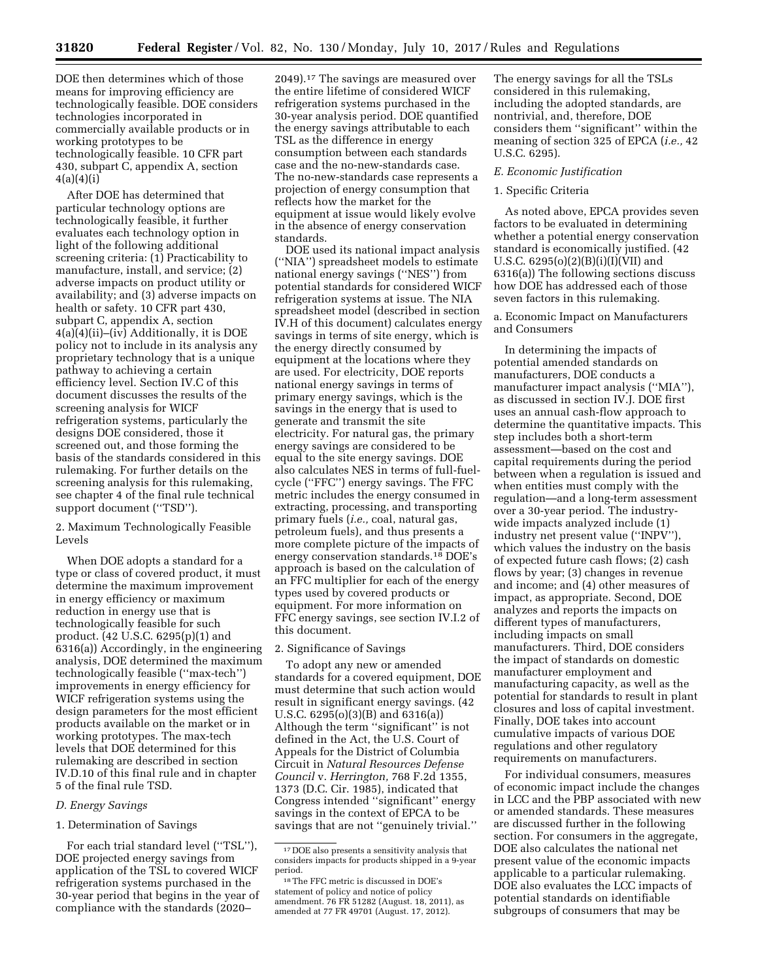DOE then determines which of those means for improving efficiency are technologically feasible. DOE considers technologies incorporated in commercially available products or in working prototypes to be technologically feasible. 10 CFR part 430, subpart C, appendix A, section  $4(a)(4)(i)$ 

After DOE has determined that particular technology options are technologically feasible, it further evaluates each technology option in light of the following additional screening criteria: (1) Practicability to manufacture, install, and service; (2) adverse impacts on product utility or availability; and (3) adverse impacts on health or safety. 10 CFR part 430, subpart C, appendix A, section 4(a)(4)(ii)–(iv) Additionally, it is DOE policy not to include in its analysis any proprietary technology that is a unique pathway to achieving a certain efficiency level. Section IV.C of this document discusses the results of the screening analysis for WICF refrigeration systems, particularly the designs DOE considered, those it screened out, and those forming the basis of the standards considered in this rulemaking. For further details on the screening analysis for this rulemaking, see chapter 4 of the final rule technical support document ("TSD").

2. Maximum Technologically Feasible Levels

When DOE adopts a standard for a type or class of covered product, it must determine the maximum improvement in energy efficiency or maximum reduction in energy use that is technologically feasible for such product. (42 U.S.C. 6295(p)(1) and 6316(a)) Accordingly, in the engineering analysis, DOE determined the maximum technologically feasible (''max-tech'') improvements in energy efficiency for WICF refrigeration systems using the design parameters for the most efficient products available on the market or in working prototypes. The max-tech levels that DOE determined for this rulemaking are described in section IV.D.10 of this final rule and in chapter 5 of the final rule TSD.

#### *D. Energy Savings*

#### 1. Determination of Savings

For each trial standard level (''TSL''), DOE projected energy savings from application of the TSL to covered WICF refrigeration systems purchased in the 30-year period that begins in the year of compliance with the standards (2020–

2049).17 The savings are measured over the entire lifetime of considered WICF refrigeration systems purchased in the 30-year analysis period. DOE quantified the energy savings attributable to each TSL as the difference in energy consumption between each standards case and the no-new-standards case. The no-new-standards case represents a projection of energy consumption that reflects how the market for the equipment at issue would likely evolve in the absence of energy conservation standards.

DOE used its national impact analysis (''NIA'') spreadsheet models to estimate national energy savings (''NES'') from potential standards for considered WICF refrigeration systems at issue. The NIA spreadsheet model (described in section IV.H of this document) calculates energy savings in terms of site energy, which is the energy directly consumed by equipment at the locations where they are used. For electricity, DOE reports national energy savings in terms of primary energy savings, which is the savings in the energy that is used to generate and transmit the site electricity. For natural gas, the primary energy savings are considered to be equal to the site energy savings. DOE also calculates NES in terms of full-fuelcycle (''FFC'') energy savings. The FFC metric includes the energy consumed in extracting, processing, and transporting primary fuels (*i.e.,* coal, natural gas, petroleum fuels), and thus presents a more complete picture of the impacts of energy conservation standards.18 DOE's approach is based on the calculation of an FFC multiplier for each of the energy types used by covered products or equipment. For more information on FFC energy savings, see section IV.I.2 of this document.

### 2. Significance of Savings

To adopt any new or amended standards for a covered equipment, DOE must determine that such action would result in significant energy savings. (42 U.S.C. 6295(o)(3)(B) and 6316(a)) Although the term ''significant'' is not defined in the Act, the U.S. Court of Appeals for the District of Columbia Circuit in *Natural Resources Defense Council* v. *Herrington,* 768 F.2d 1355, 1373 (D.C. Cir. 1985), indicated that Congress intended ''significant'' energy savings in the context of EPCA to be savings that are not ''genuinely trivial.''

The energy savings for all the TSLs considered in this rulemaking, including the adopted standards, are nontrivial, and, therefore, DOE considers them ''significant'' within the meaning of section 325 of EPCA (*i.e.,* 42 U.S.C. 6295).

#### *E. Economic Justification*

### 1. Specific Criteria

As noted above, EPCA provides seven factors to be evaluated in determining whether a potential energy conservation standard is economically justified. (42 U.S.C. 6295(o)(2)(B)(i)(I)(VII) and 6316(a)) The following sections discuss how DOE has addressed each of those seven factors in this rulemaking.

## a. Economic Impact on Manufacturers and Consumers

In determining the impacts of potential amended standards on manufacturers, DOE conducts a manufacturer impact analysis (''MIA''), as discussed in section IV.J. DOE first uses an annual cash-flow approach to determine the quantitative impacts. This step includes both a short-term assessment—based on the cost and capital requirements during the period between when a regulation is issued and when entities must comply with the regulation—and a long-term assessment over a 30-year period. The industrywide impacts analyzed include (1) industry net present value (''INPV''), which values the industry on the basis of expected future cash flows; (2) cash flows by year; (3) changes in revenue and income; and (4) other measures of impact, as appropriate. Second, DOE analyzes and reports the impacts on different types of manufacturers, including impacts on small manufacturers. Third, DOE considers the impact of standards on domestic manufacturer employment and manufacturing capacity, as well as the potential for standards to result in plant closures and loss of capital investment. Finally, DOE takes into account cumulative impacts of various DOE regulations and other regulatory requirements on manufacturers.

For individual consumers, measures of economic impact include the changes in LCC and the PBP associated with new or amended standards. These measures are discussed further in the following section. For consumers in the aggregate, DOE also calculates the national net present value of the economic impacts applicable to a particular rulemaking. DOE also evaluates the LCC impacts of potential standards on identifiable subgroups of consumers that may be

 $\rm ^{17}DOE$  also presents a sensitivity analysis that considers impacts for products shipped in a 9-year period.

<sup>18</sup>The FFC metric is discussed in DOE's statement of policy and notice of policy amendment. 76 FR 51282 (August. 18, 2011), as amended at 77 FR 49701 (August. 17, 2012).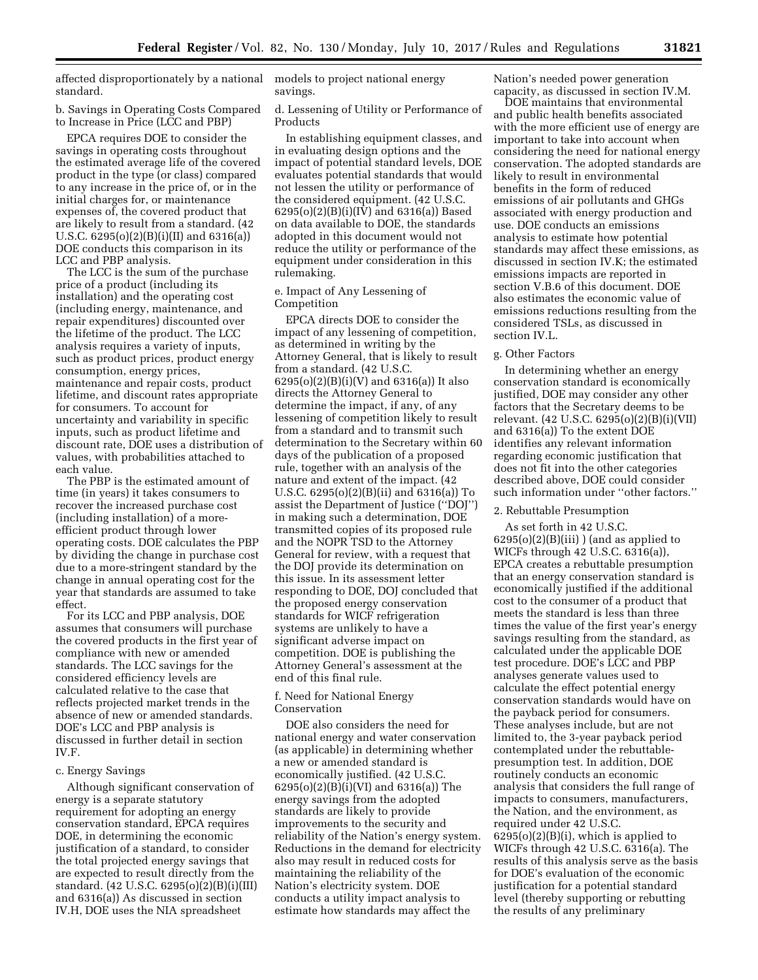affected disproportionately by a national standard.

b. Savings in Operating Costs Compared to Increase in Price (LCC and PBP)

EPCA requires DOE to consider the savings in operating costs throughout the estimated average life of the covered product in the type (or class) compared to any increase in the price of, or in the initial charges for, or maintenance expenses of, the covered product that are likely to result from a standard. (42 U.S.C. 6295(o)(2)(B)(i)(II) and 6316(a)) DOE conducts this comparison in its LCC and PBP analysis.

The LCC is the sum of the purchase price of a product (including its installation) and the operating cost (including energy, maintenance, and repair expenditures) discounted over the lifetime of the product. The LCC analysis requires a variety of inputs, such as product prices, product energy consumption, energy prices, maintenance and repair costs, product lifetime, and discount rates appropriate for consumers. To account for uncertainty and variability in specific inputs, such as product lifetime and discount rate, DOE uses a distribution of values, with probabilities attached to each value.

The PBP is the estimated amount of time (in years) it takes consumers to recover the increased purchase cost (including installation) of a moreefficient product through lower operating costs. DOE calculates the PBP by dividing the change in purchase cost due to a more-stringent standard by the change in annual operating cost for the year that standards are assumed to take effect.

For its LCC and PBP analysis, DOE assumes that consumers will purchase the covered products in the first year of compliance with new or amended standards. The LCC savings for the considered efficiency levels are calculated relative to the case that reflects projected market trends in the absence of new or amended standards. DOE's LCC and PBP analysis is discussed in further detail in section IV.F.

## c. Energy Savings

Although significant conservation of energy is a separate statutory requirement for adopting an energy conservation standard, EPCA requires DOE, in determining the economic justification of a standard, to consider the total projected energy savings that are expected to result directly from the standard. (42 U.S.C. 6295(o)(2)(B)(i)(III) and 6316(a)) As discussed in section IV.H, DOE uses the NIA spreadsheet

models to project national energy savings.

d. Lessening of Utility or Performance of Products

In establishing equipment classes, and in evaluating design options and the impact of potential standard levels, DOE evaluates potential standards that would not lessen the utility or performance of the considered equipment. (42 U.S.C. 6295(o)(2)(B)(i)(IV) and 6316(a)) Based on data available to DOE, the standards adopted in this document would not reduce the utility or performance of the equipment under consideration in this rulemaking.

e. Impact of Any Lessening of Competition

EPCA directs DOE to consider the impact of any lessening of competition, as determined in writing by the Attorney General, that is likely to result from a standard. (42 U.S.C. 6295(o)(2)(B)(i)(V) and 6316(a)) It also directs the Attorney General to determine the impact, if any, of any lessening of competition likely to result from a standard and to transmit such determination to the Secretary within 60 days of the publication of a proposed rule, together with an analysis of the nature and extent of the impact. (42 U.S.C. 6295(o)(2)(B)(ii) and 6316(a)) To assist the Department of Justice (''DOJ'') in making such a determination, DOE transmitted copies of its proposed rule and the NOPR TSD to the Attorney General for review, with a request that the DOJ provide its determination on this issue. In its assessment letter responding to DOE, DOJ concluded that the proposed energy conservation standards for WICF refrigeration systems are unlikely to have a significant adverse impact on competition. DOE is publishing the Attorney General's assessment at the end of this final rule.

## f. Need for National Energy Conservation

DOE also considers the need for national energy and water conservation (as applicable) in determining whether a new or amended standard is economically justified. (42 U.S.C. 6295(o)(2)(B)(i)(VI) and 6316(a)) The energy savings from the adopted standards are likely to provide improvements to the security and reliability of the Nation's energy system. Reductions in the demand for electricity also may result in reduced costs for maintaining the reliability of the Nation's electricity system. DOE conducts a utility impact analysis to estimate how standards may affect the

Nation's needed power generation capacity, as discussed in section IV.M.

DOE maintains that environmental and public health benefits associated with the more efficient use of energy are important to take into account when considering the need for national energy conservation. The adopted standards are likely to result in environmental benefits in the form of reduced emissions of air pollutants and GHGs associated with energy production and use. DOE conducts an emissions analysis to estimate how potential standards may affect these emissions, as discussed in section IV.K; the estimated emissions impacts are reported in section V.B.6 of this document. DOE also estimates the economic value of emissions reductions resulting from the considered TSLs, as discussed in section IV.L.

# g. Other Factors

In determining whether an energy conservation standard is economically justified, DOE may consider any other factors that the Secretary deems to be relevant. (42 U.S.C. 6295(o)(2)(B)(i)(VII) and 6316(a)) To the extent DOE identifies any relevant information regarding economic justification that does not fit into the other categories described above, DOE could consider such information under ''other factors.''

### 2. Rebuttable Presumption

As set forth in 42 U.S.C.  $6295(o)(2)(B)(iii)$  (and as applied to WICFs through 42 U.S.C. 6316(a)), EPCA creates a rebuttable presumption that an energy conservation standard is economically justified if the additional cost to the consumer of a product that meets the standard is less than three times the value of the first year's energy savings resulting from the standard, as calculated under the applicable DOE test procedure. DOE's LCC and PBP analyses generate values used to calculate the effect potential energy conservation standards would have on the payback period for consumers. These analyses include, but are not limited to, the 3-year payback period contemplated under the rebuttablepresumption test. In addition, DOE routinely conducts an economic analysis that considers the full range of impacts to consumers, manufacturers, the Nation, and the environment, as required under 42 U.S.C.  $6295(o)(2)(B)(i)$ , which is applied to WICFs through 42 U.S.C. 6316(a). The results of this analysis serve as the basis for DOE's evaluation of the economic justification for a potential standard level (thereby supporting or rebutting the results of any preliminary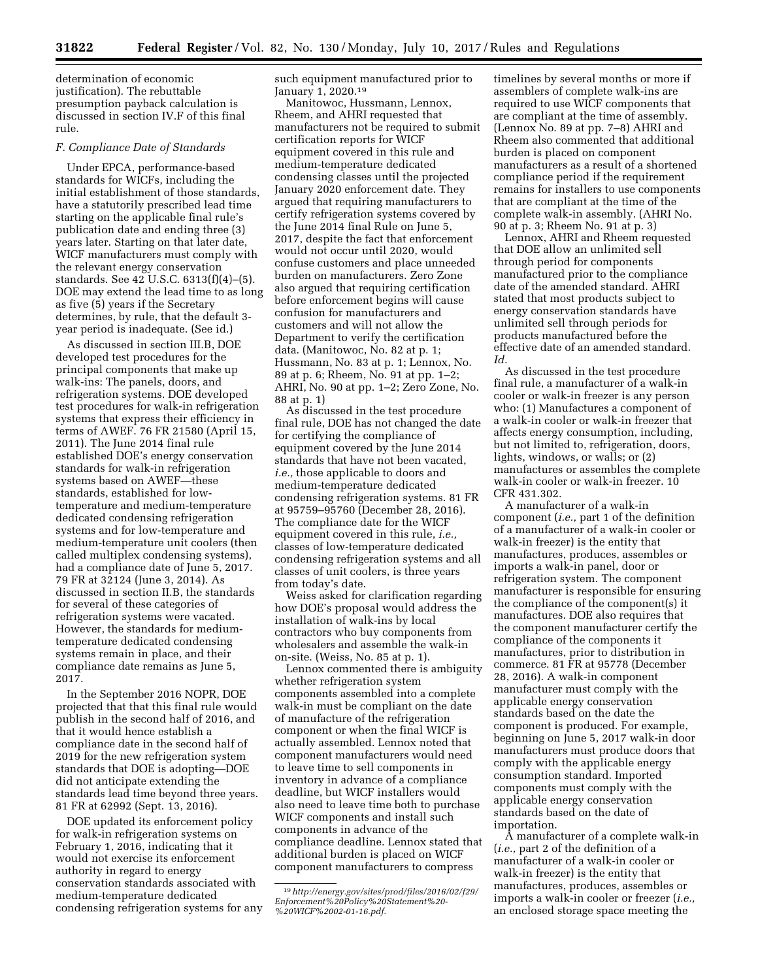determination of economic justification). The rebuttable presumption payback calculation is discussed in section IV.F of this final rule.

### *F. Compliance Date of Standards*

Under EPCA, performance-based standards for WICFs, including the initial establishment of those standards, have a statutorily prescribed lead time starting on the applicable final rule's publication date and ending three (3) years later. Starting on that later date, WICF manufacturers must comply with the relevant energy conservation standards. See 42 U.S.C. 6313(f)(4)–(5). DOE may extend the lead time to as long as five (5) years if the Secretary determines, by rule, that the default 3 year period is inadequate. (See id.)

As discussed in section III.B, DOE developed test procedures for the principal components that make up walk-ins: The panels, doors, and refrigeration systems. DOE developed test procedures for walk-in refrigeration systems that express their efficiency in terms of AWEF. 76 FR 21580 (April 15, 2011). The June 2014 final rule established DOE's energy conservation standards for walk-in refrigeration systems based on AWEF—these standards, established for lowtemperature and medium-temperature dedicated condensing refrigeration systems and for low-temperature and medium-temperature unit coolers (then called multiplex condensing systems), had a compliance date of June 5, 2017. 79 FR at 32124 (June 3, 2014). As discussed in section II.B, the standards for several of these categories of refrigeration systems were vacated. However, the standards for mediumtemperature dedicated condensing systems remain in place, and their compliance date remains as June 5, 2017.

In the September 2016 NOPR, DOE projected that that this final rule would publish in the second half of 2016, and that it would hence establish a compliance date in the second half of 2019 for the new refrigeration system standards that DOE is adopting—DOE did not anticipate extending the standards lead time beyond three years. 81 FR at 62992 (Sept. 13, 2016).

DOE updated its enforcement policy for walk-in refrigeration systems on February 1, 2016, indicating that it would not exercise its enforcement authority in regard to energy conservation standards associated with medium-temperature dedicated condensing refrigeration systems for any such equipment manufactured prior to January 1, 2020.19

Manitowoc, Hussmann, Lennox, Rheem, and AHRI requested that manufacturers not be required to submit certification reports for WICF equipment covered in this rule and medium-temperature dedicated condensing classes until the projected January 2020 enforcement date. They argued that requiring manufacturers to certify refrigeration systems covered by the June 2014 final Rule on June 5, 2017, despite the fact that enforcement would not occur until 2020, would confuse customers and place unneeded burden on manufacturers. Zero Zone also argued that requiring certification before enforcement begins will cause confusion for manufacturers and customers and will not allow the Department to verify the certification data. (Manitowoc, No. 82 at p. 1; Hussmann, No. 83 at p. 1; Lennox, No. 89 at p. 6; Rheem, No. 91 at pp. 1–2; AHRI, No. 90 at pp. 1–2; Zero Zone, No. 88 at p. 1)

As discussed in the test procedure final rule, DOE has not changed the date for certifying the compliance of equipment covered by the June 2014 standards that have not been vacated, *i.e.,* those applicable to doors and medium-temperature dedicated condensing refrigeration systems. 81 FR at 95759–95760 (December 28, 2016). The compliance date for the WICF equipment covered in this rule, *i.e.,*  classes of low-temperature dedicated condensing refrigeration systems and all classes of unit coolers, is three years from today's date.

Weiss asked for clarification regarding how DOE's proposal would address the installation of walk-ins by local contractors who buy components from wholesalers and assemble the walk-in on-site. (Weiss, No. 85 at p. 1).

Lennox commented there is ambiguity whether refrigeration system components assembled into a complete walk-in must be compliant on the date of manufacture of the refrigeration component or when the final WICF is actually assembled. Lennox noted that component manufacturers would need to leave time to sell components in inventory in advance of a compliance deadline, but WICF installers would also need to leave time both to purchase WICF components and install such components in advance of the compliance deadline. Lennox stated that additional burden is placed on WICF component manufacturers to compress

timelines by several months or more if assemblers of complete walk-ins are required to use WICF components that are compliant at the time of assembly. (Lennox No. 89 at pp. 7–8) AHRI and Rheem also commented that additional burden is placed on component manufacturers as a result of a shortened compliance period if the requirement remains for installers to use components that are compliant at the time of the complete walk-in assembly. (AHRI No. 90 at p. 3; Rheem No. 91 at p. 3)

Lennox, AHRI and Rheem requested that DOE allow an unlimited sell through period for components manufactured prior to the compliance date of the amended standard. AHRI stated that most products subject to energy conservation standards have unlimited sell through periods for products manufactured before the effective date of an amended standard. *Id.* 

As discussed in the test procedure final rule, a manufacturer of a walk-in cooler or walk-in freezer is any person who: (1) Manufactures a component of a walk-in cooler or walk-in freezer that affects energy consumption, including, but not limited to, refrigeration, doors, lights, windows, or walls; or (2) manufactures or assembles the complete walk-in cooler or walk-in freezer. 10 CFR 431.302.

A manufacturer of a walk-in component (*i.e.,* part 1 of the definition of a manufacturer of a walk-in cooler or walk-in freezer) is the entity that manufactures, produces, assembles or imports a walk-in panel, door or refrigeration system. The component manufacturer is responsible for ensuring the compliance of the component(s) it manufactures. DOE also requires that the component manufacturer certify the compliance of the components it manufactures, prior to distribution in commerce. 81 FR at 95778 (December 28, 2016). A walk-in component manufacturer must comply with the applicable energy conservation standards based on the date the component is produced. For example, beginning on June 5, 2017 walk-in door manufacturers must produce doors that comply with the applicable energy consumption standard. Imported components must comply with the applicable energy conservation standards based on the date of importation.

A manufacturer of a complete walk-in (*i.e.,* part 2 of the definition of a manufacturer of a walk-in cooler or walk-in freezer) is the entity that manufactures, produces, assembles or imports a walk-in cooler or freezer (*i.e.,*  an enclosed storage space meeting the

<sup>19</sup>*[http://energy.gov/sites/prod/files/2016/02/f29/](http://energy.gov/sites/prod/files/2016/02/f29/Enforcement%20Policy%20Statement%20-%20WICF%2002-01-16.pdf) [Enforcement%20Policy%20Statement%20-](http://energy.gov/sites/prod/files/2016/02/f29/Enforcement%20Policy%20Statement%20-%20WICF%2002-01-16.pdf)  [%20WICF%2002-01-16.pdf.](http://energy.gov/sites/prod/files/2016/02/f29/Enforcement%20Policy%20Statement%20-%20WICF%2002-01-16.pdf)*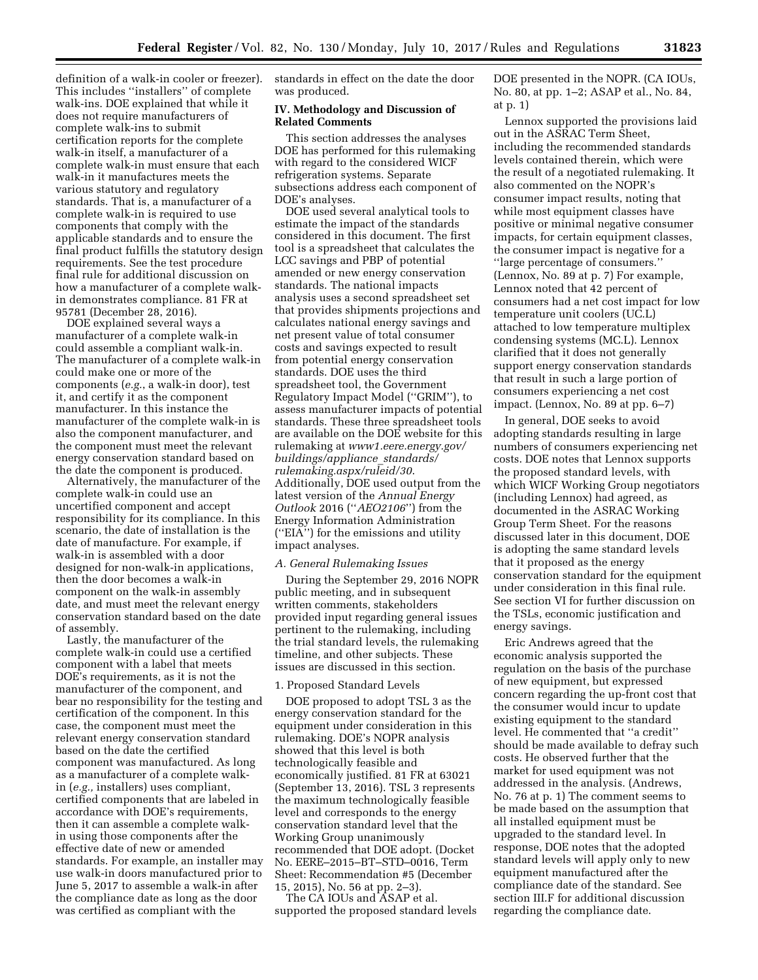definition of a walk-in cooler or freezer). This includes ''installers'' of complete walk-ins. DOE explained that while it does not require manufacturers of complete walk-ins to submit certification reports for the complete walk-in itself, a manufacturer of a complete walk-in must ensure that each walk-in it manufactures meets the various statutory and regulatory standards. That is, a manufacturer of a complete walk-in is required to use components that comply with the applicable standards and to ensure the final product fulfills the statutory design requirements. See the test procedure final rule for additional discussion on how a manufacturer of a complete walkin demonstrates compliance. 81 FR at 95781 (December 28, 2016).

DOE explained several ways a manufacturer of a complete walk-in could assemble a compliant walk-in. The manufacturer of a complete walk-in could make one or more of the components (*e.g.*, a walk-in door), test it, and certify it as the component manufacturer. In this instance the manufacturer of the complete walk-in is also the component manufacturer, and the component must meet the relevant energy conservation standard based on the date the component is produced.

Alternatively, the manufacturer of the complete walk-in could use an uncertified component and accept responsibility for its compliance. In this scenario, the date of installation is the date of manufacture. For example, if walk-in is assembled with a door designed for non-walk-in applications, then the door becomes a walk-in component on the walk-in assembly date, and must meet the relevant energy conservation standard based on the date of assembly.

Lastly, the manufacturer of the complete walk-in could use a certified component with a label that meets DOE's requirements, as it is not the manufacturer of the component, and bear no responsibility for the testing and certification of the component. In this case, the component must meet the relevant energy conservation standard based on the date the certified component was manufactured. As long as a manufacturer of a complete walkin (*e.g.,* installers) uses compliant, certified components that are labeled in accordance with DOE's requirements, then it can assemble a complete walkin using those components after the effective date of new or amended standards. For example, an installer may use walk-in doors manufactured prior to June 5, 2017 to assemble a walk-in after the compliance date as long as the door was certified as compliant with the

standards in effect on the date the door was produced.

### **IV. Methodology and Discussion of Related Comments**

This section addresses the analyses DOE has performed for this rulemaking with regard to the considered WICF refrigeration systems. Separate subsections address each component of DOE's analyses.

DOE used several analytical tools to estimate the impact of the standards considered in this document. The first tool is a spreadsheet that calculates the LCC savings and PBP of potential amended or new energy conservation standards. The national impacts analysis uses a second spreadsheet set that provides shipments projections and calculates national energy savings and net present value of total consumer costs and savings expected to result from potential energy conservation standards. DOE uses the third spreadsheet tool, the Government Regulatory Impact Model (''GRIM''), to assess manufacturer impacts of potential standards. These three spreadsheet tools are available on the DOE website for this rulemaking at *[www1.eere.energy.gov/](http://www1.eere.energy.gov/buildings/appliance_standards/rulemaking.aspx/ruleid/30) [buildings/appliance](http://www1.eere.energy.gov/buildings/appliance_standards/rulemaking.aspx/ruleid/30)*\_*standards/ [rulemaking.aspx/ruleid/30](http://www1.eere.energy.gov/buildings/appliance_standards/rulemaking.aspx/ruleid/30)*. Additionally, DOE used output from the latest version of the *Annual Energy Outlook* 2016 (''*AEO2106*'') from the Energy Information Administration (''EIA'') for the emissions and utility impact analyses.

### *A. General Rulemaking Issues*

During the September 29, 2016 NOPR public meeting, and in subsequent written comments, stakeholders provided input regarding general issues pertinent to the rulemaking, including the trial standard levels, the rulemaking timeline, and other subjects. These issues are discussed in this section.

## 1. Proposed Standard Levels

DOE proposed to adopt TSL 3 as the energy conservation standard for the equipment under consideration in this rulemaking. DOE's NOPR analysis showed that this level is both technologically feasible and economically justified. 81 FR at 63021 (September 13, 2016). TSL 3 represents the maximum technologically feasible level and corresponds to the energy conservation standard level that the Working Group unanimously recommended that DOE adopt. (Docket No. EERE–2015–BT–STD–0016, Term Sheet: Recommendation #5 (December 15, 2015), No. 56 at pp. 2–3).

The CA IOUs and ASAP et al. supported the proposed standard levels DOE presented in the NOPR. (CA IOUs, No. 80, at pp. 1–2; ASAP et al., No. 84, at p. 1)

Lennox supported the provisions laid out in the ASRAC Term Sheet, including the recommended standards levels contained therein, which were the result of a negotiated rulemaking. It also commented on the NOPR's consumer impact results, noting that while most equipment classes have positive or minimal negative consumer impacts, for certain equipment classes, the consumer impact is negative for a ''large percentage of consumers.'' (Lennox, No. 89 at p. 7) For example, Lennox noted that 42 percent of consumers had a net cost impact for low temperature unit coolers (UC.L) attached to low temperature multiplex condensing systems (MC.L). Lennox clarified that it does not generally support energy conservation standards that result in such a large portion of consumers experiencing a net cost impact. (Lennox, No. 89 at pp. 6–7)

In general, DOE seeks to avoid adopting standards resulting in large numbers of consumers experiencing net costs. DOE notes that Lennox supports the proposed standard levels, with which WICF Working Group negotiators (including Lennox) had agreed, as documented in the ASRAC Working Group Term Sheet. For the reasons discussed later in this document, DOE is adopting the same standard levels that it proposed as the energy conservation standard for the equipment under consideration in this final rule. See section VI for further discussion on the TSLs, economic justification and energy savings.

Eric Andrews agreed that the economic analysis supported the regulation on the basis of the purchase of new equipment, but expressed concern regarding the up-front cost that the consumer would incur to update existing equipment to the standard level. He commented that ''a credit'' should be made available to defray such costs. He observed further that the market for used equipment was not addressed in the analysis. (Andrews, No. 76 at p. 1) The comment seems to be made based on the assumption that all installed equipment must be upgraded to the standard level. In response, DOE notes that the adopted standard levels will apply only to new equipment manufactured after the compliance date of the standard. See section III.F for additional discussion regarding the compliance date.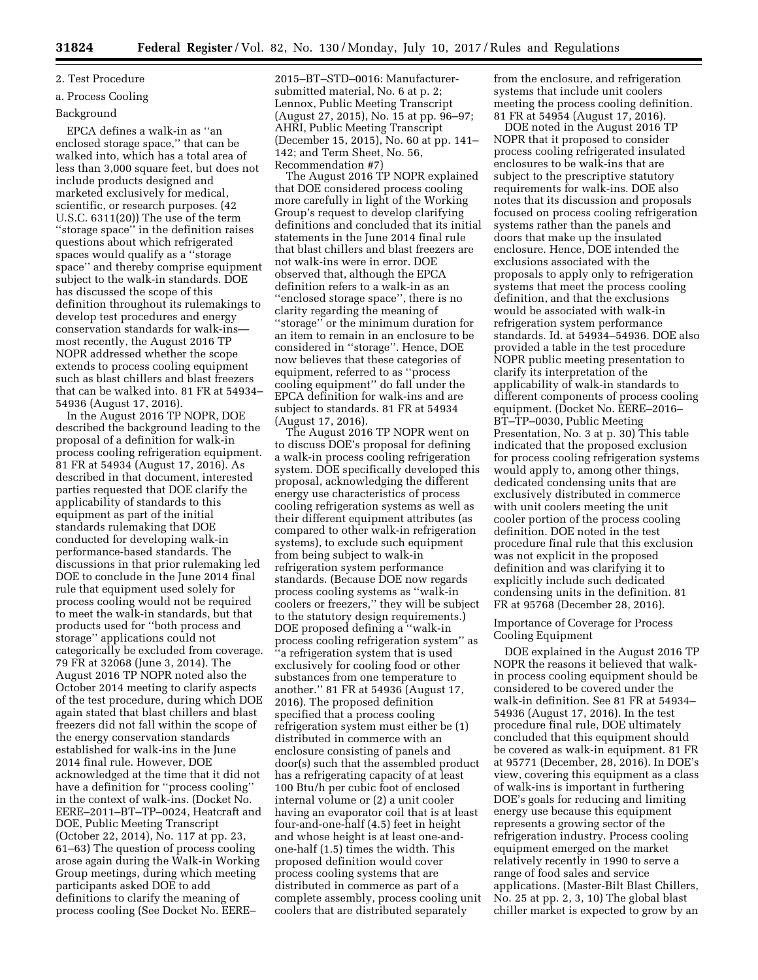# 2. Test Procedure

# a. Process Cooling

# Background

EPCA defines a walk-in as ''an enclosed storage space,'' that can be walked into, which has a total area of less than 3,000 square feet, but does not include products designed and marketed exclusively for medical, scientific, or research purposes. (42 U.S.C. 6311(20)) The use of the term ''storage space'' in the definition raises questions about which refrigerated spaces would qualify as a ''storage space'' and thereby comprise equipment subject to the walk-in standards. DOE has discussed the scope of this definition throughout its rulemakings to develop test procedures and energy conservation standards for walk-ins most recently, the August 2016 TP NOPR addressed whether the scope extends to process cooling equipment such as blast chillers and blast freezers that can be walked into. 81 FR at 54934– 54936 (August 17, 2016).

In the August 2016 TP NOPR, DOE described the background leading to the proposal of a definition for walk-in process cooling refrigeration equipment. 81 FR at 54934 (August 17, 2016). As described in that document, interested parties requested that DOE clarify the applicability of standards to this equipment as part of the initial standards rulemaking that DOE conducted for developing walk-in performance-based standards. The discussions in that prior rulemaking led DOE to conclude in the June 2014 final rule that equipment used solely for process cooling would not be required to meet the walk-in standards, but that products used for ''both process and storage'' applications could not categorically be excluded from coverage. 79 FR at 32068 (June 3, 2014). The August 2016 TP NOPR noted also the October 2014 meeting to clarify aspects of the test procedure, during which DOE again stated that blast chillers and blast freezers did not fall within the scope of the energy conservation standards established for walk-ins in the June 2014 final rule. However, DOE acknowledged at the time that it did not have a definition for ''process cooling'' in the context of walk-ins. (Docket No. EERE–2011–BT–TP–0024, Heatcraft and DOE, Public Meeting Transcript (October 22, 2014), No. 117 at pp. 23, 61–63) The question of process cooling arose again during the Walk-in Working Group meetings, during which meeting participants asked DOE to add definitions to clarify the meaning of process cooling (See Docket No. EERE–

2015–BT–STD–0016: Manufacturersubmitted material, No. 6 at p. 2; Lennox, Public Meeting Transcript (August 27, 2015), No. 15 at pp. 96–97; AHRI, Public Meeting Transcript (December 15, 2015), No. 60 at pp. 141– 142; and Term Sheet, No. 56, Recommendation #7)

The August 2016 TP NOPR explained that DOE considered process cooling more carefully in light of the Working Group's request to develop clarifying definitions and concluded that its initial statements in the June 2014 final rule that blast chillers and blast freezers are not walk-ins were in error. DOE observed that, although the EPCA definition refers to a walk-in as an ''enclosed storage space'', there is no clarity regarding the meaning of ''storage'' or the minimum duration for an item to remain in an enclosure to be considered in ''storage''. Hence, DOE now believes that these categories of equipment, referred to as ''process cooling equipment'' do fall under the EPCA definition for walk-ins and are subject to standards. 81 FR at 54934 (August 17, 2016).

The August 2016 TP NOPR went on to discuss DOE's proposal for defining a walk-in process cooling refrigeration system. DOE specifically developed this proposal, acknowledging the different energy use characteristics of process cooling refrigeration systems as well as their different equipment attributes (as compared to other walk-in refrigeration systems), to exclude such equipment from being subject to walk-in refrigeration system performance standards. (Because DOE now regards process cooling systems as ''walk-in coolers or freezers,'' they will be subject to the statutory design requirements.) DOE proposed defining a ''walk-in process cooling refrigeration system'' as ''a refrigeration system that is used exclusively for cooling food or other substances from one temperature to another.'' 81 FR at 54936 (August 17, 2016). The proposed definition specified that a process cooling refrigeration system must either be (1) distributed in commerce with an enclosure consisting of panels and door(s) such that the assembled product has a refrigerating capacity of at least 100 Btu/h per cubic foot of enclosed internal volume or (2) a unit cooler having an evaporator coil that is at least four-and-one-half (4.5) feet in height and whose height is at least one-andone-half (1.5) times the width. This proposed definition would cover process cooling systems that are distributed in commerce as part of a complete assembly, process cooling unit coolers that are distributed separately

from the enclosure, and refrigeration systems that include unit coolers meeting the process cooling definition. 81 FR at 54954 (August 17, 2016).

DOE noted in the August 2016 TP NOPR that it proposed to consider process cooling refrigerated insulated enclosures to be walk-ins that are subject to the prescriptive statutory requirements for walk-ins. DOE also notes that its discussion and proposals focused on process cooling refrigeration systems rather than the panels and doors that make up the insulated enclosure. Hence, DOE intended the exclusions associated with the proposals to apply only to refrigeration systems that meet the process cooling definition, and that the exclusions would be associated with walk-in refrigeration system performance standards. Id. at 54934–54936. DOE also provided a table in the test procedure NOPR public meeting presentation to clarify its interpretation of the applicability of walk-in standards to different components of process cooling equipment. (Docket No. EERE–2016– BT–TP–0030, Public Meeting Presentation, No. 3 at p. 30) This table indicated that the proposed exclusion for process cooling refrigeration systems would apply to, among other things, dedicated condensing units that are exclusively distributed in commerce with unit coolers meeting the unit cooler portion of the process cooling definition. DOE noted in the test procedure final rule that this exclusion was not explicit in the proposed definition and was clarifying it to explicitly include such dedicated condensing units in the definition. 81 FR at 95768 (December 28, 2016).

## Importance of Coverage for Process Cooling Equipment

DOE explained in the August 2016 TP NOPR the reasons it believed that walkin process cooling equipment should be considered to be covered under the walk-in definition. See 81 FR at 54934– 54936 (August 17, 2016). In the test procedure final rule, DOE ultimately concluded that this equipment should be covered as walk-in equipment. 81 FR at 95771 (December, 28, 2016). In DOE's view, covering this equipment as a class of walk-ins is important in furthering DOE's goals for reducing and limiting energy use because this equipment represents a growing sector of the refrigeration industry. Process cooling equipment emerged on the market relatively recently in 1990 to serve a range of food sales and service applications. (Master-Bilt Blast Chillers, No. 25 at pp. 2, 3, 10) The global blast chiller market is expected to grow by an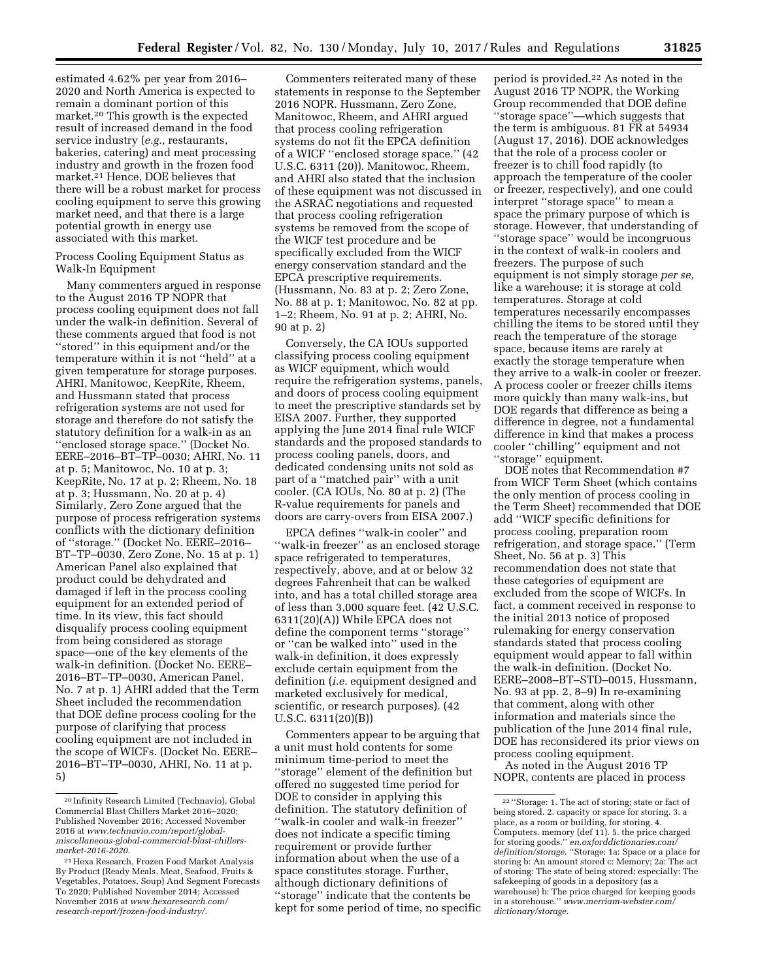estimated 4.62% per year from 2016– 2020 and North America is expected to remain a dominant portion of this market.20 This growth is the expected result of increased demand in the food service industry (*e.g.,* restaurants, bakeries, catering) and meat processing industry and growth in the frozen food market.21 Hence, DOE believes that there will be a robust market for process cooling equipment to serve this growing market need, and that there is a large potential growth in energy use associated with this market.

## Process Cooling Equipment Status as Walk-In Equipment

Many commenters argued in response to the August 2016 TP NOPR that process cooling equipment does not fall under the walk-in definition. Several of these comments argued that food is not ''stored'' in this equipment and/or the temperature within it is not ''held'' at a given temperature for storage purposes. AHRI, Manitowoc, KeepRite, Rheem, and Hussmann stated that process refrigeration systems are not used for storage and therefore do not satisfy the statutory definition for a walk-in as an ''enclosed storage space.'' (Docket No. EERE–2016–BT–TP–0030; AHRI, No. 11 at p. 5; Manitowoc, No. 10 at p. 3; KeepRite, No. 17 at p. 2; Rheem, No. 18 at p. 3; Hussmann, No. 20 at p. 4) Similarly, Zero Zone argued that the purpose of process refrigeration systems conflicts with the dictionary definition of ''storage.'' (Docket No. EERE–2016– BT–TP–0030, Zero Zone, No. 15 at p. 1) American Panel also explained that product could be dehydrated and damaged if left in the process cooling equipment for an extended period of time. In its view, this fact should disqualify process cooling equipment from being considered as storage space—one of the key elements of the walk-in definition. (Docket No. EERE– 2016–BT–TP–0030, American Panel, No. 7 at p. 1) AHRI added that the Term Sheet included the recommendation that DOE define process cooling for the purpose of clarifying that process cooling equipment are not included in the scope of WICFs. (Docket No. EERE– 2016–BT–TP–0030, AHRI, No. 11 at p. 5)

Commenters reiterated many of these statements in response to the September 2016 NOPR. Hussmann, Zero Zone, Manitowoc, Rheem, and AHRI argued that process cooling refrigeration systems do not fit the EPCA definition of a WICF ''enclosed storage space.'' (42 U.S.C. 6311 (20)). Manitowoc, Rheem, and AHRI also stated that the inclusion of these equipment was not discussed in the ASRAC negotiations and requested that process cooling refrigeration systems be removed from the scope of the WICF test procedure and be specifically excluded from the WICF energy conservation standard and the EPCA prescriptive requirements. (Hussmann, No. 83 at p. 2; Zero Zone, No. 88 at p. 1; Manitowoc, No. 82 at pp. 1–2; Rheem, No. 91 at p. 2; AHRI, No. 90 at p. 2)

Conversely, the CA IOUs supported classifying process cooling equipment as WICF equipment, which would require the refrigeration systems, panels, and doors of process cooling equipment to meet the prescriptive standards set by EISA 2007. Further, they supported applying the June 2014 final rule WICF standards and the proposed standards to process cooling panels, doors, and dedicated condensing units not sold as part of a ''matched pair'' with a unit cooler. (CA IOUs, No. 80 at p. 2) (The R-value requirements for panels and doors are carry-overs from EISA 2007.)

EPCA defines ''walk-in cooler'' and ''walk-in freezer'' as an enclosed storage space refrigerated to temperatures, respectively, above, and at or below 32 degrees Fahrenheit that can be walked into, and has a total chilled storage area of less than 3,000 square feet. (42 U.S.C. 6311(20)(A)) While EPCA does not define the component terms ''storage'' or ''can be walked into'' used in the walk-in definition, it does expressly exclude certain equipment from the definition (*i.e.* equipment designed and marketed exclusively for medical, scientific, or research purposes). (42 U.S.C. 6311(20)(B))

Commenters appear to be arguing that a unit must hold contents for some minimum time-period to meet the ''storage'' element of the definition but offered no suggested time period for DOE to consider in applying this definition. The statutory definition of ''walk-in cooler and walk-in freezer'' does not indicate a specific timing requirement or provide further information about when the use of a space constitutes storage. Further, although dictionary definitions of ''storage'' indicate that the contents be kept for some period of time, no specific

period is provided.22 As noted in the August 2016 TP NOPR, the Working Group recommended that DOE define ''storage space''—which suggests that the term is ambiguous. 81 FR at 54934 (August 17, 2016). DOE acknowledges that the role of a process cooler or freezer is to chill food rapidly (to approach the temperature of the cooler or freezer, respectively), and one could interpret ''storage space'' to mean a space the primary purpose of which is storage. However, that understanding of ''storage space'' would be incongruous in the context of walk-in coolers and freezers. The purpose of such equipment is not simply storage *per se,*  like a warehouse; it is storage at cold temperatures. Storage at cold temperatures necessarily encompasses chilling the items to be stored until they reach the temperature of the storage space, because items are rarely at exactly the storage temperature when they arrive to a walk-in cooler or freezer. A process cooler or freezer chills items more quickly than many walk-ins, but DOE regards that difference as being a difference in degree, not a fundamental difference in kind that makes a process cooler ''chilling'' equipment and not ''storage'' equipment.

DOE notes that Recommendation #7 from WICF Term Sheet (which contains the only mention of process cooling in the Term Sheet) recommended that DOE add ''WICF specific definitions for process cooling, preparation room refrigeration, and storage space.'' (Term Sheet, No. 56 at p. 3) This recommendation does not state that these categories of equipment are excluded from the scope of WICFs. In fact, a comment received in response to the initial 2013 notice of proposed rulemaking for energy conservation standards stated that process cooling equipment would appear to fall within the walk-in definition. (Docket No. EERE–2008–BT–STD–0015, Hussmann, No. 93 at pp. 2, 8–9) In re-examining that comment, along with other information and materials since the publication of the June 2014 final rule, DOE has reconsidered its prior views on process cooling equipment.

As noted in the August 2016 TP NOPR, contents are placed in process

<sup>20</sup> Infinity Research Limited (Technavio), Global Commercial Blast Chillers Market 2016–2020; Published November 2016; Accessed November 2016 at *[www.technavio.com/report/global](http://www.technavio.com/report/global-miscellaneous-global-commercial-blast-chillers-market-2016-2020)[miscellaneous-global-commercial-blast-chillers](http://www.technavio.com/report/global-miscellaneous-global-commercial-blast-chillers-market-2016-2020)[market-2016-2020](http://www.technavio.com/report/global-miscellaneous-global-commercial-blast-chillers-market-2016-2020)*.

<sup>21</sup>Hexa Research, Frozen Food Market Analysis By Product (Ready Meals, Meat, Seafood, Fruits & Vegetables, Potatoes, Soup) And Segment Forecasts To 2020; Published November 2014; Accessed November 2016 at *[www.hexaresearch.com/](http://www.hexaresearch.com/research-report/frozen-food-industry/) [research-report/frozen-food-industry/](http://www.hexaresearch.com/research-report/frozen-food-industry/)*.

<sup>&</sup>lt;sup>22</sup> 'Storage: 1. The act of storing; state or fact of being stored. 2. capacity or space for storing. 3. a place, as a room or building, for storing. 4. Computers. memory (def 11). 5. the price charged for storing goods.'' *en.oxforddictionaries.com/ definition/storage*. ''Storage: 1a: Space or a place for storing b: An amount stored c: Memory; 2a: The act of storing: The state of being stored; especially: The safekeeping of goods in a depository (as a warehouse) b: The price charged for keeping goods in a storehouse.'' *[www.merriam-webster.com/](http://www.merriam-webster.com/dictionary/storage) [dictionary/storage.](http://www.merriam-webster.com/dictionary/storage)*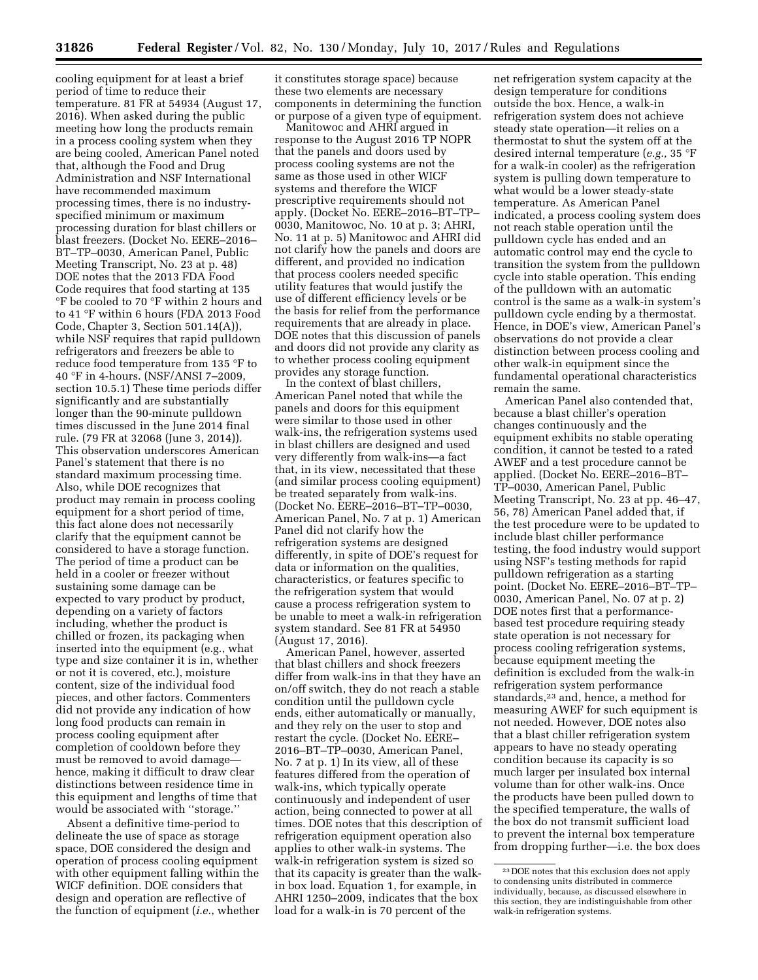cooling equipment for at least a brief period of time to reduce their temperature. 81 FR at 54934 (August 17, 2016). When asked during the public meeting how long the products remain in a process cooling system when they are being cooled, American Panel noted that, although the Food and Drug Administration and NSF International have recommended maximum processing times, there is no industryspecified minimum or maximum processing duration for blast chillers or blast freezers. (Docket No. EERE–2016– BT–TP–0030, American Panel, Public Meeting Transcript, No. 23 at p. 48) DOE notes that the 2013 FDA Food Code requires that food starting at 135 °F be cooled to 70 °F within 2 hours and to 41 °F within 6 hours (FDA 2013 Food Code, Chapter 3, Section 501.14(A)), while NSF requires that rapid pulldown refrigerators and freezers be able to reduce food temperature from 135 °F to 40 °F in 4-hours. (NSF/ANSI 7–2009, section 10.5.1) These time periods differ significantly and are substantially longer than the 90-minute pulldown times discussed in the June 2014 final rule. (79 FR at 32068 (June 3, 2014)). This observation underscores American Panel's statement that there is no standard maximum processing time. Also, while DOE recognizes that product may remain in process cooling equipment for a short period of time, this fact alone does not necessarily clarify that the equipment cannot be considered to have a storage function. The period of time a product can be held in a cooler or freezer without sustaining some damage can be expected to vary product by product, depending on a variety of factors including, whether the product is chilled or frozen, its packaging when inserted into the equipment (e.g., what type and size container it is in, whether or not it is covered, etc.), moisture content, size of the individual food pieces, and other factors. Commenters did not provide any indication of how long food products can remain in process cooling equipment after completion of cooldown before they must be removed to avoid damage hence, making it difficult to draw clear distinctions between residence time in this equipment and lengths of time that would be associated with ''storage.''

Absent a definitive time-period to delineate the use of space as storage space, DOE considered the design and operation of process cooling equipment with other equipment falling within the WICF definition. DOE considers that design and operation are reflective of the function of equipment (*i.e.*, whether it constitutes storage space) because these two elements are necessary components in determining the function or purpose of a given type of equipment.

Manitowoc and AHRI argued in response to the August 2016 TP NOPR that the panels and doors used by process cooling systems are not the same as those used in other WICF systems and therefore the WICF prescriptive requirements should not apply. (Docket No. EERE–2016–BT–TP– 0030, Manitowoc, No. 10 at p. 3; AHRI, No. 11 at p. 5) Manitowoc and AHRI did not clarify how the panels and doors are different, and provided no indication that process coolers needed specific utility features that would justify the use of different efficiency levels or be the basis for relief from the performance requirements that are already in place. DOE notes that this discussion of panels and doors did not provide any clarity as to whether process cooling equipment provides any storage function.

In the context of blast chillers, American Panel noted that while the panels and doors for this equipment were similar to those used in other walk-ins, the refrigeration systems used in blast chillers are designed and used very differently from walk-ins—a fact that, in its view, necessitated that these (and similar process cooling equipment) be treated separately from walk-ins. (Docket No. EERE–2016–BT–TP–0030, American Panel, No. 7 at p. 1) American Panel did not clarify how the refrigeration systems are designed differently, in spite of DOE's request for data or information on the qualities, characteristics, or features specific to the refrigeration system that would cause a process refrigeration system to be unable to meet a walk-in refrigeration system standard. See 81 FR at 54950 (August 17, 2016).

American Panel, however, asserted that blast chillers and shock freezers differ from walk-ins in that they have an on/off switch, they do not reach a stable condition until the pulldown cycle ends, either automatically or manually, and they rely on the user to stop and restart the cycle. (Docket No. EERE– 2016–BT–TP–0030, American Panel, No. 7 at p. 1) In its view, all of these features differed from the operation of walk-ins, which typically operate continuously and independent of user action, being connected to power at all times. DOE notes that this description of refrigeration equipment operation also applies to other walk-in systems. The walk-in refrigeration system is sized so that its capacity is greater than the walkin box load. Equation 1, for example, in AHRI 1250–2009, indicates that the box load for a walk-in is 70 percent of the

net refrigeration system capacity at the design temperature for conditions outside the box. Hence, a walk-in refrigeration system does not achieve steady state operation—it relies on a thermostat to shut the system off at the desired internal temperature (*e.g.,* 35 °F for a walk-in cooler) as the refrigeration system is pulling down temperature to what would be a lower steady-state temperature. As American Panel indicated, a process cooling system does not reach stable operation until the pulldown cycle has ended and an automatic control may end the cycle to transition the system from the pulldown cycle into stable operation. This ending of the pulldown with an automatic control is the same as a walk-in system's pulldown cycle ending by a thermostat. Hence, in DOE's view, American Panel's observations do not provide a clear distinction between process cooling and other walk-in equipment since the fundamental operational characteristics remain the same.

American Panel also contended that, because a blast chiller's operation changes continuously and the equipment exhibits no stable operating condition, it cannot be tested to a rated AWEF and a test procedure cannot be applied. (Docket No. EERE–2016–BT– TP–0030, American Panel, Public Meeting Transcript, No. 23 at pp. 46–47, 56, 78) American Panel added that, if the test procedure were to be updated to include blast chiller performance testing, the food industry would support using NSF's testing methods for rapid pulldown refrigeration as a starting point. (Docket No. EERE–2016–BT–TP– 0030, American Panel, No. 07 at p. 2) DOE notes first that a performancebased test procedure requiring steady state operation is not necessary for process cooling refrigeration systems, because equipment meeting the definition is excluded from the walk-in refrigeration system performance standards,23 and, hence, a method for measuring AWEF for such equipment is not needed. However, DOE notes also that a blast chiller refrigeration system appears to have no steady operating condition because its capacity is so much larger per insulated box internal volume than for other walk-ins. Once the products have been pulled down to the specified temperature, the walls of the box do not transmit sufficient load to prevent the internal box temperature from dropping further—i.e. the box does

<sup>23</sup> DOE notes that this exclusion does not apply to condensing units distributed in commerce individually, because, as discussed elsewhere in this section, they are indistinguishable from other walk-in refrigeration systems.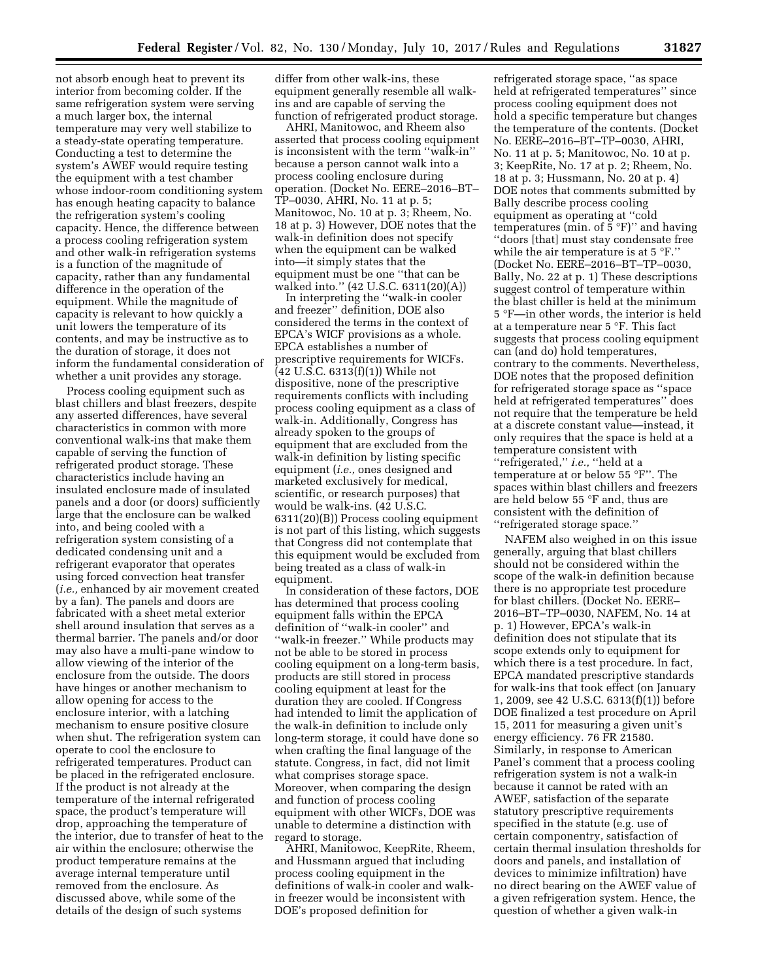not absorb enough heat to prevent its interior from becoming colder. If the same refrigeration system were serving a much larger box, the internal temperature may very well stabilize to a steady-state operating temperature. Conducting a test to determine the system's AWEF would require testing the equipment with a test chamber whose indoor-room conditioning system has enough heating capacity to balance the refrigeration system's cooling capacity. Hence, the difference between a process cooling refrigeration system and other walk-in refrigeration systems is a function of the magnitude of capacity, rather than any fundamental difference in the operation of the equipment. While the magnitude of capacity is relevant to how quickly a unit lowers the temperature of its contents, and may be instructive as to the duration of storage, it does not inform the fundamental consideration of whether a unit provides any storage.

Process cooling equipment such as blast chillers and blast freezers, despite any asserted differences, have several characteristics in common with more conventional walk-ins that make them capable of serving the function of refrigerated product storage. These characteristics include having an insulated enclosure made of insulated panels and a door (or doors) sufficiently large that the enclosure can be walked into, and being cooled with a refrigeration system consisting of a dedicated condensing unit and a refrigerant evaporator that operates using forced convection heat transfer (*i.e.,* enhanced by air movement created by a fan). The panels and doors are fabricated with a sheet metal exterior shell around insulation that serves as a thermal barrier. The panels and/or door may also have a multi-pane window to allow viewing of the interior of the enclosure from the outside. The doors have hinges or another mechanism to allow opening for access to the enclosure interior, with a latching mechanism to ensure positive closure when shut. The refrigeration system can operate to cool the enclosure to refrigerated temperatures. Product can be placed in the refrigerated enclosure. If the product is not already at the temperature of the internal refrigerated space, the product's temperature will drop, approaching the temperature of the interior, due to transfer of heat to the air within the enclosure; otherwise the product temperature remains at the average internal temperature until removed from the enclosure. As discussed above, while some of the details of the design of such systems

differ from other walk-ins, these equipment generally resemble all walkins and are capable of serving the function of refrigerated product storage.

AHRI, Manitowoc, and Rheem also asserted that process cooling equipment is inconsistent with the term ''walk-in'' because a person cannot walk into a process cooling enclosure during operation. (Docket No. EERE–2016–BT– TP–0030, AHRI, No. 11 at p. 5; Manitowoc, No. 10 at p. 3; Rheem, No. 18 at p. 3) However, DOE notes that the walk-in definition does not specify when the equipment can be walked into—it simply states that the equipment must be one ''that can be walked into.'' (42 U.S.C. 6311(20)(A))

In interpreting the ''walk-in cooler and freezer'' definition, DOE also considered the terms in the context of EPCA's WICF provisions as a whole. EPCA establishes a number of prescriptive requirements for WICFs. (42 U.S.C. 6313(f)(1)) While not dispositive, none of the prescriptive requirements conflicts with including process cooling equipment as a class of walk-in. Additionally, Congress has already spoken to the groups of equipment that are excluded from the walk-in definition by listing specific equipment (*i.e.,* ones designed and marketed exclusively for medical, scientific, or research purposes) that would be walk-ins. (42 U.S.C. 6311(20)(B)) Process cooling equipment is not part of this listing, which suggests that Congress did not contemplate that this equipment would be excluded from being treated as a class of walk-in equipment.

In consideration of these factors, DOE has determined that process cooling equipment falls within the EPCA definition of ''walk-in cooler'' and ''walk-in freezer.'' While products may not be able to be stored in process cooling equipment on a long-term basis, products are still stored in process cooling equipment at least for the duration they are cooled. If Congress had intended to limit the application of the walk-in definition to include only long-term storage, it could have done so when crafting the final language of the statute. Congress, in fact, did not limit what comprises storage space. Moreover, when comparing the design and function of process cooling equipment with other WICFs, DOE was unable to determine a distinction with regard to storage.

AHRI, Manitowoc, KeepRite, Rheem, and Hussmann argued that including process cooling equipment in the definitions of walk-in cooler and walkin freezer would be inconsistent with DOE's proposed definition for

refrigerated storage space, ''as space held at refrigerated temperatures'' since process cooling equipment does not hold a specific temperature but changes the temperature of the contents. (Docket No. EERE–2016–BT–TP–0030, AHRI, No. 11 at p. 5; Manitowoc, No. 10 at p. 3; KeepRite, No. 17 at p. 2; Rheem, No. 18 at p. 3; Hussmann, No. 20 at p. 4) DOE notes that comments submitted by Bally describe process cooling equipment as operating at ''cold temperatures (min. of  $\bar{5}$  °F)" and having ''doors [that] must stay condensate free while the air temperature is at  $5 \text{ }^{\circ}$ F." (Docket No. EERE–2016–BT–TP–0030, Bally, No. 22 at p. 1) These descriptions suggest control of temperature within the blast chiller is held at the minimum 5 °F—in other words, the interior is held at a temperature near 5 °F. This fact suggests that process cooling equipment can (and do) hold temperatures, contrary to the comments. Nevertheless, DOE notes that the proposed definition for refrigerated storage space as ''space held at refrigerated temperatures'' does not require that the temperature be held at a discrete constant value—instead, it only requires that the space is held at a temperature consistent with ''refrigerated,'' *i.e.,* ''held at a temperature at or below 55 °F''. The spaces within blast chillers and freezers are held below 55 °F and, thus are consistent with the definition of ''refrigerated storage space.''

NAFEM also weighed in on this issue generally, arguing that blast chillers should not be considered within the scope of the walk-in definition because there is no appropriate test procedure for blast chillers. (Docket No. EERE– 2016–BT–TP–0030, NAFEM, No. 14 at p. 1) However, EPCA's walk-in definition does not stipulate that its scope extends only to equipment for which there is a test procedure. In fact, EPCA mandated prescriptive standards for walk-ins that took effect (on January 1, 2009, see 42 U.S.C. 6313(f)(1)) before DOE finalized a test procedure on April 15, 2011 for measuring a given unit's energy efficiency. 76 FR 21580. Similarly, in response to American Panel's comment that a process cooling refrigeration system is not a walk-in because it cannot be rated with an AWEF, satisfaction of the separate statutory prescriptive requirements specified in the statute (e.g. use of certain componentry, satisfaction of certain thermal insulation thresholds for doors and panels, and installation of devices to minimize infiltration) have no direct bearing on the AWEF value of a given refrigeration system. Hence, the question of whether a given walk-in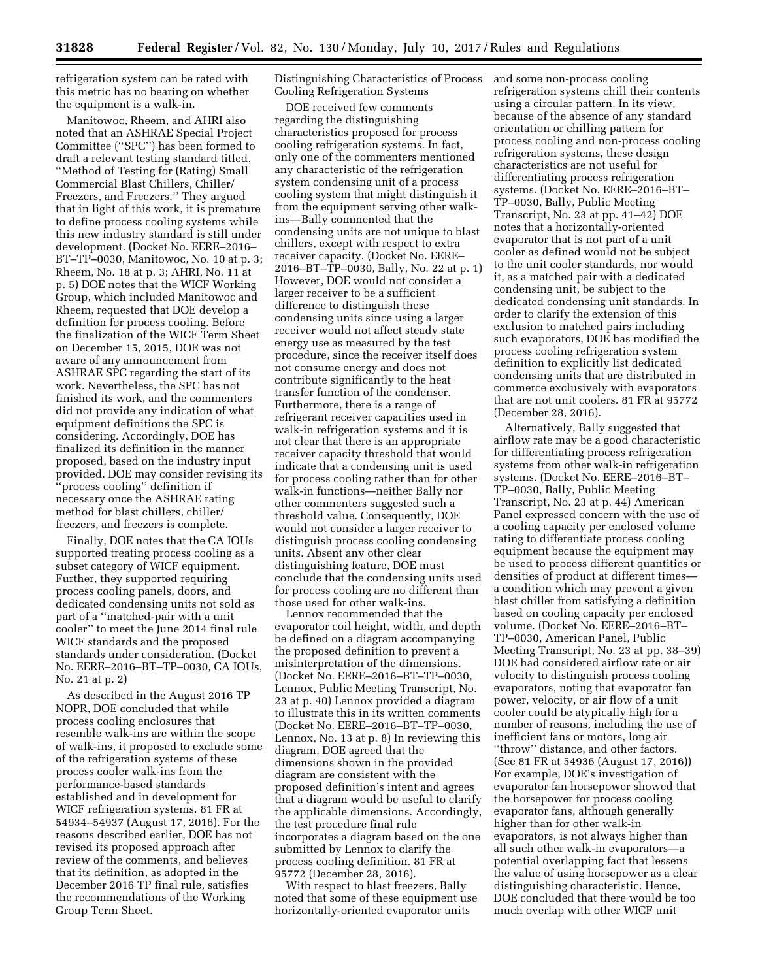refrigeration system can be rated with this metric has no bearing on whether the equipment is a walk-in.

Manitowoc, Rheem, and AHRI also noted that an ASHRAE Special Project Committee (''SPC'') has been formed to draft a relevant testing standard titled, ''Method of Testing for (Rating) Small Commercial Blast Chillers, Chiller/ Freezers, and Freezers.'' They argued that in light of this work, it is premature to define process cooling systems while this new industry standard is still under development. (Docket No. EERE–2016– BT–TP–0030, Manitowoc, No. 10 at p. 3; Rheem, No. 18 at p. 3; AHRI, No. 11 at p. 5) DOE notes that the WICF Working Group, which included Manitowoc and Rheem, requested that DOE develop a definition for process cooling. Before the finalization of the WICF Term Sheet on December 15, 2015, DOE was not aware of any announcement from ASHRAE SPC regarding the start of its work. Nevertheless, the SPC has not finished its work, and the commenters did not provide any indication of what equipment definitions the SPC is considering. Accordingly, DOE has finalized its definition in the manner proposed, based on the industry input provided. DOE may consider revising its ''process cooling'' definition if necessary once the ASHRAE rating method for blast chillers, chiller/ freezers, and freezers is complete.

Finally, DOE notes that the CA IOUs supported treating process cooling as a subset category of WICF equipment. Further, they supported requiring process cooling panels, doors, and dedicated condensing units not sold as part of a ''matched-pair with a unit cooler'' to meet the June 2014 final rule WICF standards and the proposed standards under consideration. (Docket No. EERE–2016–BT–TP–0030, CA IOUs, No. 21 at p. 2)

As described in the August 2016 TP NOPR, DOE concluded that while process cooling enclosures that resemble walk-ins are within the scope of walk-ins, it proposed to exclude some of the refrigeration systems of these process cooler walk-ins from the performance-based standards established and in development for WICF refrigeration systems. 81 FR at 54934–54937 (August 17, 2016). For the reasons described earlier, DOE has not revised its proposed approach after review of the comments, and believes that its definition, as adopted in the December 2016 TP final rule, satisfies the recommendations of the Working Group Term Sheet.

Distinguishing Characteristics of Process Cooling Refrigeration Systems

DOE received few comments regarding the distinguishing characteristics proposed for process cooling refrigeration systems. In fact, only one of the commenters mentioned any characteristic of the refrigeration system condensing unit of a process cooling system that might distinguish it from the equipment serving other walkins—Bally commented that the condensing units are not unique to blast chillers, except with respect to extra receiver capacity. (Docket No. EERE– 2016–BT–TP–0030, Bally, No. 22 at p. 1) However, DOE would not consider a larger receiver to be a sufficient difference to distinguish these condensing units since using a larger receiver would not affect steady state energy use as measured by the test procedure, since the receiver itself does not consume energy and does not contribute significantly to the heat transfer function of the condenser. Furthermore, there is a range of refrigerant receiver capacities used in walk-in refrigeration systems and it is not clear that there is an appropriate receiver capacity threshold that would indicate that a condensing unit is used for process cooling rather than for other walk-in functions—neither Bally nor other commenters suggested such a threshold value. Consequently, DOE would not consider a larger receiver to distinguish process cooling condensing units. Absent any other clear distinguishing feature, DOE must conclude that the condensing units used for process cooling are no different than those used for other walk-ins.

Lennox recommended that the evaporator coil height, width, and depth be defined on a diagram accompanying the proposed definition to prevent a misinterpretation of the dimensions. (Docket No. EERE–2016–BT–TP–0030, Lennox, Public Meeting Transcript, No. 23 at p. 40) Lennox provided a diagram to illustrate this in its written comments (Docket No. EERE–2016–BT–TP–0030, Lennox, No. 13 at p. 8) In reviewing this diagram, DOE agreed that the dimensions shown in the provided diagram are consistent with the proposed definition's intent and agrees that a diagram would be useful to clarify the applicable dimensions. Accordingly, the test procedure final rule incorporates a diagram based on the one submitted by Lennox to clarify the process cooling definition. 81 FR at 95772 (December 28, 2016).

With respect to blast freezers, Bally noted that some of these equipment use horizontally-oriented evaporator units

and some non-process cooling refrigeration systems chill their contents using a circular pattern. In its view, because of the absence of any standard orientation or chilling pattern for process cooling and non-process cooling refrigeration systems, these design characteristics are not useful for differentiating process refrigeration systems. (Docket No. EERE–2016–BT– TP–0030, Bally, Public Meeting Transcript, No. 23 at pp. 41–42) DOE notes that a horizontally-oriented evaporator that is not part of a unit cooler as defined would not be subject to the unit cooler standards, nor would it, as a matched pair with a dedicated condensing unit, be subject to the dedicated condensing unit standards. In order to clarify the extension of this exclusion to matched pairs including such evaporators, DOE has modified the process cooling refrigeration system definition to explicitly list dedicated condensing units that are distributed in commerce exclusively with evaporators that are not unit coolers. 81 FR at 95772 (December 28, 2016).

Alternatively, Bally suggested that airflow rate may be a good characteristic for differentiating process refrigeration systems from other walk-in refrigeration systems. (Docket No. EERE–2016–BT– TP–0030, Bally, Public Meeting Transcript, No. 23 at p. 44) American Panel expressed concern with the use of a cooling capacity per enclosed volume rating to differentiate process cooling equipment because the equipment may be used to process different quantities or densities of product at different times a condition which may prevent a given blast chiller from satisfying a definition based on cooling capacity per enclosed volume. (Docket No. EERE–2016–BT– TP–0030, American Panel, Public Meeting Transcript, No. 23 at pp. 38–39) DOE had considered airflow rate or air velocity to distinguish process cooling evaporators, noting that evaporator fan power, velocity, or air flow of a unit cooler could be atypically high for a number of reasons, including the use of inefficient fans or motors, long air ''throw'' distance, and other factors. (See 81 FR at 54936 (August 17, 2016)) For example, DOE's investigation of evaporator fan horsepower showed that the horsepower for process cooling evaporator fans, although generally higher than for other walk-in evaporators, is not always higher than all such other walk-in evaporators—a potential overlapping fact that lessens the value of using horsepower as a clear distinguishing characteristic. Hence, DOE concluded that there would be too much overlap with other WICF unit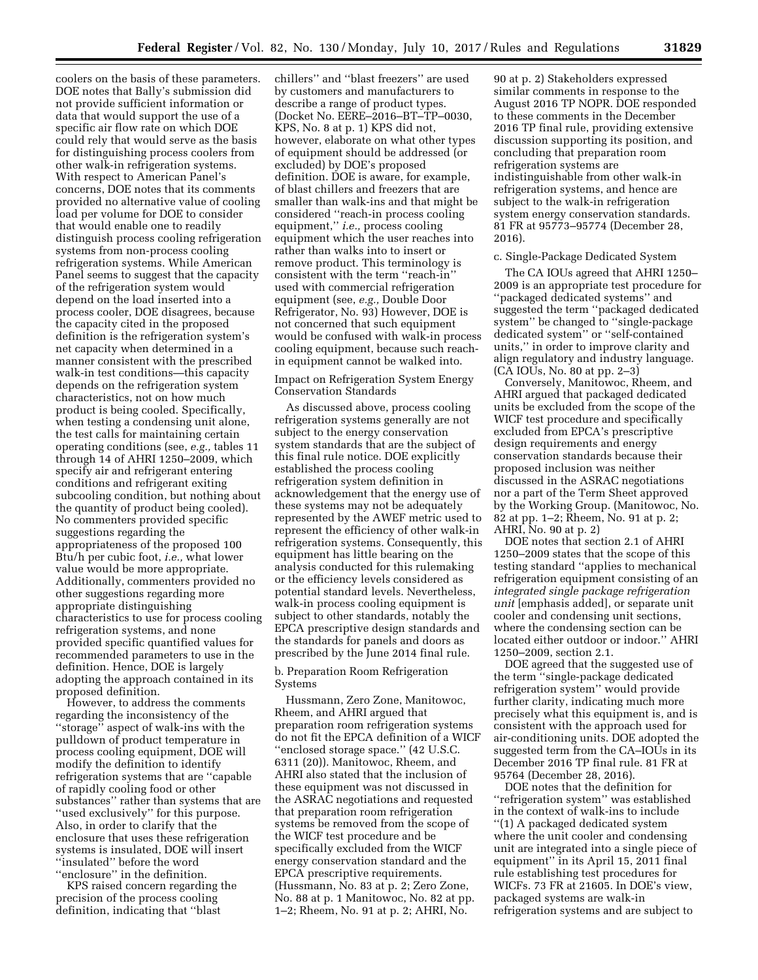coolers on the basis of these parameters. DOE notes that Bally's submission did not provide sufficient information or data that would support the use of a specific air flow rate on which DOE could rely that would serve as the basis for distinguishing process coolers from other walk-in refrigeration systems. With respect to American Panel's concerns, DOE notes that its comments provided no alternative value of cooling load per volume for DOE to consider that would enable one to readily distinguish process cooling refrigeration systems from non-process cooling refrigeration systems. While American Panel seems to suggest that the capacity of the refrigeration system would depend on the load inserted into a process cooler, DOE disagrees, because the capacity cited in the proposed definition is the refrigeration system's net capacity when determined in a manner consistent with the prescribed walk-in test conditions—this capacity depends on the refrigeration system characteristics, not on how much product is being cooled. Specifically, when testing a condensing unit alone, the test calls for maintaining certain operating conditions (see, *e.g.,* tables 11 through 14 of AHRI 1250–2009, which specify air and refrigerant entering conditions and refrigerant exiting subcooling condition, but nothing about the quantity of product being cooled). No commenters provided specific suggestions regarding the appropriateness of the proposed 100 Btu/h per cubic foot, *i.e.,* what lower value would be more appropriate. Additionally, commenters provided no other suggestions regarding more appropriate distinguishing characteristics to use for process cooling refrigeration systems, and none provided specific quantified values for recommended parameters to use in the definition. Hence, DOE is largely adopting the approach contained in its proposed definition.

However, to address the comments regarding the inconsistency of the ''storage'' aspect of walk-ins with the pulldown of product temperature in process cooling equipment, DOE will modify the definition to identify refrigeration systems that are ''capable of rapidly cooling food or other substances'' rather than systems that are ''used exclusively'' for this purpose. Also, in order to clarify that the enclosure that uses these refrigeration systems is insulated, DOE will insert ''insulated'' before the word ''enclosure'' in the definition.

KPS raised concern regarding the precision of the process cooling definition, indicating that ''blast

chillers'' and ''blast freezers'' are used by customers and manufacturers to describe a range of product types. (Docket No. EERE–2016–BT–TP–0030, KPS, No. 8 at p. 1) KPS did not, however, elaborate on what other types of equipment should be addressed (or excluded) by DOE's proposed definition. DOE is aware, for example, of blast chillers and freezers that are smaller than walk-ins and that might be considered ''reach-in process cooling equipment,'' *i.e.,* process cooling equipment which the user reaches into rather than walks into to insert or remove product. This terminology is consistent with the term ''reach-in'' used with commercial refrigeration equipment (see, *e.g.,* Double Door Refrigerator, No. 93) However, DOE is not concerned that such equipment would be confused with walk-in process cooling equipment, because such reachin equipment cannot be walked into.

## Impact on Refrigeration System Energy Conservation Standards

As discussed above, process cooling refrigeration systems generally are not subject to the energy conservation system standards that are the subject of this final rule notice. DOE explicitly established the process cooling refrigeration system definition in acknowledgement that the energy use of these systems may not be adequately represented by the AWEF metric used to represent the efficiency of other walk-in refrigeration systems. Consequently, this equipment has little bearing on the analysis conducted for this rulemaking or the efficiency levels considered as potential standard levels. Nevertheless, walk-in process cooling equipment is subject to other standards, notably the EPCA prescriptive design standards and the standards for panels and doors as prescribed by the June 2014 final rule.

## b. Preparation Room Refrigeration Systems

Hussmann, Zero Zone, Manitowoc, Rheem, and AHRI argued that preparation room refrigeration systems do not fit the EPCA definition of a WICF ''enclosed storage space.'' (42 U.S.C. 6311 (20)). Manitowoc, Rheem, and AHRI also stated that the inclusion of these equipment was not discussed in the ASRAC negotiations and requested that preparation room refrigeration systems be removed from the scope of the WICF test procedure and be specifically excluded from the WICF energy conservation standard and the EPCA prescriptive requirements. (Hussmann, No. 83 at p. 2; Zero Zone, No. 88 at p. 1 Manitowoc, No. 82 at pp. 1–2; Rheem, No. 91 at p. 2; AHRI, No.

90 at p. 2) Stakeholders expressed similar comments in response to the August 2016 TP NOPR. DOE responded to these comments in the December 2016 TP final rule, providing extensive discussion supporting its position, and concluding that preparation room refrigeration systems are indistinguishable from other walk-in refrigeration systems, and hence are subject to the walk-in refrigeration system energy conservation standards. 81 FR at 95773–95774 (December 28, 2016).

### c. Single-Package Dedicated System

The CA IOUs agreed that AHRI 1250– 2009 is an appropriate test procedure for ''packaged dedicated systems'' and suggested the term ''packaged dedicated system'' be changed to ''single-package dedicated system'' or ''self-contained units,'' in order to improve clarity and align regulatory and industry language. (CA IOUs, No. 80 at pp. 2–3)

Conversely, Manitowoc, Rheem, and AHRI argued that packaged dedicated units be excluded from the scope of the WICF test procedure and specifically excluded from EPCA's prescriptive design requirements and energy conservation standards because their proposed inclusion was neither discussed in the ASRAC negotiations nor a part of the Term Sheet approved by the Working Group. (Manitowoc, No. 82 at pp. 1–2; Rheem, No. 91 at p. 2; AHRI, No. 90 at p. 2)

DOE notes that section 2.1 of AHRI 1250–2009 states that the scope of this testing standard ''applies to mechanical refrigeration equipment consisting of an *integrated single package refrigeration unit* [emphasis added], or separate unit cooler and condensing unit sections, where the condensing section can be located either outdoor or indoor.'' AHRI 1250–2009, section 2.1.

DOE agreed that the suggested use of the term ''single-package dedicated refrigeration system'' would provide further clarity, indicating much more precisely what this equipment is, and is consistent with the approach used for air-conditioning units. DOE adopted the suggested term from the CA–IOUs in its December 2016 TP final rule. 81 FR at 95764 (December 28, 2016).

DOE notes that the definition for ''refrigeration system'' was established in the context of walk-ins to include ''(1) A packaged dedicated system where the unit cooler and condensing unit are integrated into a single piece of equipment'' in its April 15, 2011 final rule establishing test procedures for WICFs. 73 FR at 21605. In DOE's view, packaged systems are walk-in refrigeration systems and are subject to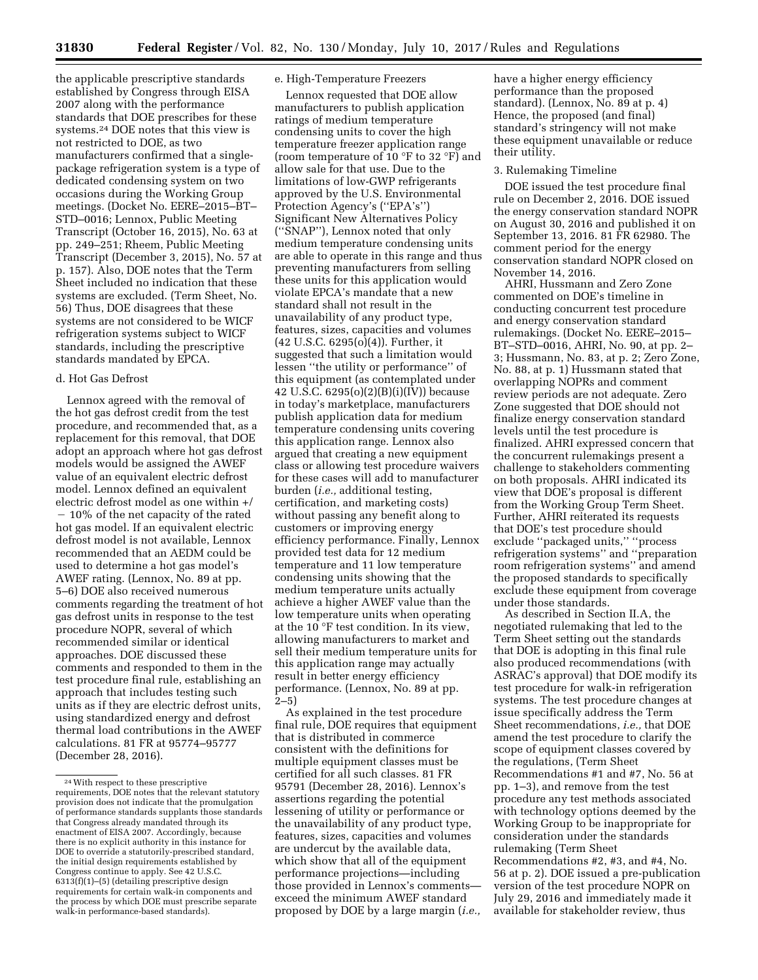the applicable prescriptive standards established by Congress through EISA 2007 along with the performance standards that DOE prescribes for these systems.24 DOE notes that this view is not restricted to DOE, as two manufacturers confirmed that a singlepackage refrigeration system is a type of dedicated condensing system on two occasions during the Working Group meetings. (Docket No. EERE–2015–BT– STD–0016; Lennox, Public Meeting Transcript (October 16, 2015), No. 63 at pp. 249–251; Rheem, Public Meeting Transcript (December 3, 2015), No. 57 at p. 157). Also, DOE notes that the Term Sheet included no indication that these systems are excluded. (Term Sheet, No. 56) Thus, DOE disagrees that these systems are not considered to be WICF refrigeration systems subject to WICF standards, including the prescriptive standards mandated by EPCA.

### d. Hot Gas Defrost

Lennox agreed with the removal of the hot gas defrost credit from the test procedure, and recommended that, as a replacement for this removal, that DOE adopt an approach where hot gas defrost models would be assigned the AWEF value of an equivalent electric defrost model. Lennox defined an equivalent electric defrost model as one within +/  $-10\%$  of the net capacity of the rated hot gas model. If an equivalent electric defrost model is not available, Lennox recommended that an AEDM could be used to determine a hot gas model's AWEF rating. (Lennox, No. 89 at pp. 5–6) DOE also received numerous comments regarding the treatment of hot gas defrost units in response to the test procedure NOPR, several of which recommended similar or identical approaches. DOE discussed these comments and responded to them in the test procedure final rule, establishing an approach that includes testing such units as if they are electric defrost units, using standardized energy and defrost thermal load contributions in the AWEF calculations. 81 FR at 95774–95777 (December 28, 2016).

## e. High-Temperature Freezers

Lennox requested that DOE allow manufacturers to publish application ratings of medium temperature condensing units to cover the high temperature freezer application range (room temperature of 10 °F to 32 °F) and allow sale for that use. Due to the limitations of low-GWP refrigerants approved by the U.S. Environmental Protection Agency's (''EPA's'') Significant New Alternatives Policy (''SNAP''), Lennox noted that only medium temperature condensing units are able to operate in this range and thus preventing manufacturers from selling these units for this application would violate EPCA's mandate that a new standard shall not result in the unavailability of any product type, features, sizes, capacities and volumes (42 U.S.C. 6295(o)(4)). Further, it suggested that such a limitation would lessen ''the utility or performance'' of this equipment (as contemplated under 42 U.S.C. 6295(o)(2)(B)(i)(IV)) because in today's marketplace, manufacturers publish application data for medium temperature condensing units covering this application range. Lennox also argued that creating a new equipment class or allowing test procedure waivers for these cases will add to manufacturer burden (*i.e.,* additional testing, certification, and marketing costs) without passing any benefit along to customers or improving energy efficiency performance. Finally, Lennox provided test data for 12 medium temperature and 11 low temperature condensing units showing that the medium temperature units actually achieve a higher AWEF value than the low temperature units when operating at the 10 °F test condition. In its view, allowing manufacturers to market and sell their medium temperature units for this application range may actually result in better energy efficiency performance. (Lennox, No. 89 at pp.  $2 - 5$ 

As explained in the test procedure final rule, DOE requires that equipment that is distributed in commerce consistent with the definitions for multiple equipment classes must be certified for all such classes. 81 FR 95791 (December 28, 2016). Lennox's assertions regarding the potential lessening of utility or performance or the unavailability of any product type, features, sizes, capacities and volumes are undercut by the available data, which show that all of the equipment performance projections—including those provided in Lennox's comments exceed the minimum AWEF standard proposed by DOE by a large margin (*i.e.,*  have a higher energy efficiency performance than the proposed standard). (Lennox, No. 89 at p. 4) Hence, the proposed (and final) standard's stringency will not make these equipment unavailable or reduce their utility.

## 3. Rulemaking Timeline

DOE issued the test procedure final rule on December 2, 2016. DOE issued the energy conservation standard NOPR on August 30, 2016 and published it on September 13, 2016. 81 FR 62980. The comment period for the energy conservation standard NOPR closed on November 14, 2016.

AHRI, Hussmann and Zero Zone commented on DOE's timeline in conducting concurrent test procedure and energy conservation standard rulemakings. (Docket No. EERE–2015– BT–STD–0016, AHRI, No. 90, at pp. 2– 3; Hussmann, No. 83, at p. 2; Zero Zone, No. 88, at p. 1) Hussmann stated that overlapping NOPRs and comment review periods are not adequate. Zero Zone suggested that DOE should not finalize energy conservation standard levels until the test procedure is finalized. AHRI expressed concern that the concurrent rulemakings present a challenge to stakeholders commenting on both proposals. AHRI indicated its view that DOE's proposal is different from the Working Group Term Sheet. Further, AHRI reiterated its requests that DOE's test procedure should exclude ''packaged units,'' ''process refrigeration systems'' and ''preparation room refrigeration systems'' and amend the proposed standards to specifically exclude these equipment from coverage under those standards.

As described in Section II.A, the negotiated rulemaking that led to the Term Sheet setting out the standards that DOE is adopting in this final rule also produced recommendations (with ASRAC's approval) that DOE modify its test procedure for walk-in refrigeration systems. The test procedure changes at issue specifically address the Term Sheet recommendations, *i.e.,* that DOE amend the test procedure to clarify the scope of equipment classes covered by the regulations, (Term Sheet Recommendations #1 and #7, No. 56 at pp. 1–3), and remove from the test procedure any test methods associated with technology options deemed by the Working Group to be inappropriate for consideration under the standards rulemaking (Term Sheet Recommendations #2, #3, and #4, No. 56 at p. 2). DOE issued a pre-publication version of the test procedure NOPR on July 29, 2016 and immediately made it available for stakeholder review, thus

<sup>24</sup>With respect to these prescriptive requirements, DOE notes that the relevant statutory provision does not indicate that the promulgation of performance standards supplants those standards that Congress already mandated through its enactment of EISA 2007. Accordingly, because there is no explicit authority in this instance for DOE to override a statutorily-prescribed standard, the initial design requirements established by Congress continue to apply. See 42 U.S.C. 6313(f)(1)–(5) (detailing prescriptive design requirements for certain walk-in components and the process by which DOE must prescribe separate walk-in performance-based standards).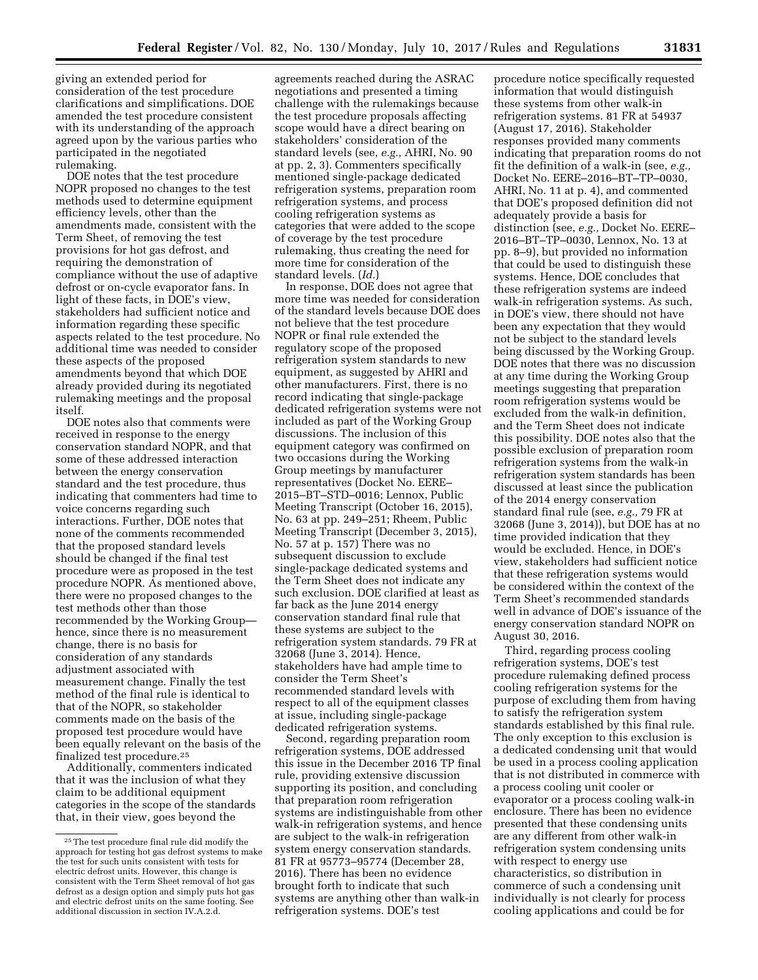giving an extended period for consideration of the test procedure clarifications and simplifications. DOE amended the test procedure consistent with its understanding of the approach agreed upon by the various parties who participated in the negotiated rulemaking.

DOE notes that the test procedure NOPR proposed no changes to the test methods used to determine equipment efficiency levels, other than the amendments made, consistent with the Term Sheet, of removing the test provisions for hot gas defrost, and requiring the demonstration of compliance without the use of adaptive defrost or on-cycle evaporator fans. In light of these facts, in DOE's view, stakeholders had sufficient notice and information regarding these specific aspects related to the test procedure. No additional time was needed to consider these aspects of the proposed amendments beyond that which DOE already provided during its negotiated rulemaking meetings and the proposal itself.

DOE notes also that comments were received in response to the energy conservation standard NOPR, and that some of these addressed interaction between the energy conservation standard and the test procedure, thus indicating that commenters had time to voice concerns regarding such interactions. Further, DOE notes that none of the comments recommended that the proposed standard levels should be changed if the final test procedure were as proposed in the test procedure NOPR. As mentioned above, there were no proposed changes to the test methods other than those recommended by the Working Group hence, since there is no measurement change, there is no basis for consideration of any standards adjustment associated with measurement change. Finally the test method of the final rule is identical to that of the NOPR, so stakeholder comments made on the basis of the proposed test procedure would have been equally relevant on the basis of the finalized test procedure.25

Additionally, commenters indicated that it was the inclusion of what they claim to be additional equipment categories in the scope of the standards that, in their view, goes beyond the

agreements reached during the ASRAC negotiations and presented a timing challenge with the rulemakings because the test procedure proposals affecting scope would have a direct bearing on stakeholders' consideration of the standard levels (see, *e.g.,* AHRI, No. 90 at pp. 2, 3). Commenters specifically mentioned single-package dedicated refrigeration systems, preparation room refrigeration systems, and process cooling refrigeration systems as categories that were added to the scope of coverage by the test procedure rulemaking, thus creating the need for more time for consideration of the standard levels. (*Id.*)

In response, DOE does not agree that more time was needed for consideration of the standard levels because DOE does not believe that the test procedure NOPR or final rule extended the regulatory scope of the proposed refrigeration system standards to new equipment, as suggested by AHRI and other manufacturers. First, there is no record indicating that single-package dedicated refrigeration systems were not included as part of the Working Group discussions. The inclusion of this equipment category was confirmed on two occasions during the Working Group meetings by manufacturer representatives (Docket No. EERE– 2015–BT–STD–0016; Lennox, Public Meeting Transcript (October 16, 2015), No. 63 at pp. 249–251; Rheem, Public Meeting Transcript (December 3, 2015), No. 57 at p. 157) There was no subsequent discussion to exclude single-package dedicated systems and the Term Sheet does not indicate any such exclusion. DOE clarified at least as far back as the June 2014 energy conservation standard final rule that these systems are subject to the refrigeration system standards. 79 FR at 32068 (June 3, 2014). Hence, stakeholders have had ample time to consider the Term Sheet's recommended standard levels with respect to all of the equipment classes at issue, including single-package dedicated refrigeration systems.

Second, regarding preparation room refrigeration systems, DOE addressed this issue in the December 2016 TP final rule, providing extensive discussion supporting its position, and concluding that preparation room refrigeration systems are indistinguishable from other walk-in refrigeration systems, and hence are subject to the walk-in refrigeration system energy conservation standards. 81 FR at 95773–95774 (December 28, 2016). There has been no evidence brought forth to indicate that such systems are anything other than walk-in refrigeration systems. DOE's test

procedure notice specifically requested information that would distinguish these systems from other walk-in refrigeration systems. 81 FR at 54937 (August 17, 2016). Stakeholder responses provided many comments indicating that preparation rooms do not fit the definition of a walk-in (see, *e.g.,*  Docket No. EERE–2016–BT–TP–0030, AHRI, No. 11 at p. 4), and commented that DOE's proposed definition did not adequately provide a basis for distinction (see, *e.g.,* Docket No. EERE– 2016–BT–TP–0030, Lennox, No. 13 at pp. 8–9), but provided no information that could be used to distinguish these systems. Hence, DOE concludes that these refrigeration systems are indeed walk-in refrigeration systems. As such, in DOE's view, there should not have been any expectation that they would not be subject to the standard levels being discussed by the Working Group. DOE notes that there was no discussion at any time during the Working Group meetings suggesting that preparation room refrigeration systems would be excluded from the walk-in definition, and the Term Sheet does not indicate this possibility. DOE notes also that the possible exclusion of preparation room refrigeration systems from the walk-in refrigeration system standards has been discussed at least since the publication of the 2014 energy conservation standard final rule (see, *e.g.,* 79 FR at 32068 (June 3, 2014)), but DOE has at no time provided indication that they would be excluded. Hence, in DOE's view, stakeholders had sufficient notice that these refrigeration systems would be considered within the context of the Term Sheet's recommended standards well in advance of DOE's issuance of the energy conservation standard NOPR on August 30, 2016.

Third, regarding process cooling refrigeration systems, DOE's test procedure rulemaking defined process cooling refrigeration systems for the purpose of excluding them from having to satisfy the refrigeration system standards established by this final rule. The only exception to this exclusion is a dedicated condensing unit that would be used in a process cooling application that is not distributed in commerce with a process cooling unit cooler or evaporator or a process cooling walk-in enclosure. There has been no evidence presented that these condensing units are any different from other walk-in refrigeration system condensing units with respect to energy use characteristics, so distribution in commerce of such a condensing unit individually is not clearly for process cooling applications and could be for

<sup>25</sup>The test procedure final rule did modify the approach for testing hot gas defrost systems to make the test for such units consistent with tests for electric defrost units. However, this change is consistent with the Term Sheet removal of hot gas defrost as a design option and simply puts hot gas and electric defrost units on the same footing. See additional discussion in section IV.A.2.d.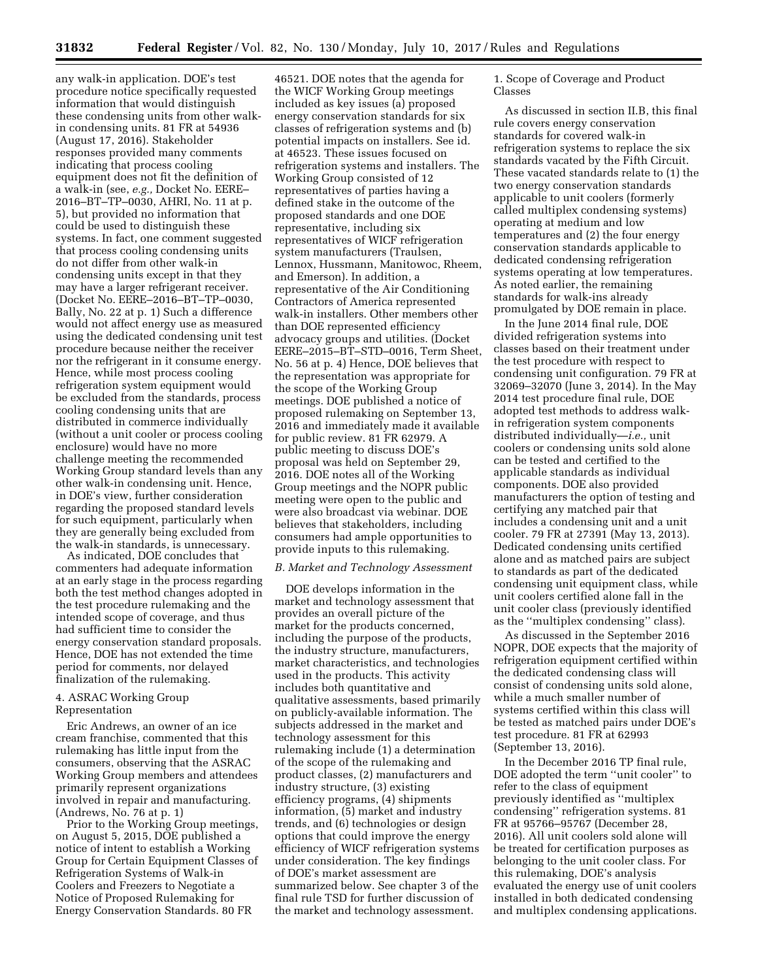any walk-in application. DOE's test procedure notice specifically requested information that would distinguish these condensing units from other walkin condensing units. 81 FR at 54936 (August 17, 2016). Stakeholder responses provided many comments indicating that process cooling equipment does not fit the definition of a walk-in (see, *e.g.,* Docket No. EERE– 2016–BT–TP–0030, AHRI, No. 11 at p. 5), but provided no information that could be used to distinguish these systems. In fact, one comment suggested that process cooling condensing units do not differ from other walk-in condensing units except in that they may have a larger refrigerant receiver. (Docket No. EERE–2016–BT–TP–0030, Bally, No. 22 at p. 1) Such a difference would not affect energy use as measured using the dedicated condensing unit test procedure because neither the receiver nor the refrigerant in it consume energy. Hence, while most process cooling refrigeration system equipment would be excluded from the standards, process cooling condensing units that are distributed in commerce individually (without a unit cooler or process cooling enclosure) would have no more challenge meeting the recommended Working Group standard levels than any other walk-in condensing unit. Hence, in DOE's view, further consideration regarding the proposed standard levels for such equipment, particularly when they are generally being excluded from the walk-in standards, is unnecessary.

As indicated, DOE concludes that commenters had adequate information at an early stage in the process regarding both the test method changes adopted in the test procedure rulemaking and the intended scope of coverage, and thus had sufficient time to consider the energy conservation standard proposals. Hence, DOE has not extended the time period for comments, nor delayed finalization of the rulemaking.

### 4. ASRAC Working Group Representation

Eric Andrews, an owner of an ice cream franchise, commented that this rulemaking has little input from the consumers, observing that the ASRAC Working Group members and attendees primarily represent organizations involved in repair and manufacturing. (Andrews, No. 76 at p. 1)

Prior to the Working Group meetings, on August 5, 2015, DOE published a notice of intent to establish a Working Group for Certain Equipment Classes of Refrigeration Systems of Walk-in Coolers and Freezers to Negotiate a Notice of Proposed Rulemaking for Energy Conservation Standards. 80 FR

46521. DOE notes that the agenda for the WICF Working Group meetings included as key issues (a) proposed energy conservation standards for six classes of refrigeration systems and (b) potential impacts on installers. See id. at 46523. These issues focused on refrigeration systems and installers. The Working Group consisted of 12 representatives of parties having a defined stake in the outcome of the proposed standards and one DOE representative, including six representatives of WICF refrigeration system manufacturers (Traulsen, Lennox, Hussmann, Manitowoc, Rheem, and Emerson). In addition, a representative of the Air Conditioning Contractors of America represented walk-in installers. Other members other than DOE represented efficiency advocacy groups and utilities. (Docket EERE–2015–BT–STD–0016, Term Sheet, No. 56 at p. 4) Hence, DOE believes that the representation was appropriate for the scope of the Working Group meetings. DOE published a notice of proposed rulemaking on September 13, 2016 and immediately made it available for public review. 81 FR 62979. A public meeting to discuss DOE's proposal was held on September 29, 2016. DOE notes all of the Working Group meetings and the NOPR public meeting were open to the public and were also broadcast via webinar. DOE believes that stakeholders, including consumers had ample opportunities to provide inputs to this rulemaking.

### *B. Market and Technology Assessment*

DOE develops information in the market and technology assessment that provides an overall picture of the market for the products concerned, including the purpose of the products, the industry structure, manufacturers, market characteristics, and technologies used in the products. This activity includes both quantitative and qualitative assessments, based primarily on publicly-available information. The subjects addressed in the market and technology assessment for this rulemaking include (1) a determination of the scope of the rulemaking and product classes, (2) manufacturers and industry structure, (3) existing efficiency programs, (4) shipments information, (5) market and industry trends, and (6) technologies or design options that could improve the energy efficiency of WICF refrigeration systems under consideration. The key findings of DOE's market assessment are summarized below. See chapter 3 of the final rule TSD for further discussion of the market and technology assessment.

1. Scope of Coverage and Product Classes

As discussed in section II.B, this final rule covers energy conservation standards for covered walk-in refrigeration systems to replace the six standards vacated by the Fifth Circuit. These vacated standards relate to (1) the two energy conservation standards applicable to unit coolers (formerly called multiplex condensing systems) operating at medium and low temperatures and (2) the four energy conservation standards applicable to dedicated condensing refrigeration systems operating at low temperatures. As noted earlier, the remaining standards for walk-ins already promulgated by DOE remain in place.

In the June 2014 final rule, DOE divided refrigeration systems into classes based on their treatment under the test procedure with respect to condensing unit configuration. 79 FR at 32069–32070 (June 3, 2014). In the May 2014 test procedure final rule, DOE adopted test methods to address walkin refrigeration system components distributed individually—*i.e.,* unit coolers or condensing units sold alone can be tested and certified to the applicable standards as individual components. DOE also provided manufacturers the option of testing and certifying any matched pair that includes a condensing unit and a unit cooler. 79 FR at 27391 (May 13, 2013). Dedicated condensing units certified alone and as matched pairs are subject to standards as part of the dedicated condensing unit equipment class, while unit coolers certified alone fall in the unit cooler class (previously identified as the ''multiplex condensing'' class).

As discussed in the September 2016 NOPR, DOE expects that the majority of refrigeration equipment certified within the dedicated condensing class will consist of condensing units sold alone, while a much smaller number of systems certified within this class will be tested as matched pairs under DOE's test procedure. 81 FR at 62993 (September 13, 2016).

In the December 2016 TP final rule, DOE adopted the term ''unit cooler'' to refer to the class of equipment previously identified as ''multiplex condensing'' refrigeration systems. 81 FR at 95766–95767 (December 28, 2016). All unit coolers sold alone will be treated for certification purposes as belonging to the unit cooler class. For this rulemaking, DOE's analysis evaluated the energy use of unit coolers installed in both dedicated condensing and multiplex condensing applications.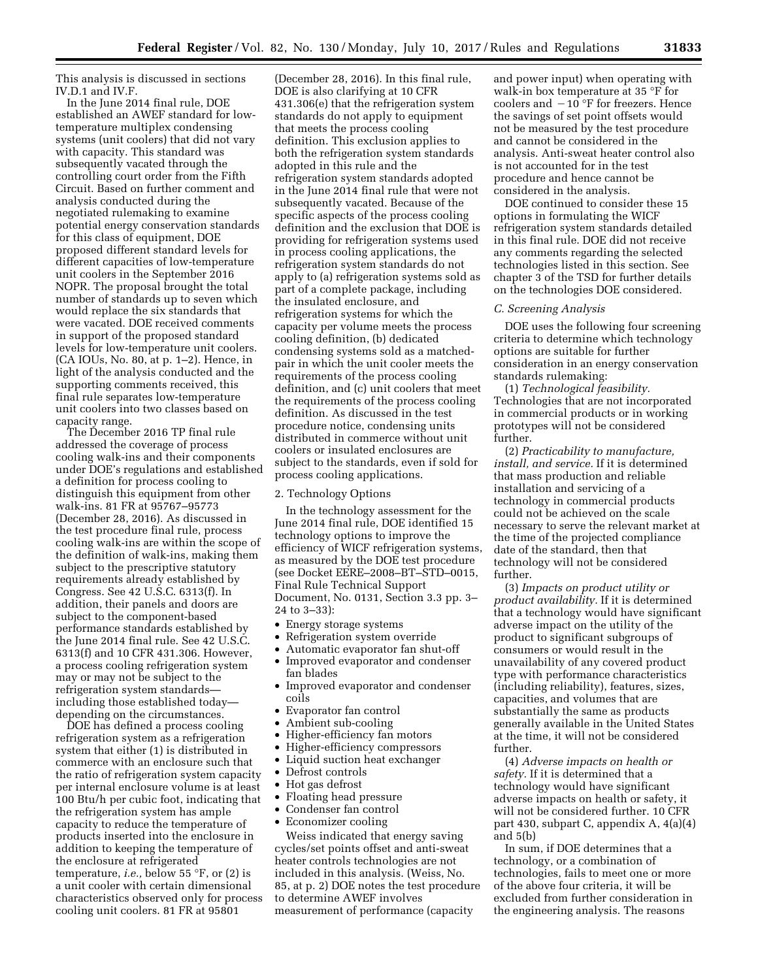This analysis is discussed in sections IV.D.1 and IV.F.

In the June 2014 final rule, DOE established an AWEF standard for lowtemperature multiplex condensing systems (unit coolers) that did not vary with capacity. This standard was subsequently vacated through the controlling court order from the Fifth Circuit. Based on further comment and analysis conducted during the negotiated rulemaking to examine potential energy conservation standards for this class of equipment, DOE proposed different standard levels for different capacities of low-temperature unit coolers in the September 2016 NOPR. The proposal brought the total number of standards up to seven which would replace the six standards that were vacated. DOE received comments in support of the proposed standard levels for low-temperature unit coolers. (CA IOUs, No. 80, at p. 1–2). Hence, in light of the analysis conducted and the supporting comments received, this final rule separates low-temperature unit coolers into two classes based on capacity range.

The December 2016 TP final rule addressed the coverage of process cooling walk-ins and their components under DOE's regulations and established a definition for process cooling to distinguish this equipment from other walk-ins. 81 FR at 95767–95773 (December 28, 2016). As discussed in the test procedure final rule, process cooling walk-ins are within the scope of the definition of walk-ins, making them subject to the prescriptive statutory requirements already established by Congress. See 42 U.S.C. 6313(f). In addition, their panels and doors are subject to the component-based performance standards established by the June 2014 final rule. See 42 U.S.C. 6313(f) and 10 CFR 431.306. However, a process cooling refrigeration system may or may not be subject to the refrigeration system standards including those established today depending on the circumstances.

DOE has defined a process cooling refrigeration system as a refrigeration system that either (1) is distributed in commerce with an enclosure such that the ratio of refrigeration system capacity per internal enclosure volume is at least 100 Btu/h per cubic foot, indicating that the refrigeration system has ample capacity to reduce the temperature of products inserted into the enclosure in addition to keeping the temperature of the enclosure at refrigerated temperature, *i.e.,* below 55 °F, or (2) is a unit cooler with certain dimensional characteristics observed only for process cooling unit coolers. 81 FR at 95801

(December 28, 2016). In this final rule, DOE is also clarifying at 10 CFR 431.306(e) that the refrigeration system standards do not apply to equipment that meets the process cooling definition. This exclusion applies to both the refrigeration system standards adopted in this rule and the refrigeration system standards adopted in the June 2014 final rule that were not subsequently vacated. Because of the specific aspects of the process cooling definition and the exclusion that DOE is providing for refrigeration systems used in process cooling applications, the refrigeration system standards do not apply to (a) refrigeration systems sold as part of a complete package, including the insulated enclosure, and refrigeration systems for which the capacity per volume meets the process cooling definition, (b) dedicated condensing systems sold as a matchedpair in which the unit cooler meets the requirements of the process cooling definition, and (c) unit coolers that meet the requirements of the process cooling definition. As discussed in the test procedure notice, condensing units distributed in commerce without unit coolers or insulated enclosures are subject to the standards, even if sold for process cooling applications.

### 2. Technology Options

In the technology assessment for the June 2014 final rule, DOE identified 15 technology options to improve the efficiency of WICF refrigeration systems, as measured by the DOE test procedure (see Docket EERE–2008–BT–STD–0015, Final Rule Technical Support Document, No. 0131, Section 3.3 pp. 3– 24 to 3–33):

- Energy storage systems
- Refrigeration system override
- Automatic evaporator fan shut-off
- Improved evaporator and condenser fan blades
- Improved evaporator and condenser coils
- Evaporator fan control
- Ambient sub-cooling
- Higher-efficiency fan motors
- Higher-efficiency compressors
- Liquid suction heat exchanger
- Defrost controls
- Hot gas defrost
- Floating head pressure
- Condenser fan control
- Economizer cooling

Weiss indicated that energy saving cycles/set points offset and anti-sweat heater controls technologies are not included in this analysis. (Weiss, No. 85, at p. 2) DOE notes the test procedure to determine AWEF involves measurement of performance (capacity

and power input) when operating with walk-in box temperature at 35 °F for coolers and  $-10$  °F for freezers. Hence the savings of set point offsets would not be measured by the test procedure and cannot be considered in the analysis. Anti-sweat heater control also is not accounted for in the test procedure and hence cannot be considered in the analysis.

DOE continued to consider these 15 options in formulating the WICF refrigeration system standards detailed in this final rule. DOE did not receive any comments regarding the selected technologies listed in this section. See chapter 3 of the TSD for further details on the technologies DOE considered.

#### *C. Screening Analysis*

DOE uses the following four screening criteria to determine which technology options are suitable for further consideration in an energy conservation standards rulemaking:

(1) *Technological feasibility.*  Technologies that are not incorporated in commercial products or in working prototypes will not be considered further.

(2) *Practicability to manufacture, install, and service.* If it is determined that mass production and reliable installation and servicing of a technology in commercial products could not be achieved on the scale necessary to serve the relevant market at the time of the projected compliance date of the standard, then that technology will not be considered further.

(3) *Impacts on product utility or product availability.* If it is determined that a technology would have significant adverse impact on the utility of the product to significant subgroups of consumers or would result in the unavailability of any covered product type with performance characteristics (including reliability), features, sizes, capacities, and volumes that are substantially the same as products generally available in the United States at the time, it will not be considered further.

(4) *Adverse impacts on health or safety.* If it is determined that a technology would have significant adverse impacts on health or safety, it will not be considered further. 10 CFR part 430, subpart C, appendix A, 4(a)(4) and 5(b)

In sum, if DOE determines that a technology, or a combination of technologies, fails to meet one or more of the above four criteria, it will be excluded from further consideration in the engineering analysis. The reasons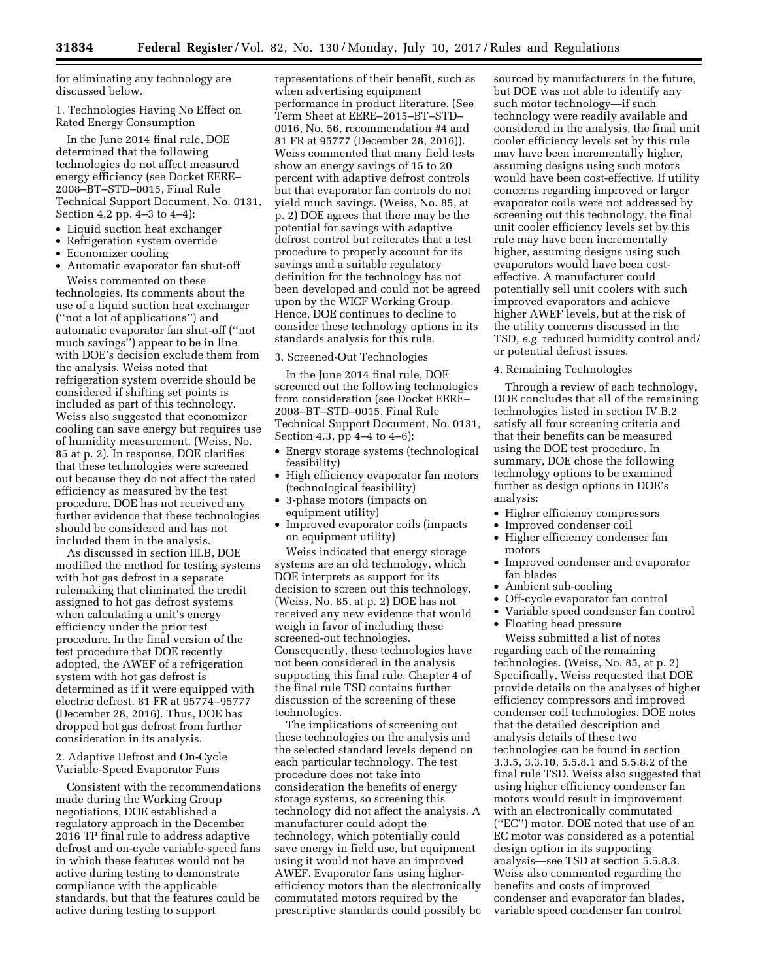for eliminating any technology are discussed below.

1. Technologies Having No Effect on Rated Energy Consumption

In the June 2014 final rule, DOE determined that the following technologies do not affect measured energy efficiency (see Docket EERE– 2008–BT–STD–0015, Final Rule Technical Support Document, No. 0131, Section 4.2 pp. 4–3 to 4–4):

- Liquid suction heat exchanger
- Refrigeration system override
- Economizer cooling
- Automatic evaporator fan shut-off Weiss commented on these

technologies. Its comments about the use of a liquid suction heat exchanger (''not a lot of applications'') and automatic evaporator fan shut-off (''not much savings'') appear to be in line with DOE's decision exclude them from the analysis. Weiss noted that refrigeration system override should be considered if shifting set points is included as part of this technology. Weiss also suggested that economizer cooling can save energy but requires use of humidity measurement. (Weiss, No. 85 at p. 2). In response, DOE clarifies that these technologies were screened out because they do not affect the rated efficiency as measured by the test procedure. DOE has not received any further evidence that these technologies should be considered and has not included them in the analysis.

As discussed in section III.B, DOE modified the method for testing systems with hot gas defrost in a separate rulemaking that eliminated the credit assigned to hot gas defrost systems when calculating a unit's energy efficiency under the prior test procedure. In the final version of the test procedure that DOE recently adopted, the AWEF of a refrigeration system with hot gas defrost is determined as if it were equipped with electric defrost. 81 FR at 95774–95777 (December 28, 2016). Thus, DOE has dropped hot gas defrost from further consideration in its analysis.

## 2. Adaptive Defrost and On-Cycle Variable-Speed Evaporator Fans

Consistent with the recommendations made during the Working Group negotiations, DOE established a regulatory approach in the December 2016 TP final rule to address adaptive defrost and on-cycle variable-speed fans in which these features would not be active during testing to demonstrate compliance with the applicable standards, but that the features could be active during testing to support

representations of their benefit, such as when advertising equipment performance in product literature. (See Term Sheet at EERE–2015–BT–STD– 0016, No. 56, recommendation #4 and 81 FR at 95777 (December 28, 2016)). Weiss commented that many field tests show an energy savings of 15 to 20 percent with adaptive defrost controls but that evaporator fan controls do not yield much savings. (Weiss, No. 85, at p. 2) DOE agrees that there may be the potential for savings with adaptive defrost control but reiterates that a test procedure to properly account for its savings and a suitable regulatory definition for the technology has not been developed and could not be agreed upon by the WICF Working Group. Hence, DOE continues to decline to consider these technology options in its standards analysis for this rule.

3. Screened-Out Technologies

In the June 2014 final rule, DOE screened out the following technologies from consideration (see Docket EERE– 2008–BT–STD–0015, Final Rule Technical Support Document, No. 0131, Section 4.3, pp 4–4 to 4–6):

- Energy storage systems (technological feasibility)
- High efficiency evaporator fan motors (technological feasibility)
- 3-phase motors (impacts on equipment utility)
- Improved evaporator coils (impacts on equipment utility)

Weiss indicated that energy storage systems are an old technology, which DOE interprets as support for its decision to screen out this technology. (Weiss, No. 85, at p. 2) DOE has not received any new evidence that would weigh in favor of including these screened-out technologies. Consequently, these technologies have not been considered in the analysis supporting this final rule. Chapter 4 of the final rule TSD contains further discussion of the screening of these technologies.

The implications of screening out these technologies on the analysis and the selected standard levels depend on each particular technology. The test procedure does not take into consideration the benefits of energy storage systems, so screening this technology did not affect the analysis. A manufacturer could adopt the technology, which potentially could save energy in field use, but equipment using it would not have an improved AWEF. Evaporator fans using higherefficiency motors than the electronically commutated motors required by the prescriptive standards could possibly be

sourced by manufacturers in the future, but DOE was not able to identify any such motor technology—if such technology were readily available and considered in the analysis, the final unit cooler efficiency levels set by this rule may have been incrementally higher, assuming designs using such motors would have been cost-effective. If utility concerns regarding improved or larger evaporator coils were not addressed by screening out this technology, the final unit cooler efficiency levels set by this rule may have been incrementally higher, assuming designs using such evaporators would have been costeffective. A manufacturer could potentially sell unit coolers with such improved evaporators and achieve higher AWEF levels, but at the risk of the utility concerns discussed in the TSD, *e.g.* reduced humidity control and/ or potential defrost issues.

4. Remaining Technologies

Through a review of each technology, DOE concludes that all of the remaining technologies listed in section IV.B.2 satisfy all four screening criteria and that their benefits can be measured using the DOE test procedure. In summary, DOE chose the following technology options to be examined further as design options in DOE's analysis:

- Higher efficiency compressors
- Improved condenser coil
- Higher efficiency condenser fan motors
- Improved condenser and evaporator fan blades
- Ambient sub-cooling
- Off-cycle evaporator fan control
- Variable speed condenser fan control
- Floating head pressure

Weiss submitted a list of notes regarding each of the remaining technologies. (Weiss, No. 85, at p. 2) Specifically, Weiss requested that DOE provide details on the analyses of higher efficiency compressors and improved condenser coil technologies. DOE notes that the detailed description and analysis details of these two technologies can be found in section 3.3.5, 3.3.10, 5.5.8.1 and 5.5.8.2 of the final rule TSD. Weiss also suggested that using higher efficiency condenser fan motors would result in improvement with an electronically commutated (''EC'') motor. DOE noted that use of an EC motor was considered as a potential design option in its supporting analysis—see TSD at section 5.5.8.3. Weiss also commented regarding the benefits and costs of improved condenser and evaporator fan blades, variable speed condenser fan control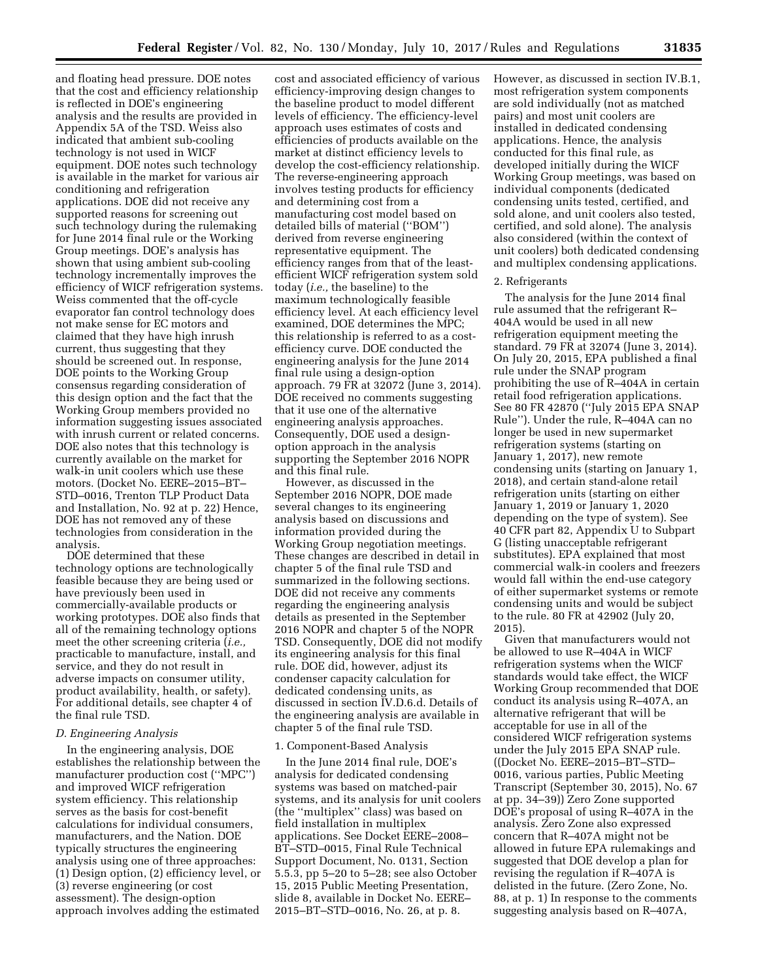and floating head pressure. DOE notes that the cost and efficiency relationship is reflected in DOE's engineering analysis and the results are provided in Appendix 5A of the TSD. Weiss also indicated that ambient sub-cooling technology is not used in WICF equipment. DOE notes such technology is available in the market for various air conditioning and refrigeration applications. DOE did not receive any supported reasons for screening out such technology during the rulemaking for June 2014 final rule or the Working Group meetings. DOE's analysis has shown that using ambient sub-cooling technology incrementally improves the efficiency of WICF refrigeration systems. Weiss commented that the off-cycle evaporator fan control technology does not make sense for EC motors and claimed that they have high inrush current, thus suggesting that they should be screened out. In response, DOE points to the Working Group consensus regarding consideration of this design option and the fact that the Working Group members provided no information suggesting issues associated with inrush current or related concerns. DOE also notes that this technology is currently available on the market for walk-in unit coolers which use these motors. (Docket No. EERE–2015–BT– STD–0016, Trenton TLP Product Data and Installation, No. 92 at p. 22) Hence, DOE has not removed any of these technologies from consideration in the analysis.

DOE determined that these technology options are technologically feasible because they are being used or have previously been used in commercially-available products or working prototypes. DOE also finds that all of the remaining technology options meet the other screening criteria (*i.e.,*  practicable to manufacture, install, and service, and they do not result in adverse impacts on consumer utility, product availability, health, or safety). For additional details, see chapter 4 of the final rule TSD.

### *D. Engineering Analysis*

In the engineering analysis, DOE establishes the relationship between the manufacturer production cost (''MPC'') and improved WICF refrigeration system efficiency. This relationship serves as the basis for cost-benefit calculations for individual consumers, manufacturers, and the Nation. DOE typically structures the engineering analysis using one of three approaches: (1) Design option, (2) efficiency level, or (3) reverse engineering (or cost assessment). The design-option approach involves adding the estimated

cost and associated efficiency of various efficiency-improving design changes to the baseline product to model different levels of efficiency. The efficiency-level approach uses estimates of costs and efficiencies of products available on the market at distinct efficiency levels to develop the cost-efficiency relationship. The reverse-engineering approach involves testing products for efficiency and determining cost from a manufacturing cost model based on detailed bills of material (''BOM'') derived from reverse engineering representative equipment. The efficiency ranges from that of the leastefficient WICF refrigeration system sold today (*i.e.,* the baseline) to the maximum technologically feasible efficiency level. At each efficiency level examined, DOE determines the MPC; this relationship is referred to as a costefficiency curve. DOE conducted the engineering analysis for the June 2014 final rule using a design-option approach. 79 FR at 32072 (June 3, 2014). DOE received no comments suggesting that it use one of the alternative engineering analysis approaches. Consequently, DOE used a designoption approach in the analysis supporting the September 2016 NOPR and this final rule.

However, as discussed in the September 2016 NOPR, DOE made several changes to its engineering analysis based on discussions and information provided during the Working Group negotiation meetings. These changes are described in detail in chapter 5 of the final rule TSD and summarized in the following sections. DOE did not receive any comments regarding the engineering analysis details as presented in the September 2016 NOPR and chapter 5 of the NOPR TSD. Consequently, DOE did not modify its engineering analysis for this final rule. DOE did, however, adjust its condenser capacity calculation for dedicated condensing units, as discussed in section IV.D.6.d. Details of the engineering analysis are available in chapter 5 of the final rule TSD.

## 1. Component-Based Analysis

In the June 2014 final rule, DOE's analysis for dedicated condensing systems was based on matched-pair systems, and its analysis for unit coolers (the ''multiplex'' class) was based on field installation in multiplex applications. See Docket EERE–2008– BT–STD–0015, Final Rule Technical Support Document, No. 0131, Section 5.5.3, pp 5–20 to 5–28; see also October 15, 2015 Public Meeting Presentation, slide 8, available in Docket No. EERE– 2015–BT–STD–0016, No. 26, at p. 8.

However, as discussed in section IV.B.1, most refrigeration system components are sold individually (not as matched pairs) and most unit coolers are installed in dedicated condensing applications. Hence, the analysis conducted for this final rule, as developed initially during the WICF Working Group meetings, was based on individual components (dedicated condensing units tested, certified, and sold alone, and unit coolers also tested, certified, and sold alone). The analysis also considered (within the context of unit coolers) both dedicated condensing and multiplex condensing applications.

## 2. Refrigerants

The analysis for the June 2014 final rule assumed that the refrigerant R– 404A would be used in all new refrigeration equipment meeting the standard. 79 FR at 32074 (June 3, 2014). On July 20, 2015, EPA published a final rule under the SNAP program prohibiting the use of R–404A in certain retail food refrigeration applications. See 80 FR 42870 (''July 2015 EPA SNAP Rule''). Under the rule, R–404A can no longer be used in new supermarket refrigeration systems (starting on January 1, 2017), new remote condensing units (starting on January 1, 2018), and certain stand-alone retail refrigeration units (starting on either January 1, 2019 or January 1, 2020 depending on the type of system). See 40 CFR part 82, Appendix U to Subpart G (listing unacceptable refrigerant substitutes). EPA explained that most commercial walk-in coolers and freezers would fall within the end-use category of either supermarket systems or remote condensing units and would be subject to the rule. 80 FR at 42902 (July 20, 2015).

Given that manufacturers would not be allowed to use R–404A in WICF refrigeration systems when the WICF standards would take effect, the WICF Working Group recommended that DOE conduct its analysis using R–407A, an alternative refrigerant that will be acceptable for use in all of the considered WICF refrigeration systems under the July 2015 EPA SNAP rule. ((Docket No. EERE–2015–BT–STD– 0016, various parties, Public Meeting Transcript (September 30, 2015), No. 67 at pp. 34–39)) Zero Zone supported DOE's proposal of using R–407A in the analysis. Zero Zone also expressed concern that R–407A might not be allowed in future EPA rulemakings and suggested that DOE develop a plan for revising the regulation if R–407A is delisted in the future. (Zero Zone, No. 88, at p. 1) In response to the comments suggesting analysis based on R–407A,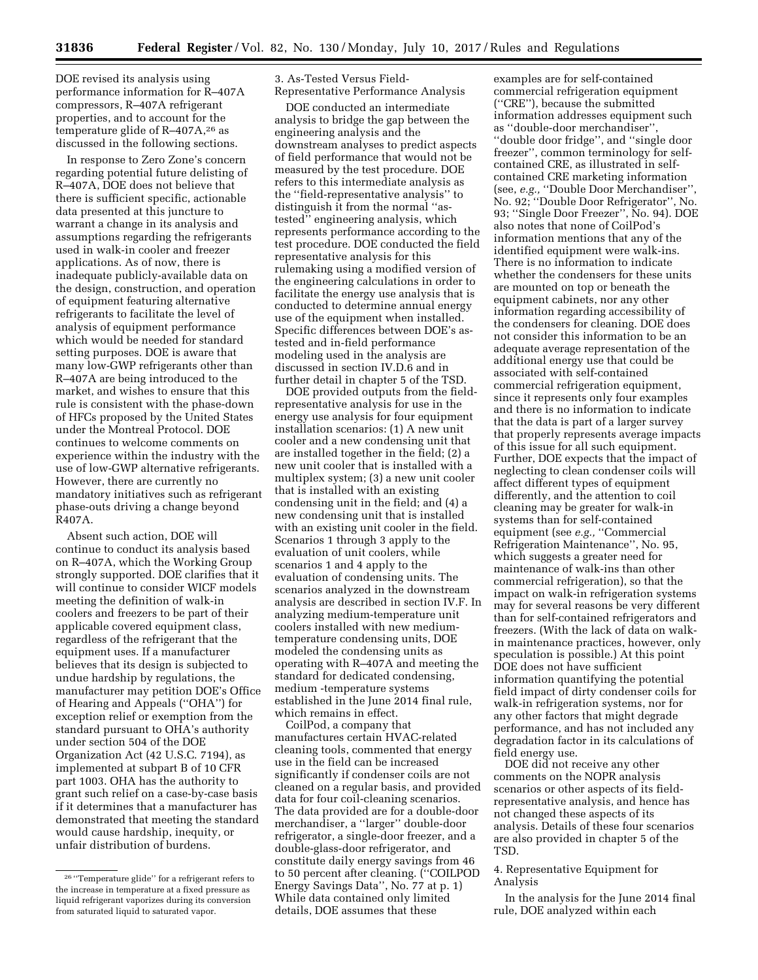DOE revised its analysis using performance information for R–407A compressors, R–407A refrigerant properties, and to account for the temperature glide of  $R-407A$ ,<sup>26</sup> as discussed in the following sections.

In response to Zero Zone's concern regarding potential future delisting of R–407A, DOE does not believe that there is sufficient specific, actionable data presented at this juncture to warrant a change in its analysis and assumptions regarding the refrigerants used in walk-in cooler and freezer applications. As of now, there is inadequate publicly-available data on the design, construction, and operation of equipment featuring alternative refrigerants to facilitate the level of analysis of equipment performance which would be needed for standard setting purposes. DOE is aware that many low-GWP refrigerants other than R–407A are being introduced to the market, and wishes to ensure that this rule is consistent with the phase-down of HFCs proposed by the United States under the Montreal Protocol. DOE continues to welcome comments on experience within the industry with the use of low-GWP alternative refrigerants. However, there are currently no mandatory initiatives such as refrigerant phase-outs driving a change beyond R407A.

Absent such action, DOE will continue to conduct its analysis based on R–407A, which the Working Group strongly supported. DOE clarifies that it will continue to consider WICF models meeting the definition of walk-in coolers and freezers to be part of their applicable covered equipment class, regardless of the refrigerant that the equipment uses. If a manufacturer believes that its design is subjected to undue hardship by regulations, the manufacturer may petition DOE's Office of Hearing and Appeals (''OHA'') for exception relief or exemption from the standard pursuant to OHA's authority under section 504 of the DOE Organization Act (42 U.S.C. 7194), as implemented at subpart B of 10 CFR part 1003. OHA has the authority to grant such relief on a case-by-case basis if it determines that a manufacturer has demonstrated that meeting the standard would cause hardship, inequity, or unfair distribution of burdens.

3. As-Tested Versus Field-Representative Performance Analysis

DOE conducted an intermediate analysis to bridge the gap between the engineering analysis and the downstream analyses to predict aspects of field performance that would not be measured by the test procedure. DOE refers to this intermediate analysis as the ''field-representative analysis'' to distinguish it from the normal ''astested'' engineering analysis, which represents performance according to the test procedure. DOE conducted the field representative analysis for this rulemaking using a modified version of the engineering calculations in order to facilitate the energy use analysis that is conducted to determine annual energy use of the equipment when installed. Specific differences between DOE's astested and in-field performance modeling used in the analysis are discussed in section IV.D.6 and in further detail in chapter 5 of the TSD.

DOE provided outputs from the fieldrepresentative analysis for use in the energy use analysis for four equipment installation scenarios: (1) A new unit cooler and a new condensing unit that are installed together in the field; (2) a new unit cooler that is installed with a multiplex system; (3) a new unit cooler that is installed with an existing condensing unit in the field; and (4) a new condensing unit that is installed with an existing unit cooler in the field. Scenarios 1 through 3 apply to the evaluation of unit coolers, while scenarios 1 and 4 apply to the evaluation of condensing units. The scenarios analyzed in the downstream analysis are described in section IV.F. In analyzing medium-temperature unit coolers installed with new mediumtemperature condensing units, DOE modeled the condensing units as operating with R–407A and meeting the standard for dedicated condensing, medium -temperature systems established in the June 2014 final rule, which remains in effect.

CoilPod, a company that manufactures certain HVAC-related cleaning tools, commented that energy use in the field can be increased significantly if condenser coils are not cleaned on a regular basis, and provided data for four coil-cleaning scenarios. The data provided are for a double-door merchandiser, a ''larger'' double-door refrigerator, a single-door freezer, and a double-glass-door refrigerator, and constitute daily energy savings from 46 to 50 percent after cleaning. (''COILPOD Energy Savings Data'', No. 77 at p. 1) While data contained only limited details, DOE assumes that these

examples are for self-contained commercial refrigeration equipment (''CRE''), because the submitted information addresses equipment such as ''double-door merchandiser'', ''double door fridge'', and ''single door freezer'', common terminology for selfcontained CRE, as illustrated in selfcontained CRE marketing information (see, *e.g.,* ''Double Door Merchandiser'', No. 92; ''Double Door Refrigerator'', No. 93; ''Single Door Freezer'', No. 94). DOE also notes that none of CoilPod's information mentions that any of the identified equipment were walk-ins. There is no information to indicate whether the condensers for these units are mounted on top or beneath the equipment cabinets, nor any other information regarding accessibility of the condensers for cleaning. DOE does not consider this information to be an adequate average representation of the additional energy use that could be associated with self-contained commercial refrigeration equipment, since it represents only four examples and there is no information to indicate that the data is part of a larger survey that properly represents average impacts of this issue for all such equipment. Further, DOE expects that the impact of neglecting to clean condenser coils will affect different types of equipment differently, and the attention to coil cleaning may be greater for walk-in systems than for self-contained equipment (see *e.g.,* ''Commercial Refrigeration Maintenance'', No. 95, which suggests a greater need for maintenance of walk-ins than other commercial refrigeration), so that the impact on walk-in refrigeration systems may for several reasons be very different than for self-contained refrigerators and freezers. (With the lack of data on walkin maintenance practices, however, only speculation is possible.) At this point DOE does not have sufficient information quantifying the potential field impact of dirty condenser coils for walk-in refrigeration systems, nor for any other factors that might degrade performance, and has not included any degradation factor in its calculations of field energy use.

DOE did not receive any other comments on the NOPR analysis scenarios or other aspects of its fieldrepresentative analysis, and hence has not changed these aspects of its analysis. Details of these four scenarios are also provided in chapter 5 of the TSD.

# 4. Representative Equipment for Analysis

In the analysis for the June 2014 final rule, DOE analyzed within each

<sup>26</sup> ''Temperature glide'' for a refrigerant refers to the increase in temperature at a fixed pressure as liquid refrigerant vaporizes during its conversion from saturated liquid to saturated vapor.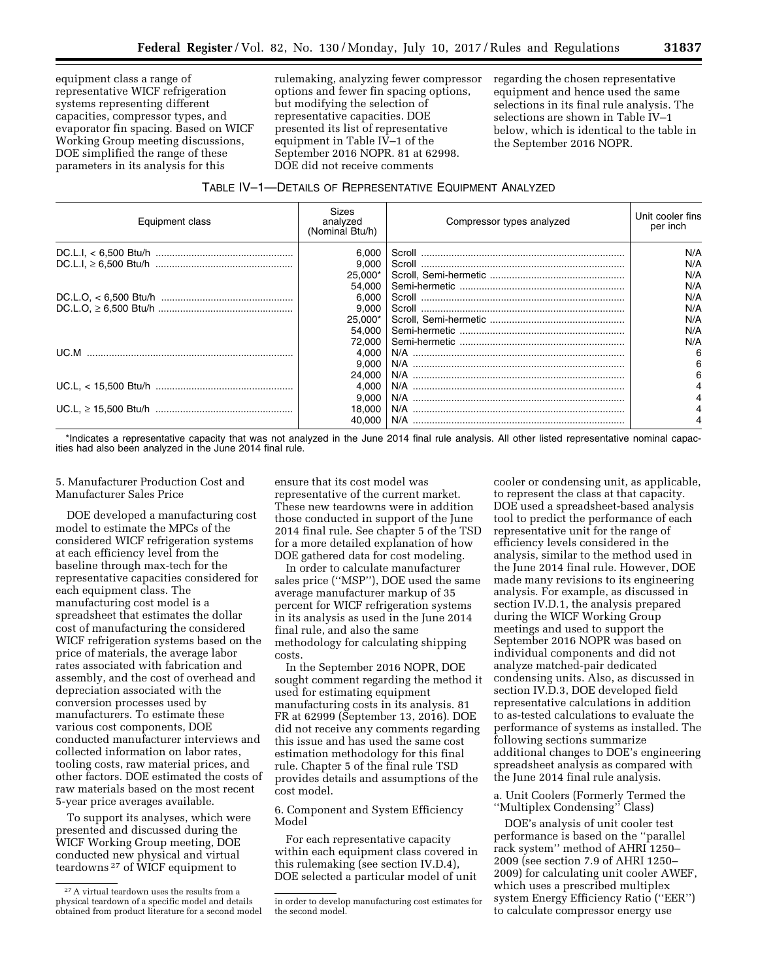equipment class a range of representative WICF refrigeration systems representing different capacities, compressor types, and evaporator fin spacing. Based on WICF Working Group meeting discussions, DOE simplified the range of these parameters in its analysis for this

rulemaking, analyzing fewer compressor options and fewer fin spacing options, but modifying the selection of representative capacities. DOE presented its list of representative equipment in Table IV–1 of the September 2016 NOPR. 81 at 62998. DOE did not receive comments

regarding the chosen representative equipment and hence used the same selections in its final rule analysis. The selections are shown in Table IV–1 below, which is identical to the table in the September 2016 NOPR.

| TABLE IV-1-DETAILS OF REPRESENTATIVE EQUIPMENT ANALYZED |
|---------------------------------------------------------|
|---------------------------------------------------------|

| Equipment class | Sizes<br>analyzed<br>(Nominal Btu/h) | Compressor types analyzed | Unit cooler fins<br>per inch |
|-----------------|--------------------------------------|---------------------------|------------------------------|
|                 | 6.000                                |                           | N/A                          |
|                 | 9.000                                |                           | N/A                          |
|                 | 25.000*                              |                           | N/A                          |
|                 | 54.000                               |                           | N/A                          |
|                 | 6.000                                |                           | N/A                          |
|                 | 9,000                                |                           | N/A                          |
|                 | 25.000*                              |                           | N/A                          |
|                 | 54.000                               |                           | N/A                          |
|                 | 72.000                               |                           | N/A                          |
|                 | 4.000                                |                           | 6                            |
|                 | 9.000                                |                           | 6                            |
|                 | 24.000                               |                           |                              |
|                 | 4.000                                |                           |                              |
|                 | 9.000                                |                           |                              |
|                 | 18,000                               |                           |                              |
|                 | 40.000                               |                           |                              |

\*Indicates a representative capacity that was not analyzed in the June 2014 final rule analysis. All other listed representative nominal capacities had also been analyzed in the June 2014 final rule.

5. Manufacturer Production Cost and Manufacturer Sales Price

DOE developed a manufacturing cost model to estimate the MPCs of the considered WICF refrigeration systems at each efficiency level from the baseline through max-tech for the representative capacities considered for each equipment class. The manufacturing cost model is a spreadsheet that estimates the dollar cost of manufacturing the considered WICF refrigeration systems based on the price of materials, the average labor rates associated with fabrication and assembly, and the cost of overhead and depreciation associated with the conversion processes used by manufacturers. To estimate these various cost components, DOE conducted manufacturer interviews and collected information on labor rates, tooling costs, raw material prices, and other factors. DOE estimated the costs of raw materials based on the most recent 5-year price averages available.

To support its analyses, which were presented and discussed during the WICF Working Group meeting, DOE conducted new physical and virtual teardowns 27 of WICF equipment to

ensure that its cost model was representative of the current market. These new teardowns were in addition those conducted in support of the June 2014 final rule. See chapter 5 of the TSD for a more detailed explanation of how DOE gathered data for cost modeling.

In order to calculate manufacturer sales price (''MSP''), DOE used the same average manufacturer markup of 35 percent for WICF refrigeration systems in its analysis as used in the June 2014 final rule, and also the same methodology for calculating shipping costs.

In the September 2016 NOPR, DOE sought comment regarding the method it used for estimating equipment manufacturing costs in its analysis. 81 FR at 62999 (September 13, 2016). DOE did not receive any comments regarding this issue and has used the same cost estimation methodology for this final rule. Chapter 5 of the final rule TSD provides details and assumptions of the cost model.

6. Component and System Efficiency Model

For each representative capacity within each equipment class covered in this rulemaking (see section IV.D.4), DOE selected a particular model of unit

cooler or condensing unit, as applicable, to represent the class at that capacity. DOE used a spreadsheet-based analysis tool to predict the performance of each representative unit for the range of efficiency levels considered in the analysis, similar to the method used in the June 2014 final rule. However, DOE made many revisions to its engineering analysis. For example, as discussed in section IV.D.1, the analysis prepared during the WICF Working Group meetings and used to support the September 2016 NOPR was based on individual components and did not analyze matched-pair dedicated condensing units. Also, as discussed in section IV.D.3, DOE developed field representative calculations in addition to as-tested calculations to evaluate the performance of systems as installed. The following sections summarize additional changes to DOE's engineering spreadsheet analysis as compared with the June 2014 final rule analysis.

a. Unit Coolers (Formerly Termed the ''Multiplex Condensing'' Class)

DOE's analysis of unit cooler test performance is based on the ''parallel rack system'' method of AHRI 1250– 2009 (see section 7.9 of AHRI 1250– 2009) for calculating unit cooler AWEF, which uses a prescribed multiplex system Energy Efficiency Ratio (''EER'') to calculate compressor energy use

<sup>27</sup>A virtual teardown uses the results from a physical teardown of a specific model and details obtained from product literature for a second model

in order to develop manufacturing cost estimates for the second model.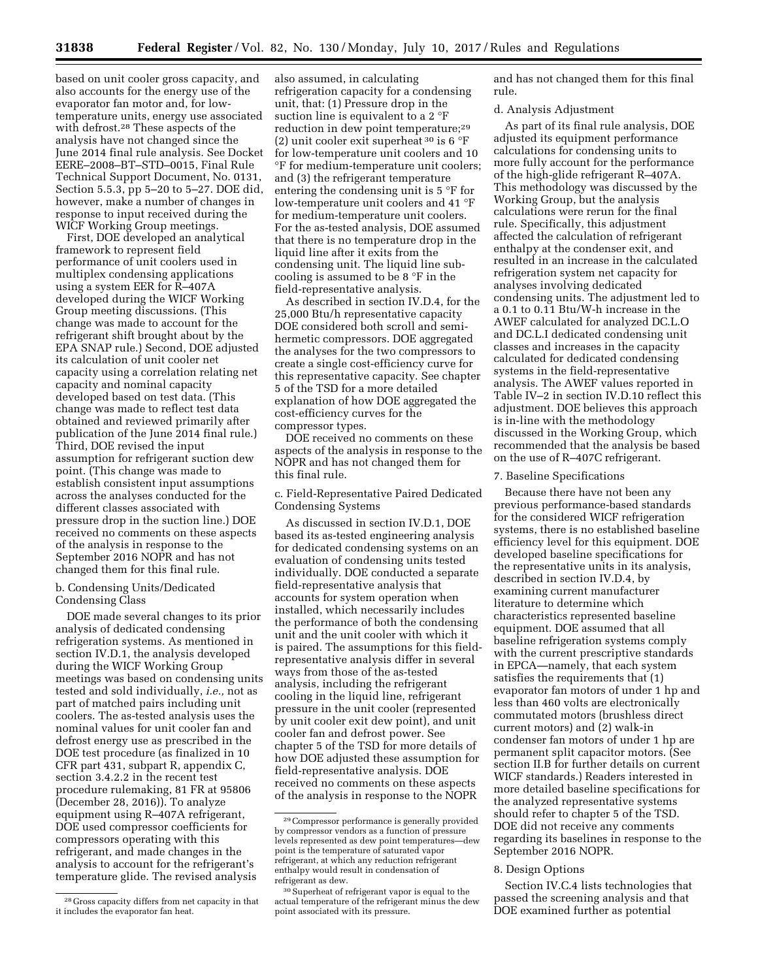based on unit cooler gross capacity, and also accounts for the energy use of the evaporator fan motor and, for lowtemperature units, energy use associated with defrost.28 These aspects of the analysis have not changed since the June 2014 final rule analysis. See Docket EERE–2008–BT–STD–0015, Final Rule Technical Support Document, No. 0131, Section 5.5.3, pp 5–20 to 5–27. DOE did, however, make a number of changes in response to input received during the WICF Working Group meetings.

First, DOE developed an analytical framework to represent field performance of unit coolers used in multiplex condensing applications using a system EER for R–407A developed during the WICF Working Group meeting discussions. (This change was made to account for the refrigerant shift brought about by the EPA SNAP rule.) Second, DOE adjusted its calculation of unit cooler net capacity using a correlation relating net capacity and nominal capacity developed based on test data. (This change was made to reflect test data obtained and reviewed primarily after publication of the June 2014 final rule.) Third, DOE revised the input assumption for refrigerant suction dew point. (This change was made to establish consistent input assumptions across the analyses conducted for the different classes associated with pressure drop in the suction line.) DOE received no comments on these aspects of the analysis in response to the September 2016 NOPR and has not changed them for this final rule.

## b. Condensing Units/Dedicated Condensing Class

DOE made several changes to its prior analysis of dedicated condensing refrigeration systems. As mentioned in section IV.D.1, the analysis developed during the WICF Working Group meetings was based on condensing units tested and sold individually, *i.e.,* not as part of matched pairs including unit coolers. The as-tested analysis uses the nominal values for unit cooler fan and defrost energy use as prescribed in the DOE test procedure (as finalized in 10 CFR part 431, subpart R, appendix C, section 3.4.2.2 in the recent test procedure rulemaking, 81 FR at 95806 (December 28, 2016)). To analyze equipment using R–407A refrigerant, DOE used compressor coefficients for compressors operating with this refrigerant, and made changes in the analysis to account for the refrigerant's temperature glide. The revised analysis

also assumed, in calculating refrigeration capacity for a condensing unit, that: (1) Pressure drop in the suction line is equivalent to a 2 °F reduction in dew point temperature;29 (2) unit cooler exit superheat 30 is 6 °F for low-temperature unit coolers and 10 °F for medium-temperature unit coolers; and (3) the refrigerant temperature entering the condensing unit is 5 °F for low-temperature unit coolers and 41 °F for medium-temperature unit coolers. For the as-tested analysis, DOE assumed that there is no temperature drop in the liquid line after it exits from the condensing unit. The liquid line subcooling is assumed to be 8 °F in the field-representative analysis.

As described in section IV.D.4, for the 25,000 Btu/h representative capacity DOE considered both scroll and semihermetic compressors. DOE aggregated the analyses for the two compressors to create a single cost-efficiency curve for this representative capacity. See chapter 5 of the TSD for a more detailed explanation of how DOE aggregated the cost-efficiency curves for the compressor types.

DOE received no comments on these aspects of the analysis in response to the NOPR and has not changed them for this final rule.

c. Field-Representative Paired Dedicated Condensing Systems

As discussed in section IV.D.1, DOE based its as-tested engineering analysis for dedicated condensing systems on an evaluation of condensing units tested individually. DOE conducted a separate field-representative analysis that accounts for system operation when installed, which necessarily includes the performance of both the condensing unit and the unit cooler with which it is paired. The assumptions for this fieldrepresentative analysis differ in several ways from those of the as-tested analysis, including the refrigerant cooling in the liquid line, refrigerant pressure in the unit cooler (represented by unit cooler exit dew point), and unit cooler fan and defrost power. See chapter 5 of the TSD for more details of how DOE adjusted these assumption for field-representative analysis. DOE received no comments on these aspects of the analysis in response to the NOPR

and has not changed them for this final rule.

### d. Analysis Adjustment

As part of its final rule analysis, DOE adjusted its equipment performance calculations for condensing units to more fully account for the performance of the high-glide refrigerant R–407A. This methodology was discussed by the Working Group, but the analysis calculations were rerun for the final rule. Specifically, this adjustment affected the calculation of refrigerant enthalpy at the condenser exit, and resulted in an increase in the calculated refrigeration system net capacity for analyses involving dedicated condensing units. The adjustment led to a 0.1 to 0.11 Btu/W-h increase in the AWEF calculated for analyzed DC.L.O and DC.L.I dedicated condensing unit classes and increases in the capacity calculated for dedicated condensing systems in the field-representative analysis. The AWEF values reported in Table IV–2 in section IV.D.10 reflect this adjustment. DOE believes this approach is in-line with the methodology discussed in the Working Group, which recommended that the analysis be based on the use of R–407C refrigerant.

### 7. Baseline Specifications

Because there have not been any previous performance-based standards for the considered WICF refrigeration systems, there is no established baseline efficiency level for this equipment. DOE developed baseline specifications for the representative units in its analysis, described in section IV.D.4, by examining current manufacturer literature to determine which characteristics represented baseline equipment. DOE assumed that all baseline refrigeration systems comply with the current prescriptive standards in EPCA—namely, that each system satisfies the requirements that (1) evaporator fan motors of under 1 hp and less than 460 volts are electronically commutated motors (brushless direct current motors) and (2) walk-in condenser fan motors of under 1 hp are permanent split capacitor motors. (See section II.B for further details on current WICF standards.) Readers interested in more detailed baseline specifications for the analyzed representative systems should refer to chapter 5 of the TSD. DOE did not receive any comments regarding its baselines in response to the September 2016 NOPR.

### 8. Design Options

Section IV.C.4 lists technologies that passed the screening analysis and that DOE examined further as potential

<sup>28</sup> Gross capacity differs from net capacity in that it includes the evaporator fan heat.

<sup>29</sup>Compressor performance is generally provided by compressor vendors as a function of pressure levels represented as dew point temperatures—dew point is the temperature of saturated vapor refrigerant, at which any reduction refrigerant enthalpy would result in condensation of refrigerant as dew.

<sup>&</sup>lt;sup>30</sup> Superheat of refrigerant vapor is equal to the actual temperature of the refrigerant minus the dew point associated with its pressure.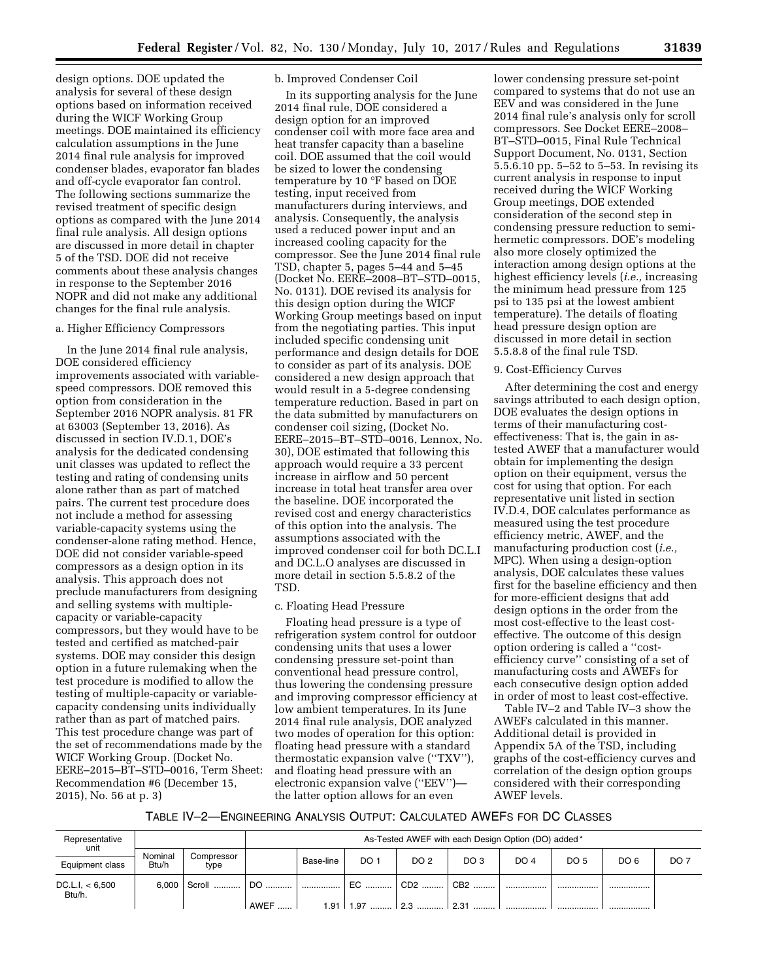design options. DOE updated the analysis for several of these design options based on information received during the WICF Working Group meetings. DOE maintained its efficiency calculation assumptions in the June 2014 final rule analysis for improved condenser blades, evaporator fan blades and off-cycle evaporator fan control. The following sections summarize the revised treatment of specific design options as compared with the June 2014 final rule analysis. All design options are discussed in more detail in chapter 5 of the TSD. DOE did not receive comments about these analysis changes in response to the September 2016 NOPR and did not make any additional changes for the final rule analysis.

### a. Higher Efficiency Compressors

In the June 2014 final rule analysis, DOE considered efficiency improvements associated with variablespeed compressors. DOE removed this option from consideration in the September 2016 NOPR analysis. 81 FR at 63003 (September 13, 2016). As discussed in section IV.D.1, DOE's analysis for the dedicated condensing unit classes was updated to reflect the testing and rating of condensing units alone rather than as part of matched pairs. The current test procedure does not include a method for assessing variable-capacity systems using the condenser-alone rating method. Hence, DOE did not consider variable-speed compressors as a design option in its analysis. This approach does not preclude manufacturers from designing and selling systems with multiplecapacity or variable-capacity compressors, but they would have to be tested and certified as matched-pair systems. DOE may consider this design option in a future rulemaking when the test procedure is modified to allow the testing of multiple-capacity or variablecapacity condensing units individually rather than as part of matched pairs. This test procedure change was part of the set of recommendations made by the WICF Working Group. (Docket No. EERE–2015–BT–STD–0016, Term Sheet: Recommendation #6 (December 15, 2015), No. 56 at p. 3)

## b. Improved Condenser Coil

In its supporting analysis for the June 2014 final rule, DOE considered a design option for an improved condenser coil with more face area and heat transfer capacity than a baseline coil. DOE assumed that the coil would be sized to lower the condensing temperature by 10 °F based on DOE testing, input received from manufacturers during interviews, and analysis. Consequently, the analysis used a reduced power input and an increased cooling capacity for the compressor. See the June 2014 final rule TSD, chapter 5, pages 5–44 and 5–45 (Docket No. EERE–2008–BT–STD–0015, No. 0131). DOE revised its analysis for this design option during the WICF Working Group meetings based on input from the negotiating parties. This input included specific condensing unit performance and design details for DOE to consider as part of its analysis. DOE considered a new design approach that would result in a 5-degree condensing temperature reduction. Based in part on the data submitted by manufacturers on condenser coil sizing, (Docket No. EERE–2015–BT–STD–0016, Lennox, No. 30), DOE estimated that following this approach would require a 33 percent increase in airflow and 50 percent increase in total heat transfer area over the baseline. DOE incorporated the revised cost and energy characteristics of this option into the analysis. The assumptions associated with the improved condenser coil for both DC.L.I and DC.L.O analyses are discussed in more detail in section 5.5.8.2 of the TSD.

### c. Floating Head Pressure

Floating head pressure is a type of refrigeration system control for outdoor condensing units that uses a lower condensing pressure set-point than conventional head pressure control, thus lowering the condensing pressure and improving compressor efficiency at low ambient temperatures. In its June 2014 final rule analysis, DOE analyzed two modes of operation for this option: floating head pressure with a standard thermostatic expansion valve (''TXV''), and floating head pressure with an electronic expansion valve (''EEV'') the latter option allows for an even

lower condensing pressure set-point compared to systems that do not use an EEV and was considered in the June 2014 final rule's analysis only for scroll compressors. See Docket EERE–2008– BT–STD–0015, Final Rule Technical Support Document, No. 0131, Section 5.5.6.10 pp. 5–52 to 5–53. In revising its current analysis in response to input received during the WICF Working Group meetings, DOE extended consideration of the second step in condensing pressure reduction to semihermetic compressors. DOE's modeling also more closely optimized the interaction among design options at the highest efficiency levels (*i.e.,* increasing the minimum head pressure from 125 psi to 135 psi at the lowest ambient temperature). The details of floating head pressure design option are discussed in more detail in section 5.5.8.8 of the final rule TSD.

### 9. Cost-Efficiency Curves

After determining the cost and energy savings attributed to each design option, DOE evaluates the design options in terms of their manufacturing costeffectiveness: That is, the gain in astested AWEF that a manufacturer would obtain for implementing the design option on their equipment, versus the cost for using that option. For each representative unit listed in section IV.D.4, DOE calculates performance as measured using the test procedure efficiency metric, AWEF, and the manufacturing production cost (*i.e.,*  MPC). When using a design-option analysis, DOE calculates these values first for the baseline efficiency and then for more-efficient designs that add design options in the order from the most cost-effective to the least costeffective. The outcome of this design option ordering is called a ''costefficiency curve'' consisting of a set of manufacturing costs and AWEFs for each consecutive design option added in order of most to least cost-effective.

Table IV–2 and Table IV–3 show the AWEFs calculated in this manner. Additional detail is provided in Appendix 5A of the TSD, including graphs of the cost-efficiency curves and correlation of the design option groups considered with their corresponding AWEF levels.

### TABLE IV–2—ENGINEERING ANALYSIS OUTPUT: CALCULATED AWEFS FOR DC CLASSES

| Representative<br>unit    |                  |                    |             | As-Tested AWEF with each Design Option (DO) added* |      |                 |                 |             |             |                 |                 |
|---------------------------|------------------|--------------------|-------------|----------------------------------------------------|------|-----------------|-----------------|-------------|-------------|-----------------|-----------------|
| Equipment class           | Nominal<br>Btu/h | Compressor<br>type |             | Base-line                                          | DO 1 | DO <sub>2</sub> | DO <sub>3</sub> | <b>DO 4</b> | <b>DO 5</b> | DO <sub>6</sub> | DO <sub>7</sub> |
| DC.L.l. < 6,500<br>Btu/h. | 6.000            | Scroll             | DO.         |                                                    | EC.  | CD <sub>2</sub> | CB <sub>2</sub> |             |             |                 |                 |
|                           |                  |                    | <b>AWEF</b> | 1.91                                               | 1.97 | ററ              | ົດ ລ+           |             |             |                 |                 |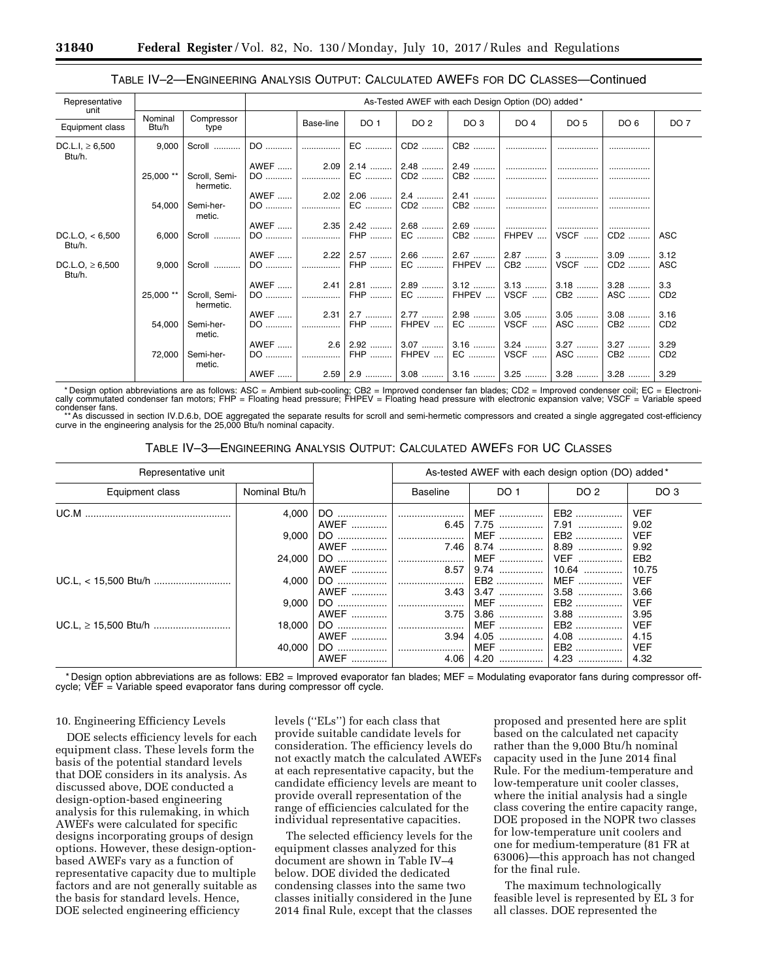# TABLE IV–2—ENGINEERING ANALYSIS OUTPUT: CALCULATED AWEFS FOR DC CLASSES—Continued

| Representative                 |                  |                            |             | As-Tested AWEF with each Design Option (DO) added* |                                                                               |                 |                 |        |                 |                 |                 |
|--------------------------------|------------------|----------------------------|-------------|----------------------------------------------------|-------------------------------------------------------------------------------|-----------------|-----------------|--------|-----------------|-----------------|-----------------|
| unit<br>Equipment class        | Nominal<br>Btu/h | Compressor<br>type         |             | Base-line                                          | DO <sub>1</sub>                                                               | DO <sub>2</sub> | DO <sub>3</sub> | DO 4   | DO <sub>5</sub> | DO 6            | DO <sub>7</sub> |
| DC.L.I, $\geq 6,500$<br>Btu/h. | 9,000            | Scroll                     | DO          |                                                    | EC                                                                            | CD2             | CB2             |        |                 |                 |                 |
|                                |                  |                            | AWEF        | 2.09                                               | │ 2.14 ……… │                                                                  | 2.48            | 2.49            |        |                 |                 |                 |
|                                | 25,000 **        | Scroll, Semi-<br>hermetic. | DO          | .                                                  | EC                                                                            | CD2             | CB2             |        |                 |                 |                 |
|                                |                  |                            | AWEF        |                                                    | $2.02$   2.06    2.4    2.41                                                  |                 |                 | .      |                 |                 |                 |
|                                | 54,000           | Semi-her-<br>metic.        | DO          |                                                    | EC                                                                            | CD2             | CB2             |        |                 |                 |                 |
|                                |                  |                            | AWEF        |                                                    | $2.35 \mid 2.42 \dots$                                                        | $2.68$          | $2.69$          | .      | .               | .               |                 |
| DC.L.O. < 6,500<br>Btu/h.      | 6,000            | Scroll                     | DO          |                                                    | FHP                                                                           | EC              | CB2             | FHPEV  | VSCF            | CD2             | ASC             |
|                                |                  |                            | AWEF        |                                                    | $2.22$   2.57                                                                 | 2.66            |                 |        |                 | $3.09$          | 3.12            |
| DC.L.O, $\geq 6,500$<br>Btu/h. | 9,000            | Scroll                     | DO          | .                                                  | FHP                                                                           | EC              | FHPEV $\dots$   | CB2    | VSCF            | CD <sub>2</sub> | <b>ASC</b>      |
|                                |                  |                            | AWEF        | 2.41                                               | 2.81                                                                          | $2.89$          | $3.12$          | $3.13$ | $3.18$          | $3.28$          | 3.3             |
|                                | 25,000 **        | Scroll, Semi-<br>hermetic. | DO          | .                                                  | FHP                                                                           | EC              | FHPEV           | VSCF   | CB2             | ASC             | CD <sub>2</sub> |
|                                |                  |                            | <b>AWEF</b> | 2.31                                               |                                                                               | $2.77$          | $2.98$          | $3.05$ | $3.05$          | $3.08$          | 3.16            |
|                                | 54,000           | Semi-her-<br>metic.        | DO          |                                                    | FHP                                                                           | FHPEV           | EC              | VSCF   | ASC             | CB2             | CD <sub>2</sub> |
|                                |                  |                            | <b>AWEF</b> | 2.6                                                | 2.92                                                                          | $3.07$          | $3.16$          | $3.24$ | $3.27$          | $3.27$          | 3.29            |
|                                | 72,000           | Semi-her-<br>metic.        | DO          | .                                                  | FHP                                                                           | FHPEV           | EC              | VSCF   | ASC             | CB2             | CD <sub>2</sub> |
|                                |                  |                            | AWEF        |                                                    | $2.59$ $\mid$ 2.9 $\mid$ 3.08 $\mid$ 3.16 $\mid$ 3.25 $\mid$ 3.28 $\mid$ 3.28 |                 |                 |        |                 |                 | 3.29            |

-Design option abbreviations are as follows: ASC = Ambient sub-cooling; CB2 = Improved condenser fan blades; CD2 = Improved condenser coil; EC = Electroni "ك Design option abbreviations are as follows: ASC = Ambient sub-co

condenser fans.<br>\*\*As discussed in section IV.D.6.b, DOE aggregated the separate results for scroll and semi-hermetic compressors and created a single aggregated cost-efficiency<br>curve in the engineering analysis for the 25,

TABLE IV–3—ENGINEERING ANALYSIS OUTPUT: CALCULATED AWEFS FOR UC CLASSES

| Representative unit |               | As-tested AWEF with each design option (DO) added * |          |                        |                       |                          |
|---------------------|---------------|-----------------------------------------------------|----------|------------------------|-----------------------|--------------------------|
| Equipment class     | Nominal Btu/h |                                                     | Baseline | DO 1                   | DO 2                  | DO 3                     |
|                     | 4.000         | AWEF                                                | 6.45     | MEF    EB2<br>7.75     | 7.91                  | <b>VEF</b><br>9.02       |
|                     | 9.000         |                                                     |          | MEF   <br>7.46   8.74  | EB2<br>$8.89$         | <b>VEF</b><br>9.92       |
|                     | 24.000        | AWEF                                                | $8.57$   | 9.74                   | <b>VEF</b><br>$10.64$ | EB <sub>2</sub><br>10.75 |
|                     | 4.000         | AWEF                                                |          | $3.43 \mid 3.47 \dots$ | MEF<br>$3.58$         | <b>VEF</b><br>3.66       |
|                     | 9.000         | AWEF                                                | 3.75     | MEF   <br>$3.86$       | EB2<br>$3.88$         | <b>VEF</b><br>3.95       |
|                     | 18.000        | AWEF                                                | 3.94     | MEF   <br>$4.05$       | EB2<br>$4.08$         | <b>VEF</b><br>4.15       |
|                     | 40.000        | AWEF                                                | 4.06     |                        | EB2<br>$4.23$         | <b>VEF</b><br>4.32       |

\* Design option abbreviations are as follows: EB2 = Improved evaporator fan blades; MEF = Modulating evaporator fans during compressor offcycle; VEF = Variable speed evaporator fans during compressor off cycle.

### 10. Engineering Efficiency Levels

DOE selects efficiency levels for each equipment class. These levels form the basis of the potential standard levels that DOE considers in its analysis. As discussed above, DOE conducted a design-option-based engineering analysis for this rulemaking, in which AWEFs were calculated for specific designs incorporating groups of design options. However, these design-optionbased AWEFs vary as a function of representative capacity due to multiple factors and are not generally suitable as the basis for standard levels. Hence, DOE selected engineering efficiency

levels (''ELs'') for each class that provide suitable candidate levels for consideration. The efficiency levels do not exactly match the calculated AWEFs at each representative capacity, but the candidate efficiency levels are meant to provide overall representation of the range of efficiencies calculated for the individual representative capacities.

The selected efficiency levels for the equipment classes analyzed for this document are shown in Table IV–4 below. DOE divided the dedicated condensing classes into the same two classes initially considered in the June 2014 final Rule, except that the classes

proposed and presented here are split based on the calculated net capacity rather than the 9,000 Btu/h nominal capacity used in the June 2014 final Rule. For the medium-temperature and low-temperature unit cooler classes, where the initial analysis had a single class covering the entire capacity range, DOE proposed in the NOPR two classes for low-temperature unit coolers and one for medium-temperature (81 FR at 63006)—this approach has not changed for the final rule.

The maximum technologically feasible level is represented by EL 3 for all classes. DOE represented the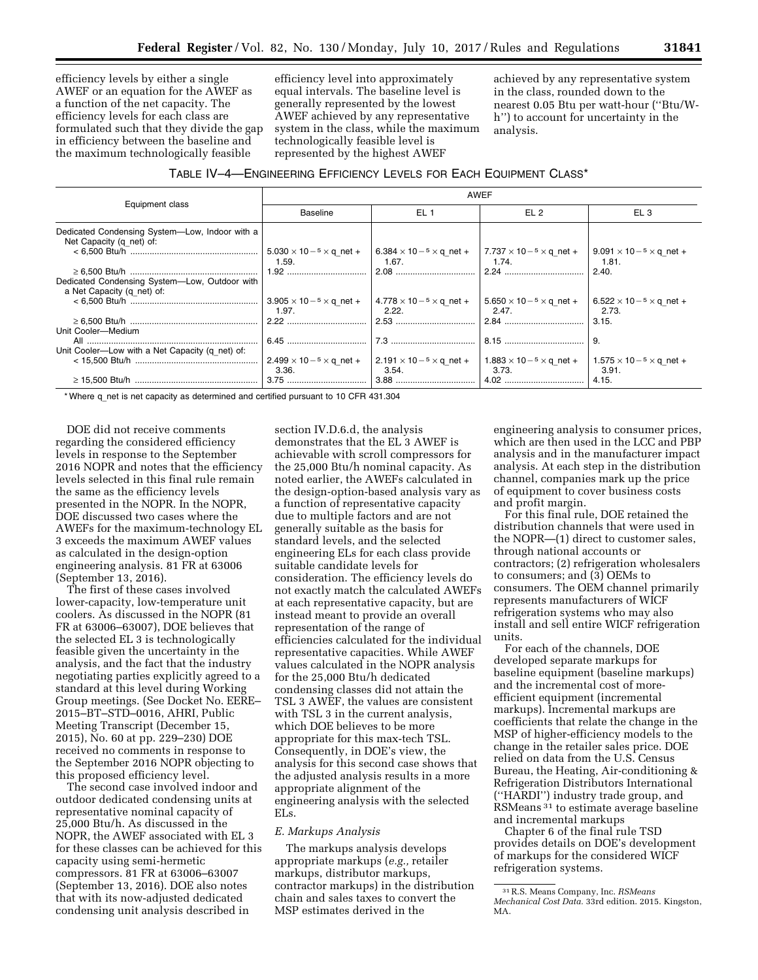efficiency levels by either a single AWEF or an equation for the AWEF as a function of the net capacity. The efficiency levels for each class are formulated such that they divide the gap in efficiency between the baseline and the maximum technologically feasible

efficiency level into approximately equal intervals. The baseline level is generally represented by the lowest AWEF achieved by any representative system in the class, while the maximum technologically feasible level is represented by the highest AWEF

achieved by any representative system in the class, rounded down to the nearest 0.05 Btu per watt-hour (''Btu/Wh'') to account for uncertainty in the analysis.

| TABLE IV-4-ENGINEERING EFFICIENCY LEVELS FOR EACH EQUIPMENT CLASS* |  |
|--------------------------------------------------------------------|--|
|--------------------------------------------------------------------|--|

|                                                                            | <b>AWEF</b>                                    |                                                                                                                                              |                 |                                       |  |  |  |  |
|----------------------------------------------------------------------------|------------------------------------------------|----------------------------------------------------------------------------------------------------------------------------------------------|-----------------|---------------------------------------|--|--|--|--|
| Equipment class                                                            | <b>Baseline</b>                                | EL <sub>1</sub>                                                                                                                              | EL <sub>2</sub> | EL <sub>3</sub>                       |  |  |  |  |
| Dedicated Condensing System-Low, Indoor with a<br>Net Capacity (q net) of: | $5.030 \times 10^{-5} \times q$ net +          | $\vert 6.384 \times 10^{-5} \times q$ net + $\vert 7.737 \times 10^{-5} \times q$ net +                                                      |                 | $9.091 \times 10^{-5} \times q$ net + |  |  |  |  |
| Dedicated Condensing System-Low, Outdoor with                              | 1.59.                                          |                                                                                                                                              | 1.74.           | 1.81.<br>2.40.                        |  |  |  |  |
| a Net Capacity (q_net) of:                                                 | $3.905 \times 10^{-5} \times q$ net +<br>1.97. | $14.778 \times 10^{-5} \times q$ net + $15.650 \times 10^{-5} \times q$ net + $16.522 \times 10^{-5} \times q$ net +<br>2.22.                | 2.47.           | 2.73.                                 |  |  |  |  |
| Unit Cooler-Medium                                                         |                                                |                                                                                                                                              |                 | 13.15.                                |  |  |  |  |
| Unit Cooler-Low with a Net Capacity (q net) of:                            |                                                |                                                                                                                                              |                 | 9                                     |  |  |  |  |
|                                                                            | $2.499 \times 10^{-5} \times q$ net +<br>3.36. | $\vert 2.191 \times 10^{-5} \times q$ net + $\vert 1.883 \times 10^{-5} \times q$ net + $\vert 1.575 \times 10^{-5} \times q$ net +<br>3.54. | 3.73.           | - 3.91.<br>4.15.                      |  |  |  |  |

\* Where q\_net is net capacity as determined and certified pursuant to 10 CFR 431.304

DOE did not receive comments regarding the considered efficiency levels in response to the September 2016 NOPR and notes that the efficiency levels selected in this final rule remain the same as the efficiency levels presented in the NOPR. In the NOPR, DOE discussed two cases where the AWEFs for the maximum-technology EL 3 exceeds the maximum AWEF values as calculated in the design-option engineering analysis. 81 FR at 63006 (September 13, 2016).

The first of these cases involved lower-capacity, low-temperature unit coolers. As discussed in the NOPR (81 FR at 63006–63007), DOE believes that the selected EL 3 is technologically feasible given the uncertainty in the analysis, and the fact that the industry negotiating parties explicitly agreed to a standard at this level during Working Group meetings. (See Docket No. EERE– 2015–BT–STD–0016, AHRI, Public Meeting Transcript (December 15, 2015), No. 60 at pp. 229–230) DOE received no comments in response to the September 2016 NOPR objecting to this proposed efficiency level.

The second case involved indoor and outdoor dedicated condensing units at representative nominal capacity of 25,000 Btu/h. As discussed in the NOPR, the AWEF associated with EL 3 for these classes can be achieved for this capacity using semi-hermetic compressors. 81 FR at 63006–63007 (September 13, 2016). DOE also notes that with its now-adjusted dedicated condensing unit analysis described in

section IV.D.6.d, the analysis demonstrates that the EL 3 AWEF is achievable with scroll compressors for the 25,000 Btu/h nominal capacity. As noted earlier, the AWEFs calculated in the design-option-based analysis vary as a function of representative capacity due to multiple factors and are not generally suitable as the basis for standard levels, and the selected engineering ELs for each class provide suitable candidate levels for consideration. The efficiency levels do not exactly match the calculated AWEFs at each representative capacity, but are instead meant to provide an overall representation of the range of efficiencies calculated for the individual representative capacities. While AWEF values calculated in the NOPR analysis for the 25,000 Btu/h dedicated condensing classes did not attain the TSL 3 AWEF, the values are consistent with TSL 3 in the current analysis, which DOE believes to be more appropriate for this max-tech TSL. Consequently, in DOE's view, the analysis for this second case shows that the adjusted analysis results in a more appropriate alignment of the engineering analysis with the selected ELs.

### *E. Markups Analysis*

The markups analysis develops appropriate markups (*e.g.,* retailer markups, distributor markups, contractor markups) in the distribution chain and sales taxes to convert the MSP estimates derived in the

engineering analysis to consumer prices, which are then used in the LCC and PBP analysis and in the manufacturer impact analysis. At each step in the distribution channel, companies mark up the price of equipment to cover business costs and profit margin.

For this final rule, DOE retained the distribution channels that were used in the NOPR—(1) direct to customer sales, through national accounts or contractors; (2) refrigeration wholesalers to consumers; and (3) OEMs to consumers. The OEM channel primarily represents manufacturers of WICF refrigeration systems who may also install and sell entire WICF refrigeration units.

For each of the channels, DOE developed separate markups for baseline equipment (baseline markups) and the incremental cost of moreefficient equipment (incremental markups). Incremental markups are coefficients that relate the change in the MSP of higher-efficiency models to the change in the retailer sales price. DOE relied on data from the U.S. Census Bureau, the Heating, Air-conditioning & Refrigeration Distributors International (''HARDI'') industry trade group, and RSMeans 31 to estimate average baseline and incremental markups

Chapter 6 of the final rule TSD provides details on DOE's development of markups for the considered WICF refrigeration systems.

<sup>31</sup>R.S. Means Company, Inc. *RSMeans Mechanical Cost Data.* 33rd edition. 2015. Kingston, MA.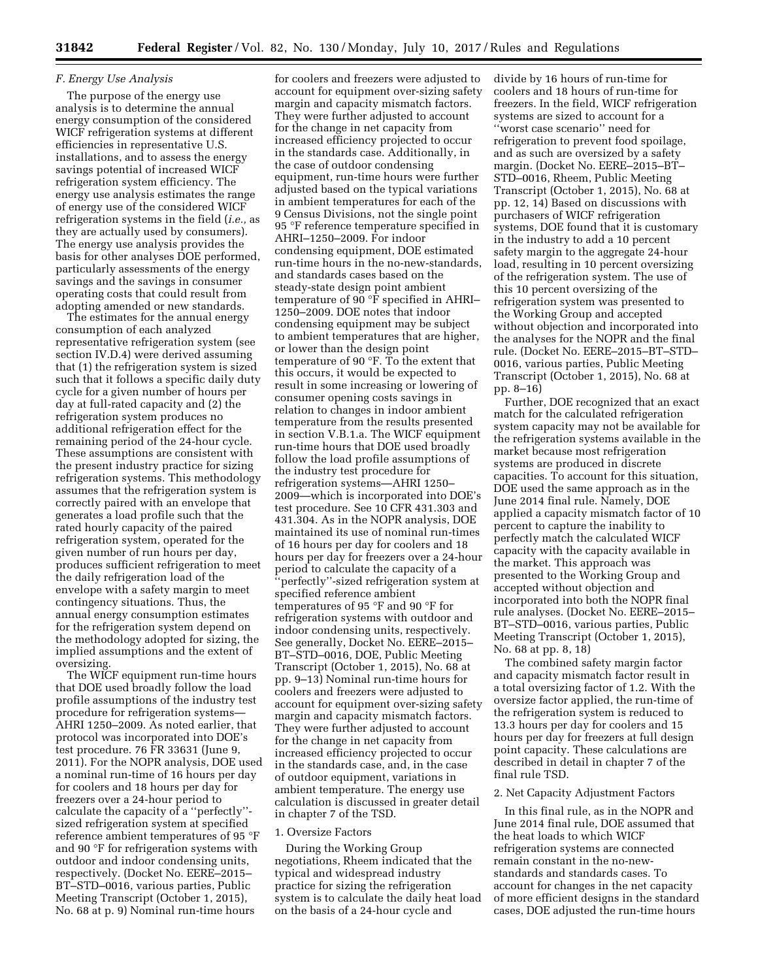# *F. Energy Use Analysis*

The purpose of the energy use analysis is to determine the annual energy consumption of the considered WICF refrigeration systems at different efficiencies in representative U.S. installations, and to assess the energy savings potential of increased WICF refrigeration system efficiency. The energy use analysis estimates the range of energy use of the considered WICF refrigeration systems in the field (*i.e.,* as they are actually used by consumers). The energy use analysis provides the basis for other analyses DOE performed, particularly assessments of the energy savings and the savings in consumer operating costs that could result from adopting amended or new standards.

The estimates for the annual energy consumption of each analyzed representative refrigeration system (see section IV.D.4) were derived assuming that (1) the refrigeration system is sized such that it follows a specific daily duty cycle for a given number of hours per day at full-rated capacity and (2) the refrigeration system produces no additional refrigeration effect for the remaining period of the 24-hour cycle. These assumptions are consistent with the present industry practice for sizing refrigeration systems. This methodology assumes that the refrigeration system is correctly paired with an envelope that generates a load profile such that the rated hourly capacity of the paired refrigeration system, operated for the given number of run hours per day, produces sufficient refrigeration to meet the daily refrigeration load of the envelope with a safety margin to meet contingency situations. Thus, the annual energy consumption estimates for the refrigeration system depend on the methodology adopted for sizing, the implied assumptions and the extent of oversizing.

The WICF equipment run-time hours that DOE used broadly follow the load profile assumptions of the industry test procedure for refrigeration systems— AHRI 1250–2009. As noted earlier, that protocol was incorporated into DOE's test procedure. 76 FR 33631 (June 9, 2011). For the NOPR analysis, DOE used a nominal run-time of 16 hours per day for coolers and 18 hours per day for freezers over a 24-hour period to calculate the capacity of a ''perfectly'' sized refrigeration system at specified reference ambient temperatures of 95 °F and 90 °F for refrigeration systems with outdoor and indoor condensing units, respectively. (Docket No. EERE–2015– BT–STD–0016, various parties, Public Meeting Transcript (October 1, 2015), No. 68 at p. 9) Nominal run-time hours

for coolers and freezers were adjusted to account for equipment over-sizing safety margin and capacity mismatch factors. They were further adjusted to account for the change in net capacity from increased efficiency projected to occur in the standards case. Additionally, in the case of outdoor condensing equipment, run-time hours were further adjusted based on the typical variations in ambient temperatures for each of the 9 Census Divisions, not the single point 95 °F reference temperature specified in AHRI–1250–2009. For indoor condensing equipment, DOE estimated run-time hours in the no-new-standards, and standards cases based on the steady-state design point ambient temperature of 90 °F specified in AHRI– 1250–2009. DOE notes that indoor condensing equipment may be subject to ambient temperatures that are higher, or lower than the design point temperature of 90 °F. To the extent that this occurs, it would be expected to result in some increasing or lowering of consumer opening costs savings in relation to changes in indoor ambient temperature from the results presented in section V.B.1.a. The WICF equipment run-time hours that DOE used broadly follow the load profile assumptions of the industry test procedure for refrigeration systems—AHRI 1250– 2009—which is incorporated into DOE's test procedure. See 10 CFR 431.303 and 431.304. As in the NOPR analysis, DOE maintained its use of nominal run-times of 16 hours per day for coolers and 18 hours per day for freezers over a 24-hour period to calculate the capacity of a 'perfectly''-sized refrigeration system at specified reference ambient temperatures of 95 °F and 90 °F for refrigeration systems with outdoor and indoor condensing units, respectively. See generally, Docket No. EERE–2015– BT–STD–0016, DOE, Public Meeting Transcript (October 1, 2015), No. 68 at pp. 9–13) Nominal run-time hours for coolers and freezers were adjusted to account for equipment over-sizing safety margin and capacity mismatch factors. They were further adjusted to account for the change in net capacity from increased efficiency projected to occur in the standards case, and, in the case of outdoor equipment, variations in ambient temperature. The energy use calculation is discussed in greater detail in chapter 7 of the TSD.

### 1. Oversize Factors

During the Working Group negotiations, Rheem indicated that the typical and widespread industry practice for sizing the refrigeration system is to calculate the daily heat load on the basis of a 24-hour cycle and

divide by 16 hours of run-time for coolers and 18 hours of run-time for freezers. In the field, WICF refrigeration systems are sized to account for a ''worst case scenario'' need for refrigeration to prevent food spoilage, and as such are oversized by a safety margin. (Docket No. EERE–2015–BT– STD–0016, Rheem, Public Meeting Transcript (October 1, 2015), No. 68 at pp. 12, 14) Based on discussions with purchasers of WICF refrigeration systems, DOE found that it is customary in the industry to add a 10 percent safety margin to the aggregate 24-hour load, resulting in 10 percent oversizing of the refrigeration system. The use of this 10 percent oversizing of the refrigeration system was presented to the Working Group and accepted without objection and incorporated into the analyses for the NOPR and the final rule. (Docket No. EERE–2015–BT–STD– 0016, various parties, Public Meeting Transcript (October 1, 2015), No. 68 at pp. 8–16)

Further, DOE recognized that an exact match for the calculated refrigeration system capacity may not be available for the refrigeration systems available in the market because most refrigeration systems are produced in discrete capacities. To account for this situation, DOE used the same approach as in the June 2014 final rule. Namely, DOE applied a capacity mismatch factor of 10 percent to capture the inability to perfectly match the calculated WICF capacity with the capacity available in the market. This approach was presented to the Working Group and accepted without objection and incorporated into both the NOPR final rule analyses. (Docket No. EERE–2015– BT–STD–0016, various parties, Public Meeting Transcript (October 1, 2015), No. 68 at pp. 8, 18)

The combined safety margin factor and capacity mismatch factor result in a total oversizing factor of 1.2. With the oversize factor applied, the run-time of the refrigeration system is reduced to 13.3 hours per day for coolers and 15 hours per day for freezers at full design point capacity. These calculations are described in detail in chapter 7 of the final rule TSD.

### 2. Net Capacity Adjustment Factors

In this final rule, as in the NOPR and June 2014 final rule, DOE assumed that the heat loads to which WICF refrigeration systems are connected remain constant in the no-newstandards and standards cases. To account for changes in the net capacity of more efficient designs in the standard cases, DOE adjusted the run-time hours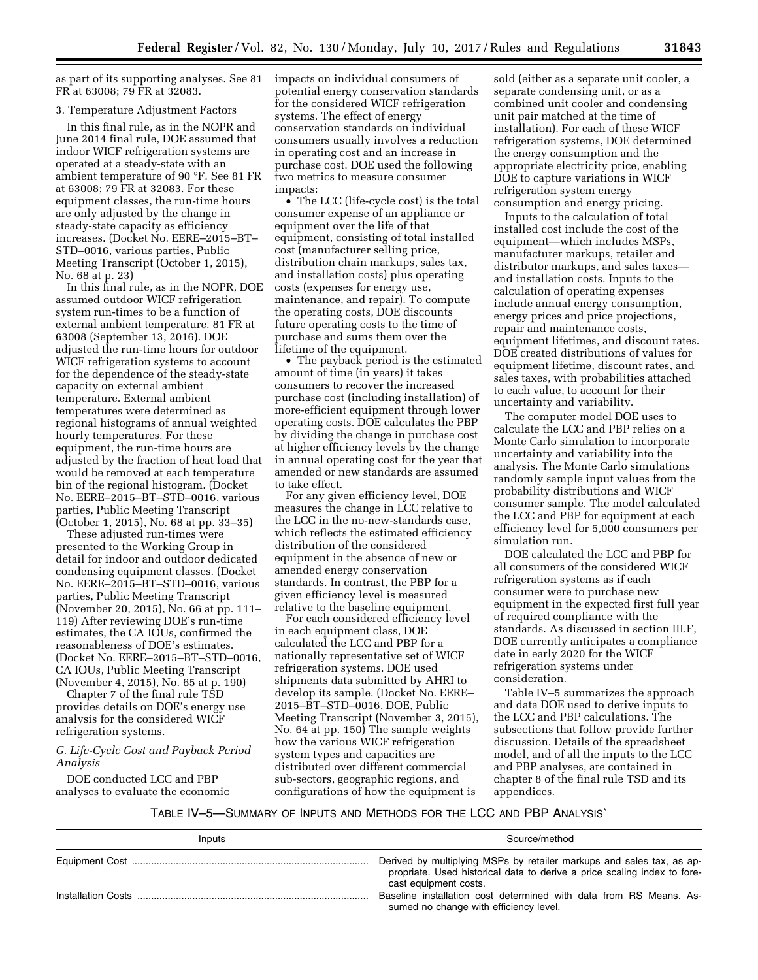as part of its supporting analyses. See 81 FR at 63008; 79 FR at 32083.

### 3. Temperature Adjustment Factors

In this final rule, as in the NOPR and June 2014 final rule, DOE assumed that indoor WICF refrigeration systems are operated at a steady-state with an ambient temperature of 90 °F. See 81 FR at 63008; 79 FR at 32083. For these equipment classes, the run-time hours are only adjusted by the change in steady-state capacity as efficiency increases. (Docket No. EERE–2015–BT– STD–0016, various parties, Public Meeting Transcript (October 1, 2015), No. 68 at p. 23)

In this final rule, as in the NOPR, DOE assumed outdoor WICF refrigeration system run-times to be a function of external ambient temperature. 81 FR at 63008 (September 13, 2016). DOE adjusted the run-time hours for outdoor WICF refrigeration systems to account for the dependence of the steady-state capacity on external ambient temperature. External ambient temperatures were determined as regional histograms of annual weighted hourly temperatures. For these equipment, the run-time hours are adjusted by the fraction of heat load that would be removed at each temperature bin of the regional histogram. (Docket No. EERE–2015–BT–STD–0016, various parties, Public Meeting Transcript (October 1, 2015), No. 68 at pp. 33–35)

These adjusted run-times were presented to the Working Group in detail for indoor and outdoor dedicated condensing equipment classes. (Docket No. EERE–2015–BT–STD–0016, various parties, Public Meeting Transcript (November 20, 2015), No. 66 at pp. 111– 119) After reviewing DOE's run-time estimates, the CA IOUs, confirmed the reasonableness of DOE's estimates. (Docket No. EERE–2015–BT–STD–0016, CA IOUs, Public Meeting Transcript (November 4, 2015), No. 65 at p. 190)

Chapter 7 of the final rule TSD provides details on DOE's energy use analysis for the considered WICF refrigeration systems.

### *G. Life-Cycle Cost and Payback Period Analysis*

DOE conducted LCC and PBP analyses to evaluate the economic impacts on individual consumers of potential energy conservation standards for the considered WICF refrigeration systems. The effect of energy conservation standards on individual consumers usually involves a reduction in operating cost and an increase in purchase cost. DOE used the following two metrics to measure consumer impacts:

• The LCC (life-cycle cost) is the total consumer expense of an appliance or equipment over the life of that equipment, consisting of total installed cost (manufacturer selling price, distribution chain markups, sales tax, and installation costs) plus operating costs (expenses for energy use, maintenance, and repair). To compute the operating costs, DOE discounts future operating costs to the time of purchase and sums them over the lifetime of the equipment.

• The payback period is the estimated amount of time (in years) it takes consumers to recover the increased purchase cost (including installation) of more-efficient equipment through lower operating costs. DOE calculates the PBP by dividing the change in purchase cost at higher efficiency levels by the change in annual operating cost for the year that amended or new standards are assumed to take effect.

For any given efficiency level, DOE measures the change in LCC relative to the LCC in the no-new-standards case, which reflects the estimated efficiency distribution of the considered equipment in the absence of new or amended energy conservation standards. In contrast, the PBP for a given efficiency level is measured relative to the baseline equipment.

For each considered efficiency level in each equipment class, DOE calculated the LCC and PBP for a nationally representative set of WICF refrigeration systems. DOE used shipments data submitted by AHRI to develop its sample. (Docket No. EERE– 2015–BT–STD–0016, DOE, Public Meeting Transcript (November 3, 2015), No. 64 at pp. 150) The sample weights how the various WICF refrigeration system types and capacities are distributed over different commercial sub-sectors, geographic regions, and configurations of how the equipment is

sold (either as a separate unit cooler, a separate condensing unit, or as a combined unit cooler and condensing unit pair matched at the time of installation). For each of these WICF refrigeration systems, DOE determined the energy consumption and the appropriate electricity price, enabling DOE to capture variations in WICF refrigeration system energy consumption and energy pricing.

Inputs to the calculation of total installed cost include the cost of the equipment—which includes MSPs, manufacturer markups, retailer and distributor markups, and sales taxes and installation costs. Inputs to the calculation of operating expenses include annual energy consumption, energy prices and price projections, repair and maintenance costs, equipment lifetimes, and discount rates. DOE created distributions of values for equipment lifetime, discount rates, and sales taxes, with probabilities attached to each value, to account for their uncertainty and variability.

The computer model DOE uses to calculate the LCC and PBP relies on a Monte Carlo simulation to incorporate uncertainty and variability into the analysis. The Monte Carlo simulations randomly sample input values from the probability distributions and WICF consumer sample. The model calculated the LCC and PBP for equipment at each efficiency level for 5,000 consumers per simulation run.

DOE calculated the LCC and PBP for all consumers of the considered WICF refrigeration systems as if each consumer were to purchase new equipment in the expected first full year of required compliance with the standards. As discussed in section III.F, DOE currently anticipates a compliance date in early 2020 for the WICF refrigeration systems under consideration.

Table IV–5 summarizes the approach and data DOE used to derive inputs to the LCC and PBP calculations. The subsections that follow provide further discussion. Details of the spreadsheet model, and of all the inputs to the LCC and PBP analyses, are contained in chapter 8 of the final rule TSD and its appendices.

## TABLE IV–5—SUMMARY OF INPUTS AND METHODS FOR THE LCC AND PBP ANALYSIS\*

| Inputs             | Source/method                                                                                                                                                              |
|--------------------|----------------------------------------------------------------------------------------------------------------------------------------------------------------------------|
|                    | Derived by multiplying MSPs by retailer markups and sales tax, as ap-<br>propriate. Used historical data to derive a price scaling index to fore-<br>cast equipment costs. |
| Installation Costs | Baseline installation cost determined with data from RS Means. As-<br>sumed no change with efficiency level.                                                               |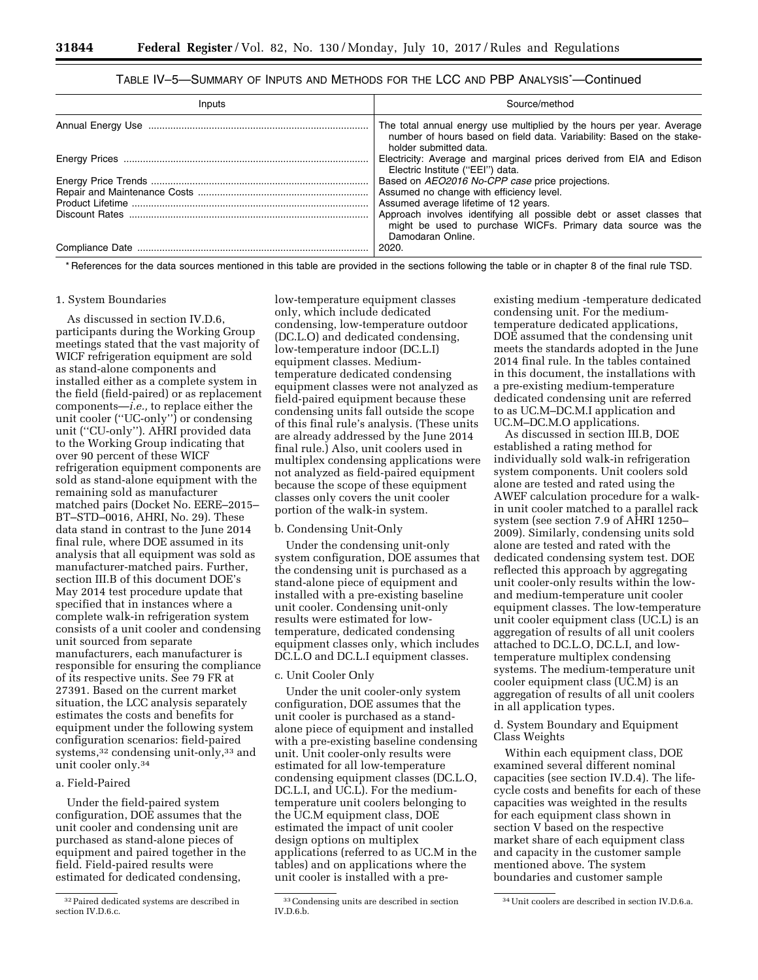## TABLE IV–5—SUMMARY OF INPUTS AND METHODS FOR THE LCC AND PBP ANALYSIS\* —Continued

| Inputs | Source/method                                                                                                                                                            |
|--------|--------------------------------------------------------------------------------------------------------------------------------------------------------------------------|
|        | The total annual energy use multiplied by the hours per year. Average<br>number of hours based on field data. Variability: Based on the stake-<br>holder submitted data. |
|        | Electricity: Average and marginal prices derived from EIA and Edison<br>Electric Institute ("EEI") data.                                                                 |
|        | Based on AEO2016 No-CPP case price projections.                                                                                                                          |
|        | Assumed no change with efficiency level.                                                                                                                                 |
|        | Assumed average lifetime of 12 years.                                                                                                                                    |
|        | Approach involves identifying all possible debt or asset classes that<br>might be used to purchase WICFs. Primary data source was the<br>Damodaran Online.               |
|        | $\vert$ 2020.                                                                                                                                                            |

\* References for the data sources mentioned in this table are provided in the sections following the table or in chapter 8 of the final rule TSD.

### 1. System Boundaries

As discussed in section IV.D.6, participants during the Working Group meetings stated that the vast majority of WICF refrigeration equipment are sold as stand-alone components and installed either as a complete system in the field (field-paired) or as replacement components—*i.e.,* to replace either the unit cooler (''UC-only'') or condensing unit (''CU-only''). AHRI provided data to the Working Group indicating that over 90 percent of these WICF refrigeration equipment components are sold as stand-alone equipment with the remaining sold as manufacturer matched pairs (Docket No. EERE–2015– BT–STD–0016, AHRI, No. 29). These data stand in contrast to the June 2014 final rule, where DOE assumed in its analysis that all equipment was sold as manufacturer-matched pairs. Further, section III.B of this document DOE's May 2014 test procedure update that specified that in instances where a complete walk-in refrigeration system consists of a unit cooler and condensing unit sourced from separate manufacturers, each manufacturer is responsible for ensuring the compliance of its respective units. See 79 FR at 27391. Based on the current market situation, the LCC analysis separately estimates the costs and benefits for equipment under the following system configuration scenarios: field-paired systems,<sup>32</sup> condensing unit-only,<sup>33</sup> and unit cooler only.34

### a. Field-Paired

Under the field-paired system configuration, DOE assumes that the unit cooler and condensing unit are purchased as stand-alone pieces of equipment and paired together in the field. Field-paired results were estimated for dedicated condensing,

low-temperature equipment classes only, which include dedicated condensing, low-temperature outdoor (DC.L.O) and dedicated condensing, low-temperature indoor (DC.L.I) equipment classes. Mediumtemperature dedicated condensing equipment classes were not analyzed as field-paired equipment because these condensing units fall outside the scope of this final rule's analysis. (These units are already addressed by the June 2014 final rule.) Also, unit coolers used in multiplex condensing applications were not analyzed as field-paired equipment because the scope of these equipment classes only covers the unit cooler portion of the walk-in system.

## b. Condensing Unit-Only

Under the condensing unit-only system configuration, DOE assumes that the condensing unit is purchased as a stand-alone piece of equipment and installed with a pre-existing baseline unit cooler. Condensing unit-only results were estimated for lowtemperature, dedicated condensing equipment classes only, which includes DC.L.O and DC.L.I equipment classes.

### c. Unit Cooler Only

Under the unit cooler-only system configuration, DOE assumes that the unit cooler is purchased as a standalone piece of equipment and installed with a pre-existing baseline condensing unit. Unit cooler-only results were estimated for all low-temperature condensing equipment classes (DC.L.O, DC.L.I, and UC.L). For the mediumtemperature unit coolers belonging to the UC.M equipment class, DOE estimated the impact of unit cooler design options on multiplex applications (referred to as UC.M in the tables) and on applications where the unit cooler is installed with a pre-

existing medium -temperature dedicated condensing unit. For the mediumtemperature dedicated applications, DOE assumed that the condensing unit meets the standards adopted in the June 2014 final rule. In the tables contained in this document, the installations with a pre-existing medium-temperature dedicated condensing unit are referred to as UC.M–DC.M.I application and UC.M–DC.M.O applications.

As discussed in section III.B, DOE established a rating method for individually sold walk-in refrigeration system components. Unit coolers sold alone are tested and rated using the AWEF calculation procedure for a walkin unit cooler matched to a parallel rack system (see section 7.9 of AHRI 1250– 2009). Similarly, condensing units sold alone are tested and rated with the dedicated condensing system test. DOE reflected this approach by aggregating unit cooler-only results within the lowand medium-temperature unit cooler equipment classes. The low-temperature unit cooler equipment class (UC.L) is an aggregation of results of all unit coolers attached to DC.L.O, DC.L.I, and lowtemperature multiplex condensing systems. The medium-temperature unit cooler equipment class (UC.M) is an aggregation of results of all unit coolers in all application types.

### d. System Boundary and Equipment Class Weights

Within each equipment class, DOE examined several different nominal capacities (see section IV.D.4). The lifecycle costs and benefits for each of these capacities was weighted in the results for each equipment class shown in section V based on the respective market share of each equipment class and capacity in the customer sample mentioned above. The system boundaries and customer sample

<sup>32</sup>Paired dedicated systems are described in section IV.D.6.c.

<sup>33</sup>Condensing units are described in section IV.D.6.b.

<sup>34</sup>Unit coolers are described in section IV.D.6.a.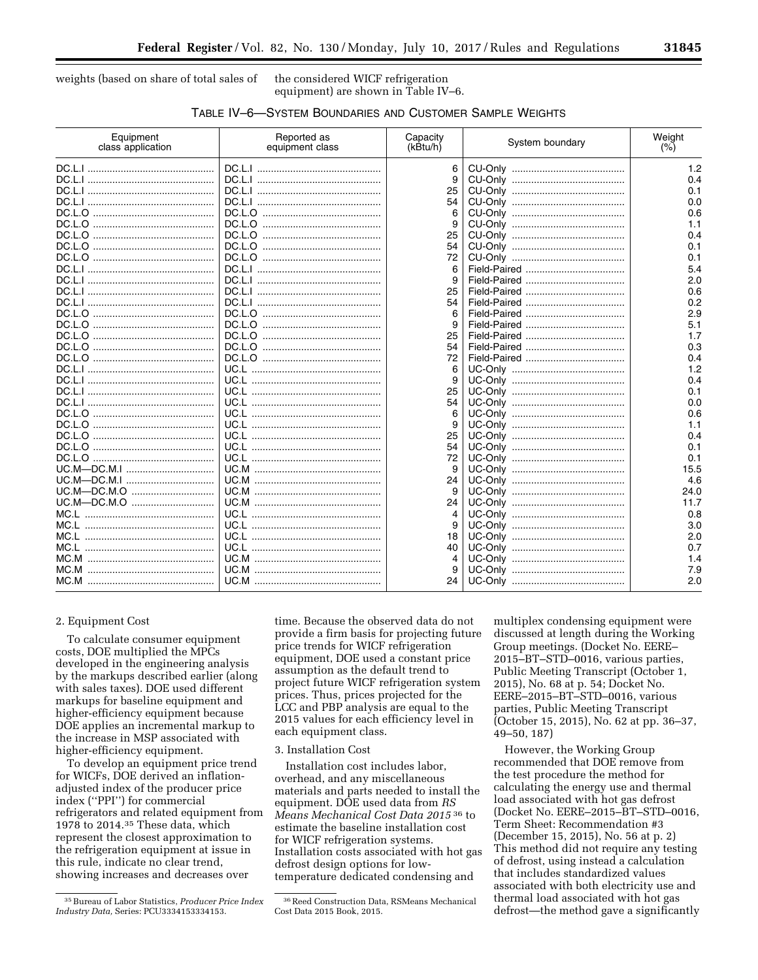weights (based on share of total sales of the considered WICF refrigeration

equipment) are shown in Table IV–6.

| TABLE IV-6-SYSTEM BOUNDARIES AND CUSTOMER SAMPLE WEIGHTS |
|----------------------------------------------------------|
|----------------------------------------------------------|

| Equipment<br>class application | Reported as<br>equipment class | Capacity<br>(kBtu/h) | System boundary | Weight<br>(% ) |
|--------------------------------|--------------------------------|----------------------|-----------------|----------------|
|                                |                                | 6                    |                 | 1.2            |
|                                |                                | 9                    |                 | 0.4            |
|                                |                                | 25                   |                 | 0.1            |
|                                |                                | 54                   |                 | 0.0            |
|                                |                                | 6                    |                 | 0.6            |
|                                |                                |                      |                 | 1.1            |
|                                |                                | 25                   |                 | 0.4            |
|                                |                                | 54                   |                 | 0.1            |
|                                |                                | 72                   |                 | 0.1            |
|                                |                                | 6                    |                 | 5.4            |
|                                |                                |                      |                 | 2.0            |
|                                |                                | 25                   |                 | 0.6            |
|                                |                                | 54                   |                 | 0.2            |
|                                |                                | 6                    |                 | 2.9            |
|                                |                                | 9                    |                 | 5.1            |
|                                |                                | 25                   |                 | 1.7            |
|                                |                                | 54                   |                 | 0.3            |
|                                |                                | 72                   |                 | 0.4            |
|                                |                                | 6                    |                 | 1.2            |
|                                |                                | 9                    |                 | 0.4            |
|                                |                                | 25                   |                 | 0.1            |
|                                |                                | 54                   |                 | 0.0            |
|                                |                                | 6                    |                 | 0.6            |
|                                |                                |                      |                 | 1.1            |
|                                |                                | 25                   |                 | 0.4            |
|                                |                                | 54                   |                 | 0.1            |
|                                |                                | 72                   |                 | 0.1            |
| UC.M-DC.M.I                    |                                | 9                    |                 | 15.5           |
| UC.M—DC.M.I                    |                                | 24                   |                 | 4.6            |
| UC.M-DC.M.O                    |                                | 9                    |                 | 24.0           |
| UC.M-DC.M.O                    |                                | 24                   |                 | 11.7           |
|                                |                                | 4                    |                 | 0.8            |
|                                |                                | 9                    |                 | 3.0            |
|                                |                                | 18                   |                 | 2.0            |
|                                |                                | 40                   |                 | 0.7            |
|                                |                                |                      |                 | 1.4            |
|                                |                                |                      |                 | 7.9            |
|                                |                                | 24                   |                 | 2.0            |

### 2. Equipment Cost

To calculate consumer equipment costs, DOE multiplied the MPCs developed in the engineering analysis by the markups described earlier (along with sales taxes). DOE used different markups for baseline equipment and higher-efficiency equipment because DOE applies an incremental markup to the increase in MSP associated with higher-efficiency equipment.

To develop an equipment price trend for WICFs, DOE derived an inflationadjusted index of the producer price index (''PPI'') for commercial refrigerators and related equipment from 1978 to 2014.35 These data, which represent the closest approximation to the refrigeration equipment at issue in this rule, indicate no clear trend, showing increases and decreases over

time. Because the observed data do not provide a firm basis for projecting future price trends for WICF refrigeration equipment, DOE used a constant price assumption as the default trend to project future WICF refrigeration system prices. Thus, prices projected for the LCC and PBP analysis are equal to the 2015 values for each efficiency level in each equipment class.

### 3. Installation Cost

Installation cost includes labor, overhead, and any miscellaneous materials and parts needed to install the equipment. DOE used data from *RS Means Mechanical Cost Data 2015* 36 to estimate the baseline installation cost for WICF refrigeration systems. Installation costs associated with hot gas defrost design options for lowtemperature dedicated condensing and

multiplex condensing equipment were discussed at length during the Working Group meetings. (Docket No. EERE– 2015–BT–STD–0016, various parties, Public Meeting Transcript (October 1, 2015), No. 68 at p. 54; Docket No. EERE–2015–BT–STD–0016, various parties, Public Meeting Transcript (October 15, 2015), No. 62 at pp. 36–37, 49–50, 187)

However, the Working Group recommended that DOE remove from the test procedure the method for calculating the energy use and thermal load associated with hot gas defrost (Docket No. EERE–2015–BT–STD–0016, Term Sheet: Recommendation #3 (December 15, 2015), No. 56 at p. 2) This method did not require any testing of defrost, using instead a calculation that includes standardized values associated with both electricity use and thermal load associated with hot gas defrost—the method gave a significantly

<sup>35</sup>Bureau of Labor Statistics, *Producer Price Index Industry Data,* Series: PCU3334153334153.

<sup>36</sup>Reed Construction Data, RSMeans Mechanical Cost Data 2015 Book, 2015.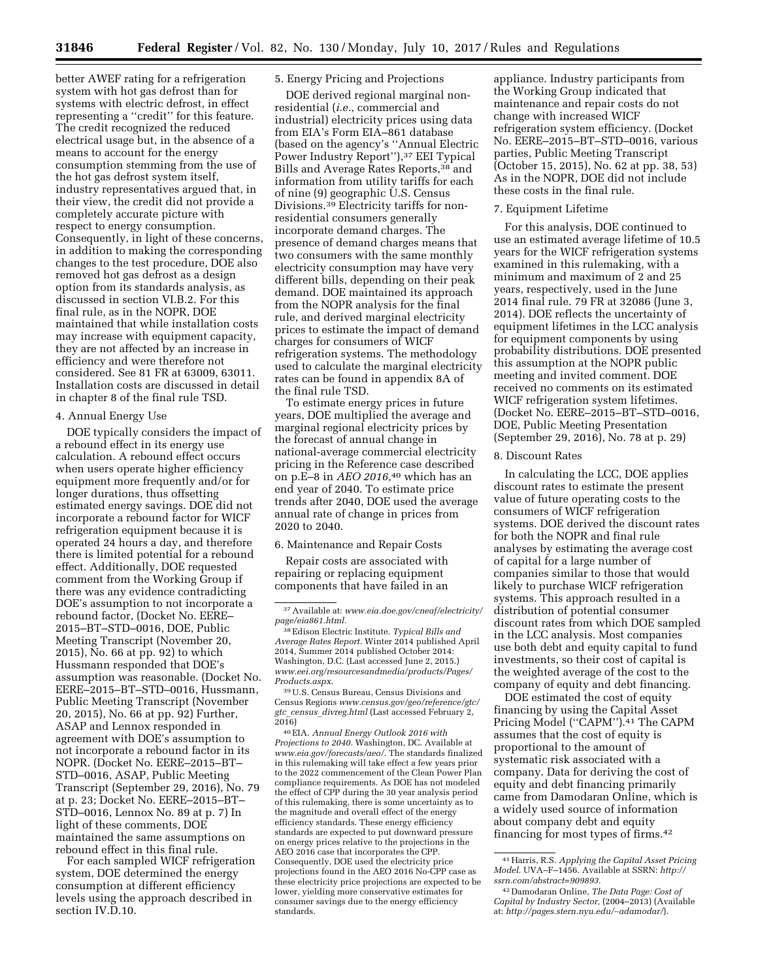better AWEF rating for a refrigeration system with hot gas defrost than for systems with electric defrost, in effect representing a ''credit'' for this feature. The credit recognized the reduced electrical usage but, in the absence of a means to account for the energy consumption stemming from the use of the hot gas defrost system itself, industry representatives argued that, in their view, the credit did not provide a completely accurate picture with respect to energy consumption. Consequently, in light of these concerns, in addition to making the corresponding changes to the test procedure, DOE also removed hot gas defrost as a design option from its standards analysis, as discussed in section VI.B.2. For this final rule, as in the NOPR, DOE maintained that while installation costs may increase with equipment capacity, they are not affected by an increase in efficiency and were therefore not considered. See 81 FR at 63009, 63011. Installation costs are discussed in detail in chapter 8 of the final rule TSD.

## 4. Annual Energy Use

DOE typically considers the impact of a rebound effect in its energy use calculation. A rebound effect occurs when users operate higher efficiency equipment more frequently and/or for longer durations, thus offsetting estimated energy savings. DOE did not incorporate a rebound factor for WICF refrigeration equipment because it is operated 24 hours a day, and therefore there is limited potential for a rebound effect. Additionally, DOE requested comment from the Working Group if there was any evidence contradicting DOE's assumption to not incorporate a rebound factor, (Docket No. EERE– 2015–BT–STD–0016, DOE, Public Meeting Transcript (November 20, 2015), No. 66 at pp. 92) to which Hussmann responded that DOE's assumption was reasonable. (Docket No. EERE–2015–BT–STD–0016, Hussmann, Public Meeting Transcript (November 20, 2015), No. 66 at pp. 92) Further, ASAP and Lennox responded in agreement with DOE's assumption to not incorporate a rebound factor in its NOPR. (Docket No. EERE–2015–BT– STD–0016, ASAP, Public Meeting Transcript (September 29, 2016), No. 79 at p. 23; Docket No. EERE–2015–BT– STD–0016, Lennox No. 89 at p. 7) In light of these comments, DOE maintained the same assumptions on rebound effect in this final rule.

For each sampled WICF refrigeration system, DOE determined the energy consumption at different efficiency levels using the approach described in section IV.D.10.

### 5. Energy Pricing and Projections

DOE derived regional marginal nonresidential (*i.e.,* commercial and industrial) electricity prices using data from EIA's Form EIA–861 database (based on the agency's ''Annual Electric Power Industry Report''),37 EEI Typical Bills and Average Rates Reports,38 and information from utility tariffs for each of nine (9) geographic U.S. Census Divisions.39 Electricity tariffs for nonresidential consumers generally incorporate demand charges. The presence of demand charges means that two consumers with the same monthly electricity consumption may have very different bills, depending on their peak demand. DOE maintained its approach from the NOPR analysis for the final rule, and derived marginal electricity prices to estimate the impact of demand charges for consumers of WICF refrigeration systems. The methodology used to calculate the marginal electricity rates can be found in appendix 8A of the final rule TSD.

To estimate energy prices in future years, DOE multiplied the average and marginal regional electricity prices by the forecast of annual change in national-average commercial electricity pricing in the Reference case described on p.E–8 in *AEO 2016,*40 which has an end year of 2040. To estimate price trends after 2040, DOE used the average annual rate of change in prices from 2020 to 2040.

## 6. Maintenance and Repair Costs

Repair costs are associated with repairing or replacing equipment components that have failed in an

39U.S. Census Bureau, Census Divisions and Census Regions *[www.census.gov/geo/reference/gtc/](http://www.census.gov/geo/reference/gtc/gtc_census_divreg.html) gtc*\_*census*\_*[divreg.html](http://www.census.gov/geo/reference/gtc/gtc_census_divreg.html)* (Last accessed February 2,  $2016$ 

40EIA. *Annual Energy Outlook 2016 with Projections to 2040.* Washington, DC. Available at *[www.eia.gov/forecasts/aeo/](http://www.eia.gov/forecasts/aeo/)*. The standards finalized in this rulemaking will take effect a few years prior to the 2022 commencement of the Clean Power Plan compliance requirements. As DOE has not modeled the effect of CPP during the 30 year analysis period of this rulemaking, there is some uncertainty as to the magnitude and overall effect of the energy efficiency standards. These energy efficiency standards are expected to put downward pressure on energy prices relative to the projections in the AEO 2016 case that incorporates the CPP. Consequently, DOE used the electricity price projections found in the AEO 2016 No-CPP case as these electricity price projections are expected to be lower, yielding more conservative estimates for consumer savings due to the energy efficiency standards.

appliance. Industry participants from the Working Group indicated that maintenance and repair costs do not change with increased WICF refrigeration system efficiency. (Docket No. EERE–2015–BT–STD–0016, various parties, Public Meeting Transcript (October 15, 2015), No. 62 at pp. 38, 53) As in the NOPR, DOE did not include these costs in the final rule.

### 7. Equipment Lifetime

For this analysis, DOE continued to use an estimated average lifetime of 10.5 years for the WICF refrigeration systems examined in this rulemaking, with a minimum and maximum of 2 and 25 years, respectively, used in the June 2014 final rule. 79 FR at 32086 (June 3, 2014). DOE reflects the uncertainty of equipment lifetimes in the LCC analysis for equipment components by using probability distributions. DOE presented this assumption at the NOPR public meeting and invited comment. DOE received no comments on its estimated WICF refrigeration system lifetimes. (Docket No. EERE–2015–BT–STD–0016, DOE, Public Meeting Presentation (September 29, 2016), No. 78 at p. 29)

### 8. Discount Rates

In calculating the LCC, DOE applies discount rates to estimate the present value of future operating costs to the consumers of WICF refrigeration systems. DOE derived the discount rates for both the NOPR and final rule analyses by estimating the average cost of capital for a large number of companies similar to those that would likely to purchase WICF refrigeration systems. This approach resulted in a distribution of potential consumer discount rates from which DOE sampled in the LCC analysis. Most companies use both debt and equity capital to fund investments, so their cost of capital is the weighted average of the cost to the company of equity and debt financing.

DOE estimated the cost of equity financing by using the Capital Asset Pricing Model ("CAPM").<sup>41</sup> The CAPM assumes that the cost of equity is proportional to the amount of systematic risk associated with a company. Data for deriving the cost of equity and debt financing primarily came from Damodaran Online, which is a widely used source of information about company debt and equity financing for most types of firms.42

<sup>37</sup>Available at: *[www.eia.doe.gov/cneaf/electricity/](http://www.eia.doe.gov/cneaf/electricity/page/eia861.html)  [page/eia861.html.](http://www.eia.doe.gov/cneaf/electricity/page/eia861.html)* 

<sup>38</sup>Edison Electric Institute. *Typical Bills and Average Rates Report.* Winter 2014 published April 2014, Summer 2014 published October 2014: Washington, D.C. (Last accessed June 2, 2015.) *[www.eei.org/resourcesandmedia/products/Pages/](http://www.eei.org/resourcesandmedia/products/Pages/Products.aspx) [Products.aspx](http://www.eei.org/resourcesandmedia/products/Pages/Products.aspx)*.

<sup>41</sup>Harris, R.S. *Applying the Capital Asset Pricing Model.* UVA–F–1456. Available at SSRN: *[http://](http://ssrn.com/abstract=909893) [ssrn.com/abstract=909893](http://ssrn.com/abstract=909893)*.

<sup>42</sup> Damodaran Online, *The Data Page: Cost of Capital by Industry Sector,* (2004–2013) (Available at: *[http://pages.stern.nyu.edu/](http://pages.stern.nyu.edu/~adamodar/)*∼*adamodar/*).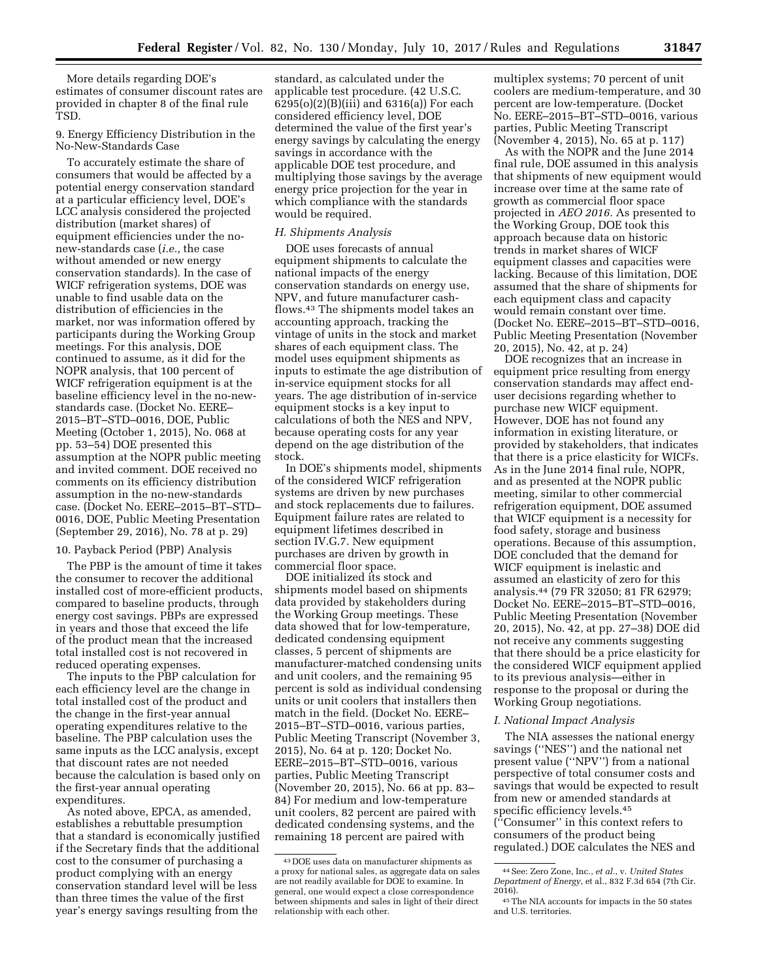More details regarding DOE's estimates of consumer discount rates are provided in chapter 8 of the final rule TSD.

### 9. Energy Efficiency Distribution in the No-New-Standards Case

To accurately estimate the share of consumers that would be affected by a potential energy conservation standard at a particular efficiency level, DOE's LCC analysis considered the projected distribution (market shares) of equipment efficiencies under the nonew-standards case (*i.e.,* the case without amended or new energy conservation standards). In the case of WICF refrigeration systems, DOE was unable to find usable data on the distribution of efficiencies in the market, nor was information offered by participants during the Working Group meetings. For this analysis, DOE continued to assume, as it did for the NOPR analysis, that 100 percent of WICF refrigeration equipment is at the baseline efficiency level in the no-newstandards case. (Docket No. EERE– 2015–BT–STD–0016, DOE, Public Meeting (October 1, 2015), No. 068 at pp. 53–54) DOE presented this assumption at the NOPR public meeting and invited comment. DOE received no comments on its efficiency distribution assumption in the no-new-standards case. (Docket No. EERE–2015–BT–STD– 0016, DOE, Public Meeting Presentation (September 29, 2016), No. 78 at p. 29)

### 10. Payback Period (PBP) Analysis

The PBP is the amount of time it takes the consumer to recover the additional installed cost of more-efficient products, compared to baseline products, through energy cost savings. PBPs are expressed in years and those that exceed the life of the product mean that the increased total installed cost is not recovered in reduced operating expenses.

The inputs to the PBP calculation for each efficiency level are the change in total installed cost of the product and the change in the first-year annual operating expenditures relative to the baseline. The PBP calculation uses the same inputs as the LCC analysis, except that discount rates are not needed because the calculation is based only on the first-year annual operating expenditures.

As noted above, EPCA, as amended, establishes a rebuttable presumption that a standard is economically justified if the Secretary finds that the additional cost to the consumer of purchasing a product complying with an energy conservation standard level will be less than three times the value of the first year's energy savings resulting from the

standard, as calculated under the applicable test procedure. (42 U.S.C. 6295(o)(2)(B)(iii) and 6316(a)) For each considered efficiency level, DOE determined the value of the first year's energy savings by calculating the energy savings in accordance with the applicable DOE test procedure, and multiplying those savings by the average energy price projection for the year in which compliance with the standards would be required.

## *H. Shipments Analysis*

DOE uses forecasts of annual equipment shipments to calculate the national impacts of the energy conservation standards on energy use, NPV, and future manufacturer cashflows.43 The shipments model takes an accounting approach, tracking the vintage of units in the stock and market shares of each equipment class. The model uses equipment shipments as inputs to estimate the age distribution of in-service equipment stocks for all years. The age distribution of in-service equipment stocks is a key input to calculations of both the NES and NPV, because operating costs for any year depend on the age distribution of the stock.

In DOE's shipments model, shipments of the considered WICF refrigeration systems are driven by new purchases and stock replacements due to failures. Equipment failure rates are related to equipment lifetimes described in section IV.G.7. New equipment purchases are driven by growth in commercial floor space.

DOE initialized its stock and shipments model based on shipments data provided by stakeholders during the Working Group meetings. These data showed that for low-temperature, dedicated condensing equipment classes, 5 percent of shipments are manufacturer-matched condensing units and unit coolers, and the remaining 95 percent is sold as individual condensing units or unit coolers that installers then match in the field. (Docket No. EERE– 2015–BT–STD–0016, various parties, Public Meeting Transcript (November 3, 2015), No. 64 at p. 120; Docket No. EERE–2015–BT–STD–0016, various parties, Public Meeting Transcript (November 20, 2015), No. 66 at pp. 83– 84) For medium and low-temperature unit coolers, 82 percent are paired with dedicated condensing systems, and the remaining 18 percent are paired with

multiplex systems; 70 percent of unit coolers are medium-temperature, and 30 percent are low-temperature. (Docket No. EERE–2015–BT–STD–0016, various parties, Public Meeting Transcript (November 4, 2015), No. 65 at p. 117)

As with the NOPR and the June 2014 final rule, DOE assumed in this analysis that shipments of new equipment would increase over time at the same rate of growth as commercial floor space projected in *AEO 2016.* As presented to the Working Group, DOE took this approach because data on historic trends in market shares of WICF equipment classes and capacities were lacking. Because of this limitation, DOE assumed that the share of shipments for each equipment class and capacity would remain constant over time. (Docket No. EERE–2015–BT–STD–0016, Public Meeting Presentation (November 20, 2015), No. 42, at p. 24)

DOE recognizes that an increase in equipment price resulting from energy conservation standards may affect enduser decisions regarding whether to purchase new WICF equipment. However, DOE has not found any information in existing literature, or provided by stakeholders, that indicates that there is a price elasticity for WICFs. As in the June 2014 final rule, NOPR, and as presented at the NOPR public meeting, similar to other commercial refrigeration equipment, DOE assumed that WICF equipment is a necessity for food safety, storage and business operations. Because of this assumption, DOE concluded that the demand for WICF equipment is inelastic and assumed an elasticity of zero for this analysis.44 (79 FR 32050; 81 FR 62979; Docket No. EERE–2015–BT–STD–0016, Public Meeting Presentation (November 20, 2015), No. 42, at pp. 27–38) DOE did not receive any comments suggesting that there should be a price elasticity for the considered WICF equipment applied to its previous analysis—either in response to the proposal or during the Working Group negotiations.

### *I. National Impact Analysis*

The NIA assesses the national energy savings (''NES'') and the national net present value (''NPV'') from a national perspective of total consumer costs and savings that would be expected to result from new or amended standards at specific efficiency levels.45 (''Consumer'' in this context refers to consumers of the product being regulated.) DOE calculates the NES and

<sup>43</sup> DOE uses data on manufacturer shipments as a proxy for national sales, as aggregate data on sales are not readily available for DOE to examine. In general, one would expect a close correspondence between shipments and sales in light of their direct relationship with each other.

<sup>44</sup>See: Zero Zone, Inc., *et al.*, v. *United States Department of Energy*, et al., 832 F.3d 654 (7th Cir.

<sup>&</sup>lt;sup>45</sup>The NIA accounts for impacts in the 50 states and U.S. territories.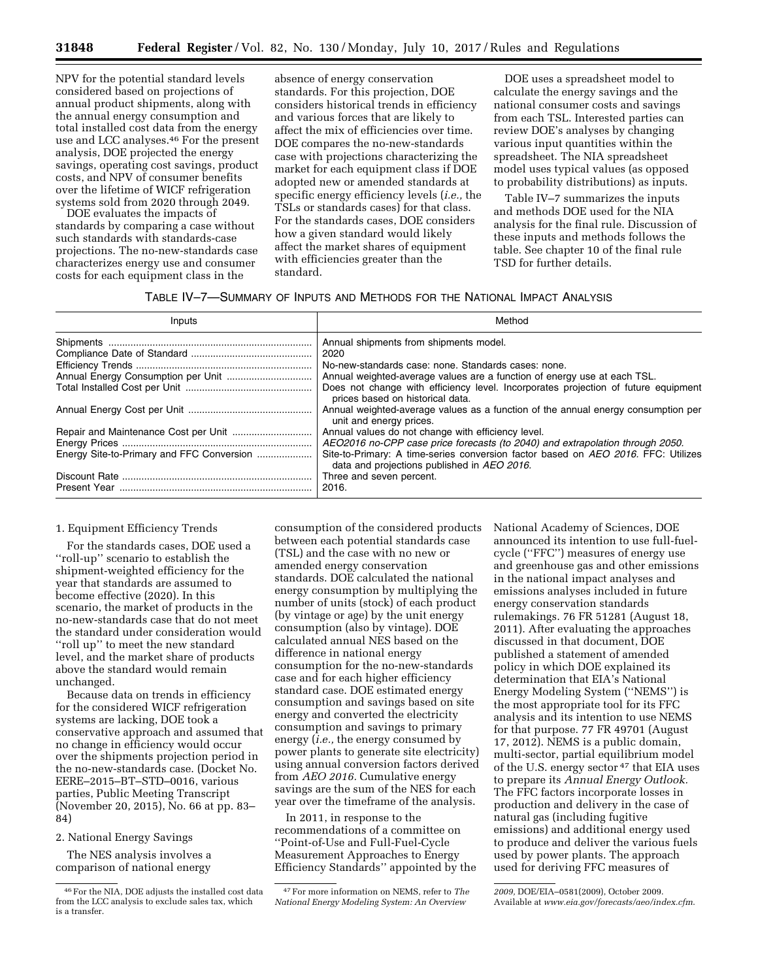NPV for the potential standard levels considered based on projections of annual product shipments, along with the annual energy consumption and total installed cost data from the energy use and LCC analyses.46 For the present analysis, DOE projected the energy savings, operating cost savings, product costs, and NPV of consumer benefits over the lifetime of WICF refrigeration systems sold from 2020 through 2049.

DOE evaluates the impacts of standards by comparing a case without such standards with standards-case projections. The no-new-standards case characterizes energy use and consumer costs for each equipment class in the

absence of energy conservation standards. For this projection, DOE considers historical trends in efficiency and various forces that are likely to affect the mix of efficiencies over time. DOE compares the no-new-standards case with projections characterizing the market for each equipment class if DOE adopted new or amended standards at specific energy efficiency levels (*i.e.,* the TSLs or standards cases) for that class. For the standards cases, DOE considers how a given standard would likely affect the market shares of equipment with efficiencies greater than the standard.

DOE uses a spreadsheet model to calculate the energy savings and the national consumer costs and savings from each TSL. Interested parties can review DOE's analyses by changing various input quantities within the spreadsheet. The NIA spreadsheet model uses typical values (as opposed to probability distributions) as inputs.

Table IV–7 summarizes the inputs and methods DOE used for the NIA analysis for the final rule. Discussion of these inputs and methods follows the table. See chapter 10 of the final rule TSD for further details.

| TABLE IV-7-SUMMARY OF INPUTS AND METHODS FOR THE NATIONAL IMPACT ANALYSIS |  |  |  |  |
|---------------------------------------------------------------------------|--|--|--|--|
|---------------------------------------------------------------------------|--|--|--|--|

| Inputs                                    | Method                                                                                                                           |
|-------------------------------------------|----------------------------------------------------------------------------------------------------------------------------------|
|                                           | Annual shipments from shipments model.                                                                                           |
|                                           | 2020                                                                                                                             |
|                                           | No-new-standards case: none. Standards cases: none.                                                                              |
|                                           | Annual weighted-average values are a function of energy use at each TSL.                                                         |
|                                           | Does not change with efficiency level. Incorporates projection of future equipment<br>prices based on historical data.           |
|                                           | Annual weighted-average values as a function of the annual energy consumption per<br>unit and energy prices.                     |
|                                           | Annual values do not change with efficiency level.                                                                               |
|                                           | AEO2016 no-CPP case price forecasts (to 2040) and extrapolation through 2050.                                                    |
| Energy Site-to-Primary and FFC Conversion | Site-to-Primary: A time-series conversion factor based on AEO 2016. FFC: Utilizes<br>data and projections published in AEO 2016. |
|                                           | Three and seven percent.                                                                                                         |
|                                           | 2016.                                                                                                                            |

### 1. Equipment Efficiency Trends

For the standards cases, DOE used a ''roll-up'' scenario to establish the shipment-weighted efficiency for the year that standards are assumed to become effective (2020). In this scenario, the market of products in the no-new-standards case that do not meet the standard under consideration would ''roll up'' to meet the new standard level, and the market share of products above the standard would remain unchanged.

Because data on trends in efficiency for the considered WICF refrigeration systems are lacking, DOE took a conservative approach and assumed that no change in efficiency would occur over the shipments projection period in the no-new-standards case. (Docket No. EERE–2015–BT–STD–0016, various parties, Public Meeting Transcript (November 20, 2015), No. 66 at pp. 83– 84)

### 2. National Energy Savings

The NES analysis involves a comparison of national energy

consumption of the considered products between each potential standards case (TSL) and the case with no new or amended energy conservation standards. DOE calculated the national energy consumption by multiplying the number of units (stock) of each product (by vintage or age) by the unit energy consumption (also by vintage). DOE calculated annual NES based on the difference in national energy consumption for the no-new-standards case and for each higher efficiency standard case. DOE estimated energy consumption and savings based on site energy and converted the electricity consumption and savings to primary energy (*i.e.,* the energy consumed by power plants to generate site electricity) using annual conversion factors derived from *AEO 2016.* Cumulative energy savings are the sum of the NES for each year over the timeframe of the analysis.

In 2011, in response to the recommendations of a committee on ''Point-of-Use and Full-Fuel-Cycle Measurement Approaches to Energy Efficiency Standards'' appointed by the National Academy of Sciences, DOE announced its intention to use full-fuelcycle (''FFC'') measures of energy use and greenhouse gas and other emissions in the national impact analyses and emissions analyses included in future energy conservation standards rulemakings. 76 FR 51281 (August 18, 2011). After evaluating the approaches discussed in that document, DOE published a statement of amended policy in which DOE explained its determination that EIA's National Energy Modeling System (''NEMS'') is the most appropriate tool for its FFC analysis and its intention to use NEMS for that purpose. 77 FR 49701 (August 17, 2012). NEMS is a public domain, multi-sector, partial equilibrium model of the U.S. energy sector 47 that EIA uses to prepare its *Annual Energy Outlook.*  The FFC factors incorporate losses in production and delivery in the case of natural gas (including fugitive emissions) and additional energy used to produce and deliver the various fuels used by power plants. The approach used for deriving FFC measures of

<sup>46</sup>For the NIA, DOE adjusts the installed cost data from the LCC analysis to exclude sales tax, which is a transfer.

<sup>47</sup>For more information on NEMS, refer to *The National Energy Modeling System: An Overview* 

*<sup>2009,</sup>* DOE/EIA–0581(2009), October 2009. Available at *[www.eia.gov/forecasts/aeo/index.cfm](http://www.eia.gov/forecasts/aeo/index.cfm)*.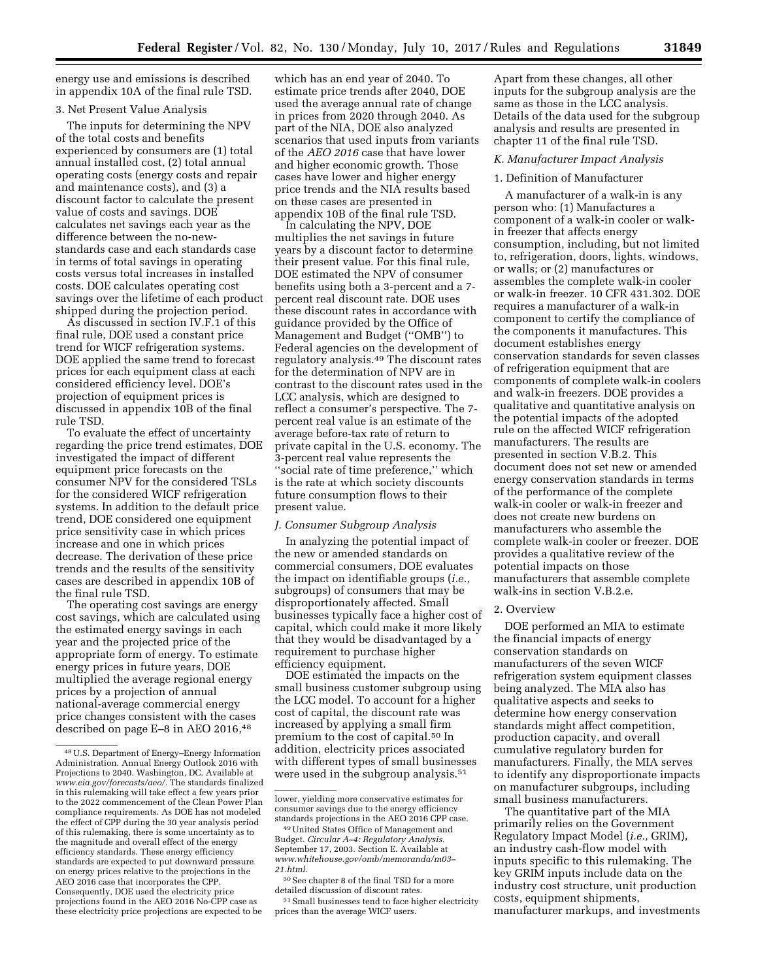energy use and emissions is described in appendix 10A of the final rule TSD.

## 3. Net Present Value Analysis

The inputs for determining the NPV of the total costs and benefits experienced by consumers are (1) total annual installed cost, (2) total annual operating costs (energy costs and repair and maintenance costs), and (3) a discount factor to calculate the present value of costs and savings. DOE calculates net savings each year as the difference between the no-newstandards case and each standards case in terms of total savings in operating costs versus total increases in installed costs. DOE calculates operating cost savings over the lifetime of each product shipped during the projection period.

As discussed in section IV.F.1 of this final rule, DOE used a constant price trend for WICF refrigeration systems. DOE applied the same trend to forecast prices for each equipment class at each considered efficiency level. DOE's projection of equipment prices is discussed in appendix 10B of the final rule TSD.

To evaluate the effect of uncertainty regarding the price trend estimates, DOE investigated the impact of different equipment price forecasts on the consumer NPV for the considered TSLs for the considered WICF refrigeration systems. In addition to the default price trend, DOE considered one equipment price sensitivity case in which prices increase and one in which prices decrease. The derivation of these price trends and the results of the sensitivity cases are described in appendix 10B of the final rule TSD.

The operating cost savings are energy cost savings, which are calculated using the estimated energy savings in each year and the projected price of the appropriate form of energy. To estimate energy prices in future years, DOE multiplied the average regional energy prices by a projection of annual national-average commercial energy price changes consistent with the cases described on page E-8 in AEO 2016,<sup>48</sup>

which has an end year of 2040. To estimate price trends after 2040, DOE used the average annual rate of change in prices from 2020 through 2040. As part of the NIA, DOE also analyzed scenarios that used inputs from variants of the *AEO 2016* case that have lower and higher economic growth. Those cases have lower and higher energy price trends and the NIA results based on these cases are presented in appendix 10B of the final rule TSD.

In calculating the NPV, DOE multiplies the net savings in future years by a discount factor to determine their present value. For this final rule, DOE estimated the NPV of consumer benefits using both a 3-percent and a 7 percent real discount rate. DOE uses these discount rates in accordance with guidance provided by the Office of Management and Budget (''OMB'') to Federal agencies on the development of regulatory analysis.49 The discount rates for the determination of NPV are in contrast to the discount rates used in the LCC analysis, which are designed to reflect a consumer's perspective. The 7 percent real value is an estimate of the average before-tax rate of return to private capital in the U.S. economy. The 3-percent real value represents the ''social rate of time preference,'' which is the rate at which society discounts future consumption flows to their present value.

#### *J. Consumer Subgroup Analysis*

In analyzing the potential impact of the new or amended standards on commercial consumers, DOE evaluates the impact on identifiable groups (*i.e.,*  subgroups) of consumers that may be disproportionately affected. Small businesses typically face a higher cost of capital, which could make it more likely that they would be disadvantaged by a requirement to purchase higher efficiency equipment.

DOE estimated the impacts on the small business customer subgroup using the LCC model. To account for a higher cost of capital, the discount rate was increased by applying a small firm premium to the cost of capital.50 In addition, electricity prices associated with different types of small businesses were used in the subgroup analysis.<sup>51</sup>

Apart from these changes, all other inputs for the subgroup analysis are the same as those in the LCC analysis. Details of the data used for the subgroup analysis and results are presented in chapter 11 of the final rule TSD.

#### *K. Manufacturer Impact Analysis*

#### 1. Definition of Manufacturer

A manufacturer of a walk-in is any person who: (1) Manufactures a component of a walk-in cooler or walkin freezer that affects energy consumption, including, but not limited to, refrigeration, doors, lights, windows, or walls; or (2) manufactures or assembles the complete walk-in cooler or walk-in freezer. 10 CFR 431.302. DOE requires a manufacturer of a walk-in component to certify the compliance of the components it manufactures. This document establishes energy conservation standards for seven classes of refrigeration equipment that are components of complete walk-in coolers and walk-in freezers. DOE provides a qualitative and quantitative analysis on the potential impacts of the adopted rule on the affected WICF refrigeration manufacturers. The results are presented in section V.B.2. This document does not set new or amended energy conservation standards in terms of the performance of the complete walk-in cooler or walk-in freezer and does not create new burdens on manufacturers who assemble the complete walk-in cooler or freezer. DOE provides a qualitative review of the potential impacts on those manufacturers that assemble complete walk-ins in section V.B.2.e.

### 2. Overview

DOE performed an MIA to estimate the financial impacts of energy conservation standards on manufacturers of the seven WICF refrigeration system equipment classes being analyzed. The MIA also has qualitative aspects and seeks to determine how energy conservation standards might affect competition, production capacity, and overall cumulative regulatory burden for manufacturers. Finally, the MIA serves to identify any disproportionate impacts on manufacturer subgroups, including small business manufacturers.

The quantitative part of the MIA primarily relies on the Government Regulatory Impact Model (*i.e.,* GRIM), an industry cash-flow model with inputs specific to this rulemaking. The key GRIM inputs include data on the industry cost structure, unit production costs, equipment shipments, manufacturer markups, and investments

<sup>48</sup>U.S. Department of Energy–Energy Information Administration. Annual Energy Outlook 2016 with Projections to 2040. Washington, DC. Available at *[www.eia.gov/forecasts/aeo/.](http://www.eia.gov/forecasts/aeo/)* The standards finalized in this rulemaking will take effect a few years prior to the 2022 commencement of the Clean Power Plan compliance requirements. As DOE has not modeled the effect of CPP during the 30 year analysis period of this rulemaking, there is some uncertainty as to the magnitude and overall effect of the energy efficiency standards. These energy efficiency standards are expected to put downward pressure on energy prices relative to the projections in the AEO 2016 case that incorporates the CPP. Consequently, DOE used the electricity price projections found in the AEO 2016 No-CPP case as these electricity price projections are expected to be

lower, yielding more conservative estimates for consumer savings due to the energy efficiency standards projections in the AEO 2016 CPP case.

<sup>49</sup>United States Office of Management and Budget. *Circular A–4: Regulatory Analysis.*  September 17, 2003. Section E. Available at *[www.whitehouse.gov/omb/memoranda/m03–](http://www.whitehouse.gov/omb/memoranda/m03-21.html) [21.html](http://www.whitehouse.gov/omb/memoranda/m03-21.html)*.

<sup>50</sup>See chapter 8 of the final TSD for a more detailed discussion of discount rates.

<sup>51</sup>Small businesses tend to face higher electricity prices than the average WICF users.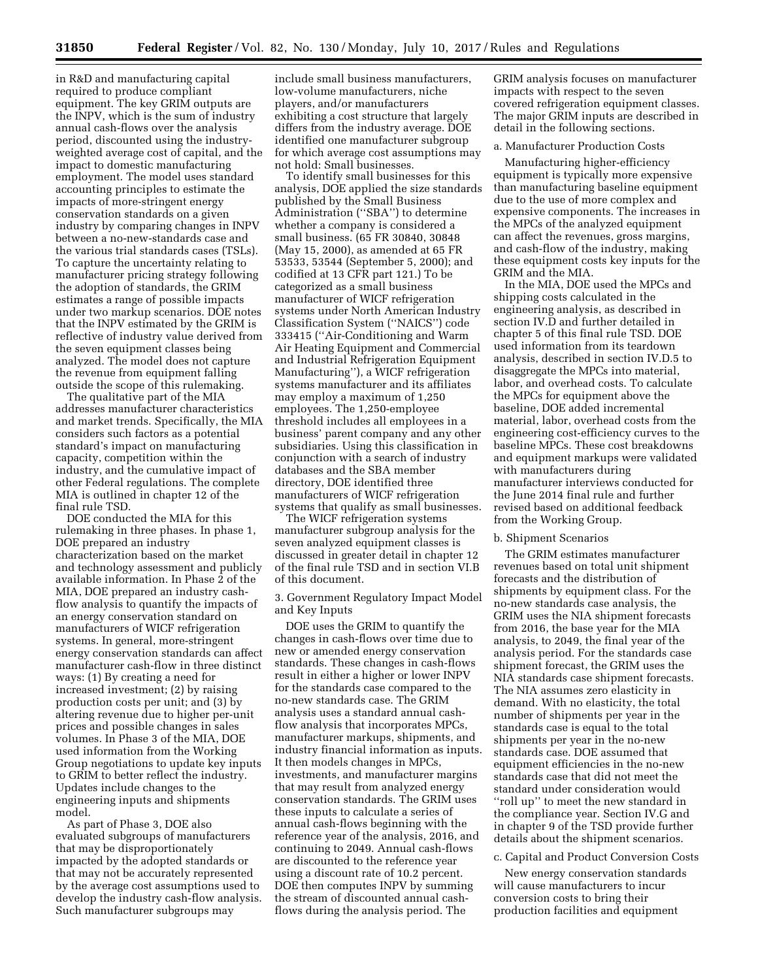in R&D and manufacturing capital required to produce compliant equipment. The key GRIM outputs are the INPV, which is the sum of industry

annual cash-flows over the analysis period, discounted using the industryweighted average cost of capital, and the impact to domestic manufacturing employment. The model uses standard accounting principles to estimate the impacts of more-stringent energy conservation standards on a given industry by comparing changes in INPV between a no-new-standards case and the various trial standards cases (TSLs). To capture the uncertainty relating to manufacturer pricing strategy following the adoption of standards, the GRIM estimates a range of possible impacts under two markup scenarios. DOE notes that the INPV estimated by the GRIM is reflective of industry value derived from the seven equipment classes being analyzed. The model does not capture the revenue from equipment falling outside the scope of this rulemaking.

The qualitative part of the MIA addresses manufacturer characteristics and market trends. Specifically, the MIA considers such factors as a potential standard's impact on manufacturing capacity, competition within the industry, and the cumulative impact of other Federal regulations. The complete MIA is outlined in chapter 12 of the final rule TSD.

DOE conducted the MIA for this rulemaking in three phases. In phase 1, DOE prepared an industry characterization based on the market and technology assessment and publicly available information. In Phase 2 of the MIA, DOE prepared an industry cashflow analysis to quantify the impacts of an energy conservation standard on manufacturers of WICF refrigeration systems. In general, more-stringent energy conservation standards can affect manufacturer cash-flow in three distinct ways: (1) By creating a need for increased investment; (2) by raising production costs per unit; and (3) by altering revenue due to higher per-unit prices and possible changes in sales volumes. In Phase 3 of the MIA, DOE used information from the Working Group negotiations to update key inputs to GRIM to better reflect the industry. Updates include changes to the engineering inputs and shipments model.

As part of Phase 3, DOE also evaluated subgroups of manufacturers that may be disproportionately impacted by the adopted standards or that may not be accurately represented by the average cost assumptions used to develop the industry cash-flow analysis. Such manufacturer subgroups may

include small business manufacturers, low-volume manufacturers, niche players, and/or manufacturers exhibiting a cost structure that largely differs from the industry average. DOE identified one manufacturer subgroup for which average cost assumptions may not hold: Small businesses.

To identify small businesses for this analysis, DOE applied the size standards published by the Small Business Administration (''SBA'') to determine whether a company is considered a small business. (65 FR 30840, 30848 (May 15, 2000), as amended at 65 FR 53533, 53544 (September 5, 2000); and codified at 13 CFR part 121.) To be categorized as a small business manufacturer of WICF refrigeration systems under North American Industry Classification System (''NAICS'') code 333415 (''Air-Conditioning and Warm Air Heating Equipment and Commercial and Industrial Refrigeration Equipment Manufacturing''), a WICF refrigeration systems manufacturer and its affiliates may employ a maximum of 1,250 employees. The 1,250-employee threshold includes all employees in a business' parent company and any other subsidiaries. Using this classification in conjunction with a search of industry databases and the SBA member directory, DOE identified three manufacturers of WICF refrigeration systems that qualify as small businesses.

The WICF refrigeration systems manufacturer subgroup analysis for the seven analyzed equipment classes is discussed in greater detail in chapter 12 of the final rule TSD and in section VI.B of this document.

3. Government Regulatory Impact Model and Key Inputs

DOE uses the GRIM to quantify the changes in cash-flows over time due to new or amended energy conservation standards. These changes in cash-flows result in either a higher or lower INPV for the standards case compared to the no-new standards case. The GRIM analysis uses a standard annual cashflow analysis that incorporates MPCs, manufacturer markups, shipments, and industry financial information as inputs. It then models changes in MPCs, investments, and manufacturer margins that may result from analyzed energy conservation standards. The GRIM uses these inputs to calculate a series of annual cash-flows beginning with the reference year of the analysis, 2016, and continuing to 2049. Annual cash-flows are discounted to the reference year using a discount rate of 10.2 percent. DOE then computes INPV by summing the stream of discounted annual cashflows during the analysis period. The

GRIM analysis focuses on manufacturer impacts with respect to the seven covered refrigeration equipment classes. The major GRIM inputs are described in detail in the following sections.

### a. Manufacturer Production Costs

Manufacturing higher-efficiency equipment is typically more expensive than manufacturing baseline equipment due to the use of more complex and expensive components. The increases in the MPCs of the analyzed equipment can affect the revenues, gross margins, and cash-flow of the industry, making these equipment costs key inputs for the GRIM and the MIA.

In the MIA, DOE used the MPCs and shipping costs calculated in the engineering analysis, as described in section IV.D and further detailed in chapter 5 of this final rule TSD. DOE used information from its teardown analysis, described in section IV.D.5 to disaggregate the MPCs into material, labor, and overhead costs. To calculate the MPCs for equipment above the baseline, DOE added incremental material, labor, overhead costs from the engineering cost-efficiency curves to the baseline MPCs. These cost breakdowns and equipment markups were validated with manufacturers during manufacturer interviews conducted for the June 2014 final rule and further revised based on additional feedback from the Working Group.

### b. Shipment Scenarios

The GRIM estimates manufacturer revenues based on total unit shipment forecasts and the distribution of shipments by equipment class. For the no-new standards case analysis, the GRIM uses the NIA shipment forecasts from 2016, the base year for the MIA analysis, to 2049, the final year of the analysis period. For the standards case shipment forecast, the GRIM uses the NIA standards case shipment forecasts. The NIA assumes zero elasticity in demand. With no elasticity, the total number of shipments per year in the standards case is equal to the total shipments per year in the no-new standards case. DOE assumed that equipment efficiencies in the no-new standards case that did not meet the standard under consideration would ''roll up'' to meet the new standard in the compliance year. Section IV.G and in chapter 9 of the TSD provide further details about the shipment scenarios.

#### c. Capital and Product Conversion Costs

New energy conservation standards will cause manufacturers to incur conversion costs to bring their production facilities and equipment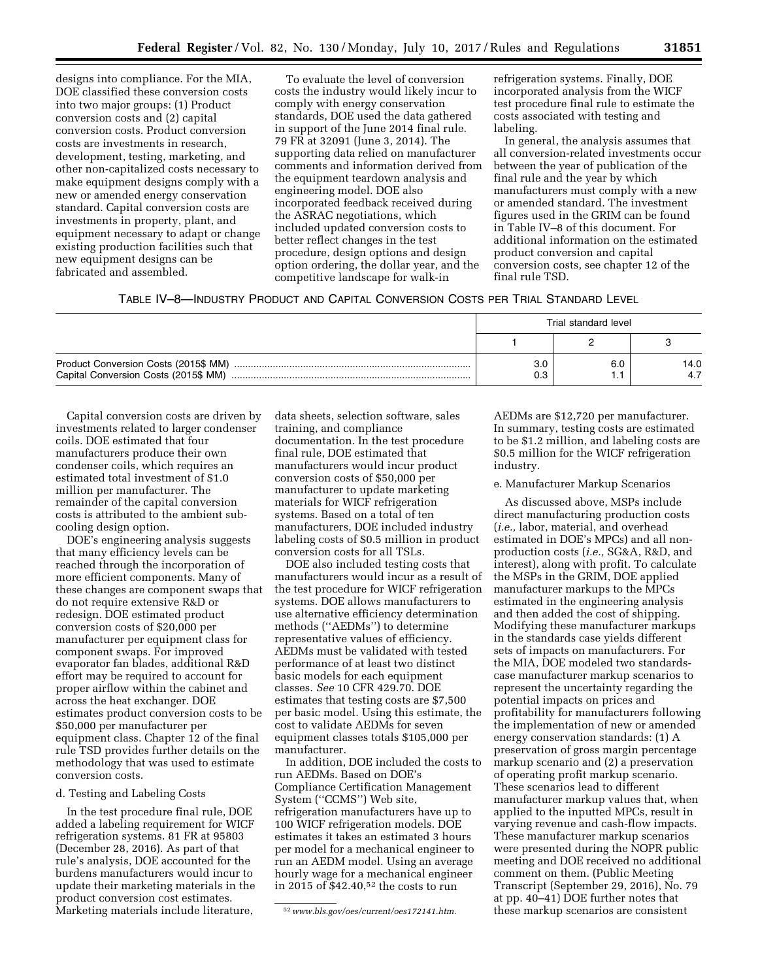designs into compliance. For the MIA, DOE classified these conversion costs into two major groups: (1) Product conversion costs and (2) capital conversion costs. Product conversion costs are investments in research, development, testing, marketing, and other non-capitalized costs necessary to make equipment designs comply with a new or amended energy conservation standard. Capital conversion costs are investments in property, plant, and equipment necessary to adapt or change existing production facilities such that new equipment designs can be fabricated and assembled.

To evaluate the level of conversion costs the industry would likely incur to comply with energy conservation standards, DOE used the data gathered in support of the June 2014 final rule. 79 FR at 32091 (June 3, 2014). The supporting data relied on manufacturer comments and information derived from the equipment teardown analysis and engineering model. DOE also incorporated feedback received during the ASRAC negotiations, which included updated conversion costs to better reflect changes in the test procedure, design options and design option ordering, the dollar year, and the competitive landscape for walk-in

refrigeration systems. Finally, DOE incorporated analysis from the WICF test procedure final rule to estimate the costs associated with testing and labeling.

In general, the analysis assumes that all conversion-related investments occur between the year of publication of the final rule and the year by which manufacturers must comply with a new or amended standard. The investment figures used in the GRIM can be found in Table IV–8 of this document. For additional information on the estimated product conversion and capital conversion costs, see chapter 12 of the final rule TSD.

## TABLE IV–8—INDUSTRY PRODUCT AND CAPITAL CONVERSION COSTS PER TRIAL STANDARD LEVEL

|                                                                              | Trial standard level |     |             |  |  |
|------------------------------------------------------------------------------|----------------------|-----|-------------|--|--|
|                                                                              |                      |     |             |  |  |
| Product Conversion Costs (2015\$ MM)<br>Capital Conversion Costs (2015\$ MM) | 3.0<br>0.3           | 6.C | 14.0<br>4.7 |  |  |

Capital conversion costs are driven by investments related to larger condenser coils. DOE estimated that four manufacturers produce their own condenser coils, which requires an estimated total investment of \$1.0 million per manufacturer. The remainder of the capital conversion costs is attributed to the ambient subcooling design option.

DOE's engineering analysis suggests that many efficiency levels can be reached through the incorporation of more efficient components. Many of these changes are component swaps that do not require extensive R&D or redesign. DOE estimated product conversion costs of \$20,000 per manufacturer per equipment class for component swaps. For improved evaporator fan blades, additional R&D effort may be required to account for proper airflow within the cabinet and across the heat exchanger. DOE estimates product conversion costs to be \$50,000 per manufacturer per equipment class. Chapter 12 of the final rule TSD provides further details on the methodology that was used to estimate conversion costs.

### d. Testing and Labeling Costs

In the test procedure final rule, DOE added a labeling requirement for WICF refrigeration systems. 81 FR at 95803 (December 28, 2016). As part of that rule's analysis, DOE accounted for the burdens manufacturers would incur to update their marketing materials in the product conversion cost estimates. Marketing materials include literature,

data sheets, selection software, sales training, and compliance documentation. In the test procedure final rule, DOE estimated that manufacturers would incur product conversion costs of \$50,000 per manufacturer to update marketing materials for WICF refrigeration systems. Based on a total of ten manufacturers, DOE included industry labeling costs of \$0.5 million in product conversion costs for all TSLs.

DOE also included testing costs that manufacturers would incur as a result of the test procedure for WICF refrigeration systems. DOE allows manufacturers to use alternative efficiency determination methods (''AEDMs'') to determine representative values of efficiency. AEDMs must be validated with tested performance of at least two distinct basic models for each equipment classes. *See* 10 CFR 429.70. DOE estimates that testing costs are \$7,500 per basic model. Using this estimate, the cost to validate AEDMs for seven equipment classes totals \$105,000 per manufacturer.

In addition, DOE included the costs to run AEDMs. Based on DOE's Compliance Certification Management System (''CCMS'') Web site, refrigeration manufacturers have up to 100 WICF refrigeration models. DOE estimates it takes an estimated 3 hours per model for a mechanical engineer to run an AEDM model. Using an average hourly wage for a mechanical engineer in 2015 of \$42.40,52 the costs to run

AEDMs are \$12,720 per manufacturer. In summary, testing costs are estimated to be \$1.2 million, and labeling costs are \$0.5 million for the WICF refrigeration industry.

#### e. Manufacturer Markup Scenarios

As discussed above, MSPs include direct manufacturing production costs (*i.e.,* labor, material, and overhead estimated in DOE's MPCs) and all nonproduction costs (*i.e.,* SG&A, R&D, and interest), along with profit. To calculate the MSPs in the GRIM, DOE applied manufacturer markups to the MPCs estimated in the engineering analysis and then added the cost of shipping. Modifying these manufacturer markups in the standards case yields different sets of impacts on manufacturers. For the MIA, DOE modeled two standardscase manufacturer markup scenarios to represent the uncertainty regarding the potential impacts on prices and profitability for manufacturers following the implementation of new or amended energy conservation standards: (1) A preservation of gross margin percentage markup scenario and (2) a preservation of operating profit markup scenario. These scenarios lead to different manufacturer markup values that, when applied to the inputted MPCs, result in varying revenue and cash-flow impacts. These manufacturer markup scenarios were presented during the NOPR public meeting and DOE received no additional comment on them. (Public Meeting Transcript (September 29, 2016), No. 79 at pp. 40–41) DOE further notes that these markup scenarios are consistent

<sup>52</sup>*[www.bls.gov/oes/current/oes172141.htm.](http://www.bls.gov/oes/current/oes172141.htm)*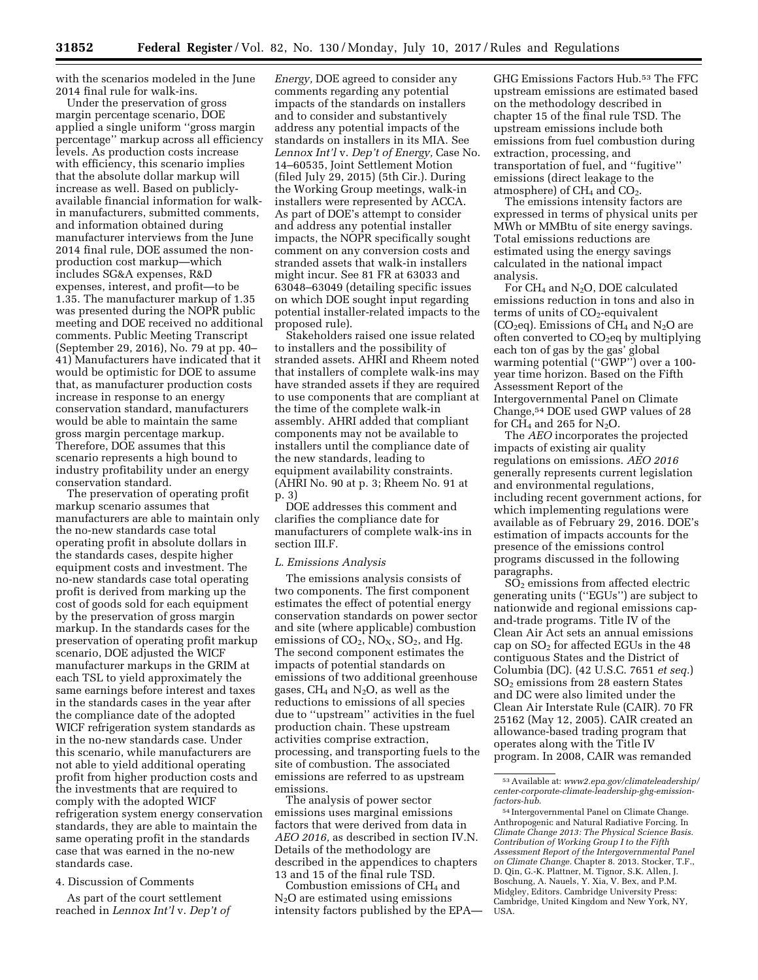with the scenarios modeled in the June 2014 final rule for walk-ins.

Under the preservation of gross margin percentage scenario, DOE applied a single uniform ''gross margin percentage'' markup across all efficiency levels. As production costs increase with efficiency, this scenario implies that the absolute dollar markup will increase as well. Based on publiclyavailable financial information for walkin manufacturers, submitted comments, and information obtained during manufacturer interviews from the June 2014 final rule, DOE assumed the nonproduction cost markup—which includes SG&A expenses, R&D expenses, interest, and profit—to be 1.35. The manufacturer markup of 1.35 was presented during the NOPR public meeting and DOE received no additional comments. Public Meeting Transcript (September 29, 2016), No. 79 at pp. 40– 41) Manufacturers have indicated that it would be optimistic for DOE to assume that, as manufacturer production costs increase in response to an energy conservation standard, manufacturers would be able to maintain the same gross margin percentage markup. Therefore, DOE assumes that this scenario represents a high bound to industry profitability under an energy conservation standard.

The preservation of operating profit markup scenario assumes that manufacturers are able to maintain only the no-new standards case total operating profit in absolute dollars in the standards cases, despite higher equipment costs and investment. The no-new standards case total operating profit is derived from marking up the cost of goods sold for each equipment by the preservation of gross margin markup. In the standards cases for the preservation of operating profit markup scenario, DOE adjusted the WICF manufacturer markups in the GRIM at each TSL to yield approximately the same earnings before interest and taxes in the standards cases in the year after the compliance date of the adopted WICF refrigeration system standards as in the no-new standards case. Under this scenario, while manufacturers are not able to yield additional operating profit from higher production costs and the investments that are required to comply with the adopted WICF refrigeration system energy conservation standards, they are able to maintain the same operating profit in the standards case that was earned in the no-new standards case.

### 4. Discussion of Comments

As part of the court settlement reached in *Lennox Int'l* v. *Dep't of* 

*Energy,* DOE agreed to consider any comments regarding any potential impacts of the standards on installers and to consider and substantively address any potential impacts of the standards on installers in its MIA. See *Lennox Int'l* v. *Dep't of Energy,* Case No. 14–60535, Joint Settlement Motion (filed July 29, 2015) (5th Cir.). During the Working Group meetings, walk-in installers were represented by ACCA. As part of DOE's attempt to consider and address any potential installer impacts, the NOPR specifically sought comment on any conversion costs and stranded assets that walk-in installers might incur. See 81 FR at 63033 and 63048–63049 (detailing specific issues on which DOE sought input regarding potential installer-related impacts to the proposed rule).

Stakeholders raised one issue related to installers and the possibility of stranded assets. AHRI and Rheem noted that installers of complete walk-ins may have stranded assets if they are required to use components that are compliant at the time of the complete walk-in assembly. AHRI added that compliant components may not be available to installers until the compliance date of the new standards, leading to equipment availability constraints. (AHRI No. 90 at p. 3; Rheem No. 91 at p. 3)

DOE addresses this comment and clarifies the compliance date for manufacturers of complete walk-ins in section III.F.

### *L. Emissions Analysis*

The emissions analysis consists of two components. The first component estimates the effect of potential energy conservation standards on power sector and site (where applicable) combustion emissions of  $CO_2$ ,  $NO_X$ ,  $SO_2$ , and Hg. The second component estimates the impacts of potential standards on emissions of two additional greenhouse gases,  $CH_4$  and  $N_2O$ , as well as the reductions to emissions of all species due to ''upstream'' activities in the fuel production chain. These upstream activities comprise extraction, processing, and transporting fuels to the site of combustion. The associated emissions are referred to as upstream emissions.

The analysis of power sector emissions uses marginal emissions factors that were derived from data in *AEO 2016,* as described in section IV.N. Details of the methodology are described in the appendices to chapters 13 and 15 of the final rule TSD.

Combustion emissions of  $CH<sub>4</sub>$  and  $N<sub>2</sub>O$  are estimated using emissions intensity factors published by the EPA— GHG Emissions Factors Hub.53 The FFC upstream emissions are estimated based on the methodology described in chapter 15 of the final rule TSD. The upstream emissions include both emissions from fuel combustion during extraction, processing, and transportation of fuel, and ''fugitive'' emissions (direct leakage to the atmosphere) of CH<sub>4</sub> and CO<sub>2</sub>.

The emissions intensity factors are expressed in terms of physical units per MWh or MMBtu of site energy savings. Total emissions reductions are estimated using the energy savings calculated in the national impact analysis.

For CH4 and N2O, DOE calculated emissions reduction in tons and also in terms of units of  $CO<sub>2</sub>$ -equivalent (CO<sub>2</sub>eq). Emissions of CH<sub>4</sub> and N<sub>2</sub>O are often converted to  $CO<sub>2</sub>$ eq by multiplying each ton of gas by the gas' global warming potential ("GWP") over a 100year time horizon. Based on the Fifth Assessment Report of the Intergovernmental Panel on Climate Change,54 DOE used GWP values of 28 for  $CH_4$  and 265 for N<sub>2</sub>O.

The *AEO* incorporates the projected impacts of existing air quality regulations on emissions. *AEO 2016*  generally represents current legislation and environmental regulations, including recent government actions, for which implementing regulations were available as of February 29, 2016. DOE's estimation of impacts accounts for the presence of the emissions control programs discussed in the following paragraphs.

 $SO<sub>2</sub>$  emissions from affected electric generating units (''EGUs'') are subject to nationwide and regional emissions capand-trade programs. Title IV of the Clean Air Act sets an annual emissions cap on  $SO<sub>2</sub>$  for affected EGUs in the 48 contiguous States and the District of Columbia (DC). (42 U.S.C. 7651 *et seq.*) SO2 emissions from 28 eastern States and DC were also limited under the Clean Air Interstate Rule (CAIR). 70 FR 25162 (May 12, 2005). CAIR created an allowance-based trading program that operates along with the Title IV program. In 2008, CAIR was remanded

<sup>53</sup>Available at: *[www2.epa.gov/climateleadership/](http://www2.epa.gov/climateleadership/center-corporate-climate-leadership-ghg-emission-factors-hub) [center-corporate-climate-leadership-ghg-emission](http://www2.epa.gov/climateleadership/center-corporate-climate-leadership-ghg-emission-factors-hub)[factors-hub](http://www2.epa.gov/climateleadership/center-corporate-climate-leadership-ghg-emission-factors-hub)*.

<sup>54</sup> Intergovernmental Panel on Climate Change. Anthropogenic and Natural Radiative Forcing. In *Climate Change 2013: The Physical Science Basis. Contribution of Working Group I to the Fifth Assessment Report of the Intergovernmental Panel on Climate Change.* Chapter 8. 2013. Stocker, T.F., D. Qin, G.-K. Plattner, M. Tignor, S.K. Allen, J. Boschung, A. Nauels, Y. Xia, V. Bex, and P.M. Midgley, Editors. Cambridge University Press: Cambridge, United Kingdom and New York, NY, USA.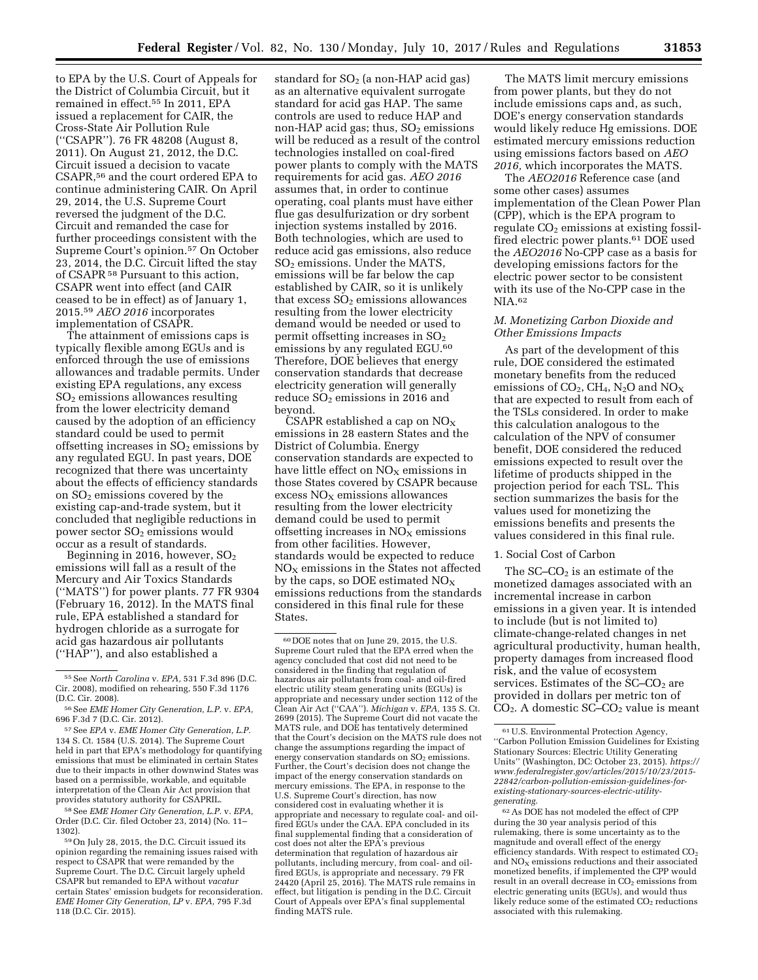to EPA by the U.S. Court of Appeals for the District of Columbia Circuit, but it remained in effect.55 In 2011, EPA issued a replacement for CAIR, the Cross-State Air Pollution Rule (''CSAPR''). 76 FR 48208 (August 8, 2011). On August 21, 2012, the D.C. Circuit issued a decision to vacate CSAPR,56 and the court ordered EPA to continue administering CAIR. On April 29, 2014, the U.S. Supreme Court reversed the judgment of the D.C. Circuit and remanded the case for further proceedings consistent with the Supreme Court's opinion.57 On October 23, 2014, the D.C. Circuit lifted the stay of CSAPR 58 Pursuant to this action, CSAPR went into effect (and CAIR ceased to be in effect) as of January 1, 2015.59 *AEO 2016* incorporates implementation of CSAPR.

The attainment of emissions caps is typically flexible among EGUs and is enforced through the use of emissions allowances and tradable permits. Under existing EPA regulations, any excess SO2 emissions allowances resulting from the lower electricity demand caused by the adoption of an efficiency standard could be used to permit offsetting increases in  $SO<sub>2</sub>$  emissions by any regulated EGU. In past years, DOE recognized that there was uncertainty about the effects of efficiency standards on SO2 emissions covered by the existing cap-and-trade system, but it concluded that negligible reductions in power sector SO<sub>2</sub> emissions would occur as a result of standards.

Beginning in 2016, however,  $SO<sub>2</sub>$ emissions will fall as a result of the Mercury and Air Toxics Standards (''MATS'') for power plants. 77 FR 9304 (February 16, 2012). In the MATS final rule, EPA established a standard for hydrogen chloride as a surrogate for acid gas hazardous air pollutants (''HAP''), and also established a

58See *EME Homer City Generation, L.P.* v. *EPA,*  Order (D.C. Cir. filed October 23, 2014) (No. 11– 1302).

standard for  $SO<sub>2</sub>$  (a non-HAP acid gas) as an alternative equivalent surrogate standard for acid gas HAP. The same controls are used to reduce HAP and non-HAP acid gas; thus,  $SO<sub>2</sub>$  emissions will be reduced as a result of the control technologies installed on coal-fired power plants to comply with the MATS requirements for acid gas. *AEO 2016*  assumes that, in order to continue operating, coal plants must have either flue gas desulfurization or dry sorbent injection systems installed by 2016. Both technologies, which are used to reduce acid gas emissions, also reduce SO2 emissions. Under the MATS, emissions will be far below the cap established by CAIR, so it is unlikely that excess  $SO<sub>2</sub>$  emissions allowances resulting from the lower electricity demand would be needed or used to permit offsetting increases in  $SO<sub>2</sub>$ emissions by any regulated EGU.<sup>60</sup> Therefore, DOE believes that energy conservation standards that decrease electricity generation will generally reduce  $SO<sub>2</sub>$  emissions in 2016 and beyond.

CSAPR established a cap on  $NO<sub>x</sub>$ emissions in 28 eastern States and the District of Columbia. Energy conservation standards are expected to have little effect on  $NO<sub>X</sub>$  emissions in those States covered by CSAPR because  $excess NO<sub>X</sub>$  emissions allowances resulting from the lower electricity demand could be used to permit offsetting increases in  $NO<sub>x</sub>$  emissions from other facilities. However, standards would be expected to reduce  $NO<sub>x</sub>$  emissions in the States not affected by the caps, so DOE estimated  $NO<sub>X</sub>$ emissions reductions from the standards considered in this final rule for these States.

The MATS limit mercury emissions from power plants, but they do not include emissions caps and, as such, DOE's energy conservation standards would likely reduce Hg emissions. DOE estimated mercury emissions reduction using emissions factors based on *AEO 2016,* which incorporates the MATS.

The *AEO2016* Reference case (and some other cases) assumes implementation of the Clean Power Plan (CPP), which is the EPA program to regulate  $CO<sub>2</sub>$  emissions at existing fossilfired electric power plants.61 DOE used the *AEO2016* No-CPP case as a basis for developing emissions factors for the electric power sector to be consistent with its use of the No-CPP case in the NIA.62

### *M. Monetizing Carbon Dioxide and Other Emissions Impacts*

As part of the development of this rule, DOE considered the estimated monetary benefits from the reduced emissions of  $CO<sub>2</sub>$ ,  $CH<sub>4</sub>$ , N<sub>2</sub>O and NO<sub>X</sub> that are expected to result from each of the TSLs considered. In order to make this calculation analogous to the calculation of the NPV of consumer benefit, DOE considered the reduced emissions expected to result over the lifetime of products shipped in the projection period for each TSL. This section summarizes the basis for the values used for monetizing the emissions benefits and presents the values considered in this final rule.

#### 1. Social Cost of Carbon

The SC–CO<sub>2</sub> is an estimate of the monetized damages associated with an incremental increase in carbon emissions in a given year. It is intended to include (but is not limited to) climate-change-related changes in net agricultural productivity, human health, property damages from increased flood risk, and the value of ecosystem services. Estimates of the  $SC$ – $CO<sub>2</sub>$  are provided in dollars per metric ton of  $CO<sub>2</sub>$ . A domestic SC–CO<sub>2</sub> value is meant

62As DOE has not modeled the effect of CPP during the 30 year analysis period of this rulemaking, there is some uncertainty as to the magnitude and overall effect of the energy efficiency standards. With respect to estimated  $CO<sub>2</sub>$ and  $NO<sub>x</sub>$  emissions reductions and their associated monetized benefits, if implemented the CPP would result in an overall decrease in  $CO<sub>2</sub>$  emissions from electric generating units (EGUs), and would thus likely reduce some of the estimated CO<sub>2</sub> reductions associated with this rulemaking.

<sup>55</sup>See *North Carolina* v. *EPA,* 531 F.3d 896 (D.C. Cir. 2008), modified on rehearing, 550 F.3d 1176 (D.C. Cir. 2008).

<sup>56</sup>See *EME Homer City Generation, L.P.* v. *EPA,*  696 F.3d 7 (D.C. Cir. 2012).

<sup>57</sup>See *EPA* v. *EME Homer City Generation, L.P.*  134 S. Ct. 1584 (U.S. 2014). The Supreme Court held in part that EPA's methodology for quantifying emissions that must be eliminated in certain States due to their impacts in other downwind States was based on a permissible, workable, and equitable interpretation of the Clean Air Act provision that provides statutory authority for CSAPRIL.

<sup>59</sup>On July 28, 2015, the D.C. Circuit issued its opinion regarding the remaining issues raised with respect to CSAPR that were remanded by the Supreme Court. The D.C. Circuit largely upheld CSAPR but remanded to EPA without *vacatur*  certain States' emission budgets for reconsideration. *EME Homer City Generation, LP* v. *EPA,* 795 F.3d 118 (D.C. Cir. 2015).

<sup>60</sup> DOE notes that on June 29, 2015, the U.S. Supreme Court ruled that the EPA erred when the agency concluded that cost did not need to be considered in the finding that regulation of hazardous air pollutants from coal- and oil-fired electric utility steam generating units (EGUs) is appropriate and necessary under section 112 of the Clean Air Act (''CAA''). *Michigan* v. *EPA,* 135 S. Ct. 2699 (2015). The Supreme Court did not vacate the MATS rule, and DOE has tentatively determined that the Court's decision on the MATS rule does not change the assumptions regarding the impact of energy conservation standards on SO<sub>2</sub> emissions. Further, the Court's decision does not change the impact of the energy conservation standards on mercury emissions. The EPA, in response to the U.S. Supreme Court's direction, has now considered cost in evaluating whether it is appropriate and necessary to regulate coal- and oilfired EGUs under the CAA. EPA concluded in its final supplemental finding that a consideration of cost does not alter the EPA's previous determination that regulation of hazardous air pollutants, including mercury, from coal- and oilfired EGUs, is appropriate and necessary. 79 FR 24420 (April 25, 2016). The MATS rule remains in effect, but litigation is pending in the D.C. Circuit Court of Appeals over EPA's final supplemental finding MATS rule.

<sup>61</sup>U.S. Environmental Protection Agency, ''Carbon Pollution Emission Guidelines for Existing Stationary Sources: Electric Utility Generating Units'' (Washington, DC: October 23, 2015). *[https://](https://www.federalregister.gov/articles/2015/10/23/2015-22842/carbon-pollution-emission-guidelines-for-existing-stationary-sources-electric-utility-generating)  [www.federalregister.gov/articles/2015/10/23/2015-](https://www.federalregister.gov/articles/2015/10/23/2015-22842/carbon-pollution-emission-guidelines-for-existing-stationary-sources-electric-utility-generating)  22842/carbon-pollution-emission-guidelines-forexisting-stationary-sources-electric-utility[generating](https://www.federalregister.gov/articles/2015/10/23/2015-22842/carbon-pollution-emission-guidelines-for-existing-stationary-sources-electric-utility-generating)*.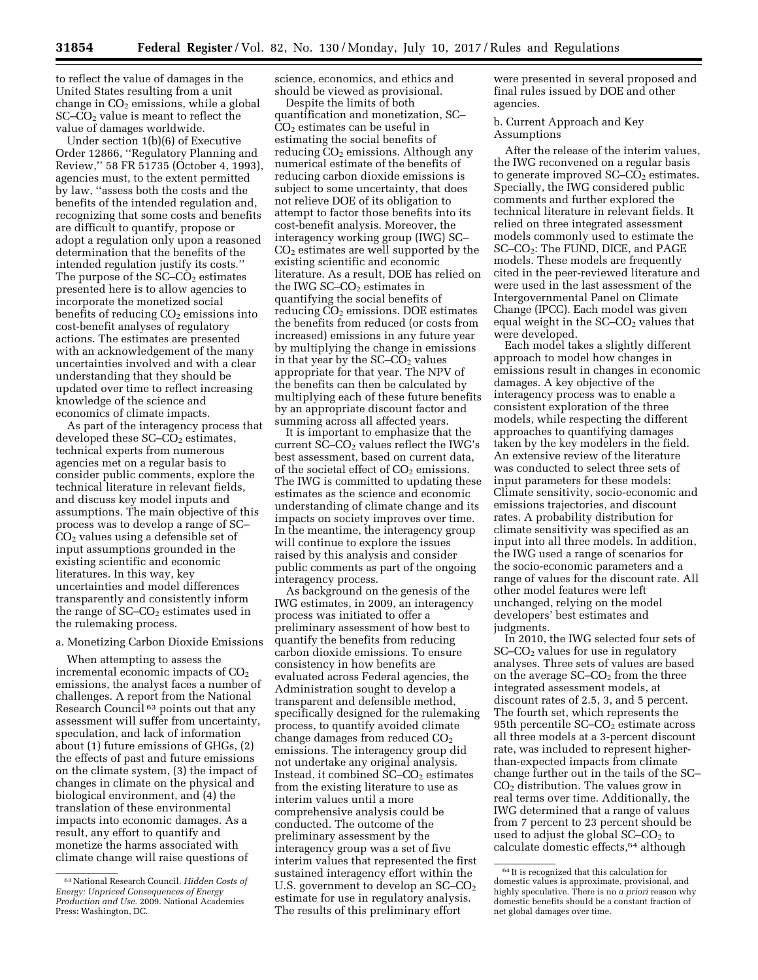to reflect the value of damages in the United States resulting from a unit change in  $CO<sub>2</sub>$  emissions, while a global SC–CO2 value is meant to reflect the value of damages worldwide.

Under section 1(b)(6) of Executive Order 12866, ''Regulatory Planning and Review,'' 58 FR 51735 (October 4, 1993), agencies must, to the extent permitted by law, ''assess both the costs and the benefits of the intended regulation and, recognizing that some costs and benefits are difficult to quantify, propose or adopt a regulation only upon a reasoned determination that the benefits of the intended regulation justify its costs.'' The purpose of the  $SC-CO<sub>2</sub>$  estimates presented here is to allow agencies to incorporate the monetized social benefits of reducing  $CO<sub>2</sub>$  emissions into cost-benefit analyses of regulatory actions. The estimates are presented with an acknowledgement of the many uncertainties involved and with a clear understanding that they should be updated over time to reflect increasing knowledge of the science and economics of climate impacts.

As part of the interagency process that developed these  $SC-CO<sub>2</sub>$  estimates, technical experts from numerous agencies met on a regular basis to consider public comments, explore the technical literature in relevant fields, and discuss key model inputs and assumptions. The main objective of this process was to develop a range of SC–  $CO<sub>2</sub>$  values using a defensible set of input assumptions grounded in the existing scientific and economic literatures. In this way, key uncertainties and model differences transparently and consistently inform the range of  $SC$ – $CO<sub>2</sub>$  estimates used in the rulemaking process.

#### a. Monetizing Carbon Dioxide Emissions

When attempting to assess the incremental economic impacts of  $CO<sub>2</sub>$ emissions, the analyst faces a number of challenges. A report from the National Research Council<sup>63</sup> points out that any assessment will suffer from uncertainty, speculation, and lack of information about (1) future emissions of GHGs, (2) the effects of past and future emissions on the climate system, (3) the impact of changes in climate on the physical and biological environment, and (4) the translation of these environmental impacts into economic damages. As a result, any effort to quantify and monetize the harms associated with climate change will raise questions of

science, economics, and ethics and should be viewed as provisional.

Despite the limits of both quantification and monetization, SC– CO2 estimates can be useful in estimating the social benefits of reducing  $CO<sub>2</sub>$  emissions. Although any numerical estimate of the benefits of reducing carbon dioxide emissions is subject to some uncertainty, that does not relieve DOE of its obligation to attempt to factor those benefits into its cost-benefit analysis. Moreover, the interagency working group (IWG) SC– CO2 estimates are well supported by the existing scientific and economic literature. As a result, DOE has relied on the IWG SC–CO<sub>2</sub> estimates in quantifying the social benefits of reducing  $CO<sub>2</sub>$  emissions. DOE estimates the benefits from reduced (or costs from increased) emissions in any future year by multiplying the change in emissions in that year by the  $SC$ – $CO<sub>2</sub>$  values appropriate for that year. The NPV of the benefits can then be calculated by multiplying each of these future benefits by an appropriate discount factor and summing across all affected years.

It is important to emphasize that the current  $SC$ – $CO<sub>2</sub>$  values reflect the IWG's best assessment, based on current data, of the societal effect of  $CO<sub>2</sub>$  emissions. The IWG is committed to updating these estimates as the science and economic understanding of climate change and its impacts on society improves over time. In the meantime, the interagency group will continue to explore the issues raised by this analysis and consider public comments as part of the ongoing interagency process.

As background on the genesis of the IWG estimates, in 2009, an interagency process was initiated to offer a preliminary assessment of how best to quantify the benefits from reducing carbon dioxide emissions. To ensure consistency in how benefits are evaluated across Federal agencies, the Administration sought to develop a transparent and defensible method, specifically designed for the rulemaking process, to quantify avoided climate change damages from reduced  $CO<sub>2</sub>$ emissions. The interagency group did not undertake any original analysis. Instead, it combined  $SC$ – $CO<sub>2</sub>$  estimates from the existing literature to use as interim values until a more comprehensive analysis could be conducted. The outcome of the preliminary assessment by the interagency group was a set of five interim values that represented the first sustained interagency effort within the U.S. government to develop an  $SC-CO<sub>2</sub>$ estimate for use in regulatory analysis. The results of this preliminary effort

were presented in several proposed and final rules issued by DOE and other agencies.

b. Current Approach and Key Assumptions

After the release of the interim values, the IWG reconvened on a regular basis to generate improved  $SC$ – $CO<sub>2</sub>$  estimates. Specially, the IWG considered public comments and further explored the technical literature in relevant fields. It relied on three integrated assessment models commonly used to estimate the SC–CO2: The FUND, DICE, and PAGE models. These models are frequently cited in the peer-reviewed literature and were used in the last assessment of the Intergovernmental Panel on Climate Change (IPCC). Each model was given equal weight in the  $SC$ – $CO<sub>2</sub>$  values that were developed.

Each model takes a slightly different approach to model how changes in emissions result in changes in economic damages. A key objective of the interagency process was to enable a consistent exploration of the three models, while respecting the different approaches to quantifying damages taken by the key modelers in the field. An extensive review of the literature was conducted to select three sets of input parameters for these models: Climate sensitivity, socio-economic and emissions trajectories, and discount rates. A probability distribution for climate sensitivity was specified as an input into all three models. In addition, the IWG used a range of scenarios for the socio-economic parameters and a range of values for the discount rate. All other model features were left unchanged, relying on the model developers' best estimates and judgments.

In 2010, the IWG selected four sets of SC–CO2 values for use in regulatory analyses. Three sets of values are based on the average  $SC$ – $CO<sub>2</sub>$  from the three integrated assessment models, at discount rates of 2.5, 3, and 5 percent. The fourth set, which represents the 95th percentile  $SC$ – $CO<sub>2</sub>$  estimate across all three models at a 3-percent discount rate, was included to represent higherthan-expected impacts from climate change further out in the tails of the SC– CO2 distribution. The values grow in real terms over time. Additionally, the IWG determined that a range of values from 7 percent to 23 percent should be used to adjust the global  $SC$ – $CO<sub>2</sub>$  to calculate domestic effects,64 although

<sup>63</sup>National Research Council. *Hidden Costs of Energy: Unpriced Consequences of Energy Production and Use.* 2009. National Academies Press: Washington, DC.

<sup>64</sup> It is recognized that this calculation for domestic values is approximate, provisional, and highly speculative. There is no *a priori* reason why domestic benefits should be a constant fraction of net global damages over time.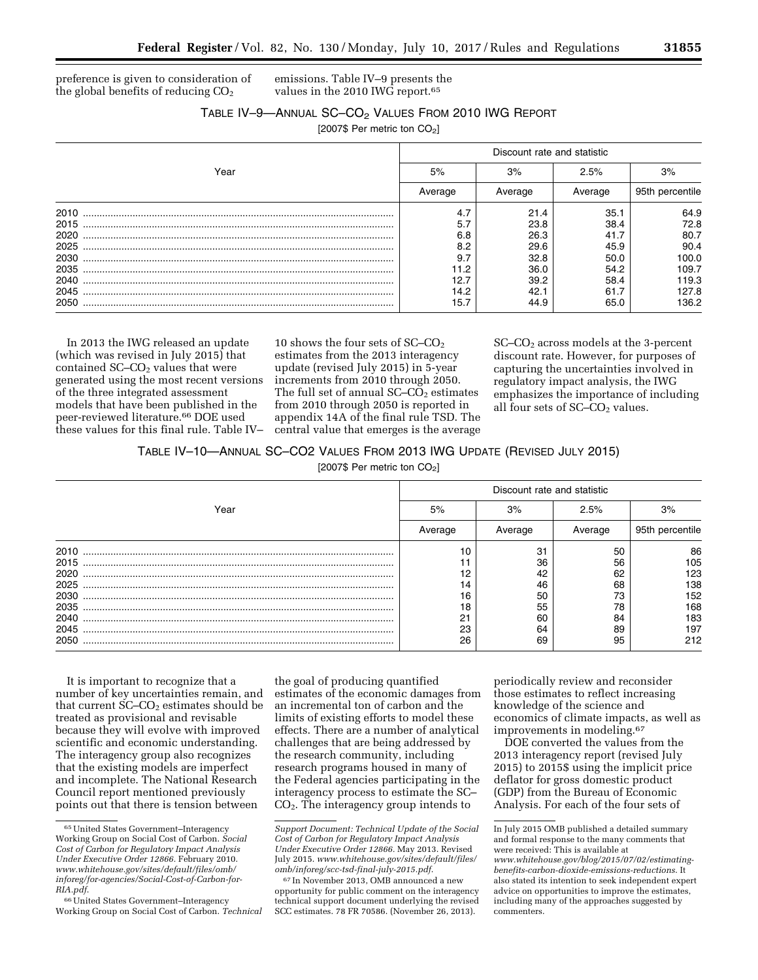preference is given to consideration of the global benefits of reducing  $CO<sub>2</sub>$ 

emissions. Table IV–9 presents the values in the 2010 IWG report.65

## TABLE IV-9-ANNUAL SC-CO<sub>2</sub> VALUES FROM 2010 IWG REPORT

[2007\$ Per metric ton CO<sub>2</sub>]

|      | Discount rate and statistic |         |         |                 |  |
|------|-----------------------------|---------|---------|-----------------|--|
| Year | 5%                          | 3%      | 2.5%    | 3%              |  |
|      | Average                     | Average | Average | 95th percentile |  |
| 2010 | 4.7                         | 21.4    | 35.1    | 64.9            |  |
| 2015 | 5.7                         | 23.8    | 38.4    | 72.8            |  |
| 2020 | 6.8                         | 26.3    | 41.7    | 80.7            |  |
| 2025 | 8.2                         | 29.6    | 45.9    | 90.4            |  |
| 2030 | 9.7                         | 32.8    | 50.0    | 100.0           |  |
| 2035 | 11.2                        | 36.0    | 54.2    | 109.7           |  |
| 2040 | 12.7                        | 39.2    | 58.4    | 119.3           |  |
| 2045 | 14.2                        | 42.1    | 61.7    | 127.8           |  |
| 2050 | 15.7                        | 44.9    | 65.0    | 136.2           |  |

In 2013 the IWG released an update (which was revised in July 2015) that contained  $SC$ – $CO<sub>2</sub>$  values that were generated using the most recent versions of the three integrated assessment models that have been published in the peer-reviewed literature.66 DOE used these values for this final rule. Table IV–

10 shows the four sets of  $SC$ – $CO<sub>2</sub>$ estimates from the 2013 interagency update (revised July 2015) in 5-year increments from 2010 through 2050. The full set of annual  $SC$ – $CO<sub>2</sub>$  estimates from 2010 through 2050 is reported in appendix 14A of the final rule TSD. The central value that emerges is the average SC–CO2 across models at the 3-percent discount rate. However, for purposes of capturing the uncertainties involved in regulatory impact analysis, the IWG emphasizes the importance of including all four sets of  $SC$ – $CO<sub>2</sub>$  values.

# TABLE IV–10—ANNUAL SC–CO2 VALUES FROM 2013 IWG UPDATE (REVISED JULY 2015)

[2007\$ Per metric ton  $CO<sub>2</sub>$ ]

|      | Discount rate and statistic |         |         |                 |  |
|------|-----------------------------|---------|---------|-----------------|--|
| Year | 5%                          | 3%      | 2.5%    | 3%              |  |
|      | Average                     | Average | Average | 95th percentile |  |
| 2010 | 10                          | 31      | 50      | 86              |  |
| 2015 |                             | 36      | 56      | 105             |  |
| 2020 | 12                          | 42      | 62      | 123             |  |
| 2025 | 14                          | 46      | 68      | 138             |  |
| 2030 | 16                          | 50      | 73      | 152             |  |
| 2035 | 18                          | 55      | 78      | 168             |  |
| 2040 | <b>O1</b>                   | 60      | 84      | 183             |  |
| 2045 | 23                          | 64      | 89      | 197             |  |
| 2050 | 26                          | 69      | 95      | 212             |  |

It is important to recognize that a number of key uncertainties remain, and that current  $SC$ – $CO<sub>2</sub>$  estimates should be treated as provisional and revisable because they will evolve with improved scientific and economic understanding. The interagency group also recognizes that the existing models are imperfect and incomplete. The National Research Council report mentioned previously points out that there is tension between

the goal of producing quantified estimates of the economic damages from an incremental ton of carbon and the limits of existing efforts to model these effects. There are a number of analytical challenges that are being addressed by the research community, including research programs housed in many of the Federal agencies participating in the interagency process to estimate the SC– CO2. The interagency group intends to

periodically review and reconsider those estimates to reflect increasing knowledge of the science and economics of climate impacts, as well as improvements in modeling.67

DOE converted the values from the 2013 interagency report (revised July 2015) to 2015\$ using the implicit price deflator for gross domestic product (GDP) from the Bureau of Economic Analysis. For each of the four sets of

<sup>65</sup>United States Government–Interagency Working Group on Social Cost of Carbon. *Social Cost of Carbon for Regulatory Impact Analysis Under Executive Order 12866.* February 2010. *[www.whitehouse.gov/sites/default/files/omb/](http://www.whitehouse.gov/sites/default/files/omb/inforeg/for-agencies/Social-Cost-of-Carbon-for-RIA.pdf) [inforeg/for-agencies/Social-Cost-of-Carbon-for-](http://www.whitehouse.gov/sites/default/files/omb/inforeg/for-agencies/Social-Cost-of-Carbon-for-RIA.pdf)[RIA.pdf](http://www.whitehouse.gov/sites/default/files/omb/inforeg/for-agencies/Social-Cost-of-Carbon-for-RIA.pdf)*.

<sup>66</sup>United States Government–Interagency Working Group on Social Cost of Carbon. *Technical* 

*Support Document: Technical Update of the Social Cost of Carbon for Regulatory Impact Analysis Under Executive Order 12866.* May 2013. Revised July 2015. *[www.whitehouse.gov/sites/default/files/](http://www.whitehouse.gov/sites/default/files/omb/inforeg/scc-tsd-final-july-2015.pdf) [omb/inforeg/scc-tsd-final-july-2015.pdf](http://www.whitehouse.gov/sites/default/files/omb/inforeg/scc-tsd-final-july-2015.pdf)*.

<sup>67</sup> In November 2013, OMB announced a new opportunity for public comment on the interagency technical support document underlying the revised SCC estimates. 78 FR 70586. (November 26, 2013).

In July 2015 OMB published a detailed summary and formal response to the many comments that were received: This is available at *[www.whitehouse.gov/blog/2015/07/02/estimating](http://www.whitehouse.gov/blog/2015/07/02/estimating-benefits-carbon-dioxide-emissions-reductions)[benefits-carbon-dioxide-emissions-reductions](http://www.whitehouse.gov/blog/2015/07/02/estimating-benefits-carbon-dioxide-emissions-reductions)*. It also stated its intention to seek independent expert advice on opportunities to improve the estimates, including many of the approaches suggested by commenters.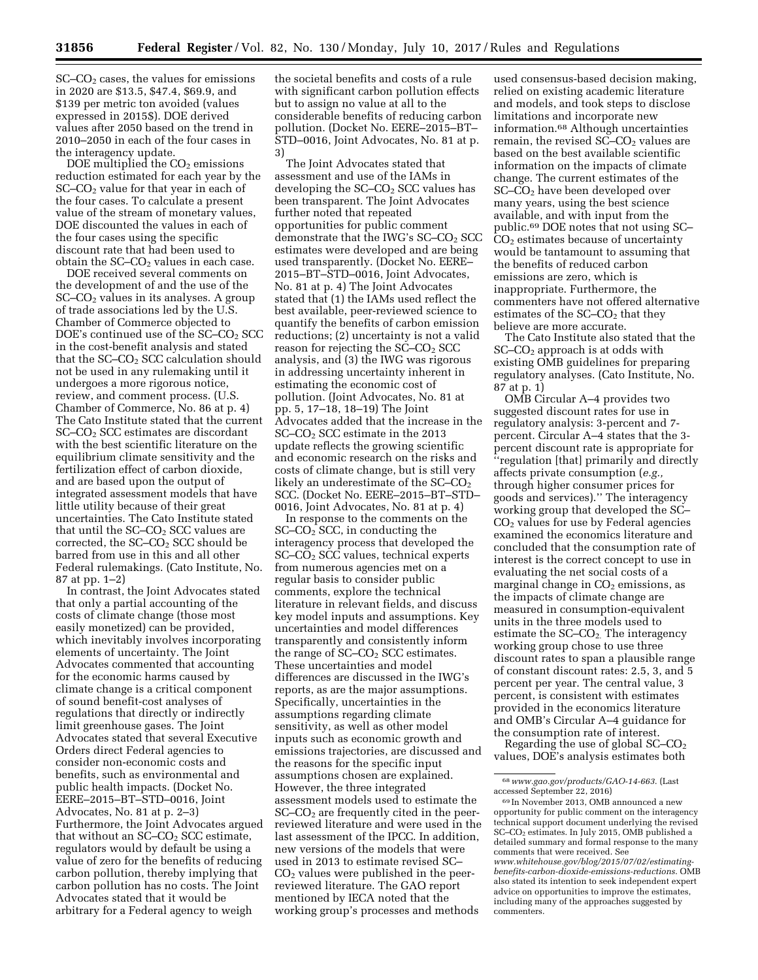SC–CO2 cases, the values for emissions in 2020 are \$13.5, \$47.4, \$69.9, and \$139 per metric ton avoided (values expressed in 2015\$). DOE derived values after 2050 based on the trend in 2010–2050 in each of the four cases in the interagency update.

DOE multiplied the  $CO<sub>2</sub>$  emissions reduction estimated for each year by the  $SC$ – $CO<sub>2</sub>$  value for that year in each of the four cases. To calculate a present value of the stream of monetary values, DOE discounted the values in each of the four cases using the specific discount rate that had been used to obtain the  $SC$ – $CO<sub>2</sub>$  values in each case.

DOE received several comments on the development of and the use of the  $SC$ – $CO<sub>2</sub>$  values in its analyses. A group of trade associations led by the U.S. Chamber of Commerce objected to DOE's continued use of the  $SC$ – $CO<sub>2</sub>$  SCC in the cost-benefit analysis and stated that the  $SC$ – $CO<sub>2</sub>$  SCC calculation should not be used in any rulemaking until it undergoes a more rigorous notice, review, and comment process. (U.S. Chamber of Commerce, No. 86 at p. 4) The Cato Institute stated that the current SC–CO2 SCC estimates are discordant with the best scientific literature on the equilibrium climate sensitivity and the fertilization effect of carbon dioxide, and are based upon the output of integrated assessment models that have little utility because of their great uncertainties. The Cato Institute stated that until the  $SC$ – $CO<sub>2</sub>$  SCC values are corrected, the  $SC-CO<sub>2</sub> SCC$  should be barred from use in this and all other Federal rulemakings. (Cato Institute, No. 87 at pp. 1–2)

In contrast, the Joint Advocates stated that only a partial accounting of the costs of climate change (those most easily monetized) can be provided, which inevitably involves incorporating elements of uncertainty. The Joint Advocates commented that accounting for the economic harms caused by climate change is a critical component of sound benefit-cost analyses of regulations that directly or indirectly limit greenhouse gases. The Joint Advocates stated that several Executive Orders direct Federal agencies to consider non-economic costs and benefits, such as environmental and public health impacts. (Docket No. EERE–2015–BT–STD–0016, Joint Advocates, No. 81 at p. 2–3) Furthermore, the Joint Advocates argued that without an  $SC$ – $CO<sub>2</sub>$  SCC estimate, regulators would by default be using a value of zero for the benefits of reducing carbon pollution, thereby implying that carbon pollution has no costs. The Joint Advocates stated that it would be arbitrary for a Federal agency to weigh

the societal benefits and costs of a rule with significant carbon pollution effects but to assign no value at all to the considerable benefits of reducing carbon pollution. (Docket No. EERE–2015–BT– STD–0016, Joint Advocates, No. 81 at p. 3)

The Joint Advocates stated that assessment and use of the IAMs in developing the  $SC-CO<sub>2</sub>$  SCC values has been transparent. The Joint Advocates further noted that repeated opportunities for public comment demonstrate that the IWG's SC–CO<sub>2</sub> SCC estimates were developed and are being used transparently. (Docket No. EERE– 2015–BT–STD–0016, Joint Advocates, No. 81 at p. 4) The Joint Advocates stated that (1) the IAMs used reflect the best available, peer-reviewed science to quantify the benefits of carbon emission reductions; (2) uncertainty is not a valid reason for rejecting the SC–CO2 SCC analysis, and (3) the IWG was rigorous in addressing uncertainty inherent in estimating the economic cost of pollution. (Joint Advocates, No. 81 at pp. 5, 17–18, 18–19) The Joint Advocates added that the increase in the SC–CO2 SCC estimate in the 2013 update reflects the growing scientific and economic research on the risks and costs of climate change, but is still very likely an underestimate of the  $SC$ – $CO<sub>2</sub>$ SCC. (Docket No. EERE–2015–BT–STD– 0016, Joint Advocates, No. 81 at p. 4)

In response to the comments on the  $SC$ – $CO<sub>2</sub>$  SCC, in conducting the interagency process that developed the SC–CO2 SCC values, technical experts from numerous agencies met on a regular basis to consider public comments, explore the technical literature in relevant fields, and discuss key model inputs and assumptions. Key uncertainties and model differences transparently and consistently inform the range of  $SC-CO<sub>2</sub> SCC$  estimates. These uncertainties and model differences are discussed in the IWG's reports, as are the major assumptions. Specifically, uncertainties in the assumptions regarding climate sensitivity, as well as other model inputs such as economic growth and emissions trajectories, are discussed and the reasons for the specific input assumptions chosen are explained. However, the three integrated assessment models used to estimate the  $SC$ – $CO<sub>2</sub>$  are frequently cited in the peerreviewed literature and were used in the last assessment of the IPCC. In addition, new versions of the models that were used in 2013 to estimate revised SC–  $CO<sub>2</sub>$  values were published in the peerreviewed literature. The GAO report mentioned by IECA noted that the working group's processes and methods

used consensus-based decision making, relied on existing academic literature and models, and took steps to disclose limitations and incorporate new information.68 Although uncertainties remain, the revised  $SC$ – $CO<sub>2</sub>$  values are based on the best available scientific information on the impacts of climate change. The current estimates of the SC–CO2 have been developed over many years, using the best science available, and with input from the public.69 DOE notes that not using SC– CO2 estimates because of uncertainty would be tantamount to assuming that the benefits of reduced carbon emissions are zero, which is inappropriate. Furthermore, the commenters have not offered alternative estimates of the  $SC$ – $CO<sub>2</sub>$  that they believe are more accurate.

The Cato Institute also stated that the SC–CO<sub>2</sub> approach is at odds with existing OMB guidelines for preparing regulatory analyses. (Cato Institute, No. 87 at p. 1)

OMB Circular A–4 provides two suggested discount rates for use in regulatory analysis: 3-percent and 7 percent. Circular A–4 states that the 3 percent discount rate is appropriate for ''regulation [that] primarily and directly affects private consumption (*e.g.,*  through higher consumer prices for goods and services).'' The interagency working group that developed the SC– CO2 values for use by Federal agencies examined the economics literature and concluded that the consumption rate of interest is the correct concept to use in evaluating the net social costs of a marginal change in  $CO<sub>2</sub>$  emissions, as the impacts of climate change are measured in consumption-equivalent units in the three models used to estimate the  $SC$ – $CO<sub>2</sub>$ . The interagency working group chose to use three discount rates to span a plausible range of constant discount rates: 2.5, 3, and 5 percent per year. The central value, 3 percent, is consistent with estimates provided in the economics literature and OMB's Circular A–4 guidance for the consumption rate of interest.

Regarding the use of global SC–CO2 values, DOE's analysis estimates both

<sup>68</sup>*[www.gao.gov/products/GAO-14-663](http://www.gao.gov/products/GAO-14-663)*. (Last accessed September 22, 2016)

<sup>69</sup> In November 2013, OMB announced a new opportunity for public comment on the interagency technical support document underlying the revised SC–CO2 estimates. In July 2015, OMB published a detailed summary and formal response to the many comments that were received. See *[www.whitehouse.gov/blog/2015/07/02/estimating](http://www.whitehouse.gov/blog/2015/07/02/estimating-benefits-carbon-dioxide-emissions-reductions)[benefits-carbon-dioxide-emissions-reductions](http://www.whitehouse.gov/blog/2015/07/02/estimating-benefits-carbon-dioxide-emissions-reductions)*. OMB also stated its intention to seek independent expert advice on opportunities to improve the estimates, including many of the approaches suggested by commenters.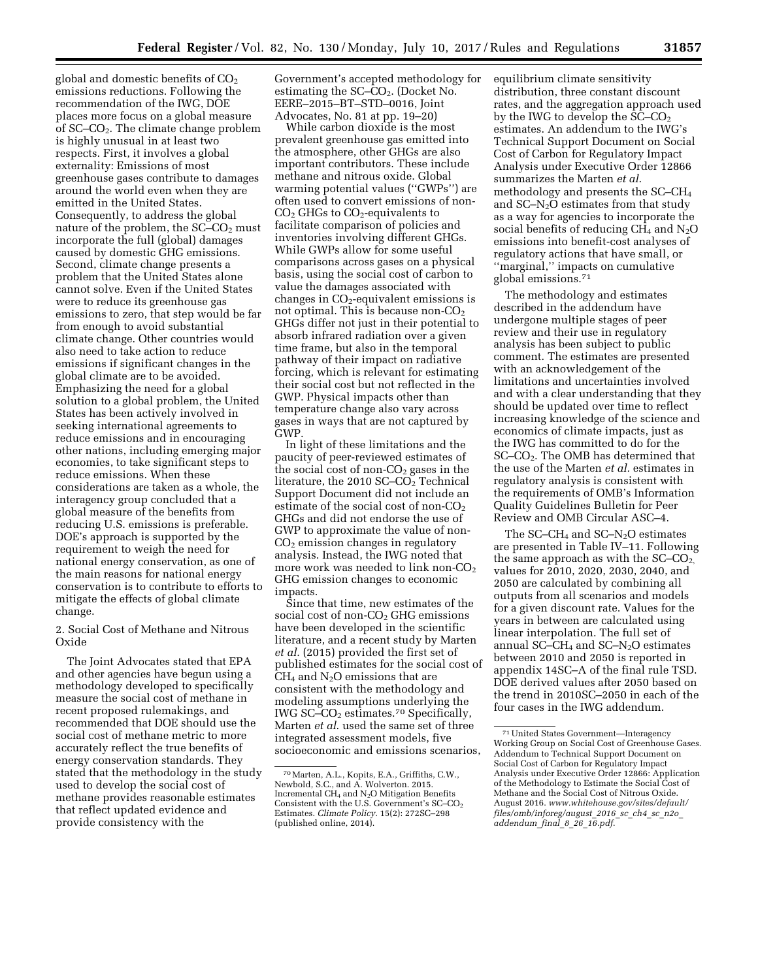global and domestic benefits of  $CO<sub>2</sub>$ emissions reductions. Following the recommendation of the IWG, DOE places more focus on a global measure of SC–CO2. The climate change problem is highly unusual in at least two respects. First, it involves a global externality: Emissions of most greenhouse gases contribute to damages around the world even when they are emitted in the United States. Consequently, to address the global nature of the problem, the  $SC$ – $CO<sub>2</sub>$  must incorporate the full (global) damages caused by domestic GHG emissions. Second, climate change presents a problem that the United States alone cannot solve. Even if the United States were to reduce its greenhouse gas emissions to zero, that step would be far from enough to avoid substantial climate change. Other countries would also need to take action to reduce emissions if significant changes in the global climate are to be avoided. Emphasizing the need for a global solution to a global problem, the United States has been actively involved in seeking international agreements to reduce emissions and in encouraging other nations, including emerging major economies, to take significant steps to reduce emissions. When these considerations are taken as a whole, the interagency group concluded that a global measure of the benefits from reducing U.S. emissions is preferable. DOE's approach is supported by the requirement to weigh the need for national energy conservation, as one of the main reasons for national energy conservation is to contribute to efforts to mitigate the effects of global climate change.

2. Social Cost of Methane and Nitrous Oxide

The Joint Advocates stated that EPA and other agencies have begun using a methodology developed to specifically measure the social cost of methane in recent proposed rulemakings, and recommended that DOE should use the social cost of methane metric to more accurately reflect the true benefits of energy conservation standards. They stated that the methodology in the study used to develop the social cost of methane provides reasonable estimates that reflect updated evidence and provide consistency with the

Government's accepted methodology for estimating the  $SC-CO<sub>2</sub>$ . (Docket No. EERE–2015–BT–STD–0016, Joint Advocates, No. 81 at pp. 19–20)

While carbon dioxide is the most prevalent greenhouse gas emitted into the atmosphere, other GHGs are also important contributors. These include methane and nitrous oxide. Global warming potential values (''GWPs'') are often used to convert emissions of non- $CO<sub>2</sub>$  GHGs to  $CO<sub>2</sub>$ -equivalents to facilitate comparison of policies and inventories involving different GHGs. While GWPs allow for some useful comparisons across gases on a physical basis, using the social cost of carbon to value the damages associated with changes in  $CO<sub>2</sub>$ -equivalent emissions is not optimal. This is because non- $CO<sub>2</sub>$ GHGs differ not just in their potential to absorb infrared radiation over a given time frame, but also in the temporal pathway of their impact on radiative forcing, which is relevant for estimating their social cost but not reflected in the GWP. Physical impacts other than temperature change also vary across gases in ways that are not captured by GWP.

In light of these limitations and the paucity of peer-reviewed estimates of the social cost of non- $CO<sub>2</sub>$  gases in the literature, the 2010 SC– $CO<sub>2</sub>$  Technical Support Document did not include an estimate of the social cost of non- $CO<sub>2</sub>$ GHGs and did not endorse the use of GWP to approximate the value of non-CO2 emission changes in regulatory analysis. Instead, the IWG noted that more work was needed to link non- $CO<sub>2</sub>$ GHG emission changes to economic impacts.

Since that time, new estimates of the social cost of non-CO<sub>2</sub> GHG emissions have been developed in the scientific literature, and a recent study by Marten *et al.* (2015) provided the first set of published estimates for the social cost of  $CH<sub>4</sub>$  and N<sub>2</sub>O emissions that are consistent with the methodology and modeling assumptions underlying the IWG SC–CO<sup>2</sup> estimates.70 Specifically, Marten *et al*. used the same set of three integrated assessment models, five socioeconomic and emissions scenarios,

equilibrium climate sensitivity distribution, three constant discount rates, and the aggregation approach used by the IWG to develop the  $SC$ – $CO<sub>2</sub>$ estimates. An addendum to the IWG's Technical Support Document on Social Cost of Carbon for Regulatory Impact Analysis under Executive Order 12866 summarizes the Marten *et al*. methodology and presents the SC–CH4 and SC–N2O estimates from that study as a way for agencies to incorporate the social benefits of reducing  $CH_4$  and  $N_2O$ emissions into benefit-cost analyses of regulatory actions that have small, or ''marginal,'' impacts on cumulative global emissions.71

The methodology and estimates described in the addendum have undergone multiple stages of peer review and their use in regulatory analysis has been subject to public comment. The estimates are presented with an acknowledgement of the limitations and uncertainties involved and with a clear understanding that they should be updated over time to reflect increasing knowledge of the science and economics of climate impacts, just as the IWG has committed to do for the SC–CO2. The OMB has determined that the use of the Marten *et al.* estimates in regulatory analysis is consistent with the requirements of OMB's Information Quality Guidelines Bulletin for Peer Review and OMB Circular ASC–4.

The SC–CH<sub>4</sub> and SC–N<sub>2</sub>O estimates are presented in Table IV–11. Following the same approach as with the  $SC$ – $CO<sub>2</sub>$ , values for 2010, 2020, 2030, 2040, and 2050 are calculated by combining all outputs from all scenarios and models for a given discount rate. Values for the years in between are calculated using linear interpolation. The full set of annual SC–CH<sub>4</sub> and SC– $N_2O$  estimates between 2010 and 2050 is reported in appendix 14SC–A of the final rule TSD. DOE derived values after 2050 based on the trend in 2010SC–2050 in each of the four cases in the IWG addendum.

<sup>70</sup>Marten, A.L., Kopits, E.A., Griffiths, C.W., Newbold, S.C., and A. Wolverton. 2015. Incremental CH4 and N2O Mitigation Benefits Consistent with the U.S. Government's SC–CO<sub>2</sub> Estimates. *Climate Policy.* 15(2): 272SC–298 (published online, 2014).

<sup>71</sup>United States Government—Interagency Working Group on Social Cost of Greenhouse Gases. Addendum to Technical Support Document on Social Cost of Carbon for Regulatory Impact Analysis under Executive Order 12866: Application of the Methodology to Estimate the Social Cost of Methane and the Social Cost of Nitrous Oxide. August 2016. *[www.whitehouse.gov/sites/default/](http://www.whitehouse.gov/sites/default/files/omb/inforeg/august_2016_sc_ch4_sc_n2o_addendum_final_8_26_16.pdf) [files/omb/inforeg/august](http://www.whitehouse.gov/sites/default/files/omb/inforeg/august_2016_sc_ch4_sc_n2o_addendum_final_8_26_16.pdf)*\_*2016*\_*sc*\_*ch4*\_*sc*\_*n2o*\_ *[addendum](http://www.whitehouse.gov/sites/default/files/omb/inforeg/august_2016_sc_ch4_sc_n2o_addendum_final_8_26_16.pdf)*\_*final*\_*8*\_*26*\_*16.pdf*.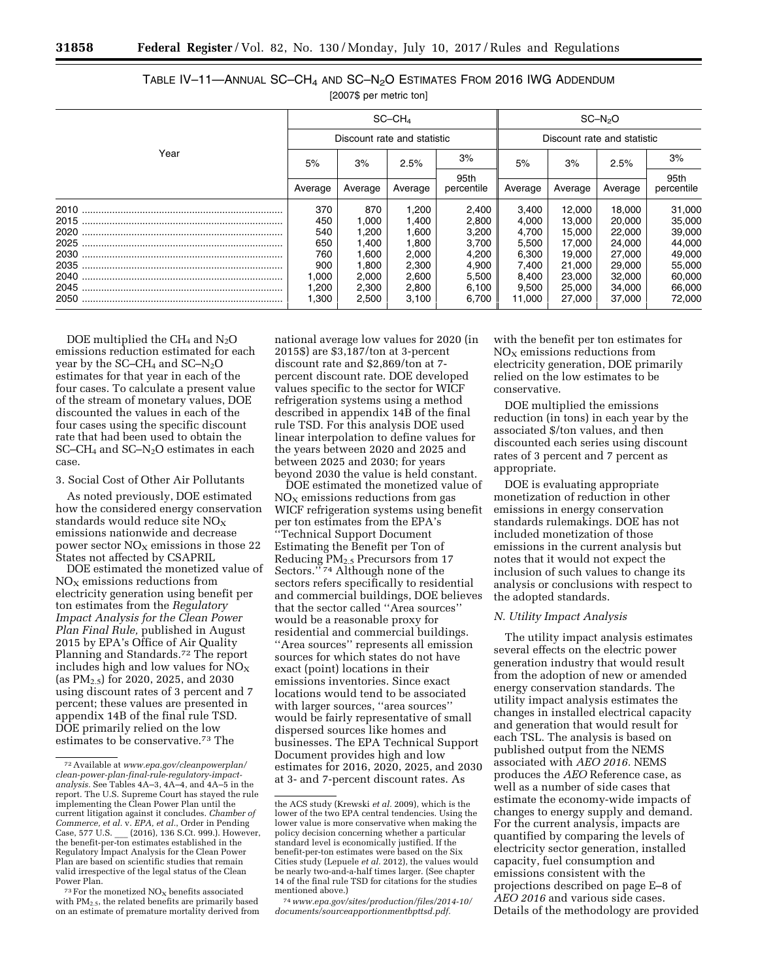|      | $SC-CHA$                    |         |         |            | $SC-N2O$                    |         |         |            |
|------|-----------------------------|---------|---------|------------|-----------------------------|---------|---------|------------|
|      | Discount rate and statistic |         |         |            | Discount rate and statistic |         |         |            |
| Year | 5%                          | 3%      | 2.5%    | 3%         | 5%                          | 3%      | 2.5%    | 3%         |
|      |                             |         |         | 95th       |                             |         |         | 95th       |
|      | Average                     | Average | Average | percentile | Average                     | Average | Average | percentile |
|      | 370                         | 870     | 1,200   | 2,400      | 3,400                       | 12,000  | 18,000  | 31,000     |
|      | 450                         | 1,000   | 1,400   | 2,800      | 4,000                       | 13,000  | 20,000  | 35,000     |
|      | 540                         | 1.200   | 1.600   | 3,200      | 4,700                       | 15,000  | 22,000  | 39,000     |
|      | 650                         | 1,400   | 1,800   | 3,700      | 5,500                       | 17,000  | 24.000  | 44,000     |
|      | 760                         | 1.600   | 2,000   | 4,200      | 6,300                       | 19.000  | 27,000  | 49,000     |
|      | 900                         | 1,800   | 2,300   | 4,900      | 7,400                       | 21,000  | 29,000  | 55,000     |
|      | 000. ا                      | 2,000   | 2,600   | 5,500      | 8,400                       | 23,000  | 32,000  | 60,000     |
|      | ,200                        | 2,300   | 2,800   | 6,100      | 9,500                       | 25,000  | 34,000  | 66,000     |
|      | .300                        | 2,500   | 3,100   | 6,700      | 11,000                      | 27,000  | 37,000  | 72,000     |

# TABLE IV–11—ANNUAL SC–CH4 AND SC–N2O ESTIMATES FROM 2016 IWG ADDENDUM [2007\$ per metric ton]

DOE multiplied the  $CH_4$  and  $N_2O$ emissions reduction estimated for each year by the  $SC-CH_4$  and  $SC-N_2O$ estimates for that year in each of the four cases. To calculate a present value of the stream of monetary values, DOE discounted the values in each of the four cases using the specific discount rate that had been used to obtain the SC–CH4 and SC–N2O estimates in each case.

#### 3. Social Cost of Other Air Pollutants

As noted previously, DOE estimated how the considered energy conservation standards would reduce site  $NO<sub>x</sub>$ emissions nationwide and decrease power sector  $NO<sub>x</sub>$  emissions in those 22 States not affected by CSAPRIL

DOE estimated the monetized value of  $NO<sub>x</sub>$  emissions reductions from electricity generation using benefit per ton estimates from the *Regulatory Impact Analysis for the Clean Power Plan Final Rule,* published in August 2015 by EPA's Office of Air Quality Planning and Standards.72 The report includes high and low values for  $\overline{NO_X}$ (as PM2.5) for 2020, 2025, and 2030 using discount rates of 3 percent and 7 percent; these values are presented in appendix 14B of the final rule TSD. DOE primarily relied on the low estimates to be conservative.73 The

national average low values for 2020 (in 2015\$) are \$3,187/ton at 3-percent discount rate and \$2,869/ton at 7 percent discount rate. DOE developed values specific to the sector for WICF refrigeration systems using a method described in appendix 14B of the final rule TSD. For this analysis DOE used linear interpolation to define values for the years between 2020 and 2025 and between 2025 and 2030; for years beyond 2030 the value is held constant.

DOE estimated the monetized value of  $NO<sub>x</sub>$  emissions reductions from gas WICF refrigeration systems using benefit per ton estimates from the EPA's ''Technical Support Document Estimating the Benefit per Ton of Reducing PM2.5 Precursors from 17 Sectors."<sup>74</sup> Although none of the sectors refers specifically to residential and commercial buildings, DOE believes that the sector called ''Area sources'' would be a reasonable proxy for residential and commercial buildings. ''Area sources'' represents all emission sources for which states do not have exact (point) locations in their emissions inventories. Since exact locations would tend to be associated with larger sources, ''area sources'' would be fairly representative of small dispersed sources like homes and businesses. The EPA Technical Support Document provides high and low estimates for 2016, 2020, 2025, and 2030 at 3- and 7-percent discount rates. As

74*[www.epa.gov/sites/production/files/2014-10/](http://www.epa.gov/sites/production/files/2014-10/documents/sourceapportionmentbpttsd.pdf) [documents/sourceapportionmentbpttsd.pdf.](http://www.epa.gov/sites/production/files/2014-10/documents/sourceapportionmentbpttsd.pdf)* 

with the benefit per ton estimates for  $NO<sub>x</sub>$  emissions reductions from electricity generation, DOE primarily relied on the low estimates to be conservative.

DOE multiplied the emissions reduction (in tons) in each year by the associated \$/ton values, and then discounted each series using discount rates of 3 percent and 7 percent as appropriate.

DOE is evaluating appropriate monetization of reduction in other emissions in energy conservation standards rulemakings. DOE has not included monetization of those emissions in the current analysis but notes that it would not expect the inclusion of such values to change its analysis or conclusions with respect to the adopted standards.

## *N. Utility Impact Analysis*

The utility impact analysis estimates several effects on the electric power generation industry that would result from the adoption of new or amended energy conservation standards. The utility impact analysis estimates the changes in installed electrical capacity and generation that would result for each TSL. The analysis is based on published output from the NEMS associated with *AEO 2016.* NEMS produces the *AEO* Reference case, as well as a number of side cases that estimate the economy-wide impacts of changes to energy supply and demand. For the current analysis, impacts are quantified by comparing the levels of electricity sector generation, installed capacity, fuel consumption and emissions consistent with the projections described on page E–8 of *AEO 2016* and various side cases. Details of the methodology are provided

<sup>72</sup>Available at *[www.epa.gov/cleanpowerplan/](http://www.epa.gov/cleanpowerplan/clean-power-plan-final-rule-regulatory-impact-analysis) [clean-power-plan-final-rule-regulatory-impact](http://www.epa.gov/cleanpowerplan/clean-power-plan-final-rule-regulatory-impact-analysis)[analysis.](http://www.epa.gov/cleanpowerplan/clean-power-plan-final-rule-regulatory-impact-analysis)* See Tables 4A–3, 4A–4, and 4A–5 in the report. The U.S. Supreme Court has stayed the rule implementing the Clean Power Plan until the current litigation against it concludes. *Chamber of Commerce, et al.* v. *EPA, et al.*, Order in Pending Case, 577 U.S. (2016), 136 S.Ct. 999.). However, the benefit-per-ton estimates established in the Regulatory Impact Analysis for the Clean Power Plan are based on scientific studies that remain valid irrespective of the legal status of the Clean Power Plan.

 $73$  For the monetized NO<sub>x</sub> benefits associated with PM2.5, the related benefits are primarily based on an estimate of premature mortality derived from

the ACS study (Krewski *et al.* 2009), which is the lower of the two EPA central tendencies. Using the lower value is more conservative when making the policy decision concerning whether a particular standard level is economically justified. If the benefit-per-ton estimates were based on the Six Cities study (Lepuele *et al.* 2012), the values would be nearly two-and-a-half times larger. (See chapter 14 of the final rule TSD for citations for the studies mentioned above.)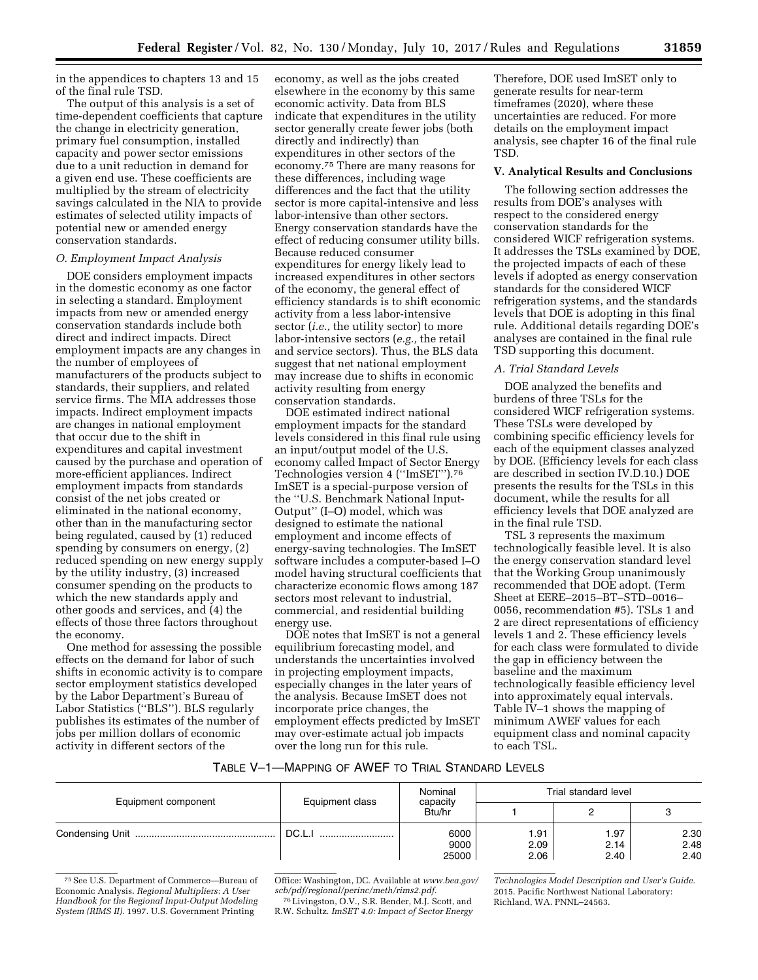in the appendices to chapters 13 and 15 of the final rule TSD.

The output of this analysis is a set of time-dependent coefficients that capture the change in electricity generation, primary fuel consumption, installed capacity and power sector emissions due to a unit reduction in demand for a given end use. These coefficients are multiplied by the stream of electricity savings calculated in the NIA to provide estimates of selected utility impacts of potential new or amended energy conservation standards.

### *O. Employment Impact Analysis*

DOE considers employment impacts in the domestic economy as one factor in selecting a standard. Employment impacts from new or amended energy conservation standards include both direct and indirect impacts. Direct employment impacts are any changes in the number of employees of manufacturers of the products subject to standards, their suppliers, and related service firms. The MIA addresses those impacts. Indirect employment impacts are changes in national employment that occur due to the shift in expenditures and capital investment caused by the purchase and operation of more-efficient appliances. Indirect employment impacts from standards consist of the net jobs created or eliminated in the national economy, other than in the manufacturing sector being regulated, caused by (1) reduced spending by consumers on energy, (2) reduced spending on new energy supply by the utility industry, (3) increased consumer spending on the products to which the new standards apply and other goods and services, and (4) the effects of those three factors throughout the economy.

One method for assessing the possible effects on the demand for labor of such shifts in economic activity is to compare sector employment statistics developed by the Labor Department's Bureau of Labor Statistics (''BLS''). BLS regularly publishes its estimates of the number of jobs per million dollars of economic activity in different sectors of the

economy, as well as the jobs created elsewhere in the economy by this same economic activity. Data from BLS indicate that expenditures in the utility sector generally create fewer jobs (both directly and indirectly) than expenditures in other sectors of the economy.75 There are many reasons for these differences, including wage differences and the fact that the utility sector is more capital-intensive and less labor-intensive than other sectors. Energy conservation standards have the effect of reducing consumer utility bills. Because reduced consumer expenditures for energy likely lead to increased expenditures in other sectors of the economy, the general effect of efficiency standards is to shift economic activity from a less labor-intensive sector (*i.e.,* the utility sector) to more labor-intensive sectors (*e.g.,* the retail and service sectors). Thus, the BLS data suggest that net national employment may increase due to shifts in economic activity resulting from energy conservation standards.

DOE estimated indirect national employment impacts for the standard levels considered in this final rule using an input/output model of the U.S. economy called Impact of Sector Energy Technologies version 4 (''ImSET'').76 ImSET is a special-purpose version of the ''U.S. Benchmark National Input-Output'' (I–O) model, which was designed to estimate the national employment and income effects of energy-saving technologies. The ImSET software includes a computer-based I–O model having structural coefficients that characterize economic flows among 187 sectors most relevant to industrial, commercial, and residential building energy use.

DOE notes that ImSET is not a general equilibrium forecasting model, and understands the uncertainties involved in projecting employment impacts, especially changes in the later years of the analysis. Because ImSET does not incorporate price changes, the employment effects predicted by ImSET may over-estimate actual job impacts over the long run for this rule.

Therefore, DOE used ImSET only to generate results for near-term timeframes (2020), where these uncertainties are reduced. For more details on the employment impact analysis, see chapter 16 of the final rule TSD.

#### **V. Analytical Results and Conclusions**

The following section addresses the results from DOE's analyses with respect to the considered energy conservation standards for the considered WICF refrigeration systems. It addresses the TSLs examined by DOE, the projected impacts of each of these levels if adopted as energy conservation standards for the considered WICF refrigeration systems, and the standards levels that DOE is adopting in this final rule. Additional details regarding DOE's analyses are contained in the final rule TSD supporting this document.

### *A. Trial Standard Levels*

DOE analyzed the benefits and burdens of three TSLs for the considered WICF refrigeration systems. These TSLs were developed by combining specific efficiency levels for each of the equipment classes analyzed by DOE. (Efficiency levels for each class are described in section IV.D.10.) DOE presents the results for the TSLs in this document, while the results for all efficiency levels that DOE analyzed are in the final rule TSD.

TSL 3 represents the maximum technologically feasible level. It is also the energy conservation standard level that the Working Group unanimously recommended that DOE adopt. (Term Sheet at EERE–2015–BT–STD–0016– 0056, recommendation #5). TSLs 1 and 2 are direct representations of efficiency levels 1 and 2. These efficiency levels for each class were formulated to divide the gap in efficiency between the baseline and the maximum technologically feasible efficiency level into approximately equal intervals. Table IV–1 shows the mapping of minimum AWEF values for each equipment class and nominal capacity to each TSL.

## TABLE V–1—MAPPING OF AWEF TO TRIAL STANDARD LEVELS

| Equipment component | Equipment class | Nominal<br>capacity<br>Btu/hr | Trial standard level |                      |                      |  |
|---------------------|-----------------|-------------------------------|----------------------|----------------------|----------------------|--|
|                     |                 |                               |                      |                      |                      |  |
|                     | DC.L.           | 6000<br>9000<br>25000         | 1.91<br>2.09<br>2.06 | 1.97<br>2.14<br>2.40 | 2.30<br>2.48<br>2.40 |  |

<sup>75</sup>See U.S. Department of Commerce—Bureau of Economic Analysis. *Regional Multipliers: A User Handbook for the Regional Input-Output Modeling System (RIMS II).* 1997. U.S. Government Printing

Office: Washington, DC. Available at *[www.bea.gov/](http://www.bea.gov/scb/pdf/regional/perinc/meth/rims2.pdf)  [scb/pdf/regional/perinc/meth/rims2.pdf.](http://www.bea.gov/scb/pdf/regional/perinc/meth/rims2.pdf)* 

76Livingston, O.V., S.R. Bender, M.J. Scott, and R.W. Schultz. *ImSET 4.0: Impact of Sector Energy* 

*Technologies Model Description and User's Guide.*  2015. Pacific Northwest National Laboratory: Richland, WA. PNNL–24563.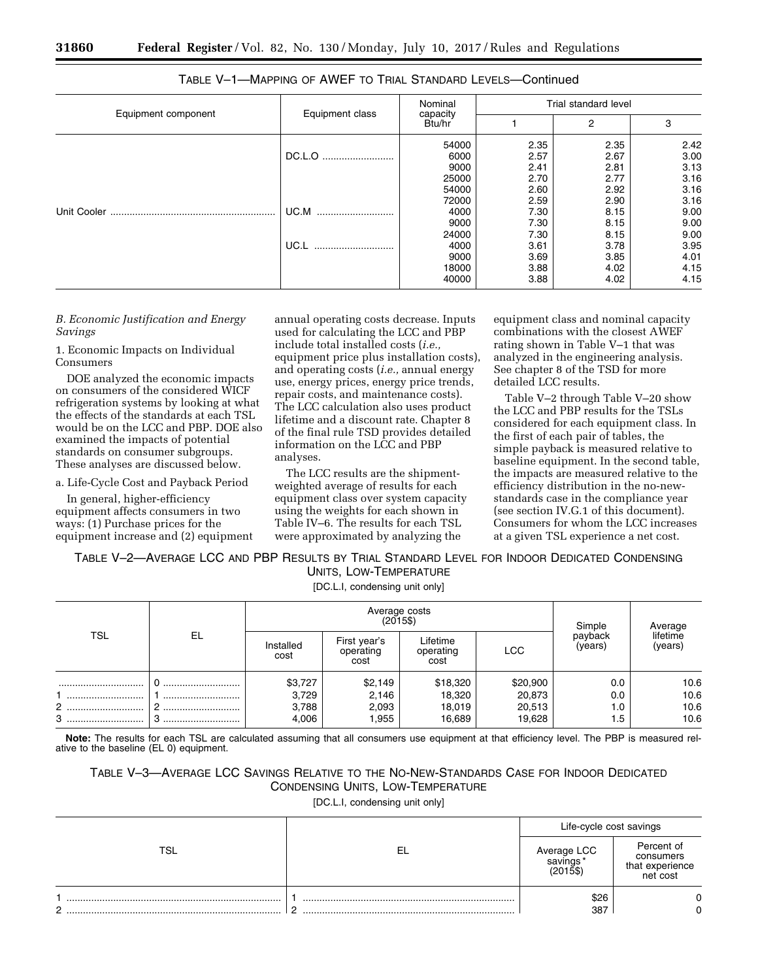| Equipment component |                 | Nominal                         | Trial standard level         |                              |                              |  |
|---------------------|-----------------|---------------------------------|------------------------------|------------------------------|------------------------------|--|
|                     | Equipment class | capacity<br>Btu/hr              |                              | $\overline{2}$               | 3                            |  |
|                     | DC.L.O          | 54000<br>6000<br>9000           | 2.35<br>2.57<br>2.41         | 2.35<br>2.67<br>2.81         | 2.42<br>3.00<br>3.13         |  |
|                     | UC.M<br>        | 25000<br>54000<br>72000<br>4000 | 2.70<br>2.60<br>2.59<br>7.30 | 2.77<br>2.92<br>2.90<br>8.15 | 3.16<br>3.16<br>3.16<br>9.00 |  |
|                     | UC.L            | 9000<br>24000<br>4000           | 7.30<br>7.30<br>3.61         | 8.15<br>8.15<br>3.78         | 9.00<br>9.00<br>3.95<br>4.01 |  |
|                     |                 | 9000<br>18000<br>40000          | 3.69<br>3.88<br>3.88         | 3.85<br>4.02<br>4.02         | 4.15<br>4.15                 |  |

| TABLE V-1—MAPPING OF AWEF TO TRIAL STANDARD LEVELS—Continued |  |
|--------------------------------------------------------------|--|
|--------------------------------------------------------------|--|

*B. Economic Justification and Energy Savings* 

1. Economic Impacts on Individual Consumers

DOE analyzed the economic impacts on consumers of the considered WICF refrigeration systems by looking at what the effects of the standards at each TSL would be on the LCC and PBP. DOE also examined the impacts of potential standards on consumer subgroups. These analyses are discussed below.

a. Life-Cycle Cost and Payback Period

In general, higher-efficiency equipment affects consumers in two ways: (1) Purchase prices for the equipment increase and (2) equipment

annual operating costs decrease. Inputs used for calculating the LCC and PBP include total installed costs (*i.e.,*  equipment price plus installation costs), and operating costs (*i.e.,* annual energy use, energy prices, energy price trends, repair costs, and maintenance costs). The LCC calculation also uses product lifetime and a discount rate. Chapter 8 of the final rule TSD provides detailed information on the LCC and PBP analyses.

The LCC results are the shipmentweighted average of results for each equipment class over system capacity using the weights for each shown in Table IV–6. The results for each TSL were approximated by analyzing the

equipment class and nominal capacity combinations with the closest AWEF rating shown in Table V–1 that was analyzed in the engineering analysis. See chapter 8 of the TSD for more detailed LCC results.

Table V–2 through Table V–20 show the LCC and PBP results for the TSLs considered for each equipment class. In the first of each pair of tables, the simple payback is measured relative to baseline equipment. In the second table, the impacts are measured relative to the efficiency distribution in the no-newstandards case in the compliance year (see section IV.G.1 of this document). Consumers for whom the LCC increases at a given TSL experience a net cost.

TABLE V–2—AVERAGE LCC AND PBP RESULTS BY TRIAL STANDARD LEVEL FOR INDOOR DEDICATED CONDENSING UNITS, LOW-TEMPERATURE

[DC.L.I, condensing unit only]

| <b>TSL</b> | EL | Average costs<br>$(2015\$ |                                   |                               |            | Simple             | Average             |
|------------|----|---------------------------|-----------------------------------|-------------------------------|------------|--------------------|---------------------|
|            |    | Installed<br>cost         | First year's<br>operating<br>cost | Lifetime<br>operating<br>cost | <b>LCC</b> | payback<br>(years) | lifetime<br>(years) |
|            |    | \$3,727                   | \$2,149                           | \$18,320                      | \$20,900   | 0.0                | 10.6                |
|            |    | 3,729                     | 2,146                             | 18,320                        | 20,873     | 0.0                | 10.6                |
| 2          |    | 3,788                     | 2,093                             | 18,019                        | 20,513     | 1.0                | 10.6                |
| 3          |    | 4,006                     | .955                              | 16,689                        | 19,628     | 1.5                | 10.6                |

**Note:** The results for each TSL are calculated assuming that all consumers use equipment at that efficiency level. The PBP is measured relative to the baseline (EL 0) equipment.

| TABLE V—3—AVERAGE LCC SAVINGS RELATIVE TO THE NO-NEW-STANDARDS CASE FOR INDOOR DEDICATED |                                   |  |
|------------------------------------------------------------------------------------------|-----------------------------------|--|
|                                                                                          | CONDENSING UNITS, LOW-TEMPERATURE |  |

[DC.L.I, condensing unit only]

|               |    | Life-cycle cost savings |                                                        |  |
|---------------|----|-------------------------|--------------------------------------------------------|--|
| тс            | EL | Average LCC<br>savings* | Percent of<br>consumers<br>that experience<br>net cost |  |
| ◠<br><u>.</u> |    | \$26<br>387             |                                                        |  |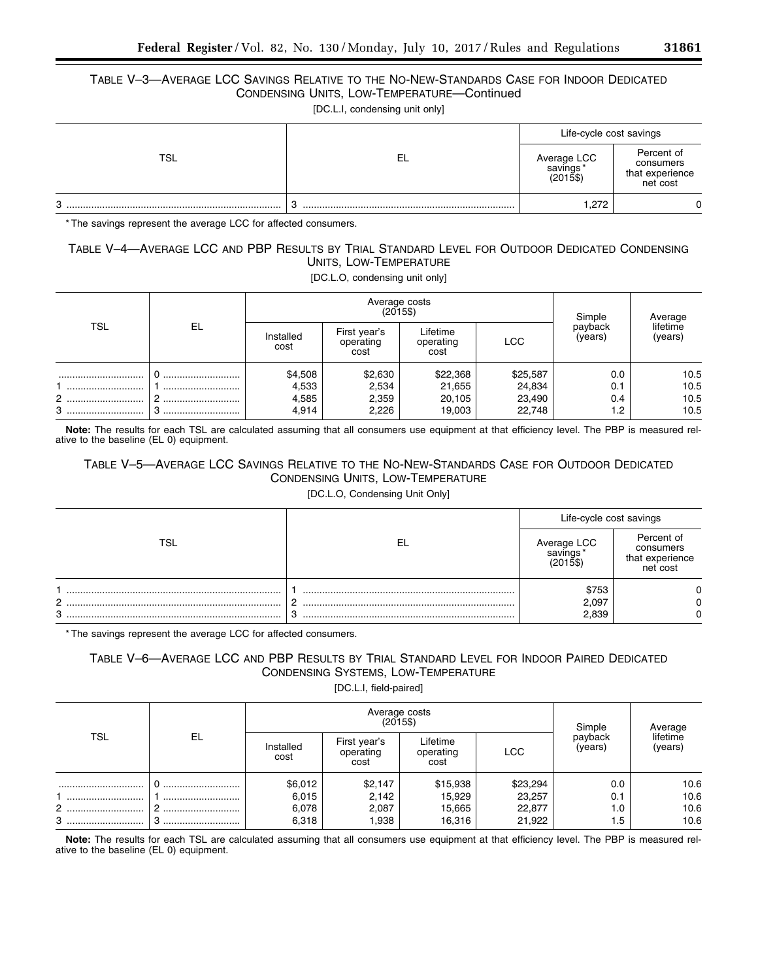# TABLE V–3—AVERAGE LCC SAVINGS RELATIVE TO THE NO-NEW-STANDARDS CASE FOR INDOOR DEDICATED CONDENSING UNITS, LOW-TEMPERATURE—Continued

[DC.L.I, condensing unit only]

|     |    | Life-cycle cost savings                |                                                        |
|-----|----|----------------------------------------|--------------------------------------------------------|
| TSL | EL | Average LCC<br>savings*<br>$(2015$ \$) | Percent of<br>consumers<br>that experience<br>net cost |
| 3   |    | .272                                   | ∩                                                      |

\* The savings represent the average LCC for affected consumers.

# TABLE V–4—AVERAGE LCC AND PBP RESULTS BY TRIAL STANDARD LEVEL FOR OUTDOOR DEDICATED CONDENSING UNITS, LOW-TEMPERATURE

[DC.L.O, condensing unit only]

| TSL        | EL        |                                    | Average costs<br>$(2015\$          | Simple                                 | Average                                |                          |                              |
|------------|-----------|------------------------------------|------------------------------------|----------------------------------------|----------------------------------------|--------------------------|------------------------------|
|            |           | Installed<br>cost                  | First year's<br>operating<br>cost  | Lifetime<br>operating<br>cost          | <b>LCC</b>                             | payback<br>(years)       | lifetime<br>(years)          |
| <br>2<br>3 | <br>£<br> | \$4,508<br>4,533<br>4,585<br>4,914 | \$2,630<br>2,534<br>2,359<br>2,226 | \$22,368<br>21,655<br>20,105<br>19,003 | \$25,587<br>24,834<br>23,490<br>22,748 | 0.0<br>0.1<br>0.4<br>1.2 | 10.5<br>10.5<br>10.5<br>10.5 |

**Note:** The results for each TSL are calculated assuming that all consumers use equipment at that efficiency level. The PBP is measured relative to the baseline (EL 0) equipment.

# TABLE V–5—AVERAGE LCC SAVINGS RELATIVE TO THE NO-NEW-STANDARDS CASE FOR OUTDOOR DEDICATED CONDENSING UNITS, LOW-TEMPERATURE

[DC.L.O, Condensing Unit Only]

|     |            | Life-cycle cost savings    |                                                        |  |
|-----|------------|----------------------------|--------------------------------------------------------|--|
| TSL | -EL        | LCC.<br>Average<br>savings | Percent of<br>consumers<br>that experience<br>net cost |  |
|     |            | \$753                      |                                                        |  |
| C   | <u>_</u>   | 2,097                      |                                                        |  |
| 3   | $\sqrt{2}$ | 2.839                      |                                                        |  |

\* The savings represent the average LCC for affected consumers.

# TABLE V–6—AVERAGE LCC AND PBP RESULTS BY TRIAL STANDARD LEVEL FOR INDOOR PAIRED DEDICATED CONDENSING SYSTEMS, LOW-TEMPERATURE

[DC.L.I, field-paired]

| <b>TSL</b> | EL | Average costs<br>$(2015\$ |                                   |                               |            | Simple             | Average             |
|------------|----|---------------------------|-----------------------------------|-------------------------------|------------|--------------------|---------------------|
|            |    | Installed<br>cost         | First year's<br>operating<br>cost | Lifetime<br>operating<br>cost | <b>LCC</b> | payback<br>(years) | lifetime<br>(years) |
|            |    | \$6,012                   | \$2,147                           | \$15,938                      | \$23,294   | 0.0                | 10.6                |
|            |    | 6,015                     | 2,142                             | 15,929                        | 23,257     | 0.1                | 10.6                |
| 2          |    | 6,078                     | 2,087                             | 15,665                        | 22,877     | 1.0                | 10.6                |
| 3          |    | 6,318                     | .938                              | 16,316                        | 21,922     | 1.5                | 10.6                |

**Note:** The results for each TSL are calculated assuming that all consumers use equipment at that efficiency level. The PBP is measured relative to the baseline (EL 0) equipment.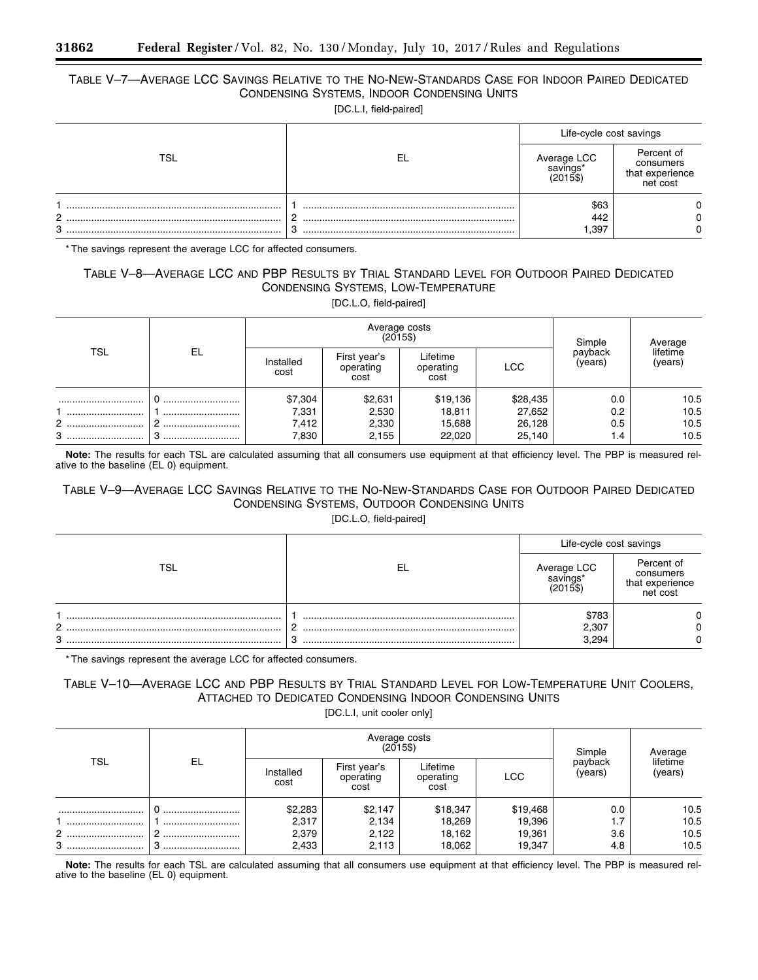# TABLE V–7—AVERAGE LCC SAVINGS RELATIVE TO THE NO-NEW-STANDARDS CASE FOR INDOOR PAIRED DEDICATED CONDENSING SYSTEMS, INDOOR CONDENSING UNITS

[DC.L.I, field-paired]

|         |    | Life-cycle cost savings |                                                        |  |
|---------|----|-------------------------|--------------------------------------------------------|--|
| rsı.    | EL | Average LCC<br>savings* | Percent of<br>consumers<br>that experience<br>net cost |  |
| C.<br>3 |    | \$63<br>442<br>,397     |                                                        |  |

\* The savings represent the average LCC for affected consumers.

# TABLE V–8—AVERAGE LCC AND PBP RESULTS BY TRIAL STANDARD LEVEL FOR OUTDOOR PAIRED DEDICATED CONDENSING SYSTEMS, LOW-TEMPERATURE

[DC.L.O, field-paired]

|            |    |                   | Average costs<br>(2015\$)         | Simple                        | Average    |                    |                     |
|------------|----|-------------------|-----------------------------------|-------------------------------|------------|--------------------|---------------------|
| <b>TSL</b> | EL | Installed<br>cost | First year's<br>operating<br>cost | Lifetime<br>operating<br>cost | <b>LCC</b> | payback<br>(years) | lifetime<br>(years) |
|            |    | \$7,304           | \$2,631                           | \$19,136                      | \$28,435   | 0.0                | 10.5                |
|            |    | 7,331             | 2,530                             | 18,811                        | 27,652     | 0.2                | 10.5                |
|            |    | 7,412             | 2,330                             | 15,688                        | 26,128     | 0.5                | 10.5                |
| 3          |    | 7,830             | 2,155                             | 22,020                        | 25,140     | 1.4                | 10.5                |

**Note:** The results for each TSL are calculated assuming that all consumers use equipment at that efficiency level. The PBP is measured relative to the baseline (EL 0) equipment.

# TABLE V–9—AVERAGE LCC SAVINGS RELATIVE TO THE NO-NEW-STANDARDS CASE FOR OUTDOOR PAIRED DEDICATED CONDENSING SYSTEMS, OUTDOOR CONDENSING UNITS

[DC.L.O, field-paired]

|        |        | Life-cycle cost savings             |                                                        |  |
|--------|--------|-------------------------------------|--------------------------------------------------------|--|
| TSL    | EL     | Average LCC<br>savings'<br>(2015\$` | Percent of<br>consumers<br>that experience<br>net cost |  |
|        |        | \$783                               |                                                        |  |
| C      |        | 2,307                               |                                                        |  |
| C<br>ت | C<br>ັ | 3.294                               |                                                        |  |

\* The savings represent the average LCC for affected consumers.

# TABLE V–10—AVERAGE LCC AND PBP RESULTS BY TRIAL STANDARD LEVEL FOR LOW-TEMPERATURE UNIT COOLERS, ATTACHED TO DEDICATED CONDENSING INDOOR CONDENSING UNITS

[DC.L.I, unit cooler only]

| TSL   | EL |                   | Average costs<br>(2015\$)         | Simple                        | Average  |                    |                     |
|-------|----|-------------------|-----------------------------------|-------------------------------|----------|--------------------|---------------------|
|       |    | Installed<br>cost | First year's<br>operating<br>cost | Lifetime<br>operating<br>cost | LCC      | payback<br>(years) | lifetime<br>(years) |
|       |    | \$2,283           | \$2,147                           | \$18,347                      | \$19,468 | 0.0                | 10.5                |
|       |    | 2,317             | 2,134                             | 18,269                        | 19,396   | $\mathsf{L}$       | 10.5                |
| 2<br> |    | 2,379             | 2,122                             | 18,162                        | 19,361   | 3.6                | 10.5                |
| 3     |    | 2,433             | 2,113                             | 18,062                        | 19,347   | 4.8                | 10.5                |

**Note:** The results for each TSL are calculated assuming that all consumers use equipment at that efficiency level. The PBP is measured relative to the baseline (EL 0) equipment.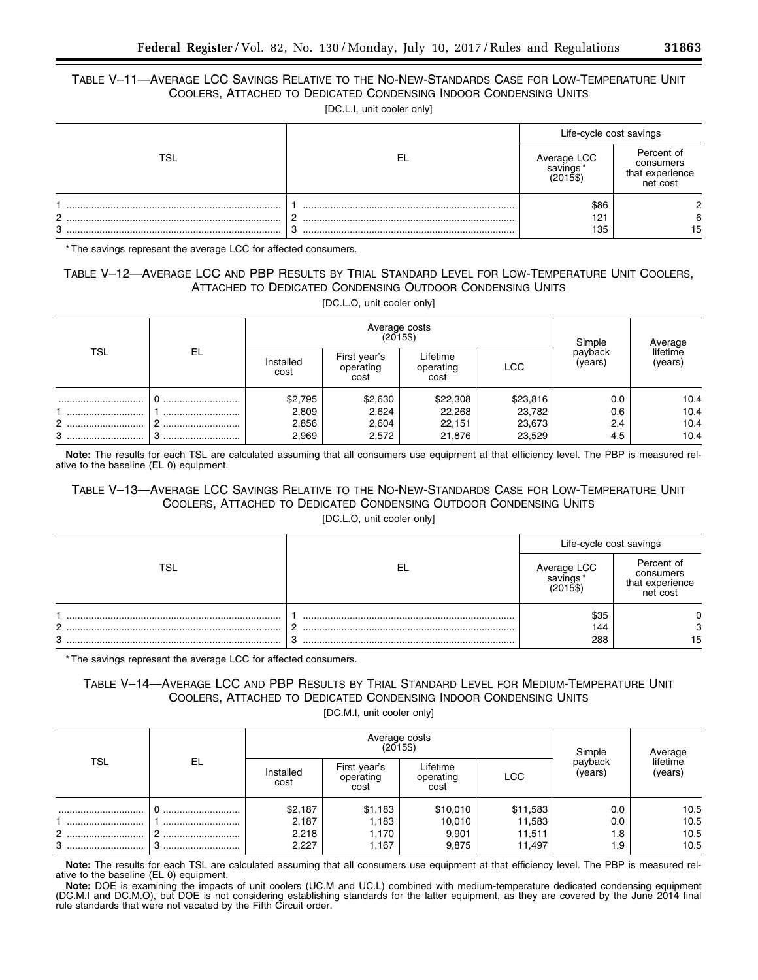# TABLE V–11—AVERAGE LCC SAVINGS RELATIVE TO THE NO-NEW-STANDARDS CASE FOR LOW-TEMPERATURE UNIT COOLERS, ATTACHED TO DEDICATED CONDENSING INDOOR CONDENSING UNITS

[DC.L.I, unit cooler only]

|        |     | Life-cycle cost savings |                                                        |  |
|--------|-----|-------------------------|--------------------------------------------------------|--|
|        | -EL | Average LCC             | Percent of<br>consumers<br>that experience<br>net cost |  |
| C<br>3 |     | \$86<br>121<br>135      | 15                                                     |  |

\* The savings represent the average LCC for affected consumers.

## TABLE V–12—AVERAGE LCC AND PBP RESULTS BY TRIAL STANDARD LEVEL FOR LOW-TEMPERATURE UNIT COOLERS, ATTACHED TO DEDICATED CONDENSING OUTDOOR CONDENSING UNITS [DC.L.O, unit cooler only]

|            |    |                   |                                   | Average costs<br>$(2015\$     |            | Simple             | Average             |
|------------|----|-------------------|-----------------------------------|-------------------------------|------------|--------------------|---------------------|
| <b>TSL</b> | EL | Installed<br>cost | First year's<br>operating<br>cost | Lifetime<br>operating<br>cost | <b>LCC</b> | payback<br>(years) | lifetime<br>(years) |
|            |    | \$2,795           | \$2,630                           | \$22,308                      | \$23,816   | 0.0                | 10.4                |
|            |    | 2,809             | 2,624                             | 22,268                        | 23,782     | 0.6                | 10.4                |
| 2          |    | 2,856             | 2,604                             | 22,151                        | 23,673     | 2.4                | 10.4                |
| 3          |    | 2,969             | 2,572                             | 21,876                        | 23,529     | 4.5                | 10.4                |

**Note:** The results for each TSL are calculated assuming that all consumers use equipment at that efficiency level. The PBP is measured relative to the baseline (EL 0) equipment.

# TABLE V–13—AVERAGE LCC SAVINGS RELATIVE TO THE NO-NEW-STANDARDS CASE FOR LOW-TEMPERATURE UNIT COOLERS, ATTACHED TO DEDICATED CONDENSING OUTDOOR CONDENSING UNITS

[DC.L.O, unit cooler only]

|        |        | Life-cycle cost savings |                                                        |  |
|--------|--------|-------------------------|--------------------------------------------------------|--|
|        | -EL    | Average LCC<br>savings* | Percent of<br>consumers<br>that experience<br>net cost |  |
| C<br>3 | ⌒<br>C | \$35<br>144<br>288      | 3<br>15                                                |  |

\* The savings represent the average LCC for affected consumers.

# TABLE V–14—AVERAGE LCC AND PBP RESULTS BY TRIAL STANDARD LEVEL FOR MEDIUM-TEMPERATURE UNIT COOLERS, ATTACHED TO DEDICATED CONDENSING INDOOR CONDENSING UNITS

[DC.M.I, unit cooler only]

|            |          |                                    |                                    | Average costs<br>$(2015\$            |                                        | Simple                   | Average                      |
|------------|----------|------------------------------------|------------------------------------|--------------------------------------|----------------------------------------|--------------------------|------------------------------|
| <b>TSL</b> | EL.      | Installed<br>cost                  | First year's<br>operating<br>cost  | Lifetime<br>operating<br>cost        | <b>LCC</b>                             | payback<br>(years)       | lifetime<br>(years)          |
| <br>2<br>3 | <br><br> | \$2,187<br>2,187<br>2,218<br>2,227 | \$1,183<br>1,183<br>170. ا<br>.167 | \$10,010<br>10,010<br>9,901<br>9,875 | \$11,583<br>11,583<br>11,511<br>11,497 | 0.0<br>0.0<br>1.8<br>1.9 | 10.5<br>10.5<br>10.5<br>10.5 |

**Note:** The results for each TSL are calculated assuming that all consumers use equipment at that efficiency level. The PBP is measured relative to the baseline (EL 0) equipment.

**Note:** DOE is examining the impacts of unit coolers (UC.M and UC.L) combined with medium-temperature dedicated condensing equipment (DC.M.I and DC.M.O), but DOE is not considering establishing standards for the latter equipment, as they are covered by the June 2014 final rule standards that were not vacated by the Fifth Circuit order.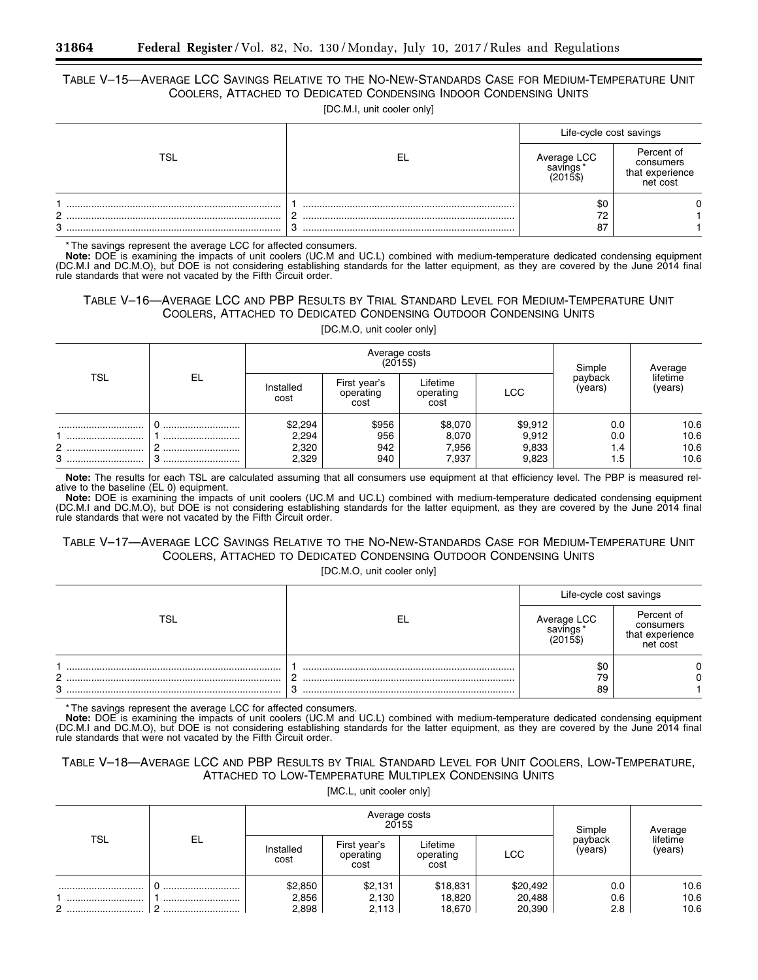# TABLE V–15—AVERAGE LCC SAVINGS RELATIVE TO THE NO-NEW-STANDARDS CASE FOR MEDIUM-TEMPERATURE UNIT COOLERS, ATTACHED TO DEDICATED CONDENSING INDOOR CONDENSING UNITS

[DC.M.I, unit cooler only]

|        |             | Life-cycle cost savings |                                                        |
|--------|-------------|-------------------------|--------------------------------------------------------|
|        | -EL         | Average LCC<br>savings* | Percent of<br>consumers<br>that experience<br>net cost |
| C<br>3 | C<br>-<br>c | \$0<br>72<br>87         |                                                        |

\* The savings represent the average LCC for affected consumers.

**Note:** DOE is examining the impacts of unit coolers (UC.M and UC.L) combined with medium-temperature dedicated condensing equipment (DC.M.I and DC.M.O), but DOE is not considering establishing standards for the latter equipment, as they are covered by the June 2014 final rule standards that were not vacated by the Fifth Circuit order.

# TABLE V–16—AVERAGE LCC AND PBP RESULTS BY TRIAL STANDARD LEVEL FOR MEDIUM-TEMPERATURE UNIT COOLERS, ATTACHED TO DEDICATED CONDENSING OUTDOOR CONDENSING UNITS

[DC.M.O, unit cooler only]

|                    |               |                                    |                                   | Average costs<br>$(2015\$          |                                    | Simple                   | Average                      |
|--------------------|---------------|------------------------------------|-----------------------------------|------------------------------------|------------------------------------|--------------------------|------------------------------|
| TSL                | EL            | Installed<br>cost                  | First year's<br>operating<br>cost | ∟ifetime<br>operating<br>cost      | LCC                                | payback<br>(years)       | lifetime<br>(years)          |
| <br>2<br><br>3<br> | <br><br>_<br> | \$2,294<br>2,294<br>2,320<br>2,329 | \$956<br>956<br>942<br>940        | \$8,070<br>8,070<br>7,956<br>7,937 | \$9,912<br>9,912<br>9,833<br>9,823 | 0.0<br>0.0<br>1.4<br>1.5 | 10.6<br>10.6<br>10.6<br>10.6 |

**Note:** The results for each TSL are calculated assuming that all consumers use equipment at that efficiency level. The PBP is measured relative to the baseline (EL 0) equipment.

**Note:** DOE is examining the impacts of unit coolers (UC.M and UC.L) combined with medium-temperature dedicated condensing equipment (DC.M.I and DC.M.O), but DOE is not considering establishing standards for the latter equipment, as they are covered by the June 2014 final rule standards that were not vacated by the Fifth Circuit order.

# TABLE V–17—AVERAGE LCC SAVINGS RELATIVE TO THE NO-NEW-STANDARDS CASE FOR MEDIUM-TEMPERATURE UNIT COOLERS, ATTACHED TO DEDICATED CONDENSING OUTDOOR CONDENSING UNITS

[DC.M.O, unit cooler only]

|        |    | Life-cycle cost savings |                                                        |  |
|--------|----|-------------------------|--------------------------------------------------------|--|
| ™SL    | EL | Average LCC<br>savings* | Percent of<br>consumers<br>that experience<br>net cost |  |
|        |    | \$0                     |                                                        |  |
| C      |    | 79                      |                                                        |  |
| C<br>u | C  | 89                      |                                                        |  |

\* The savings represent the average LCC for affected consumers.

**Note:** DOE is examining the impacts of unit coolers (UC.M and UC.L) combined with medium-temperature dedicated condensing equipment (DC.M.I and DC.M.O), but DOE is not considering establishing standards for the latter equipment, as they are covered by the June 2014 final rule standards that were not vacated by the Fifth Circuit order.

# TABLE V–18—AVERAGE LCC AND PBP RESULTS BY TRIAL STANDARD LEVEL FOR UNIT COOLERS, LOW-TEMPERATURE, ATTACHED TO LOW-TEMPERATURE MULTIPLEX CONDENSING UNITS

[MC.L, unit cooler only]

|            |    |                   | Average costs<br>2015\$           | Simple                        | Average  |                    |                     |
|------------|----|-------------------|-----------------------------------|-------------------------------|----------|--------------------|---------------------|
| <b>TSL</b> | EL | Installed<br>cost | First year's<br>operating<br>cost | Lifetime<br>operating<br>cost | LCC      | payback<br>(vears) | lifetime<br>(years) |
|            |    | \$2,850           | \$2,131                           | \$18,831                      | \$20,492 | 0.0                | 10.6                |
|            |    | 2,856             | 2,130                             | 18,820                        | 20,488   | 0.6                | 10.6<br>10.6        |
|            |    | 2,898             | 2,113                             | 18,670                        | 20,390   | 2.8                |                     |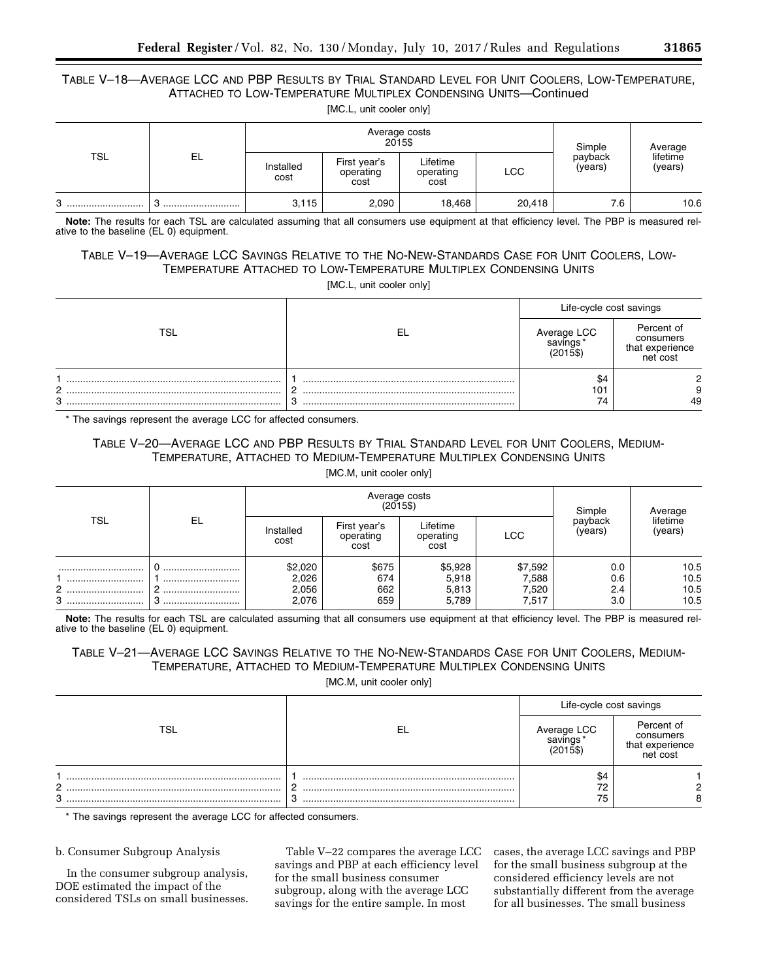## TABLE V–18—AVERAGE LCC AND PBP RESULTS BY TRIAL STANDARD LEVEL FOR UNIT COOLERS, LOW-TEMPERATURE, ATTACHED TO LOW-TEMPERATURE MULTIPLEX CONDENSING UNITS—Continued [MC.L, unit cooler only]

|            |     |                   | 2015\$                            | Average costs                 |            | Simple             | Average             |
|------------|-----|-------------------|-----------------------------------|-------------------------------|------------|--------------------|---------------------|
| <b>TSL</b> | EL. | Installed<br>cost | First year's<br>operating<br>cost | Lifetime<br>operating<br>cost | <b>LCC</b> | payback<br>(years) | lifetime<br>(years) |
| 3<br>      |     | 3,115             | 2,090                             | 18,468                        | 20,418     | 7.6                | 10.6                |

**Note:** The results for each TSL are calculated assuming that all consumers use equipment at that efficiency level. The PBP is measured relative to the baseline (EL 0) equipment.

# TABLE V–19—AVERAGE LCC SAVINGS RELATIVE TO THE NO-NEW-STANDARDS CASE FOR UNIT COOLERS, LOW-TEMPERATURE ATTACHED TO LOW-TEMPERATURE MULTIPLEX CONDENSING UNITS

[MC.L, unit cooler only]

|        |     | Life-cycle cost savings |                                                        |  |
|--------|-----|-------------------------|--------------------------------------------------------|--|
| TSL    | -EL | Average LCC<br>savings  | Percent of<br>consumers<br>that experience<br>net cost |  |
| റ<br>3 | ັບ  | \$4<br>101<br>74        | 49                                                     |  |

\* The savings represent the average LCC for affected consumers.

## TABLE V–20—AVERAGE LCC AND PBP RESULTS BY TRIAL STANDARD LEVEL FOR UNIT COOLERS, MEDIUM-TEMPERATURE, ATTACHED TO MEDIUM-TEMPERATURE MULTIPLEX CONDENSING UNITS [MC.M, unit cooler only]

|            |    |                   | Average costs                     | (2015\$)                      |            | Simple             | Average             |
|------------|----|-------------------|-----------------------------------|-------------------------------|------------|--------------------|---------------------|
| <b>TSL</b> | EL | Installed<br>cost | First year's<br>operating<br>cost | Lifetime<br>operating<br>cost | <b>LCC</b> | payback<br>(years) | lifetime<br>(years) |
|            |    | \$2,020           | \$675                             | \$5,928                       | \$7,592    | 0.0                | 10.5                |
|            |    | 2,026             | 674                               | 5,918                         | 7,588      | 0.6                | 10.5                |
| 2          |    | 2,056             | 662                               | 5,813                         | 7,520      | 2.4                | 10.5                |
| 3          |    | 2,076             | 659                               | 5,789                         | 7,517      | 3.0                | 10.5                |

**Note:** The results for each TSL are calculated assuming that all consumers use equipment at that efficiency level. The PBP is measured relative to the baseline (EL 0) equipment.

# TABLE V–21—AVERAGE LCC SAVINGS RELATIVE TO THE NO-NEW-STANDARDS CASE FOR UNIT COOLERS, MEDIUM-TEMPERATURE, ATTACHED TO MEDIUM-TEMPERATURE MULTIPLEX CONDENSING UNITS

[MC.M, unit cooler only]

|        | Life-cycle cost savings |                                                        |  |
|--------|-------------------------|--------------------------------------------------------|--|
| ™SL    | Average LCC<br>savings* | Percent of<br>consumers<br>that experience<br>net cost |  |
| റ<br>3 | \$4<br>72<br>75         |                                                        |  |

\* The savings represent the average LCC for affected consumers.

### b. Consumer Subgroup Analysis

In the consumer subgroup analysis, DOE estimated the impact of the considered TSLs on small businesses.

Table V–22 compares the average LCC savings and PBP at each efficiency level for the small business consumer subgroup, along with the average LCC savings for the entire sample. In most

cases, the average LCC savings and PBP for the small business subgroup at the considered efficiency levels are not substantially different from the average for all businesses. The small business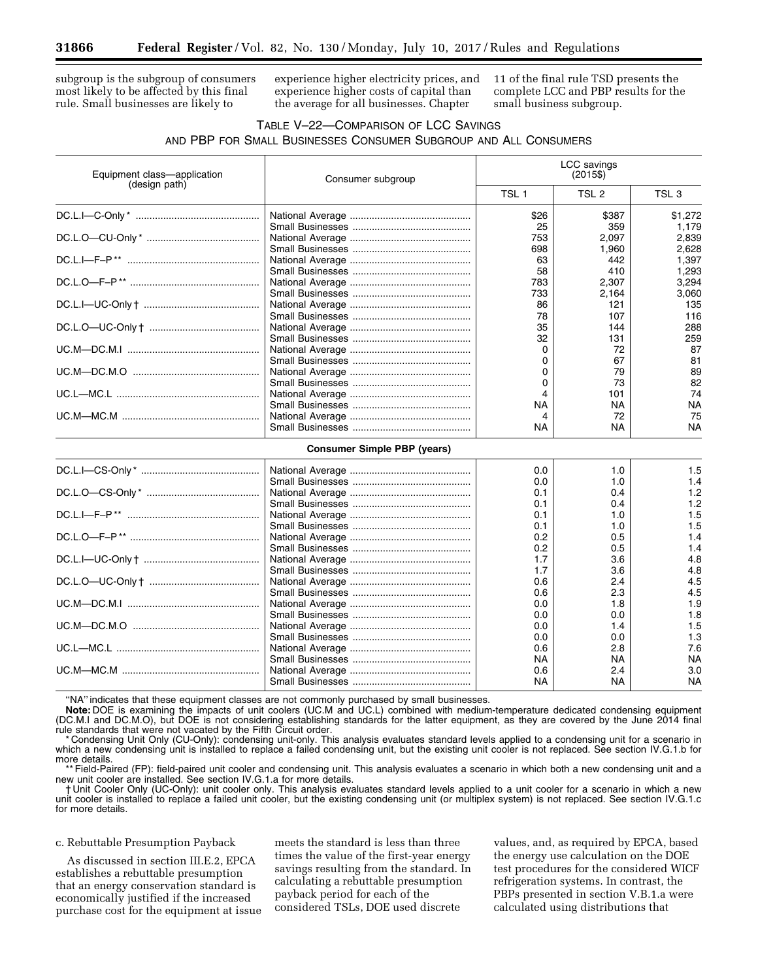subgroup is the subgroup of consumers most likely to be affected by this final rule. Small businesses are likely to

experience higher electricity prices, and experience higher costs of capital than the average for all businesses. Chapter

11 of the final rule TSD presents the complete LCC and PBP results for the small business subgroup.

# TABLE V–22—COMPARISON OF LCC SAVINGS AND PBP FOR SMALL BUSINESSES CONSUMER SUBGROUP AND ALL CONSUMERS

| Equipment class-application | Consumer subgroup                  | LCC savings<br>$(2015\$ |                  |                  |  |
|-----------------------------|------------------------------------|-------------------------|------------------|------------------|--|
| (design path)               |                                    | TSL <sub>1</sub>        | TSL <sub>2</sub> | TSL <sub>3</sub> |  |
|                             |                                    | \$26                    | \$387            | \$1,272          |  |
|                             |                                    | 25                      | 359              | 1,179            |  |
|                             |                                    | 753                     | 2,097            | 2,839            |  |
|                             |                                    | 698                     | 1,960            | 2,628            |  |
|                             |                                    | 63                      | 442              | 1,397            |  |
|                             |                                    | 58                      | 410              | 1,293            |  |
|                             |                                    | 783                     | 2,307            | 3,294            |  |
|                             |                                    | 733                     | 2,164            | 3,060            |  |
|                             |                                    | 86                      | 121              | 135              |  |
|                             |                                    | 78                      | 107              | 116              |  |
|                             |                                    | 35                      | 144              | 288              |  |
|                             |                                    | 32                      | 131              | 259              |  |
|                             |                                    | 0                       | 72               | 87               |  |
|                             |                                    | 0                       | 67               | 81               |  |
|                             |                                    | 0                       | 79               | 89               |  |
|                             |                                    | 0                       | 73               | 82               |  |
|                             |                                    | 4                       | 101              | 74               |  |
|                             |                                    | NA                      | NA               | <b>NA</b>        |  |
|                             |                                    | 4                       | 72               | 75               |  |
|                             |                                    | <b>NA</b>               | NA.              | <b>NA</b>        |  |
|                             | <b>Consumer Simple PBP (years)</b> |                         |                  |                  |  |
|                             |                                    |                         |                  |                  |  |
|                             |                                    | 0.0                     | 1.0              | 1.5              |  |
|                             |                                    | 0.0                     | 1.0              | 1.4              |  |
|                             |                                    | 0.1                     | 0.4              | 1.2              |  |
|                             |                                    | 0.1                     | 0.4              | 1.2              |  |
|                             |                                    | 0.1                     | 1.0              | 1.5              |  |
|                             |                                    | 0.1                     | 1.0              | 1.5              |  |
|                             |                                    | 0.2                     | 0.5              | 1.4              |  |
|                             |                                    | 0.2                     | 0.5              | 1.4              |  |
|                             |                                    | 1.7                     | 3.6              | 4.8              |  |
|                             |                                    | 1.7                     | 3.6              | 4.8              |  |
|                             |                                    | 0.6                     | 2.4              | 4.5              |  |
|                             |                                    | 0.6                     | 2.3              | 4.5              |  |
|                             |                                    | 0.0                     | 1.8              | 1.9              |  |
|                             |                                    | 0.0                     | 0.0              | 1.8              |  |
|                             |                                    | 0.0                     | 1.4              | 1.5              |  |
|                             |                                    | 0.0                     | 0.0              | 1.3              |  |
|                             |                                    | 0.6                     | 2.8              | 7.6              |  |
|                             |                                    | NA                      | NA               | <b>NA</b>        |  |
|                             |                                    | 0.6                     | 2.4              | 3.0              |  |
|                             |                                    | NA                      | NA               | <b>NA</b>        |  |

"NA" indicates that these equipment classes are not commonly purchased by small businesses.

**Note:** DOE is examining the impacts of unit coolers (UC.M and UC.L) combined with medium-temperature dedicated condensing equipment (DC.M.I and DC.M.O), but DOE is not considering establishing standards for the latter equipment, as they are covered by the June 2014 final rule standards that were not vacated by the Fifth Circuit order.

\* Condensing Unit Only (CU-Only): condensing unit-only. This analysis evaluates standard levels applied to a condensing unit for a scenario in which a new condensing unit is installed to replace a failed condensing unit, but the existing unit cooler is not replaced. See section IV.G.1.b for more details.

\*\* Field-Paired (FP): field-paired unit cooler and condensing unit. This analysis evaluates a scenario in which both a new condensing unit and a new unit cooler are installed. See section IV.G.1.a for more details.

Unit Cooler Only (UC-Only): unit cooler only. This analysis evaluates standard levels applied to a unit cooler for a scenario in which a new unit cooler is installed to replace a failed unit cooler, but the existing condensing unit (or multiplex system) is not replaced. See section IV.G.1.c for more details.

## c. Rebuttable Presumption Payback

As discussed in section III.E.2, EPCA establishes a rebuttable presumption that an energy conservation standard is economically justified if the increased purchase cost for the equipment at issue

meets the standard is less than three times the value of the first-year energy savings resulting from the standard. In calculating a rebuttable presumption payback period for each of the considered TSLs, DOE used discrete

values, and, as required by EPCA, based the energy use calculation on the DOE test procedures for the considered WICF refrigeration systems. In contrast, the PBPs presented in section V.B.1.a were calculated using distributions that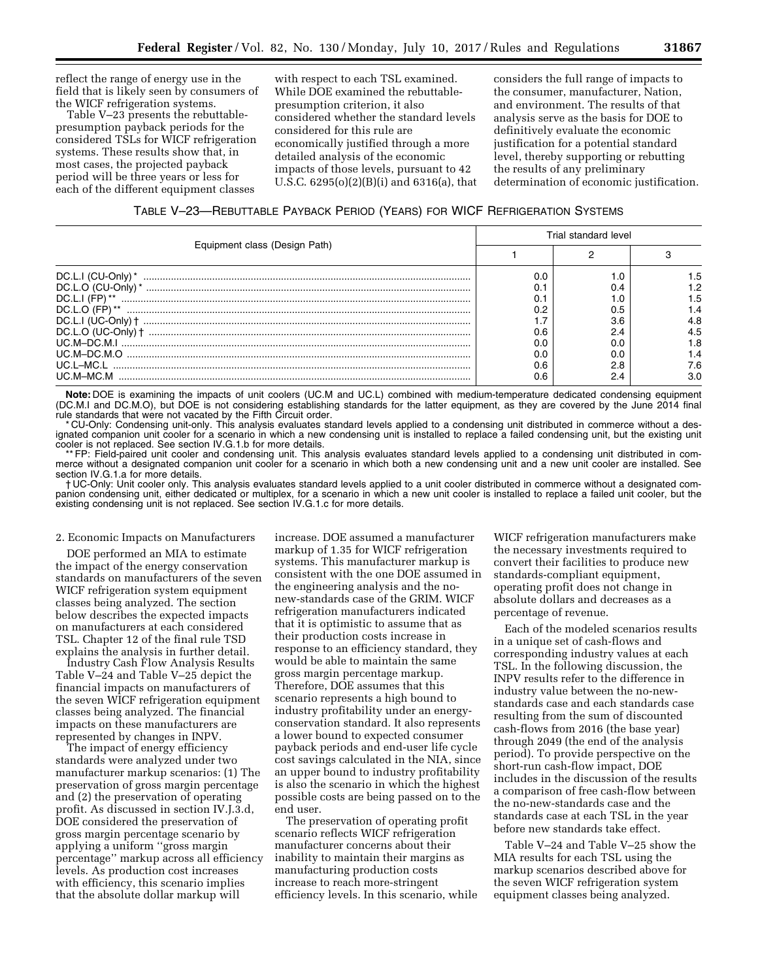reflect the range of energy use in the field that is likely seen by consumers of the WICF refrigeration systems.

Table V–23 presents the rebuttablepresumption payback periods for the considered TSLs for WICF refrigeration systems. These results show that, in most cases, the projected payback period will be three years or less for each of the different equipment classes

with respect to each TSL examined. While DOE examined the rebuttablepresumption criterion, it also considered whether the standard levels considered for this rule are economically justified through a more detailed analysis of the economic impacts of those levels, pursuant to 42 U.S.C. 6295(o)(2)(B)(i) and 6316(a), that considers the full range of impacts to the consumer, manufacturer, Nation, and environment. The results of that analysis serve as the basis for DOE to definitively evaluate the economic justification for a potential standard level, thereby supporting or rebutting the results of any preliminary determination of economic justification.

| Equipment class (Design Path) | Trial standard level |     |     |  |
|-------------------------------|----------------------|-----|-----|--|
|                               |                      |     |     |  |
| DC.L.I (CU-Only) *            | 0.0                  |     | .5  |  |
|                               |                      |     |     |  |
| $DC.L.I (FP) **$              |                      |     |     |  |
| $DC.L.O$ (FP) **              | 0.2                  |     |     |  |
|                               |                      | 3.6 | 4.8 |  |
|                               | 0.6                  |     | 4.5 |  |
|                               | 0.0                  |     |     |  |
|                               | 0.O                  |     |     |  |
|                               | 0.6                  | 2.8 | 7.6 |  |
| LIC M-MC M                    | 0.6                  | 2.4 | 3.0 |  |

**Note:** DOE is examining the impacts of unit coolers (UC.M and UC.L) combined with medium-temperature dedicated condensing equipment (DC.M.I and DC.M.O), but DOE is not considering establishing standards for the latter equipment, as they are covered by the June 2014 final rule standards that were not vacated by the Fifth Circuit order.

\* CU-Only: Condensing unit-only. This analysis evaluates standard levels applied to a condensing unit distributed in commerce without a designated companion unit cooler for a scenario in which a new condensing unit is installed to replace a failed condensing unit, but the existing unit cooler is not replaced. See section IV.G.1.b for more details.

\*\* FP: Field-paired unit cooler and condensing unit. This analysis evaluates standard levels applied to a condensing unit distributed in commerce without a designated companion unit cooler for a scenario in which both a new condensing unit and a new unit cooler are installed. See section IV.G.1.a for more details.

† UC-Only: Unit cooler only. This analysis evaluates standard levels applied to a unit cooler distributed in commerce without a designated companion condensing unit, either dedicated or multiplex, for a scenario in which a new unit cooler is installed to replace a failed unit cooler, but the existing condensing unit is not replaced. See section IV.G.1.c for more details.

#### 2. Economic Impacts on Manufacturers

DOE performed an MIA to estimate the impact of the energy conservation standards on manufacturers of the seven WICF refrigeration system equipment classes being analyzed. The section below describes the expected impacts on manufacturers at each considered TSL. Chapter 12 of the final rule TSD explains the analysis in further detail.

Industry Cash Flow Analysis Results Table V–24 and Table V–25 depict the financial impacts on manufacturers of the seven WICF refrigeration equipment classes being analyzed. The financial impacts on these manufacturers are represented by changes in INPV.

The impact of energy efficiency standards were analyzed under two manufacturer markup scenarios: (1) The preservation of gross margin percentage and (2) the preservation of operating profit. As discussed in section IV.J.3.d, DOE considered the preservation of gross margin percentage scenario by applying a uniform ''gross margin percentage'' markup across all efficiency levels. As production cost increases with efficiency, this scenario implies that the absolute dollar markup will

increase. DOE assumed a manufacturer markup of 1.35 for WICF refrigeration systems. This manufacturer markup is consistent with the one DOE assumed in the engineering analysis and the nonew-standards case of the GRIM. WICF refrigeration manufacturers indicated that it is optimistic to assume that as their production costs increase in response to an efficiency standard, they would be able to maintain the same gross margin percentage markup. Therefore, DOE assumes that this scenario represents a high bound to industry profitability under an energyconservation standard. It also represents a lower bound to expected consumer payback periods and end-user life cycle cost savings calculated in the NIA, since an upper bound to industry profitability is also the scenario in which the highest possible costs are being passed on to the end user.

The preservation of operating profit scenario reflects WICF refrigeration manufacturer concerns about their inability to maintain their margins as manufacturing production costs increase to reach more-stringent efficiency levels. In this scenario, while

WICF refrigeration manufacturers make the necessary investments required to convert their facilities to produce new standards-compliant equipment, operating profit does not change in absolute dollars and decreases as a percentage of revenue.

Each of the modeled scenarios results in a unique set of cash-flows and corresponding industry values at each TSL. In the following discussion, the INPV results refer to the difference in industry value between the no-newstandards case and each standards case resulting from the sum of discounted cash-flows from 2016 (the base year) through 2049 (the end of the analysis period). To provide perspective on the short-run cash-flow impact, DOE includes in the discussion of the results a comparison of free cash-flow between the no-new-standards case and the standards case at each TSL in the year before new standards take effect.

Table V–24 and Table V–25 show the MIA results for each TSL using the markup scenarios described above for the seven WICF refrigeration system equipment classes being analyzed.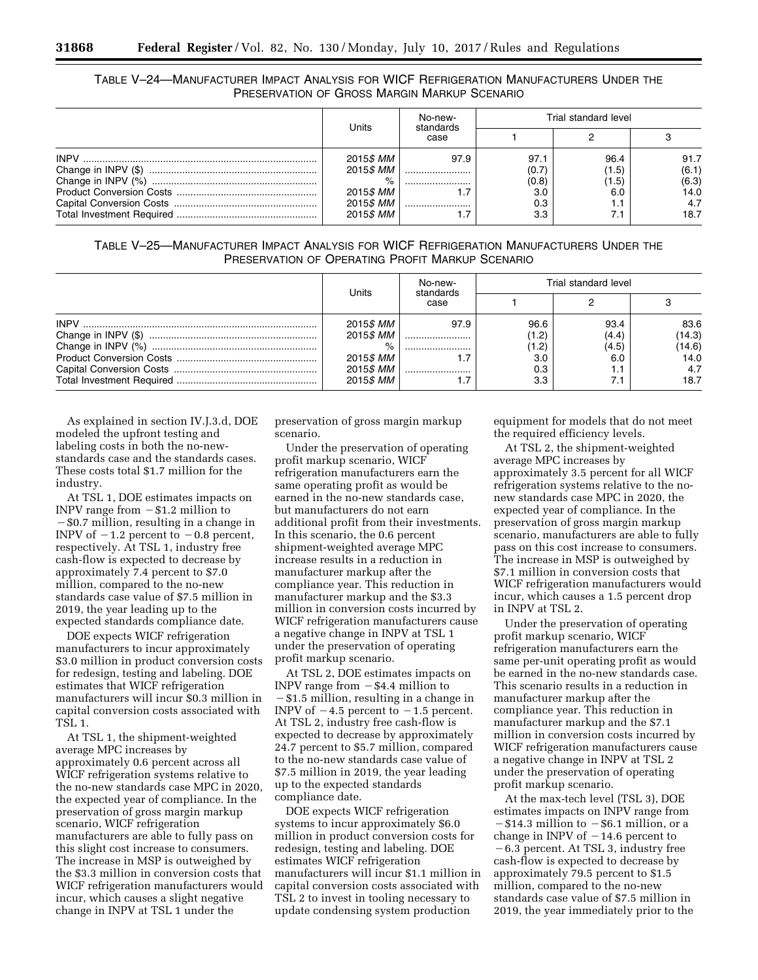## TABLE V–24—MANUFACTURER IMPACT ANALYSIS FOR WICF REFRIGERATION MANUFACTURERS UNDER THE PRESERVATION OF GROSS MARGIN MARKUP SCENARIO

|                   | No-new-<br>standards<br>case |       | Trial standard level |       |
|-------------------|------------------------------|-------|----------------------|-------|
| Units             |                              |       |                      |       |
| 2015 <i>\$ MM</i> | 97.9                         | 97.1  | 96.4                 | 91.7  |
| 2015\$ MM         |                              | (0.7) | (1.5)                | (6.1) |
| $\%$              |                              | (0.8) | (1.5)                | (6.3) |
| 2015 <i>\$ MM</i> |                              | 3.0   | 6.C                  | 14.0  |
| 2015\$ MM         |                              | 0.3   |                      | 4.7   |
| 2015 <i>\$ MM</i> |                              | 3.3   |                      | 18.7  |

TABLE V–25—MANUFACTURER IMPACT ANALYSIS FOR WICF REFRIGERATION MANUFACTURERS UNDER THE PRESERVATION OF OPERATING PROFIT MARKUP SCENARIO

|                   | No-new-<br>standards<br>case |       | Trial standard level |        |
|-------------------|------------------------------|-------|----------------------|--------|
| Units             |                              |       |                      |        |
| 2015 <i>\$ MM</i> | 97.9                         | 96.6  | 93.4                 | 83.6   |
| 2015 <i>\$ MM</i> |                              | (1.2) | (4.4)                | (14.3) |
| %                 |                              | 1.2)  | (4.5)                | (14.6) |
| 2015 <i>\$ MM</i> |                              | 3.0   | 6.0                  | 14.0   |
| 2015 <i>\$ MM</i> |                              | 0.3   |                      | 4.7    |
| 2015 <i>\$ MM</i> |                              | 3.3   |                      | 18.7   |

As explained in section IV.J.3.d, DOE modeled the upfront testing and labeling costs in both the no-newstandards case and the standards cases. These costs total \$1.7 million for the industry.

At TSL 1, DOE estimates impacts on INPV range from  $- $1.2$  million to ¥\$0.7 million, resulting in a change in INPV of  $-1.2$  percent to  $-0.8$  percent, respectively. At TSL 1, industry free cash-flow is expected to decrease by approximately 7.4 percent to \$7.0 million, compared to the no-new standards case value of \$7.5 million in 2019, the year leading up to the expected standards compliance date.

DOE expects WICF refrigeration manufacturers to incur approximately \$3.0 million in product conversion costs for redesign, testing and labeling. DOE estimates that WICF refrigeration manufacturers will incur \$0.3 million in capital conversion costs associated with TSL 1.

At TSL 1, the shipment-weighted average MPC increases by approximately 0.6 percent across all WICF refrigeration systems relative to the no-new standards case MPC in 2020, the expected year of compliance. In the preservation of gross margin markup scenario, WICF refrigeration manufacturers are able to fully pass on this slight cost increase to consumers. The increase in MSP is outweighed by the \$3.3 million in conversion costs that WICF refrigeration manufacturers would incur, which causes a slight negative change in INPV at TSL 1 under the

preservation of gross margin markup scenario.

Under the preservation of operating profit markup scenario, WICF refrigeration manufacturers earn the same operating profit as would be earned in the no-new standards case, but manufacturers do not earn additional profit from their investments. In this scenario, the 0.6 percent shipment-weighted average MPC increase results in a reduction in manufacturer markup after the compliance year. This reduction in manufacturer markup and the \$3.3 million in conversion costs incurred by WICF refrigeration manufacturers cause a negative change in INPV at TSL 1 under the preservation of operating profit markup scenario.

At TSL 2, DOE estimates impacts on INPV range from  $-$  \$4.4 million to  $-$ \$1.5 million, resulting in a change in INPV of  $-4.5$  percent to  $-1.5$  percent. At TSL 2, industry free cash-flow is expected to decrease by approximately 24.7 percent to \$5.7 million, compared to the no-new standards case value of \$7.5 million in 2019, the year leading up to the expected standards compliance date.

DOE expects WICF refrigeration systems to incur approximately \$6.0 million in product conversion costs for redesign, testing and labeling. DOE estimates WICF refrigeration manufacturers will incur \$1.1 million in capital conversion costs associated with TSL 2 to invest in tooling necessary to update condensing system production

equipment for models that do not meet the required efficiency levels.

At TSL 2, the shipment-weighted average MPC increases by approximately 3.5 percent for all WICF refrigeration systems relative to the nonew standards case MPC in 2020, the expected year of compliance. In the preservation of gross margin markup scenario, manufacturers are able to fully pass on this cost increase to consumers. The increase in MSP is outweighed by \$7.1 million in conversion costs that WICF refrigeration manufacturers would incur, which causes a 1.5 percent drop in INPV at TSL 2.

Under the preservation of operating profit markup scenario, WICF refrigeration manufacturers earn the same per-unit operating profit as would be earned in the no-new standards case. This scenario results in a reduction in manufacturer markup after the compliance year. This reduction in manufacturer markup and the \$7.1 million in conversion costs incurred by WICF refrigeration manufacturers cause a negative change in INPV at TSL 2 under the preservation of operating profit markup scenario.

At the max-tech level (TSL 3), DOE estimates impacts on INPV range from  $-$ \$14.3 million to  $-$ \$6.1 million, or a change in INPV of  $-14.6$  percent to  $-6.3$  percent. At TSL 3, industry free cash-flow is expected to decrease by approximately 79.5 percent to \$1.5 million, compared to the no-new standards case value of \$7.5 million in 2019, the year immediately prior to the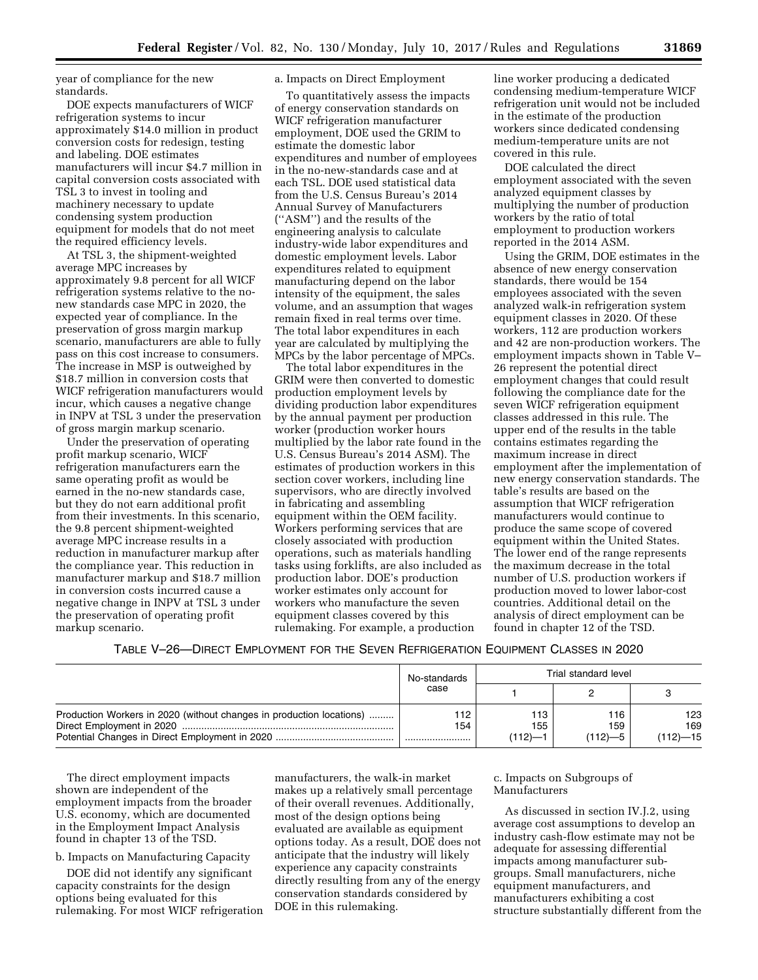year of compliance for the new standards.

DOE expects manufacturers of WICF refrigeration systems to incur approximately \$14.0 million in product conversion costs for redesign, testing and labeling. DOE estimates manufacturers will incur \$4.7 million in capital conversion costs associated with TSL 3 to invest in tooling and machinery necessary to update condensing system production equipment for models that do not meet the required efficiency levels.

At TSL 3, the shipment-weighted average MPC increases by approximately 9.8 percent for all WICF refrigeration systems relative to the nonew standards case MPC in 2020, the expected year of compliance. In the preservation of gross margin markup scenario, manufacturers are able to fully pass on this cost increase to consumers. The increase in MSP is outweighed by \$18.7 million in conversion costs that WICF refrigeration manufacturers would incur, which causes a negative change in INPV at TSL 3 under the preservation of gross margin markup scenario.

Under the preservation of operating profit markup scenario, WICF refrigeration manufacturers earn the same operating profit as would be earned in the no-new standards case, but they do not earn additional profit from their investments. In this scenario, the 9.8 percent shipment-weighted average MPC increase results in a reduction in manufacturer markup after the compliance year. This reduction in manufacturer markup and \$18.7 million in conversion costs incurred cause a negative change in INPV at TSL 3 under the preservation of operating profit markup scenario.

### a. Impacts on Direct Employment

To quantitatively assess the impacts of energy conservation standards on WICF refrigeration manufacturer employment, DOE used the GRIM to estimate the domestic labor expenditures and number of employees in the no-new-standards case and at each TSL. DOE used statistical data from the U.S. Census Bureau's 2014 Annual Survey of Manufacturers (''ASM'') and the results of the engineering analysis to calculate industry-wide labor expenditures and domestic employment levels. Labor expenditures related to equipment manufacturing depend on the labor intensity of the equipment, the sales volume, and an assumption that wages remain fixed in real terms over time. The total labor expenditures in each year are calculated by multiplying the MPCs by the labor percentage of MPCs.

The total labor expenditures in the GRIM were then converted to domestic production employment levels by dividing production labor expenditures by the annual payment per production worker (production worker hours multiplied by the labor rate found in the U.S. Census Bureau's 2014 ASM). The estimates of production workers in this section cover workers, including line supervisors, who are directly involved in fabricating and assembling equipment within the OEM facility. Workers performing services that are closely associated with production operations, such as materials handling tasks using forklifts, are also included as production labor. DOE's production worker estimates only account for workers who manufacture the seven equipment classes covered by this rulemaking. For example, a production

line worker producing a dedicated condensing medium-temperature WICF refrigeration unit would not be included in the estimate of the production workers since dedicated condensing medium-temperature units are not covered in this rule.

DOE calculated the direct employment associated with the seven analyzed equipment classes by multiplying the number of production workers by the ratio of total employment to production workers reported in the 2014 ASM.

Using the GRIM, DOE estimates in the absence of new energy conservation standards, there would be 154 employees associated with the seven analyzed walk-in refrigeration system equipment classes in 2020. Of these workers, 112 are production workers and 42 are non-production workers. The employment impacts shown in Table V– 26 represent the potential direct employment changes that could result following the compliance date for the seven WICF refrigeration equipment classes addressed in this rule. The upper end of the results in the table contains estimates regarding the maximum increase in direct employment after the implementation of new energy conservation standards. The table's results are based on the assumption that WICF refrigeration manufacturers would continue to produce the same scope of covered equipment within the United States. The lower end of the range represents the maximum decrease in the total number of U.S. production workers if production moved to lower labor-cost countries. Additional detail on the analysis of direct employment can be found in chapter 12 of the TSD.

TABLE V–26—DIRECT EMPLOYMENT FOR THE SEVEN REFRIGERATION EQUIPMENT CLASSES IN 2020

|                                                                      | No-standards<br>case |                      | Trial standard level      |                            |
|----------------------------------------------------------------------|----------------------|----------------------|---------------------------|----------------------------|
|                                                                      |                      |                      |                           |                            |
| Production Workers in 2020 (without changes in production locations) | ' 12<br>154          | 113<br>155<br>ו—(112 | 116<br>159<br>$(112) - 5$ | 123<br>169<br>$(112) - 15$ |

The direct employment impacts shown are independent of the employment impacts from the broader U.S. economy, which are documented in the Employment Impact Analysis found in chapter 13 of the TSD.

b. Impacts on Manufacturing Capacity

DOE did not identify any significant capacity constraints for the design options being evaluated for this rulemaking. For most WICF refrigeration

manufacturers, the walk-in market makes up a relatively small percentage of their overall revenues. Additionally, most of the design options being evaluated are available as equipment options today. As a result, DOE does not anticipate that the industry will likely experience any capacity constraints directly resulting from any of the energy conservation standards considered by DOE in this rulemaking.

c. Impacts on Subgroups of Manufacturers

As discussed in section IV.J.2, using average cost assumptions to develop an industry cash-flow estimate may not be adequate for assessing differential impacts among manufacturer subgroups. Small manufacturers, niche equipment manufacturers, and manufacturers exhibiting a cost structure substantially different from the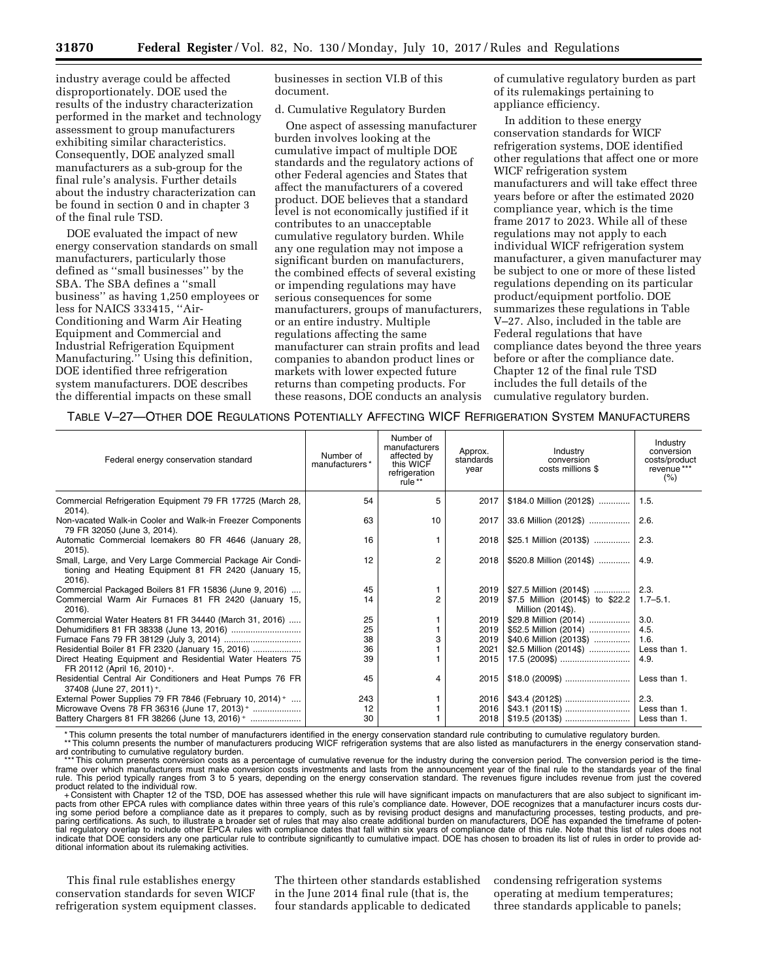industry average could be affected disproportionately. DOE used the results of the industry characterization performed in the market and technology assessment to group manufacturers exhibiting similar characteristics. Consequently, DOE analyzed small manufacturers as a sub-group for the final rule's analysis. Further details about the industry characterization can be found in section 0 and in chapter 3 of the final rule TSD.

DOE evaluated the impact of new energy conservation standards on small manufacturers, particularly those defined as ''small businesses'' by the SBA. The SBA defines a ''small business'' as having 1,250 employees or less for NAICS 333415, ''Air-Conditioning and Warm Air Heating Equipment and Commercial and Industrial Refrigeration Equipment Manufacturing.'' Using this definition, DOE identified three refrigeration system manufacturers. DOE describes the differential impacts on these small

businesses in section VI.B of this document.

d. Cumulative Regulatory Burden

One aspect of assessing manufacturer burden involves looking at the cumulative impact of multiple DOE standards and the regulatory actions of other Federal agencies and States that affect the manufacturers of a covered product. DOE believes that a standard level is not economically justified if it contributes to an unacceptable cumulative regulatory burden. While any one regulation may not impose a significant burden on manufacturers, the combined effects of several existing or impending regulations may have serious consequences for some manufacturers, groups of manufacturers, or an entire industry. Multiple regulations affecting the same manufacturer can strain profits and lead companies to abandon product lines or markets with lower expected future returns than competing products. For these reasons, DOE conducts an analysis of cumulative regulatory burden as part of its rulemakings pertaining to appliance efficiency.

In addition to these energy conservation standards for WICF refrigeration systems, DOE identified other regulations that affect one or more WICF refrigeration system manufacturers and will take effect three years before or after the estimated 2020 compliance year, which is the time frame 2017 to 2023. While all of these regulations may not apply to each individual WICF refrigeration system manufacturer, a given manufacturer may be subject to one or more of these listed regulations depending on its particular product/equipment portfolio. DOE summarizes these regulations in Table V–27. Also, included in the table are Federal regulations that have compliance dates beyond the three years before or after the compliance date. Chapter 12 of the final rule TSD includes the full details of the cumulative regulatory burden.

|  | TABLE V-27-OTHER DOE REGULATIONS POTENTIALLY AFFECTING WICF REFRIGERATION SYSTEM MANUFACTURERS |
|--|------------------------------------------------------------------------------------------------|
|--|------------------------------------------------------------------------------------------------|

| Federal energy conservation standard                                                                                             | Number of<br>manufacturers* | Number of<br>manufacturers<br>affected by<br>this WICF<br>refrigeration<br>rule <sup>**</sup> | Approx.<br>standards<br>year | Industry<br>conversion<br>costs millions \$           | Industry<br>conversion<br>costs/product<br>revenue ***<br>$(\% )$ |
|----------------------------------------------------------------------------------------------------------------------------------|-----------------------------|-----------------------------------------------------------------------------------------------|------------------------------|-------------------------------------------------------|-------------------------------------------------------------------|
| Commercial Refrigeration Equipment 79 FR 17725 (March 28,<br>$2014$ ).                                                           | 54                          | 5                                                                                             | 2017                         | \$184.0 Million (2012\$)                              | 1.5.                                                              |
| Non-vacated Walk-in Cooler and Walk-in Freezer Components<br>79 FR 32050 (June 3, 2014).                                         | 63                          | 10                                                                                            | 2017                         | 33.6 Million (2012\$)                                 | 2.6.                                                              |
| Automatic Commercial Icemakers 80 FR 4646 (January 28,<br>$2015$ ).                                                              | 16                          |                                                                                               | 2018                         | \$25.1 Million (2013\$)                               | 2.3.                                                              |
| Small, Large, and Very Large Commercial Package Air Condi-<br>tioning and Heating Equipment 81 FR 2420 (January 15,<br>$2016$ ). | 12                          | $\overline{2}$                                                                                | 2018                         | \$520.8 Million (2014\$)                              | 4.9.                                                              |
| Commercial Packaged Boilers 81 FR 15836 (June 9, 2016)                                                                           | 45                          |                                                                                               | 2019                         | \$27.5 Million (2014\$)                               | 2.3.                                                              |
| Commercial Warm Air Furnaces 81 FR 2420 (January 15,<br>2016).                                                                   | 14                          | 2                                                                                             | 2019                         | \$7.5 Million (2014\$) to \$22.2<br>Million (2014\$). | $1.7 - 5.1$ .                                                     |
| Commercial Water Heaters 81 FR 34440 (March 31, 2016)                                                                            | 25                          |                                                                                               | 2019                         | \$29.8 Million (2014)                                 | 3.0.                                                              |
|                                                                                                                                  | 25                          |                                                                                               | 2019                         | \$52.5 Million (2014)                                 | 4.5.                                                              |
|                                                                                                                                  | 38                          |                                                                                               | 2019                         | \$40.6 Million (2013\$)                               | 1.6.                                                              |
| Residential Boiler 81 FR 2320 (January 15, 2016)                                                                                 | 36                          |                                                                                               | 2021                         | \$2.5 Million (2014\$)                                | Less than 1.                                                      |
| Direct Heating Equipment and Residential Water Heaters 75<br>FR 20112 (April 16, 2010) +.                                        | 39                          |                                                                                               | 2015                         | 17.5 (2009\$)                                         | 4.9.                                                              |
| Residential Central Air Conditioners and Heat Pumps 76 FR<br>37408 (June 27, 2011) +.                                            | 45                          | 4                                                                                             | 2015                         |                                                       | Less than 1.                                                      |
| External Power Supplies 79 FR 7846 (February 10, 2014) +                                                                         | 243                         |                                                                                               | 2016                         |                                                       | 2.3.                                                              |
| Microwave Ovens 78 FR 36316 (June 17, 2013) +                                                                                    | 12                          |                                                                                               | 2016                         |                                                       | Less than 1.                                                      |
| Battery Chargers 81 FR 38266 (June 13, 2016) +                                                                                   | 30                          |                                                                                               | 2018                         |                                                       | Less than 1.                                                      |

\*This column presents the total number of manufacturers identified in the energy conservation standard rule contributing to cumulative regulatory burden.<br>\*\*This column presents the number of manufacturers producing WICF re

ard contributing to cumulative regulatory burden.<br>\*\*\* This column presents conversion costs as a percentage of cumulative revenue for the industry during the conversion period. The conversion period is the time-<br>frame over rule. This period typically ranges from 3 to 5 years, depending on the energy conservation standard. The revenues figure includes revenue from just the covered<br>product related to the individual row.<br>→ Consistent with Chap

pacts from other EPCA rules with compliance dates within three years of this rule's compliance date. However, DOE recognizes that a manufacturer incurs costs dur-<br>ing some period before a compliance date as it prepares to tial regulatory overlap to include other EPCA rules with compliance dates that fall within six years of compliance date of this rule. Note that this list of rules does not<br>indicate that DOE considers any one particular rul ditional information about its rulemaking activities.

This final rule establishes energy conservation standards for seven WICF refrigeration system equipment classes. The thirteen other standards established in the June 2014 final rule (that is, the four standards applicable to dedicated

condensing refrigeration systems operating at medium temperatures; three standards applicable to panels;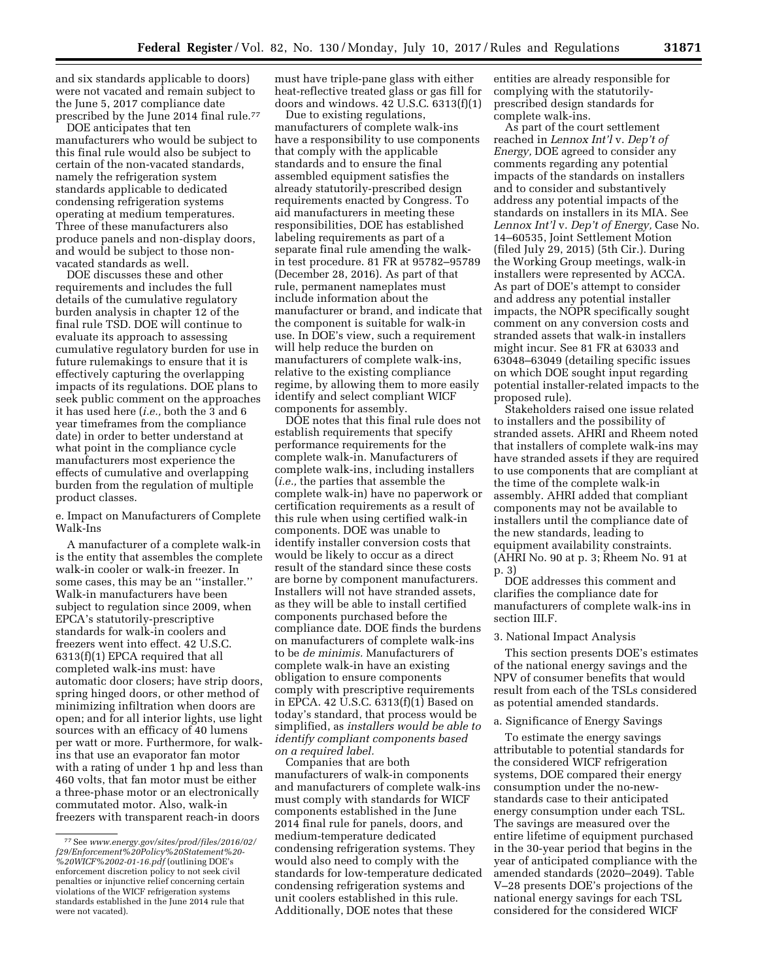and six standards applicable to doors) were not vacated and remain subject to the June 5, 2017 compliance date prescribed by the June 2014 final rule.<sup>77</sup>

DOE anticipates that ten manufacturers who would be subject to this final rule would also be subject to certain of the non-vacated standards, namely the refrigeration system standards applicable to dedicated condensing refrigeration systems operating at medium temperatures. Three of these manufacturers also produce panels and non-display doors, and would be subject to those nonvacated standards as well.

DOE discusses these and other requirements and includes the full details of the cumulative regulatory burden analysis in chapter 12 of the final rule TSD. DOE will continue to evaluate its approach to assessing cumulative regulatory burden for use in future rulemakings to ensure that it is effectively capturing the overlapping impacts of its regulations. DOE plans to seek public comment on the approaches it has used here (*i.e.,* both the 3 and 6 year timeframes from the compliance date) in order to better understand at what point in the compliance cycle manufacturers most experience the effects of cumulative and overlapping burden from the regulation of multiple product classes.

e. Impact on Manufacturers of Complete Walk-Ins

A manufacturer of a complete walk-in is the entity that assembles the complete walk-in cooler or walk-in freezer. In some cases, this may be an ''installer.'' Walk-in manufacturers have been subject to regulation since 2009, when EPCA's statutorily-prescriptive standards for walk-in coolers and freezers went into effect. 42 U.S.C. 6313(f)(1) EPCA required that all completed walk-ins must: have automatic door closers; have strip doors, spring hinged doors, or other method of minimizing infiltration when doors are open; and for all interior lights, use light sources with an efficacy of 40 lumens per watt or more. Furthermore, for walkins that use an evaporator fan motor with a rating of under 1 hp and less than 460 volts, that fan motor must be either a three-phase motor or an electronically commutated motor. Also, walk-in freezers with transparent reach-in doors

must have triple-pane glass with either heat-reflective treated glass or gas fill for doors and windows. 42 U.S.C. 6313(f)(1)

Due to existing regulations, manufacturers of complete walk-ins have a responsibility to use components that comply with the applicable standards and to ensure the final assembled equipment satisfies the already statutorily-prescribed design requirements enacted by Congress. To aid manufacturers in meeting these responsibilities, DOE has established labeling requirements as part of a separate final rule amending the walkin test procedure. 81 FR at 95782–95789 (December 28, 2016). As part of that rule, permanent nameplates must include information about the manufacturer or brand, and indicate that the component is suitable for walk-in use. In DOE's view, such a requirement will help reduce the burden on manufacturers of complete walk-ins, relative to the existing compliance regime, by allowing them to more easily identify and select compliant WICF components for assembly.

DOE notes that this final rule does not establish requirements that specify performance requirements for the complete walk-in. Manufacturers of complete walk-ins, including installers (*i.e.,* the parties that assemble the complete walk-in) have no paperwork or certification requirements as a result of this rule when using certified walk-in components. DOE was unable to identify installer conversion costs that would be likely to occur as a direct result of the standard since these costs are borne by component manufacturers. Installers will not have stranded assets, as they will be able to install certified components purchased before the compliance date. DOE finds the burdens on manufacturers of complete walk-ins to be *de minimis.* Manufacturers of complete walk-in have an existing obligation to ensure components comply with prescriptive requirements in EPCA. 42  $\overline{U}$ .S.C. 6313(f)(1) Based on today's standard, that process would be simplified, as *installers would be able to identify compliant components based on a required label.* 

Companies that are both manufacturers of walk-in components and manufacturers of complete walk-ins must comply with standards for WICF components established in the June 2014 final rule for panels, doors, and medium-temperature dedicated condensing refrigeration systems. They would also need to comply with the standards for low-temperature dedicated condensing refrigeration systems and unit coolers established in this rule. Additionally, DOE notes that these

entities are already responsible for complying with the statutorilyprescribed design standards for complete walk-ins.

As part of the court settlement reached in *Lennox Int'l* v. *Dep't of Energy,* DOE agreed to consider any comments regarding any potential impacts of the standards on installers and to consider and substantively address any potential impacts of the standards on installers in its MIA. See *Lennox Int'l* v. *Dep't of Energy,* Case No. 14–60535, Joint Settlement Motion (filed July 29, 2015) (5th Cir.). During the Working Group meetings, walk-in installers were represented by ACCA. As part of DOE's attempt to consider and address any potential installer impacts, the NOPR specifically sought comment on any conversion costs and stranded assets that walk-in installers might incur. See 81 FR at 63033 and 63048–63049 (detailing specific issues on which DOE sought input regarding potential installer-related impacts to the proposed rule).

Stakeholders raised one issue related to installers and the possibility of stranded assets. AHRI and Rheem noted that installers of complete walk-ins may have stranded assets if they are required to use components that are compliant at the time of the complete walk-in assembly. AHRI added that compliant components may not be available to installers until the compliance date of the new standards, leading to equipment availability constraints. (AHRI No. 90 at p. 3; Rheem No. 91 at p. 3)

DOE addresses this comment and clarifies the compliance date for manufacturers of complete walk-ins in section III.F.

### 3. National Impact Analysis

This section presents DOE's estimates of the national energy savings and the NPV of consumer benefits that would result from each of the TSLs considered as potential amended standards.

### a. Significance of Energy Savings

To estimate the energy savings attributable to potential standards for the considered WICF refrigeration systems, DOE compared their energy consumption under the no-newstandards case to their anticipated energy consumption under each TSL. The savings are measured over the entire lifetime of equipment purchased in the 30-year period that begins in the year of anticipated compliance with the amended standards (2020–2049). Table V–28 presents DOE's projections of the national energy savings for each TSL considered for the considered WICF

<sup>77</sup>See *[www.energy.gov/sites/prod/files/2016/02/](http://www.energy.gov/sites/prod/files/2016/02/f29/Enforcement%20Policy%20Statement%20-%20WICF%2002-01-16.pdf) [f29/Enforcement%20Policy%20Statement%20-](http://www.energy.gov/sites/prod/files/2016/02/f29/Enforcement%20Policy%20Statement%20-%20WICF%2002-01-16.pdf)  [%20WICF%2002-01-16.pdf](http://www.energy.gov/sites/prod/files/2016/02/f29/Enforcement%20Policy%20Statement%20-%20WICF%2002-01-16.pdf)* (outlining DOE's enforcement discretion policy to not seek civil penalties or injunctive relief concerning certain violations of the WICF refrigeration systems standards established in the June 2014 rule that were not vacated).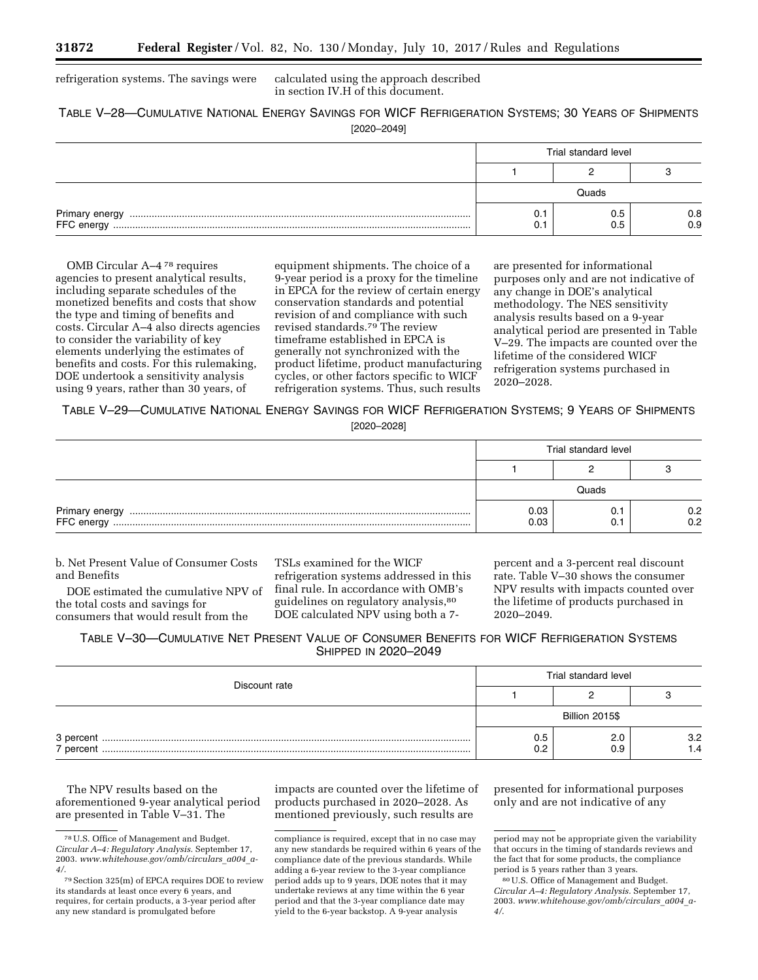refrigeration systems. The savings were calculated using the approach described

in section IV.H of this document.

## TABLE V–28—CUMULATIVE NATIONAL ENERGY SAVINGS FOR WICF REFRIGERATION SYSTEMS; 30 YEARS OF SHIPMENTS [2020–2049]

|                                                                                                                                                                                                                                                                                                                                                                                                                                                                                                                                                         | Trial standard level |  |                |
|---------------------------------------------------------------------------------------------------------------------------------------------------------------------------------------------------------------------------------------------------------------------------------------------------------------------------------------------------------------------------------------------------------------------------------------------------------------------------------------------------------------------------------------------------------|----------------------|--|----------------|
|                                                                                                                                                                                                                                                                                                                                                                                                                                                                                                                                                         |                      |  |                |
|                                                                                                                                                                                                                                                                                                                                                                                                                                                                                                                                                         | Quads                |  |                |
| $\begin{minipage}{0.9\linewidth} \textbf{Primary energy} \end{minipage} \begin{minipage}{0.9\linewidth} \textbf{FFC energy} \end{minipage} \begin{minipage}{0.9\linewidth} \textbf{FFC energy} \end{minipage} \begin{minipage}{0.9\linewidth} \textbf{FFC energy} \end{minipage} \begin{minipage}{0.9\linewidth} \textbf{FFC energy} \end{minipage} \begin{minipage}{0.9\linewidth} \textbf{FFC energy} \end{minipage} \begin{minipage}{0.9\linewidth} \textbf{FFC energy} \end{minipage} \begin{minipage}{0.9\linewidth} \textbf{FFC energy} \end{min$ |                      |  | $0.8$<br>$0.9$ |

OMB Circular A–4 78 requires agencies to present analytical results, including separate schedules of the monetized benefits and costs that show the type and timing of benefits and costs. Circular A–4 also directs agencies to consider the variability of key elements underlying the estimates of benefits and costs. For this rulemaking, DOE undertook a sensitivity analysis using 9 years, rather than 30 years, of

equipment shipments. The choice of a 9-year period is a proxy for the timeline in EPCA for the review of certain energy conservation standards and potential revision of and compliance with such revised standards.79 The review timeframe established in EPCA is generally not synchronized with the product lifetime, product manufacturing cycles, or other factors specific to WICF refrigeration systems. Thus, such results

are presented for informational purposes only and are not indicative of any change in DOE's analytical methodology. The NES sensitivity analysis results based on a 9-year analytical period are presented in Table V–29. The impacts are counted over the lifetime of the considered WICF refrigeration systems purchased in 2020–2028.

TABLE V–29—CUMULATIVE NATIONAL ENERGY SAVINGS FOR WICF REFRIGERATION SYSTEMS; 9 YEARS OF SHIPMENTS [2020–2028]

| Trial standard level |  |            |
|----------------------|--|------------|
|                      |  |            |
| วินads               |  |            |
| 0.03<br>0.03         |  | 0.2<br>0.2 |

b. Net Present Value of Consumer Costs and Benefits

DOE estimated the cumulative NPV of the total costs and savings for consumers that would result from the

TSLs examined for the WICF refrigeration systems addressed in this final rule. In accordance with OMB's guidelines on regulatory analysis,80 DOE calculated NPV using both a 7percent and a 3-percent real discount rate. Table V–30 shows the consumer NPV results with impacts counted over the lifetime of products purchased in 2020–2049.

## TABLE V–30—CUMULATIVE NET PRESENT VALUE OF CONSUMER BENEFITS FOR WICF REFRIGERATION SYSTEMS **SHIPPED IN 2020-2049**

| Discount rate | Trial standard level  |  |            |  |
|---------------|-----------------------|--|------------|--|
|               |                       |  |            |  |
|               | <b>Billion 2015\$</b> |  |            |  |
| 7 percent     | 0.5<br>0.2            |  | 3.2<br>1.4 |  |

The NPV results based on the aforementioned 9-year analytical period are presented in Table V–31. The

impacts are counted over the lifetime of products purchased in 2020–2028. As mentioned previously, such results are

compliance is required, except that in no case may any new standards be required within 6 years of the compliance date of the previous standards. While adding a 6-year review to the 3-year compliance period adds up to 9 years, DOE notes that it may undertake reviews at any time within the 6 year period and that the 3-year compliance date may yield to the 6-year backstop. A 9-year analysis

presented for informational purposes only and are not indicative of any

<sup>78</sup>U.S. Office of Management and Budget. *Circular A–4: Regulatory Analysis.* September 17, 2003. *[www.whitehouse.gov/omb/circulars](http://www.whitehouse.gov/omb/circulars_a004_a-4/)*\_*a004*\_*a-[4/](http://www.whitehouse.gov/omb/circulars_a004_a-4/)*.

<sup>79</sup>Section 325(m) of EPCA requires DOE to review its standards at least once every 6 years, and requires, for certain products, a 3-year period after any new standard is promulgated before

period may not be appropriate given the variability that occurs in the timing of standards reviews and the fact that for some products, the compliance period is 5 years rather than 3 years.

<sup>80</sup>U.S. Office of Management and Budget. *Circular A–4: Regulatory Analysis.* September 17, 2003. *[www.whitehouse.gov/omb/circulars](http://www.whitehouse.gov/omb/circulars_a004_a-4/)*\_*a004*\_*a-[4/](http://www.whitehouse.gov/omb/circulars_a004_a-4/)*.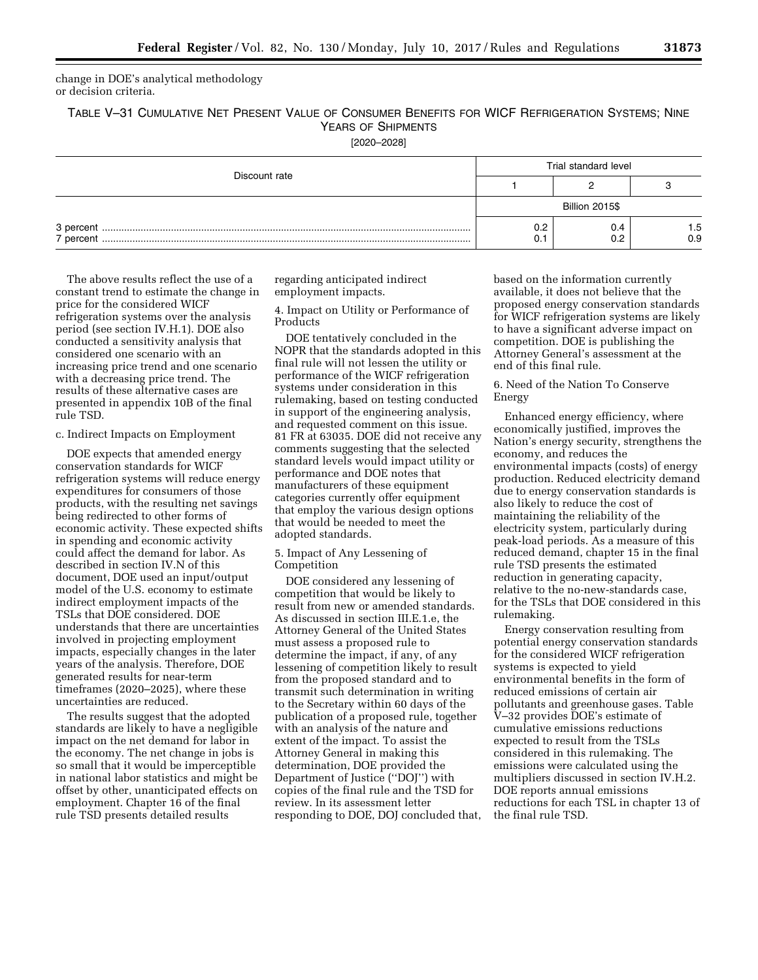change in DOE's analytical methodology or decision criteria.

TABLE V–31 CUMULATIVE NET PRESENT VALUE OF CONSUMER BENEFITS FOR WICF REFRIGERATION SYSTEMS; NINE YEARS OF SHIPMENTS

[2020–2028]

| Discount rate        | Trial standard level  |  |            |
|----------------------|-----------------------|--|------------|
|                      |                       |  |            |
|                      | <b>Billion 2015\$</b> |  |            |
| 3 percent<br>bercent | 0.2                   |  | 1.5<br>0.9 |

The above results reflect the use of a constant trend to estimate the change in price for the considered WICF refrigeration systems over the analysis period (see section IV.H.1). DOE also conducted a sensitivity analysis that considered one scenario with an increasing price trend and one scenario with a decreasing price trend. The results of these alternative cases are presented in appendix 10B of the final rule TSD.

### c. Indirect Impacts on Employment

DOE expects that amended energy conservation standards for WICF refrigeration systems will reduce energy expenditures for consumers of those products, with the resulting net savings being redirected to other forms of economic activity. These expected shifts in spending and economic activity could affect the demand for labor. As described in section IV.N of this document, DOE used an input/output model of the U.S. economy to estimate indirect employment impacts of the TSLs that DOE considered. DOE understands that there are uncertainties involved in projecting employment impacts, especially changes in the later years of the analysis. Therefore, DOE generated results for near-term timeframes (2020–2025), where these uncertainties are reduced.

The results suggest that the adopted standards are likely to have a negligible impact on the net demand for labor in the economy. The net change in jobs is so small that it would be imperceptible in national labor statistics and might be offset by other, unanticipated effects on employment. Chapter 16 of the final rule TSD presents detailed results

regarding anticipated indirect employment impacts.

4. Impact on Utility or Performance of Products

DOE tentatively concluded in the NOPR that the standards adopted in this final rule will not lessen the utility or performance of the WICF refrigeration systems under consideration in this rulemaking, based on testing conducted in support of the engineering analysis, and requested comment on this issue. 81 FR at 63035. DOE did not receive any comments suggesting that the selected standard levels would impact utility or performance and DOE notes that manufacturers of these equipment categories currently offer equipment that employ the various design options that would be needed to meet the adopted standards.

### 5. Impact of Any Lessening of Competition

DOE considered any lessening of competition that would be likely to result from new or amended standards. As discussed in section III.E.1.e, the Attorney General of the United States must assess a proposed rule to determine the impact, if any, of any lessening of competition likely to result from the proposed standard and to transmit such determination in writing to the Secretary within 60 days of the publication of a proposed rule, together with an analysis of the nature and extent of the impact. To assist the Attorney General in making this determination, DOE provided the Department of Justice (''DOJ'') with copies of the final rule and the TSD for review. In its assessment letter responding to DOE, DOJ concluded that, based on the information currently available, it does not believe that the proposed energy conservation standards for WICF refrigeration systems are likely to have a significant adverse impact on competition. DOE is publishing the Attorney General's assessment at the end of this final rule.

6. Need of the Nation To Conserve Energy

Enhanced energy efficiency, where economically justified, improves the Nation's energy security, strengthens the economy, and reduces the environmental impacts (costs) of energy production. Reduced electricity demand due to energy conservation standards is also likely to reduce the cost of maintaining the reliability of the electricity system, particularly during peak-load periods. As a measure of this reduced demand, chapter 15 in the final rule TSD presents the estimated reduction in generating capacity, relative to the no-new-standards case, for the TSLs that DOE considered in this rulemaking.

Energy conservation resulting from potential energy conservation standards for the considered WICF refrigeration systems is expected to yield environmental benefits in the form of reduced emissions of certain air pollutants and greenhouse gases. Table V–32 provides DOE's estimate of cumulative emissions reductions expected to result from the TSLs considered in this rulemaking. The emissions were calculated using the multipliers discussed in section IV.H.2. DOE reports annual emissions reductions for each TSL in chapter 13 of the final rule TSD.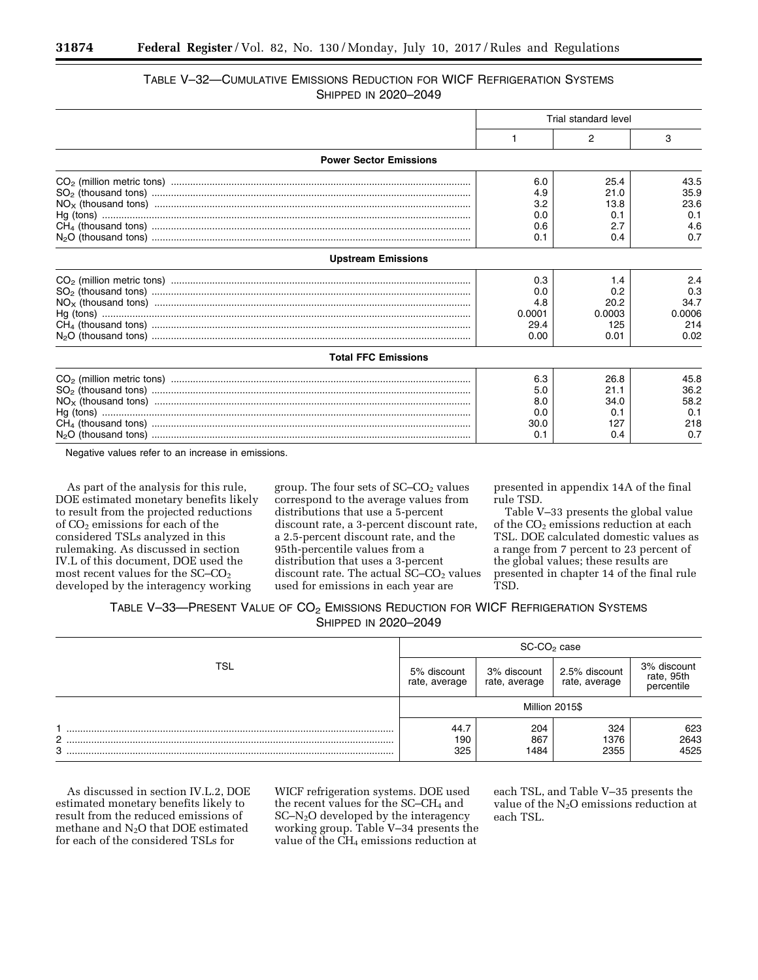# TABLE V–32—CUMULATIVE EMISSIONS REDUCTION FOR WICF REFRIGERATION SYSTEMS **SHIPPED IN 2020-2049**

|                               | Trial standard level |        |        |
|-------------------------------|----------------------|--------|--------|
|                               |                      | 2      | 3      |
| <b>Power Sector Emissions</b> |                      |        |        |
|                               | 6.0                  | 25.4   | 43.5   |
|                               | 4.9                  | 21.0   | 35.9   |
|                               | 3.2                  | 13.8   | 23.6   |
|                               | 0.0                  | 0.1    | 0.1    |
|                               | 0.6                  | 2.7    | 4.6    |
|                               | 0.1                  | 0.4    | 0.7    |
| <b>Upstream Emissions</b>     |                      |        |        |
|                               | 0.3                  | 1.4    | 2.4    |
|                               | 0.0                  | 0.2    | 0.3    |
|                               | 4.8                  | 20.2   | 34.7   |
|                               | 0.0001               | 0.0003 | 0.0006 |
|                               | 29.4                 | 125    | 214    |
|                               | 0.00                 | 0.01   | 0.02   |
| <b>Total FFC Emissions</b>    |                      |        |        |
|                               | 6.3                  | 26.8   | 45.8   |
|                               | 5.0                  | 21.1   | 36.2   |
|                               | 8.0                  | 34.0   | 58.2   |
|                               | 0.0                  | 0.1    | 0.1    |
|                               | 30.0                 | 127    | 218    |
|                               | 0.1                  | 0.4    | 0.7    |

Negative values refer to an increase in emissions.

As part of the analysis for this rule, DOE estimated monetary benefits likely to result from the projected reductions of CO<sub>2</sub> emissions for each of the considered TSLs analyzed in this rulemaking. As discussed in section IV.L of this document, DOE used the most recent values for the SC–CO<sub>2</sub> developed by the interagency working

group. The four sets of  $SC$ – $CO<sub>2</sub>$  values correspond to the average values from distributions that use a 5-percent discount rate, a 3-percent discount rate, a 2.5-percent discount rate, and the 95th-percentile values from a distribution that uses a 3-percent discount rate. The actual  $SC$ – $CO<sub>2</sub>$  values used for emissions in each year are

presented in appendix 14A of the final rule TSD.

Table V–33 presents the global value of the CO<sub>2</sub> emissions reduction at each TSL. DOE calculated domestic values as a range from 7 percent to 23 percent of the global values; these results are presented in chapter 14 of the final rule TSD.

# TABLE V-33-PRESENT VALUE OF CO<sub>2</sub> EMISSIONS REDUCTION FOR WICF REFRIGERATION SYSTEMS SHIPPED IN 2020–2049

|            | SC-CO <sub>2</sub> case      |                              |                                |                                         |
|------------|------------------------------|------------------------------|--------------------------------|-----------------------------------------|
| <b>TSL</b> | 5% discount<br>rate, average | 3% discount<br>rate, average | 2.5% discount<br>rate, average | 3% discount<br>rate, 95th<br>percentile |
|            | Million 2015\$               |                              |                                |                                         |
| 2<br>3     | 44.7<br>190<br>325           | 204<br>867<br>1484           | 324<br>1376<br>2355            | 623<br>2643<br>4525                     |

As discussed in section IV.L.2, DOE estimated monetary benefits likely to result from the reduced emissions of methane and N2O that DOE estimated for each of the considered TSLs for

WICF refrigeration systems. DOE used the recent values for the SC–CH<sub>4</sub> and SC–N2O developed by the interagency working group. Table V–34 presents the value of the  $CH_4$  emissions reduction at

each TSL, and Table V–35 presents the value of the  $N_2O$  emissions reduction at each TSL.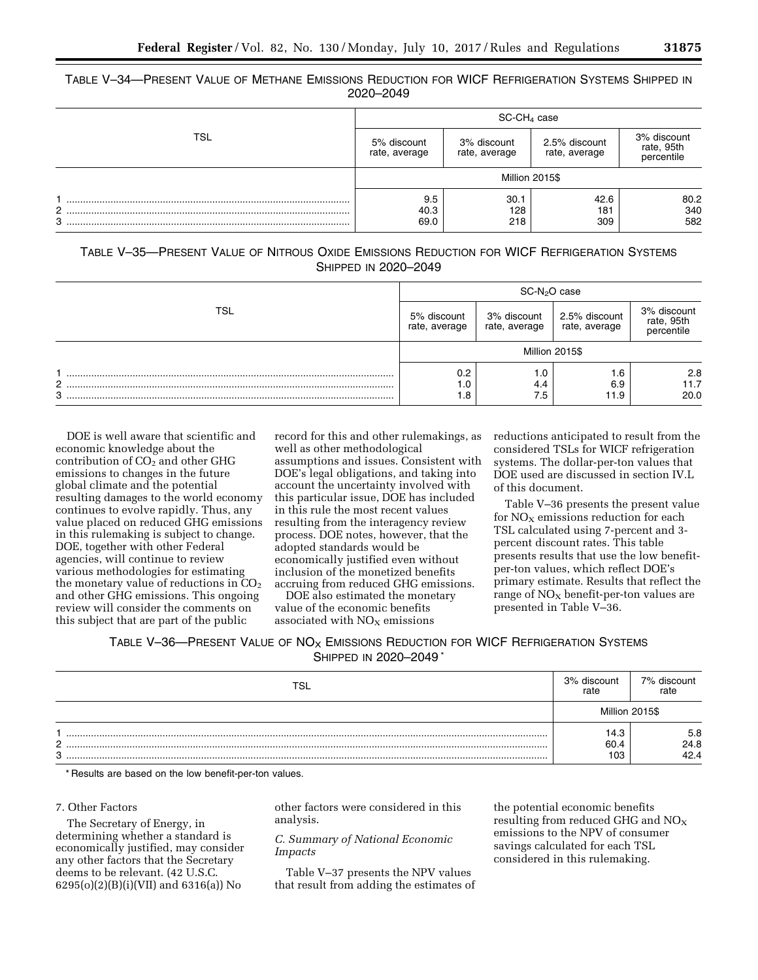| TABLE V-34—PRESENT VALUE OF METHANE EMISSIONS REDUCTION FOR WICF REFRIGERATION SYSTEMS SHIPPED IN |           |  |
|---------------------------------------------------------------------------------------------------|-----------|--|
|                                                                                                   | 2020-2049 |  |

|            | $SC-CH4 case$                |                              |                                |                                         |  |
|------------|------------------------------|------------------------------|--------------------------------|-----------------------------------------|--|
| <b>TSL</b> | 5% discount<br>rate, average | 3% discount<br>rate, average | 2.5% discount<br>rate, average | 3% discount<br>rate, 95th<br>percentile |  |
|            | Million 2015\$               |                              |                                |                                         |  |
| 2<br>3     | 9.5<br>40.3<br>69.0          | 30.1<br>128<br>218           | 42.6<br>181<br>309             | 80.2<br>340<br>582                      |  |

| TABLE V-35—PRESENT VALUE OF NITROUS OXIDE EMISSIONS REDUCTION FOR WICF REFRIGERATION SYSTEMS |  |                      |  |  |
|----------------------------------------------------------------------------------------------|--|----------------------|--|--|
|                                                                                              |  | SHIPPED IN 2020-2049 |  |  |

|            | SC-N <sub>2</sub> O case     |                              |                                |                                         |
|------------|------------------------------|------------------------------|--------------------------------|-----------------------------------------|
| <b>TSL</b> | 5% discount<br>rate, average | 3% discount<br>rate, average | 2.5% discount<br>rate, average | 3% discount<br>rate, 95th<br>percentile |
|            | Million 2015\$               |                              |                                |                                         |
| C<br>3     | 0.2<br>0.،<br>. 8            | 0.1<br>4.4<br>7.5            | 1.6<br>6.9<br>11.9             | 2.8<br>11.7<br>20.0                     |

DOE is well aware that scientific and economic knowledge about the contribution of  $CO<sub>2</sub>$  and other GHG emissions to changes in the future global climate and the potential resulting damages to the world economy continues to evolve rapidly. Thus, any value placed on reduced GHG emissions in this rulemaking is subject to change. DOE, together with other Federal agencies, will continue to review various methodologies for estimating the monetary value of reductions in  $CO<sub>2</sub>$ and other GHG emissions. This ongoing review will consider the comments on this subject that are part of the public

record for this and other rulemakings, as well as other methodological assumptions and issues. Consistent with DOE's legal obligations, and taking into account the uncertainty involved with this particular issue, DOE has included in this rule the most recent values resulting from the interagency review process. DOE notes, however, that the adopted standards would be economically justified even without inclusion of the monetized benefits accruing from reduced GHG emissions.

DOE also estimated the monetary value of the economic benefits associated with  $NO<sub>x</sub>$  emissions

reductions anticipated to result from the considered TSLs for WICF refrigeration systems. The dollar-per-ton values that DOE used are discussed in section IV.L of this document.

Table V–36 presents the present value for  $NO<sub>x</sub>$  emissions reduction for each TSL calculated using 7-percent and 3 percent discount rates. This table presents results that use the low benefitper-ton values, which reflect DOE's primary estimate. Results that reflect the range of  $NO<sub>X</sub>$  benefit-per-ton values are presented in Table V–36.

## TABLE V-36—PRESENT VALUE OF NO<sub>X</sub> EMISSIONS REDUCTION FOR WICF REFRIGERATION SYSTEMS SHIPPED IN 2020–2049 \*

| TSL                | 3% discount<br>rate | 7% discount<br>rate |
|--------------------|---------------------|---------------------|
|                    | Million 2015\$      |                     |
| ົ<br><u>_</u><br>3 | 14.3<br>60.4<br>103 | 5.8<br>24.8<br>42 A |

\* Results are based on the low benefit-per-ton values.

### 7. Other Factors

The Secretary of Energy, in determining whether a standard is economically justified, may consider any other factors that the Secretary deems to be relevant. (42 U.S.C. 6295(o)(2)(B)(i)(VII) and 6316(a)) No

other factors were considered in this analysis.

## *C. Summary of National Economic Impacts*

Table V–37 presents the NPV values that result from adding the estimates of

the potential economic benefits resulting from reduced GHG and  $NO<sub>x</sub>$ emissions to the NPV of consumer savings calculated for each TSL considered in this rulemaking.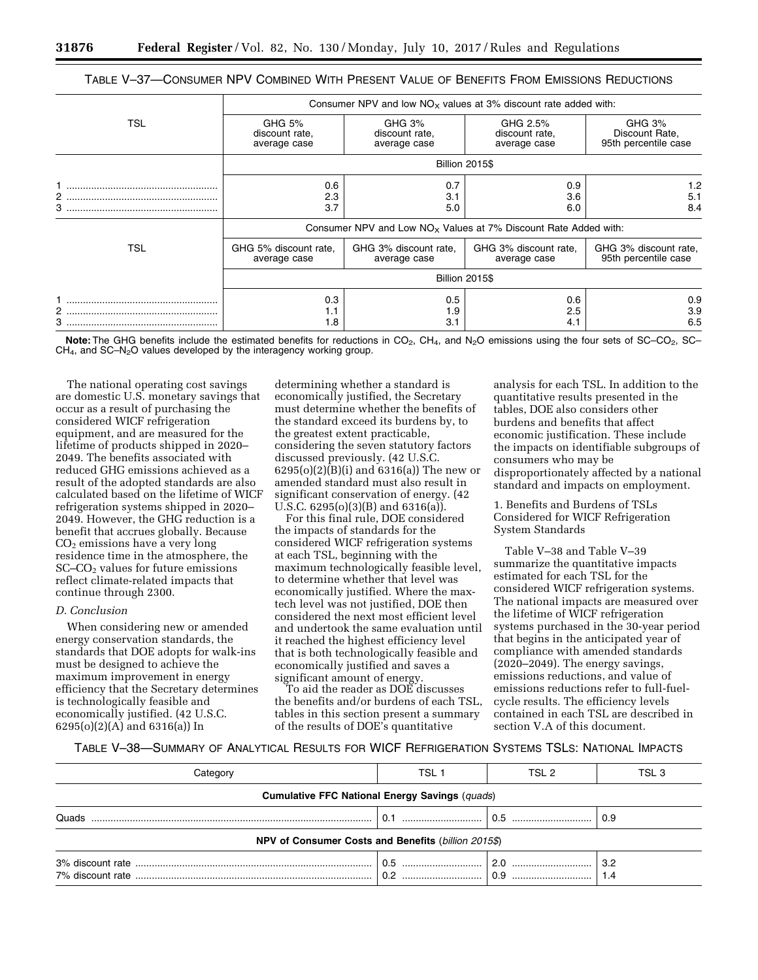| TABLE V-37—CONSUMER NPV COMBINED WITH PRESENT VALUE OF BENEFITS FROM EMISSIONS REDUCTIONS |
|-------------------------------------------------------------------------------------------|
|-------------------------------------------------------------------------------------------|

|            | Consumer NPV and low $NOx$ values at 3% discount rate added with: |                                          |                                                                   |                                                             |  |
|------------|-------------------------------------------------------------------|------------------------------------------|-------------------------------------------------------------------|-------------------------------------------------------------|--|
| <b>TSL</b> | GHG 5%<br>discount rate,<br>average case                          | GHG 3%<br>discount rate,<br>average case | GHG 2.5%<br>discount rate,<br>average case                        | GHG <sub>3%</sub><br>Discount Rate,<br>95th percentile case |  |
|            | <b>Billion 2015\$</b>                                             |                                          |                                                                   |                                                             |  |
| 2<br>3     | 0.6<br>2.3<br>3.7                                                 | 0.7<br>3.1<br>5.0                        | 0.9<br>3.6<br>6.0                                                 | 1.2<br>5.1<br>8.4                                           |  |
|            |                                                                   |                                          | Consumer NPV and Low $NOx$ Values at 7% Discount Rate Added with: |                                                             |  |
| TSL        | GHG 5% discount rate,<br>average case                             | GHG 3% discount rate,<br>average case    | GHG 3% discount rate,<br>average case                             | GHG 3% discount rate,<br>95th percentile case               |  |
|            | <b>Billion 2015\$</b>                                             |                                          |                                                                   |                                                             |  |
| 2          | 0.3<br>1.1<br>1.8                                                 | 0.5<br>1.9<br>3.1                        | 0.6<br>2.5<br>4.1                                                 | 0.9<br>3.9<br>6.5                                           |  |

Note: The GHG benefits include the estimated benefits for reductions in CO<sub>2</sub>, CH<sub>4</sub>, and N<sub>2</sub>O emissions using the four sets of SC–CO<sub>2</sub>, SC–  $CH<sub>4</sub>$ , and SC–N<sub>2</sub>O values developed by the interagency working group.

The national operating cost savings are domestic U.S. monetary savings that occur as a result of purchasing the considered WICF refrigeration equipment, and are measured for the lifetime of products shipped in 2020– 2049. The benefits associated with reduced GHG emissions achieved as a result of the adopted standards are also calculated based on the lifetime of WICF refrigeration systems shipped in 2020– 2049. However, the GHG reduction is a benefit that accrues globally. Because CO2 emissions have a very long residence time in the atmosphere, the SC–CO2 values for future emissions reflect climate-related impacts that continue through 2300.

## *D. Conclusion*

When considering new or amended energy conservation standards, the standards that DOE adopts for walk-ins must be designed to achieve the maximum improvement in energy efficiency that the Secretary determines is technologically feasible and economically justified. (42 U.S.C. 6295(o)(2)(A) and 6316(a)) In

determining whether a standard is economically justified, the Secretary must determine whether the benefits of the standard exceed its burdens by, to the greatest extent practicable, considering the seven statutory factors discussed previously. (42 U.S.C. 6295(o)(2)(B)(i) and 6316(a)) The new or amended standard must also result in significant conservation of energy. (42 U.S.C. 6295(o)(3)(B) and 6316(a)).

For this final rule, DOE considered the impacts of standards for the considered WICF refrigeration systems at each TSL, beginning with the maximum technologically feasible level, to determine whether that level was economically justified. Where the maxtech level was not justified, DOE then considered the next most efficient level and undertook the same evaluation until it reached the highest efficiency level that is both technologically feasible and economically justified and saves a significant amount of energy.

To aid the reader as DOE discusses the benefits and/or burdens of each TSL, tables in this section present a summary of the results of DOE's quantitative

analysis for each TSL. In addition to the quantitative results presented in the tables, DOE also considers other burdens and benefits that affect economic justification. These include the impacts on identifiable subgroups of consumers who may be disproportionately affected by a national standard and impacts on employment.

1. Benefits and Burdens of TSLs Considered for WICF Refrigeration System Standards

Table V–38 and Table V–39 summarize the quantitative impacts estimated for each TSL for the considered WICF refrigeration systems. The national impacts are measured over the lifetime of WICF refrigeration systems purchased in the 30-year period that begins in the anticipated year of compliance with amended standards (2020–2049). The energy savings, emissions reductions, and value of emissions reductions refer to full-fuelcycle results. The efficiency levels contained in each TSL are described in section V.A of this document.

### TABLE V–38—SUMMARY OF ANALYTICAL RESULTS FOR WICF REFRIGERATION SYSTEMS TSLS: NATIONAL IMPACTS

| Categorv                                              | TSL 1 | TSL 2 | TSL 3                      |  |  |
|-------------------------------------------------------|-------|-------|----------------------------|--|--|
| <b>Cumulative FFC National Energy Savings (quads)</b> |       |       |                            |  |  |
| Quads                                                 |       |       | $\pm 0.9$                  |  |  |
| NPV of Consumer Costs and Benefits (billion 2015\$)   |       |       |                            |  |  |
|                                                       |       | 2.0   | $\vert$ 3.2<br>$\vert$ 1.4 |  |  |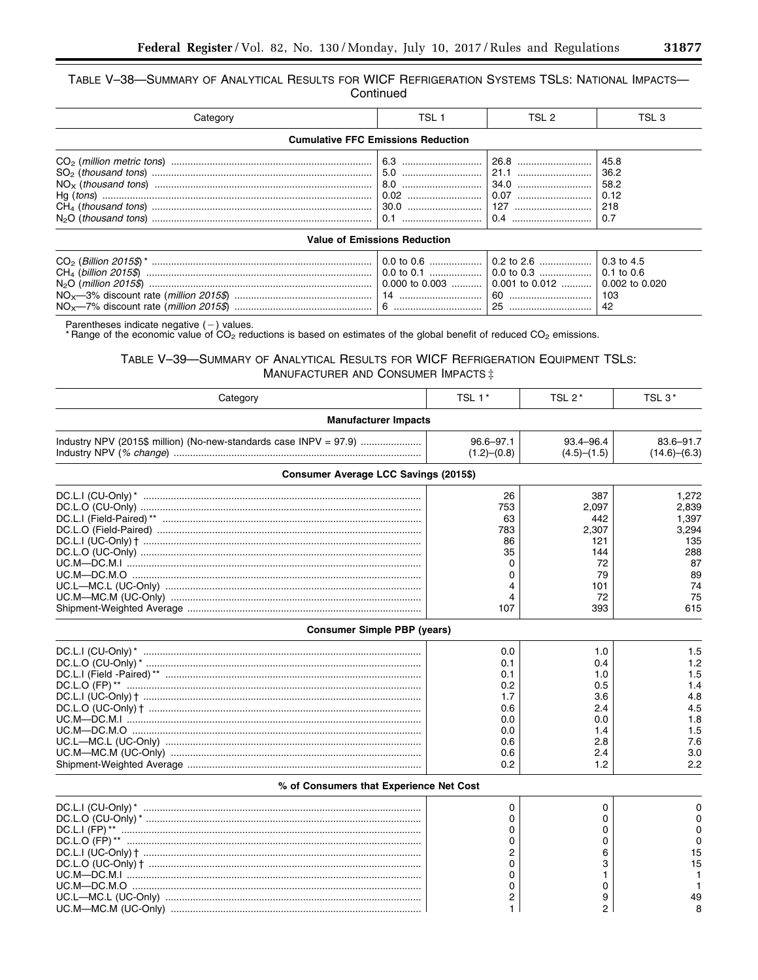TABLE V-38-SUMMARY OF ANALYTICAL RESULTS FOR WICF REFRIGERATION SYSTEMS TSLS: NATIONAL IMPACTS-Continued

| Categor∖                            | TSL 1                                     | TSL 2 | TSL 3 |  |  |
|-------------------------------------|-------------------------------------------|-------|-------|--|--|
|                                     | <b>Cumulative FFC Emissions Reduction</b> |       |       |  |  |
|                                     |                                           |       |       |  |  |
| <b>Value of Emissions Reduction</b> |                                           |       |       |  |  |

|  | $\mid$ 0.0 to 0.6 …………………   0.2 to 2.6 …………………   0.3 to 4.5 |  |
|--|-------------------------------------------------------------|--|
|  |                                                             |  |
|  |                                                             |  |
|  | -60                                                         |  |
|  |                                                             |  |

Parentheses indicate negative  $(-)$  values.<br>\* Range of the economic value of CO<sub>2</sub> reductions is based on estimates of the global benefit of reduced CO<sub>2</sub> emissions.

# TABLE V-39-SUMMARY OF ANALYTICAL RESULTS FOR WICF REFRIGERATION EQUIPMENT TSLS: MANUFACTURER AND CONSUMER IMPACTS ‡

| Category                                                                                                       | TSL 1*                                                                    | TSL 2*                                                                     | TSL 3*                                                                               |
|----------------------------------------------------------------------------------------------------------------|---------------------------------------------------------------------------|----------------------------------------------------------------------------|--------------------------------------------------------------------------------------|
| <b>Manufacturer Impacts</b>                                                                                    |                                                                           |                                                                            |                                                                                      |
| Industry NPV (2015\$ million) (No-new-standards case INPV = 97.9)                                              | $96.6 - 97.1$<br>(1.2)–(0.8)                                              | 93.4-96.4<br>(4.5)–(1.5)                                                   | $83.6 - 91.7$<br>(14.6)–(6.3)                                                        |
| <b>Consumer Average LCC Savings (2015\$)</b>                                                                   |                                                                           |                                                                            |                                                                                      |
| DC.L.O (UC-Only) …………………………………………………………………………………………<br>UC.L—MC.L (UC-Only) …………………………………………………………………………………………… | 26<br>753<br>63<br>783<br>86<br>35<br>0<br>0<br>4<br>4<br>107             | 387<br>2,097<br>442<br>2,307<br>121<br>144<br>72<br>79<br>101<br>72<br>393 | 1,272<br>2,839<br>1,397<br>3,294<br>135<br>288<br>87<br>89<br>74<br>75<br>615        |
| <b>Consumer Simple PBP (years)</b>                                                                             |                                                                           |                                                                            |                                                                                      |
| DC.L.I (UC-Only)† ……………………………………………………………………………………                                                             | 0.0<br>0.1<br>0.1<br>0.2<br>1.7<br>0.6<br>0.0<br>0.0<br>0.6<br>0.6<br>0.2 | 1.0<br>0.4<br>1.0<br>0.5<br>3.6<br>2.4<br>0.0<br>1.4<br>2.8<br>2.4<br>1.2  | 1.5<br>1.2<br>1.5<br>1.4<br>4.8<br>4.5<br>1.8<br>1.5<br>7.6<br>3 <sub>c</sub><br>2.2 |
| % of Consumers that Experience Net Cost                                                                        |                                                                           |                                                                            |                                                                                      |
| UC.M—DC.M.O …………………………………………………………………………………………                                                                 | 0<br>0<br>0<br>0<br>2<br>0<br>0<br>0                                      | 0<br>0<br>0<br>$\Omega$<br>6<br>3<br>0                                     | 15<br>15                                                                             |
|                                                                                                                | 2<br>$\mathbf{1}$                                                         | 9<br>$\overline{2}$                                                        | 49                                                                                   |

٠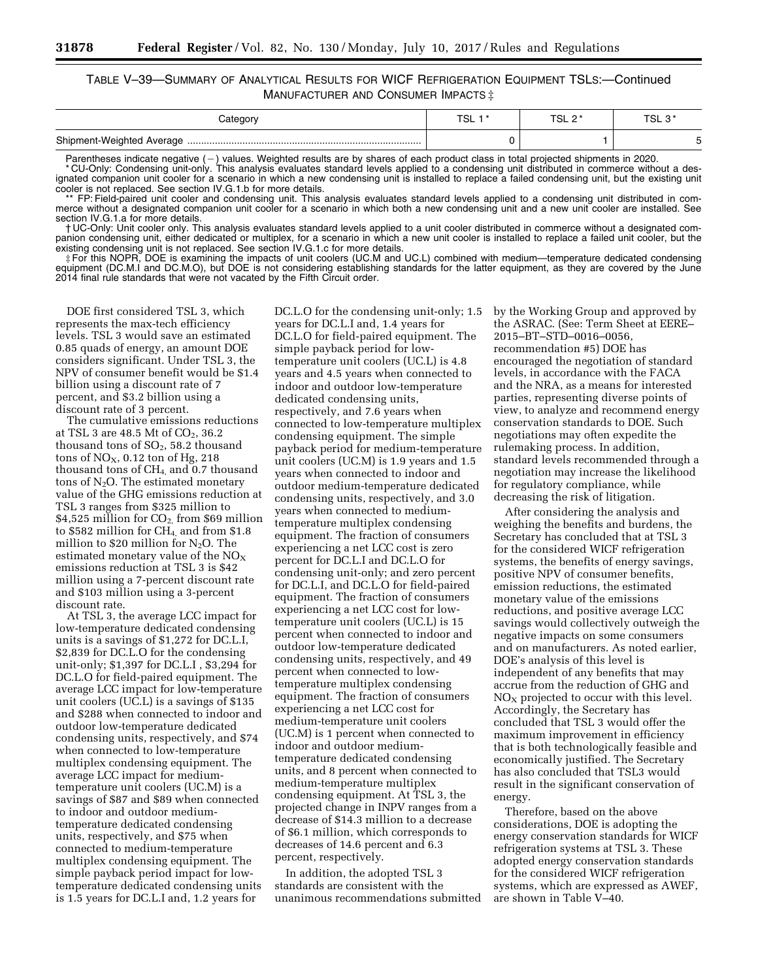## TABLE V–39—SUMMARY OF ANALYTICAL RESULTS FOR WICF REFRIGERATION EQUIPMENT TSLS:—Continued MANUFACTURER AND CONSUMER IMPACTS ‡

| ategor∨ب | ורי<br>◡∟ | TSL 2* | י חיד<br>ت ∟ت |
|----------|-----------|--------|---------------|
|          |           |        |               |

Parentheses indicate negative (-) values. Weighted results are by shares of each product class in total projected shipments in 2020. \* CU-Only: Condensing unit-only. This analysis evaluates standard levels applied to a condensing unit distributed in commerce without a designated companion unit cooler for a scenario in which a new condensing unit is installed to replace a failed condensing unit, but the existing unit cooler is not replaced. See section IV.G.1.b for more details.

\*\* FP: Field-paired unit cooler and condensing unit. This analysis evaluates standard levels applied to a condensing unit distributed in commerce without a designated companion unit cooler for a scenario in which both a new condensing unit and a new unit cooler are installed. See section IV.G.1.a for more details.

† UC-Only: Unit cooler only. This analysis evaluates standard levels applied to a unit cooler distributed in commerce without a designated companion condensing unit, either dedicated or multiplex, for a scenario in which a new unit cooler is installed to replace a failed unit cooler, but the existing condensing unit is not replaced. See section IV.G.1.c for more details.

For this NOPR, DOE is examining the impacts of unit coolers (UC.M and UC.L) combined with medium—temperature dedicated condensing:<br>equipment (DC.M.I and DC.M.O), but DOE is not considering establishing standards for the la 2014 final rule standards that were not vacated by the Fifth Circuit order.

DOE first considered TSL 3, which represents the max-tech efficiency levels. TSL 3 would save an estimated 0.85 quads of energy, an amount DOE considers significant. Under TSL 3, the NPV of consumer benefit would be \$1.4 billion using a discount rate of 7 percent, and \$3.2 billion using a discount rate of 3 percent.

The cumulative emissions reductions at TSL 3 are  $48.5$  Mt of  $CO<sub>2</sub>$ , 36.2 thousand tons of  $SO_2$ , 58.2 thousand tons of  $NO<sub>X</sub>$ , 0.12 ton of Hg, 218 thousand tons of CH4, and 0.7 thousand tons of  $N_2O$ . The estimated monetary value of the GHG emissions reduction at TSL 3 ranges from \$325 million to  $$4,525$  million for  $CO<sub>2</sub>$  from \$69 million to \$582 million for CH4, and from \$1.8 million to \$20 million for  $N_2O$ . The estimated monetary value of the  $NO<sub>x</sub>$ emissions reduction at TSL 3 is \$42 million using a 7-percent discount rate and \$103 million using a 3-percent discount rate.

At TSL 3, the average LCC impact for low-temperature dedicated condensing units is a savings of \$1,272 for DC.L.I, \$2,839 for DC.L.O for the condensing unit-only; \$1,397 for DC.L.I , \$3,294 for DC.L.O for field-paired equipment. The average LCC impact for low-temperature unit coolers (UC.L) is a savings of \$135 and \$288 when connected to indoor and outdoor low-temperature dedicated condensing units, respectively, and \$74 when connected to low-temperature multiplex condensing equipment. The average LCC impact for mediumtemperature unit coolers (UC.M) is a savings of \$87 and \$89 when connected to indoor and outdoor mediumtemperature dedicated condensing units, respectively, and \$75 when connected to medium-temperature multiplex condensing equipment. The simple payback period impact for lowtemperature dedicated condensing units is 1.5 years for DC.L.I and, 1.2 years for

DC.L.O for the condensing unit-only; 1.5 years for DC.L.I and, 1.4 years for DC.L.O for field-paired equipment. The simple payback period for lowtemperature unit coolers (UC.L) is 4.8 years and 4.5 years when connected to indoor and outdoor low-temperature dedicated condensing units, respectively, and 7.6 years when connected to low-temperature multiplex condensing equipment. The simple payback period for medium-temperature unit coolers (UC.M) is 1.9 years and 1.5 years when connected to indoor and outdoor medium-temperature dedicated condensing units, respectively, and 3.0 years when connected to mediumtemperature multiplex condensing equipment. The fraction of consumers experiencing a net LCC cost is zero percent for DC.L.I and DC.L.O for condensing unit-only; and zero percent for DC.L.I, and DC.L.O for field-paired equipment. The fraction of consumers experiencing a net LCC cost for lowtemperature unit coolers (UC.L) is 15 percent when connected to indoor and outdoor low-temperature dedicated condensing units, respectively, and 49 percent when connected to lowtemperature multiplex condensing equipment. The fraction of consumers experiencing a net LCC cost for medium-temperature unit coolers (UC.M) is 1 percent when connected to indoor and outdoor mediumtemperature dedicated condensing units, and 8 percent when connected to medium-temperature multiplex condensing equipment. At TSL 3, the projected change in INPV ranges from a decrease of \$14.3 million to a decrease of \$6.1 million, which corresponds to decreases of 14.6 percent and 6.3 percent, respectively.

In addition, the adopted TSL 3 standards are consistent with the unanimous recommendations submitted by the Working Group and approved by the ASRAC. (See: Term Sheet at EERE– 2015–BT–STD–0016–0056, recommendation #5) DOE has encouraged the negotiation of standard levels, in accordance with the FACA and the NRA, as a means for interested parties, representing diverse points of view, to analyze and recommend energy conservation standards to DOE. Such negotiations may often expedite the rulemaking process. In addition, standard levels recommended through a negotiation may increase the likelihood for regulatory compliance, while decreasing the risk of litigation.

After considering the analysis and weighing the benefits and burdens, the Secretary has concluded that at TSL 3 for the considered WICF refrigeration systems, the benefits of energy savings, positive NPV of consumer benefits, emission reductions, the estimated monetary value of the emissions reductions, and positive average LCC savings would collectively outweigh the negative impacts on some consumers and on manufacturers. As noted earlier, DOE's analysis of this level is independent of any benefits that may accrue from the reduction of GHG and  $NO<sub>x</sub>$  projected to occur with this level. Accordingly, the Secretary has concluded that TSL 3 would offer the maximum improvement in efficiency that is both technologically feasible and economically justified. The Secretary has also concluded that TSL3 would result in the significant conservation of energy.

Therefore, based on the above considerations, DOE is adopting the energy conservation standards for WICF refrigeration systems at TSL 3. These adopted energy conservation standards for the considered WICF refrigeration systems, which are expressed as AWEF, are shown in Table V–40.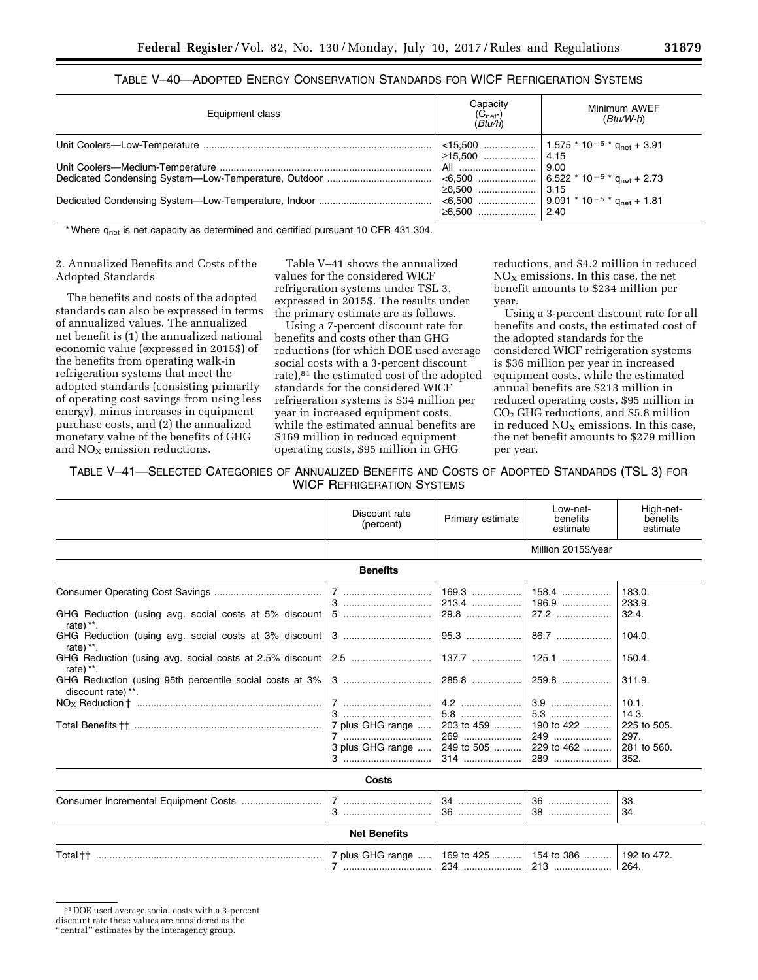| Table V—40—Adopted Energy Conservation Standards for WICF Refrigeration Systems |
|---------------------------------------------------------------------------------|
|---------------------------------------------------------------------------------|

| Equipment class | Capacity<br>(C <sub>net*</sub> )<br>( <i>Btu/h</i> ) | Minimum AWEF<br>$(Btu/W-h)$ |
|-----------------|------------------------------------------------------|-----------------------------|
|                 |                                                      |                             |
|                 | All                                                  | 9.00                        |
|                 | ≥6,500                                               | $\vert$ 3.15                |
|                 | $\geq 6.500$                                         | 2.40                        |

\* Where  $q_{net}$  is net capacity as determined and certified pursuant 10 CFR 431.304.

## 2. Annualized Benefits and Costs of the Adopted Standards

The benefits and costs of the adopted standards can also be expressed in terms of annualized values. The annualized net benefit is (1) the annualized national economic value (expressed in 2015\$) of the benefits from operating walk-in refrigeration systems that meet the adopted standards (consisting primarily of operating cost savings from using less energy), minus increases in equipment purchase costs, and (2) the annualized monetary value of the benefits of GHG and  $NO<sub>x</sub>$  emission reductions.

Table V–41 shows the annualized values for the considered WICF refrigeration systems under TSL 3, expressed in 2015\$. The results under the primary estimate are as follows.

Using a 7-percent discount rate for benefits and costs other than GHG reductions (for which DOE used average social costs with a 3-percent discount rate),81 the estimated cost of the adopted standards for the considered WICF refrigeration systems is \$34 million per year in increased equipment costs, while the estimated annual benefits are \$169 million in reduced equipment operating costs, \$95 million in GHG

reductions, and \$4.2 million in reduced  $NO<sub>x</sub>$  emissions. In this case, the net benefit amounts to \$234 million per year.

Using a 3-percent discount rate for all benefits and costs, the estimated cost of the adopted standards for the considered WICF refrigeration systems is \$36 million per year in increased equipment costs, while the estimated annual benefits are \$213 million in reduced operating costs, \$95 million in  $CO<sub>2</sub>$  GHG reductions, and \$5.8 million in reduced  $NO<sub>x</sub>$  emissions. In this case, the net benefit amounts to \$279 million per year.

TABLE V–41—SELECTED CATEGORIES OF ANNUALIZED BENEFITS AND COSTS OF ADOPTED STANDARDS (TSL 3) FOR WICF REFRIGERATION SYSTEMS

|                                                                                                                                                                                      | Discount rate<br>(percent)                   | Primary estimate                                                             | Low-net-<br>benefits<br>estimate                                                                     | High-net-<br>benefits<br>estimate                                                                                       |
|--------------------------------------------------------------------------------------------------------------------------------------------------------------------------------------|----------------------------------------------|------------------------------------------------------------------------------|------------------------------------------------------------------------------------------------------|-------------------------------------------------------------------------------------------------------------------------|
|                                                                                                                                                                                      |                                              | Million 2015\$/year                                                          |                                                                                                      |                                                                                                                         |
|                                                                                                                                                                                      | <b>Benefits</b>                              |                                                                              |                                                                                                      |                                                                                                                         |
| GHG Reduction (using avg. social costs at 5% discount  <br>rate) **.<br>rate) $**$ .<br>GHG Reduction (using avg. social costs at 2.5% discount  <br>rate) **.<br>discount rate) **. | 7 plus GHG range<br>3 plus GHG range         | 169.3<br>213.4<br>$137.7$<br>285.8<br>5.8<br>203 to 459<br>269<br>249 to 505 | 158.4<br>196.9<br>27.2<br>86.7<br>125.1<br>259.8<br>5.3<br>190 to 422   <br>249<br>229 to 462<br>289 | 183.0.<br>233.9.<br>32.4.<br>104.0.<br>150.4.<br>311.9.<br>10.1.<br>14.3.<br>225 to 505.<br>297.<br>281 to 560.<br>352. |
|                                                                                                                                                                                      | Costs                                        |                                                                              |                                                                                                      |                                                                                                                         |
|                                                                                                                                                                                      |                                              | 34                                                                           |                                                                                                      | 33.<br>34.                                                                                                              |
|                                                                                                                                                                                      | <b>Net Benefits</b>                          |                                                                              |                                                                                                      |                                                                                                                         |
|                                                                                                                                                                                      | 7 plus GHG range    169 to 425    154 to 386 |                                                                              |                                                                                                      | 192 to 472.                                                                                                             |

<sup>81</sup> DOE used average social costs with a 3-percent

discount rate these values are considered as the

<sup>&#</sup>x27;'central'' estimates by the interagency group.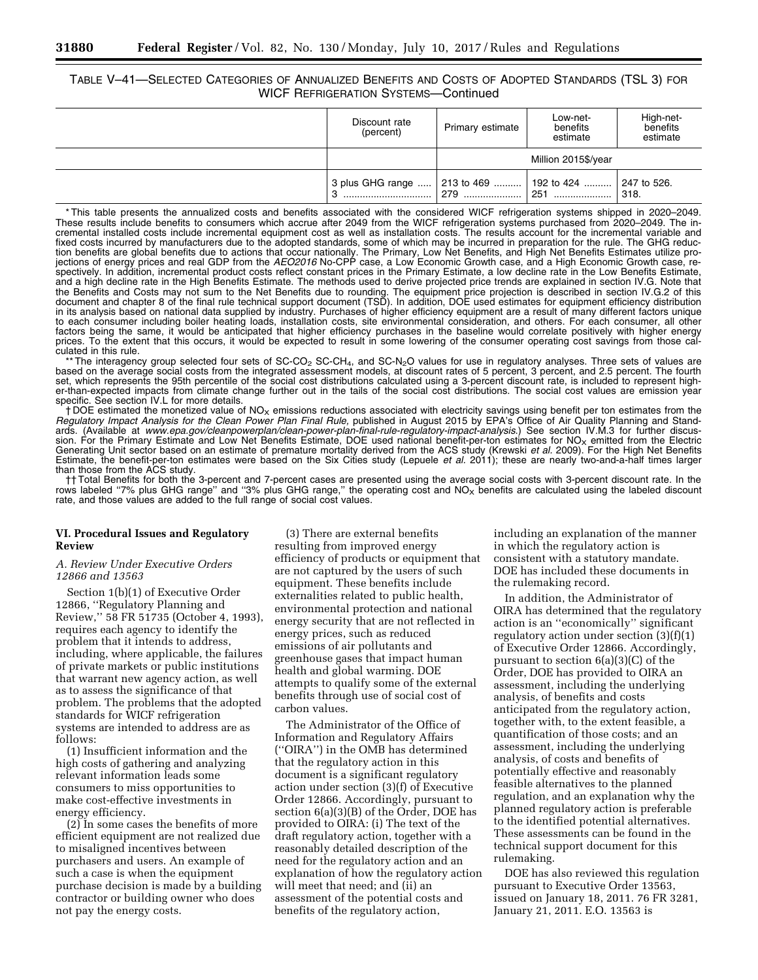# TABLE V–41—SELECTED CATEGORIES OF ANNUALIZED BENEFITS AND COSTS OF ADOPTED STANDARDS (TSL 3) FOR WICF REFRIGERATION SYSTEMS—Continued

| Discount rate<br>(percent)                                  | Primary estimate    | Low-net-<br>benefits<br>estimate | High-net-<br>benefits<br>estimate |  |
|-------------------------------------------------------------|---------------------|----------------------------------|-----------------------------------|--|
|                                                             | Million 2015\$/year |                                  |                                   |  |
| 3 plus GHG range    213 to 469    192 to 424    247 to 526. | 279                 | 251                              | 1318.                             |  |

\* This table presents the annualized costs and benefits associated with the considered WICF refrigeration systems shipped in 2020–2049. These results include benefits to consumers which accrue after 2049 from the WICF refrigeration systems purchased from 2020–2049. The incremental installed costs include incremental equipment cost as well as installation costs. The results account for the incremental variable and fixed costs incurred by manufacturers due to the adopted standards, some of which may be incurred in preparation for the rule. The GHG reduction benefits are global benefits due to actions that occur nationally. The Primary, Low Net Benefits, and High Net Benefits Estimates utilize projections of energy prices and real GDP from the *AEO2016* No-CPP case, a Low Economic Growth case, and a High Economic Growth case, respectively. In addition, incremental product costs reflect constant prices in the Primary Estimate, a low decline rate in the Low Benefits Estimate, and a high decline rate in the High Benefits Estimate. The methods used to derive projected price trends are explained in section IV.G. Note that the Benefits and Costs may not sum to the Net Benefits due to rounding. The equipment price projection is described in section IV.G.2 of this document and chapter 8 of the final rule technical support document (TSD). In addition, DOE used estimates for equipment efficiency distribution in its analysis based on national data supplied by industry. Purchases of higher efficiency equipment are a result of many different factors unique to each consumer including boiler heating loads, installation costs, site environmental consideration, and others. For each consumer, all other factors being the same, it would be anticipated that higher efficiency purchases in the baseline would correlate positively with higher energy prices. To the extent that this occurs, it would be expected to result in some lowering of the consumer operating cost savings from those calculated in this rule.

The interagency group selected four sets of SC-CO<sub>2</sub> SC-CH<sub>4</sub>, and SC-N<sub>2</sub>O values for use in regulatory analyses. Three sets of values are based on the average social costs from the integrated assessment models, at discount rates of 5 percent, 3 percent, and 2.5 percent. The fourth set, which represents the 95th percentile of the social cost distributions calculated using a 3-percent discount rate, is included to represent higher-than-expected impacts from climate change further out in the tails of the social cost distributions. The social cost values are emission year specific. See section IV.L for more details.

 $\dagger$  DOE estimated the monetized value of NO<sub>X</sub> emissions reductions associated with electricity savings using benefit per ton estimates from the *Regulatory Impact Analysis for the Clean Power Plan Final Rule,* published in August 2015 by EPA's Office of Air Quality Planning and Standards. (Available at *[www.epa.gov/cleanpowerplan/clean-power-plan-final-rule-regulatory-impact-analysis](http://www.epa.gov/cleanpowerplan/clean-power-plan-final-rule-regulatory-impact-analysis)*.) See section IV.M.3 for further discussion. For the Primary Estimate and Low Net Benefits Estimate, DOE used national benefit-per-ton estimates for NO<sub>X</sub> emitted from the Electric<br>Generating Unit sector based on an estimate of premature mortality derived from Estimate, the benefit-per-ton estimates were based on the Six Cities study (Lepuele *et al.* 2011); these are nearly two-and-a-half times larger than those from the ACS study.

†† Total Benefits for both the 3-percent and 7-percent cases are presented using the average social costs with 3-percent discount rate. In the rows labeled "7% plus GHG range" and "3% plus GHG range," the operating cost and NO<sub>X</sub> benefits are calculated using the labeled discount rate, and those values are added to the full range of social cost values.

#### **VI. Procedural Issues and Regulatory Review**

#### *A. Review Under Executive Orders 12866 and 13563*

Section 1(b)(1) of Executive Order 12866, ''Regulatory Planning and Review,'' 58 FR 51735 (October 4, 1993), requires each agency to identify the problem that it intends to address, including, where applicable, the failures of private markets or public institutions that warrant new agency action, as well as to assess the significance of that problem. The problems that the adopted standards for WICF refrigeration systems are intended to address are as follows:

(1) Insufficient information and the high costs of gathering and analyzing relevant information leads some consumers to miss opportunities to make cost-effective investments in energy efficiency.

(2) In some cases the benefits of more efficient equipment are not realized due to misaligned incentives between purchasers and users. An example of such a case is when the equipment purchase decision is made by a building contractor or building owner who does not pay the energy costs.

(3) There are external benefits resulting from improved energy efficiency of products or equipment that are not captured by the users of such equipment. These benefits include externalities related to public health, environmental protection and national energy security that are not reflected in energy prices, such as reduced emissions of air pollutants and greenhouse gases that impact human health and global warming. DOE attempts to qualify some of the external benefits through use of social cost of carbon values.

The Administrator of the Office of Information and Regulatory Affairs (''OIRA'') in the OMB has determined that the regulatory action in this document is a significant regulatory action under section (3)(f) of Executive Order 12866. Accordingly, pursuant to section 6(a)(3)(B) of the Order, DOE has provided to OIRA: (i) The text of the draft regulatory action, together with a reasonably detailed description of the need for the regulatory action and an explanation of how the regulatory action will meet that need; and (ii) an assessment of the potential costs and benefits of the regulatory action,

including an explanation of the manner in which the regulatory action is consistent with a statutory mandate. DOE has included these documents in the rulemaking record.

In addition, the Administrator of OIRA has determined that the regulatory action is an ''economically'' significant regulatory action under section (3)(f)(1) of Executive Order 12866. Accordingly, pursuant to section 6(a)(3)(C) of the Order, DOE has provided to OIRA an assessment, including the underlying analysis, of benefits and costs anticipated from the regulatory action, together with, to the extent feasible, a quantification of those costs; and an assessment, including the underlying analysis, of costs and benefits of potentially effective and reasonably feasible alternatives to the planned regulation, and an explanation why the planned regulatory action is preferable to the identified potential alternatives. These assessments can be found in the technical support document for this rulemaking.

DOE has also reviewed this regulation pursuant to Executive Order 13563, issued on January 18, 2011. 76 FR 3281, January 21, 2011. E.O. 13563 is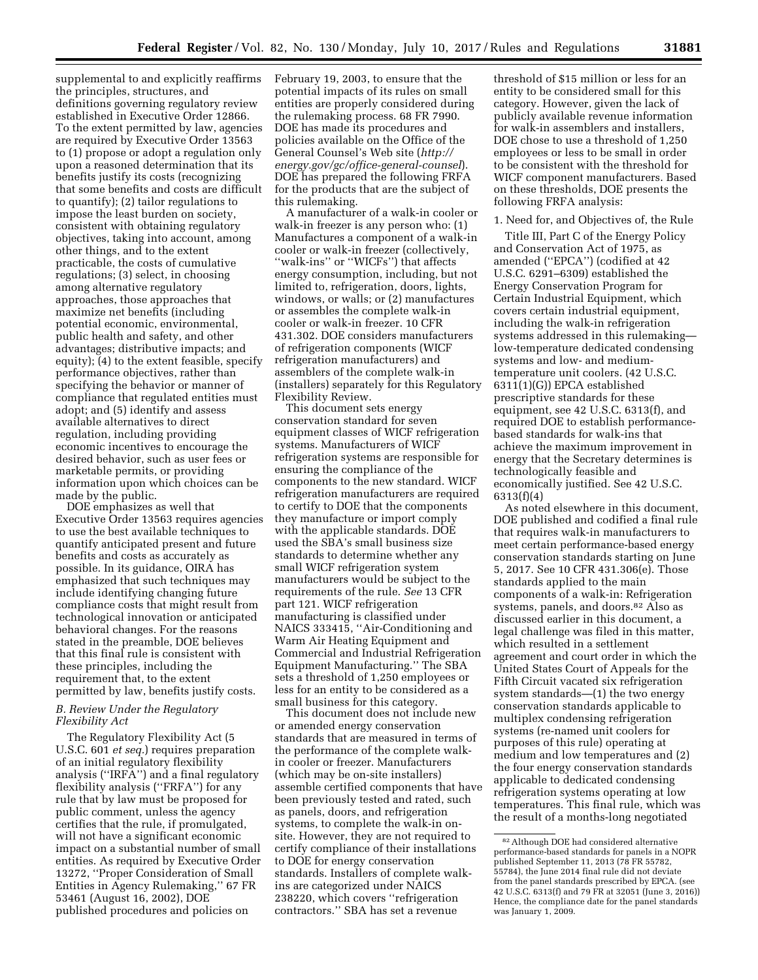supplemental to and explicitly reaffirms the principles, structures, and definitions governing regulatory review established in Executive Order 12866. To the extent permitted by law, agencies are required by Executive Order 13563 to (1) propose or adopt a regulation only upon a reasoned determination that its benefits justify its costs (recognizing that some benefits and costs are difficult to quantify); (2) tailor regulations to impose the least burden on society, consistent with obtaining regulatory objectives, taking into account, among other things, and to the extent practicable, the costs of cumulative regulations; (3) select, in choosing among alternative regulatory approaches, those approaches that maximize net benefits (including potential economic, environmental, public health and safety, and other advantages; distributive impacts; and equity); (4) to the extent feasible, specify performance objectives, rather than specifying the behavior or manner of compliance that regulated entities must adopt; and (5) identify and assess available alternatives to direct regulation, including providing economic incentives to encourage the desired behavior, such as user fees or marketable permits, or providing information upon which choices can be made by the public.

DOE emphasizes as well that Executive Order 13563 requires agencies to use the best available techniques to quantify anticipated present and future benefits and costs as accurately as possible. In its guidance, OIRA has emphasized that such techniques may include identifying changing future compliance costs that might result from technological innovation or anticipated behavioral changes. For the reasons stated in the preamble, DOE believes that this final rule is consistent with these principles, including the requirement that, to the extent permitted by law, benefits justify costs.

# *B. Review Under the Regulatory Flexibility Act*

The Regulatory Flexibility Act (5 U.S.C. 601 *et seq.*) requires preparation of an initial regulatory flexibility analysis (''IRFA'') and a final regulatory flexibility analysis (''FRFA'') for any rule that by law must be proposed for public comment, unless the agency certifies that the rule, if promulgated, will not have a significant economic impact on a substantial number of small entities. As required by Executive Order 13272, ''Proper Consideration of Small Entities in Agency Rulemaking,'' 67 FR 53461 (August 16, 2002), DOE published procedures and policies on

February 19, 2003, to ensure that the potential impacts of its rules on small entities are properly considered during the rulemaking process. 68 FR 7990. DOE has made its procedures and policies available on the Office of the General Counsel's Web site (*[http://](http://energy.gov/gc/office-general-counsel) [energy.gov/gc/office-general-counsel](http://energy.gov/gc/office-general-counsel)*). DOE has prepared the following FRFA for the products that are the subject of this rulemaking.

A manufacturer of a walk-in cooler or walk-in freezer is any person who: (1) Manufactures a component of a walk-in cooler or walk-in freezer (collectively, ''walk-ins'' or ''WICFs'') that affects energy consumption, including, but not limited to, refrigeration, doors, lights, windows, or walls; or (2) manufactures or assembles the complete walk-in cooler or walk-in freezer. 10 CFR 431.302. DOE considers manufacturers of refrigeration components (WICF refrigeration manufacturers) and assemblers of the complete walk-in (installers) separately for this Regulatory Flexibility Review.

This document sets energy conservation standard for seven equipment classes of WICF refrigeration systems. Manufacturers of WICF refrigeration systems are responsible for ensuring the compliance of the components to the new standard. WICF refrigeration manufacturers are required to certify to DOE that the components they manufacture or import comply with the applicable standards. DOE used the SBA's small business size standards to determine whether any small WICF refrigeration system manufacturers would be subject to the requirements of the rule. *See* 13 CFR part 121. WICF refrigeration manufacturing is classified under NAICS 333415, ''Air-Conditioning and Warm Air Heating Equipment and Commercial and Industrial Refrigeration Equipment Manufacturing.'' The SBA sets a threshold of 1,250 employees or less for an entity to be considered as a small business for this category.

This document does not include new or amended energy conservation standards that are measured in terms of the performance of the complete walkin cooler or freezer. Manufacturers (which may be on-site installers) assemble certified components that have been previously tested and rated, such as panels, doors, and refrigeration systems, to complete the walk-in onsite. However, they are not required to certify compliance of their installations to DOE for energy conservation standards. Installers of complete walkins are categorized under NAICS 238220, which covers ''refrigeration contractors.'' SBA has set a revenue

threshold of \$15 million or less for an entity to be considered small for this category. However, given the lack of publicly available revenue information for walk-in assemblers and installers, DOE chose to use a threshold of 1,250 employees or less to be small in order to be consistent with the threshold for WICF component manufacturers. Based on these thresholds, DOE presents the following FRFA analysis:

### 1. Need for, and Objectives of, the Rule

Title III, Part C of the Energy Policy and Conservation Act of 1975, as amended (''EPCA'') (codified at 42 U.S.C. 6291–6309) established the Energy Conservation Program for Certain Industrial Equipment, which covers certain industrial equipment, including the walk-in refrigeration systems addressed in this rulemaking low-temperature dedicated condensing systems and low- and mediumtemperature unit coolers. (42 U.S.C. 6311(1)(G)) EPCA established prescriptive standards for these equipment, see 42 U.S.C. 6313(f), and required DOE to establish performancebased standards for walk-ins that achieve the maximum improvement in energy that the Secretary determines is technologically feasible and economically justified. See 42 U.S.C. 6313(f)(4)

As noted elsewhere in this document, DOE published and codified a final rule that requires walk-in manufacturers to meet certain performance-based energy conservation standards starting on June 5, 2017. See 10 CFR 431.306(e). Those standards applied to the main components of a walk-in: Refrigeration systems, panels, and doors.<sup>82</sup> Also as discussed earlier in this document, a legal challenge was filed in this matter, which resulted in a settlement agreement and court order in which the United States Court of Appeals for the Fifth Circuit vacated six refrigeration system standards—(1) the two energy conservation standards applicable to multiplex condensing refrigeration systems (re-named unit coolers for purposes of this rule) operating at medium and low temperatures and (2) the four energy conservation standards applicable to dedicated condensing refrigeration systems operating at low temperatures. This final rule, which was the result of a months-long negotiated

<sup>82</sup>Although DOE had considered alternative performance-based standards for panels in a NOPR published September 11, 2013 (78 FR 55782, 55784), the June 2014 final rule did not deviate from the panel standards prescribed by EPCA. (see 42 U.S.C. 6313(f) and 79 FR at 32051 (June 3, 2016)) Hence, the compliance date for the panel standards was January 1, 2009.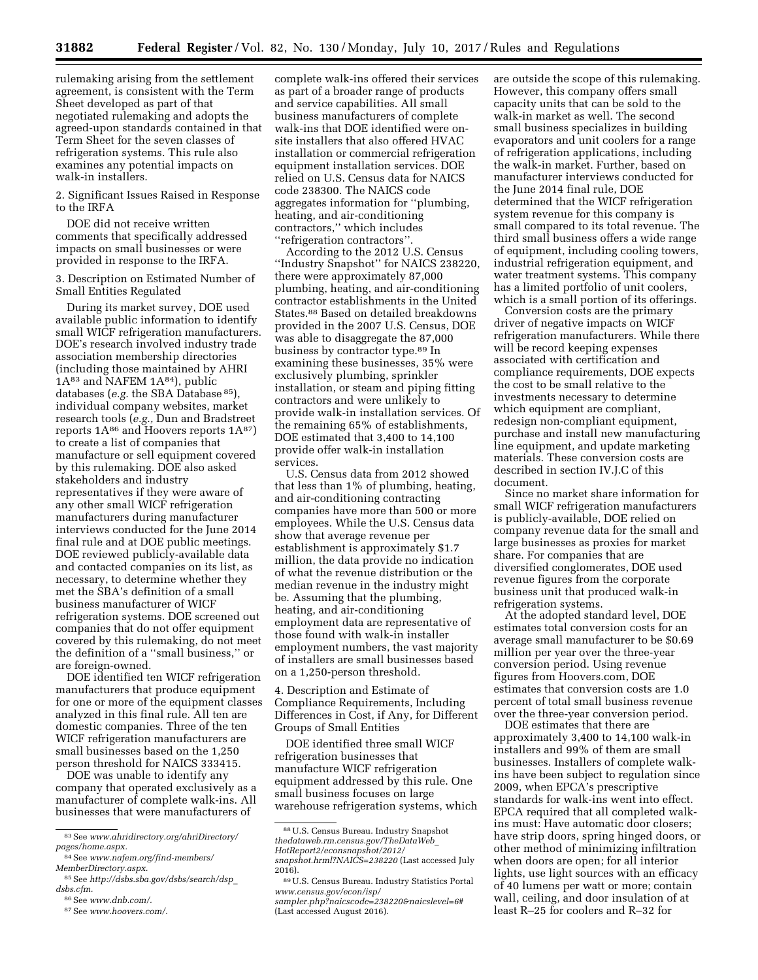rulemaking arising from the settlement agreement, is consistent with the Term Sheet developed as part of that negotiated rulemaking and adopts the agreed-upon standards contained in that Term Sheet for the seven classes of refrigeration systems. This rule also examines any potential impacts on walk-in installers.

2. Significant Issues Raised in Response to the IRFA

DOE did not receive written comments that specifically addressed impacts on small businesses or were provided in response to the IRFA.

3. Description on Estimated Number of Small Entities Regulated

During its market survey, DOE used available public information to identify small WICF refrigeration manufacturers. DOE's research involved industry trade association membership directories (including those maintained by AHRI  $1A<sup>83</sup>$  and NAFEM  $1A<sup>84</sup>$ ), public databases (*e.g.* the SBA Database 85), individual company websites, market research tools (*e.g.,* Dun and Bradstreet reports  $1A^{86}$  and Hoovers reports  $1A^{87}$ to create a list of companies that manufacture or sell equipment covered by this rulemaking. DOE also asked stakeholders and industry representatives if they were aware of any other small WICF refrigeration manufacturers during manufacturer interviews conducted for the June 2014 final rule and at DOE public meetings. DOE reviewed publicly-available data and contacted companies on its list, as necessary, to determine whether they met the SBA's definition of a small business manufacturer of WICF refrigeration systems. DOE screened out companies that do not offer equipment covered by this rulemaking, do not meet the definition of a ''small business,'' or are foreign-owned.

DOE identified ten WICF refrigeration manufacturers that produce equipment for one or more of the equipment classes analyzed in this final rule. All ten are domestic companies. Three of the ten WICF refrigeration manufacturers are small businesses based on the 1,250 person threshold for NAICS 333415.

DOE was unable to identify any company that operated exclusively as a manufacturer of complete walk-ins. All businesses that were manufacturers of

complete walk-ins offered their services as part of a broader range of products and service capabilities. All small business manufacturers of complete walk-ins that DOE identified were onsite installers that also offered HVAC installation or commercial refrigeration equipment installation services. DOE relied on U.S. Census data for NAICS code 238300. The NAICS code aggregates information for ''plumbing, heating, and air-conditioning contractors,'' which includes ''refrigeration contractors''.

According to the 2012 U.S. Census ''Industry Snapshot'' for NAICS 238220, there were approximately 87,000 plumbing, heating, and air-conditioning contractor establishments in the United States.88 Based on detailed breakdowns provided in the 2007 U.S. Census, DOE was able to disaggregate the 87,000 business by contractor type.89 In examining these businesses, 35% were exclusively plumbing, sprinkler installation, or steam and piping fitting contractors and were unlikely to provide walk-in installation services. Of the remaining 65% of establishments, DOE estimated that 3,400 to 14,100 provide offer walk-in installation services.

U.S. Census data from 2012 showed that less than 1% of plumbing, heating, and air-conditioning contracting companies have more than 500 or more employees. While the U.S. Census data show that average revenue per establishment is approximately \$1.7 million, the data provide no indication of what the revenue distribution or the median revenue in the industry might be. Assuming that the plumbing, heating, and air-conditioning employment data are representative of those found with walk-in installer employment numbers, the vast majority of installers are small businesses based on a 1,250-person threshold.

4. Description and Estimate of Compliance Requirements, Including Differences in Cost, if Any, for Different Groups of Small Entities

DOE identified three small WICF refrigeration businesses that manufacture WICF refrigeration equipment addressed by this rule. One small business focuses on large warehouse refrigeration systems, which are outside the scope of this rulemaking. However, this company offers small capacity units that can be sold to the walk-in market as well. The second small business specializes in building evaporators and unit coolers for a range of refrigeration applications, including the walk-in market. Further, based on manufacturer interviews conducted for the June 2014 final rule, DOE determined that the WICF refrigeration system revenue for this company is small compared to its total revenue. The third small business offers a wide range of equipment, including cooling towers, industrial refrigeration equipment, and water treatment systems. This company has a limited portfolio of unit coolers, which is a small portion of its offerings.

Conversion costs are the primary driver of negative impacts on WICF refrigeration manufacturers. While there will be record keeping expenses associated with certification and compliance requirements, DOE expects the cost to be small relative to the investments necessary to determine which equipment are compliant, redesign non-compliant equipment, purchase and install new manufacturing line equipment, and update marketing materials. These conversion costs are described in section IV.J.C of this document.

Since no market share information for small WICF refrigeration manufacturers is publicly-available, DOE relied on company revenue data for the small and large businesses as proxies for market share. For companies that are diversified conglomerates, DOE used revenue figures from the corporate business unit that produced walk-in refrigeration systems.

At the adopted standard level, DOE estimates total conversion costs for an average small manufacturer to be \$0.69 million per year over the three-year conversion period. Using revenue figures from Hoovers.com, DOE estimates that conversion costs are 1.0 percent of total small business revenue over the three-year conversion period.

DOE estimates that there are approximately 3,400 to 14,100 walk-in installers and 99% of them are small businesses. Installers of complete walkins have been subject to regulation since 2009, when EPCA's prescriptive standards for walk-ins went into effect. EPCA required that all completed walkins must: Have automatic door closers; have strip doors, spring hinged doors, or other method of minimizing infiltration when doors are open; for all interior lights, use light sources with an efficacy of 40 lumens per watt or more; contain wall, ceiling, and door insulation of at least R–25 for coolers and R–32 for

<sup>83</sup>See *[www.ahridirectory.org/ahriDirectory/](http://www.ahridirectory.org/ahriDirectory/pages/home.aspx) [pages/home.aspx.](http://www.ahridirectory.org/ahriDirectory/pages/home.aspx)* 

<sup>84</sup>See *[www.nafem.org/find-members/](http://www.nafem.org/find-members/MemberDirectory.aspx) [MemberDirectory.aspx.](http://www.nafem.org/find-members/MemberDirectory.aspx)* 

<sup>85</sup>See *[http://dsbs.sba.gov/dsbs/search/dsp](http://dsbs.sba.gov/dsbs/search/dsp_dsbs.cfm)*\_ *[dsbs.cfm.](http://dsbs.sba.gov/dsbs/search/dsp_dsbs.cfm)* 

<sup>86</sup>See *[www.dnb.com/.](http://www.dnb.com/)* 

<sup>87</sup>See *[www.hoovers.com/.](http://www.hoovers.com/)* 

<sup>88</sup>U.S. Census Bureau. Industry Snapshot *[thedataweb.rm.census.gov/TheDataWeb](http://thedataweb.rm.census.gov/TheDataWeb_HotReport2/econsnapshot/2012/snapshot.hrml?NAICS=238220)*\_ *[HotReport2/econsnapshot/2012/](http://thedataweb.rm.census.gov/TheDataWeb_HotReport2/econsnapshot/2012/snapshot.hrml?NAICS=238220)*

*[snapshot.hrml?NAICS=238220](http://thedataweb.rm.census.gov/TheDataWeb_HotReport2/econsnapshot/2012/snapshot.hrml?NAICS=238220)* (Last accessed July

<sup>2016).</sup>  89U.S. Census Bureau. Industry Statistics Portal *[www.census.gov/econ/isp/](http://www.census.gov/econ/isp/sampler.php?naicscode=238220&naicslevel=6#)*

*[sampler.php?naicscode=238220&naicslevel=6#](http://www.census.gov/econ/isp/sampler.php?naicscode=238220&naicslevel=6#)*  (Last accessed August 2016).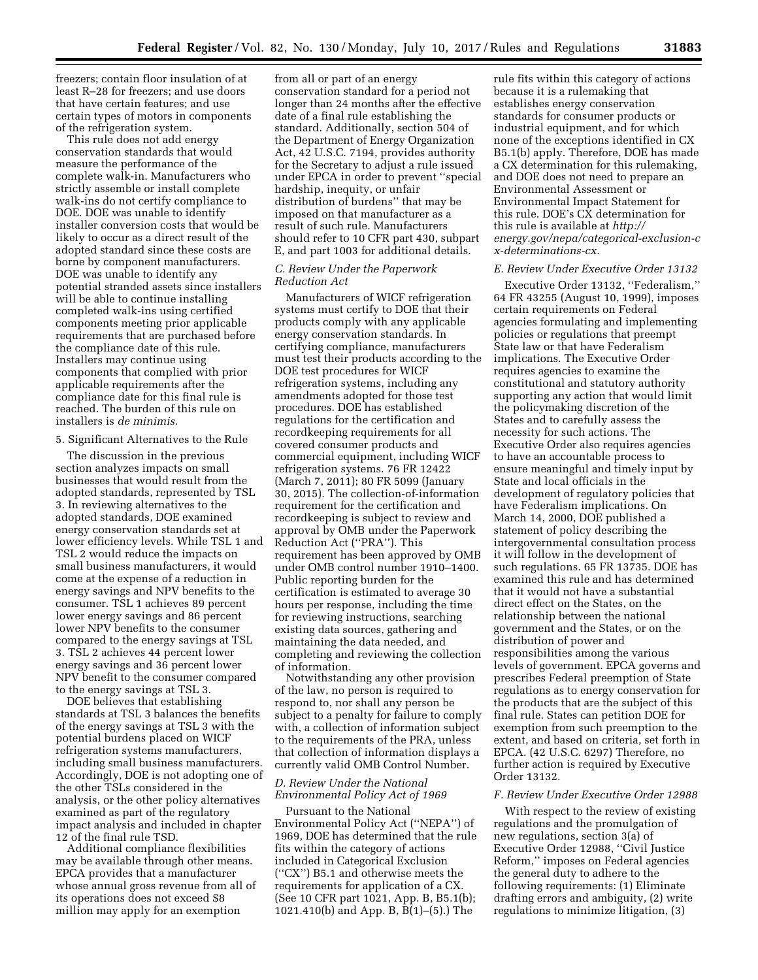freezers; contain floor insulation of at least R–28 for freezers; and use doors that have certain features; and use certain types of motors in components of the refrigeration system.

This rule does not add energy conservation standards that would measure the performance of the complete walk-in. Manufacturers who strictly assemble or install complete walk-ins do not certify compliance to DOE. DOE was unable to identify installer conversion costs that would be likely to occur as a direct result of the adopted standard since these costs are borne by component manufacturers. DOE was unable to identify any potential stranded assets since installers will be able to continue installing completed walk-ins using certified components meeting prior applicable requirements that are purchased before the compliance date of this rule. Installers may continue using components that complied with prior applicable requirements after the compliance date for this final rule is reached. The burden of this rule on installers is *de minimis.* 

### 5. Significant Alternatives to the Rule

The discussion in the previous section analyzes impacts on small businesses that would result from the adopted standards, represented by TSL 3. In reviewing alternatives to the adopted standards, DOE examined energy conservation standards set at lower efficiency levels. While TSL 1 and TSL 2 would reduce the impacts on small business manufacturers, it would come at the expense of a reduction in energy savings and NPV benefits to the consumer. TSL 1 achieves 89 percent lower energy savings and 86 percent lower NPV benefits to the consumer compared to the energy savings at TSL 3. TSL 2 achieves 44 percent lower energy savings and 36 percent lower NPV benefit to the consumer compared to the energy savings at TSL 3.

DOE believes that establishing standards at TSL 3 balances the benefits of the energy savings at TSL 3 with the potential burdens placed on WICF refrigeration systems manufacturers, including small business manufacturers. Accordingly, DOE is not adopting one of the other TSLs considered in the analysis, or the other policy alternatives examined as part of the regulatory impact analysis and included in chapter 12 of the final rule TSD.

Additional compliance flexibilities may be available through other means. EPCA provides that a manufacturer whose annual gross revenue from all of its operations does not exceed \$8 million may apply for an exemption

from all or part of an energy conservation standard for a period not longer than 24 months after the effective date of a final rule establishing the standard. Additionally, section 504 of the Department of Energy Organization Act, 42 U.S.C. 7194, provides authority for the Secretary to adjust a rule issued under EPCA in order to prevent ''special hardship, inequity, or unfair distribution of burdens'' that may be imposed on that manufacturer as a result of such rule. Manufacturers should refer to 10 CFR part 430, subpart E, and part 1003 for additional details.

#### *C. Review Under the Paperwork Reduction Act*

Manufacturers of WICF refrigeration systems must certify to DOE that their products comply with any applicable energy conservation standards. In certifying compliance, manufacturers must test their products according to the DOE test procedures for WICF refrigeration systems, including any amendments adopted for those test procedures. DOE has established regulations for the certification and recordkeeping requirements for all covered consumer products and commercial equipment, including WICF refrigeration systems. 76 FR 12422 (March 7, 2011); 80 FR 5099 (January 30, 2015). The collection-of-information requirement for the certification and recordkeeping is subject to review and approval by OMB under the Paperwork Reduction Act (''PRA''). This requirement has been approved by OMB under OMB control number 1910–1400. Public reporting burden for the certification is estimated to average 30 hours per response, including the time for reviewing instructions, searching existing data sources, gathering and maintaining the data needed, and completing and reviewing the collection of information.

Notwithstanding any other provision of the law, no person is required to respond to, nor shall any person be subject to a penalty for failure to comply with, a collection of information subject to the requirements of the PRA, unless that collection of information displays a currently valid OMB Control Number.

### *D. Review Under the National Environmental Policy Act of 1969*

Pursuant to the National Environmental Policy Act (''NEPA'') of 1969, DOE has determined that the rule fits within the category of actions included in Categorical Exclusion (''CX'') B5.1 and otherwise meets the requirements for application of a CX. (See 10 CFR part 1021, App. B, B5.1(b); 1021.410(b) and App. B, B(1)–(5).) The

rule fits within this category of actions because it is a rulemaking that establishes energy conservation standards for consumer products or industrial equipment, and for which none of the exceptions identified in CX B5.1(b) apply. Therefore, DOE has made a CX determination for this rulemaking, and DOE does not need to prepare an Environmental Assessment or Environmental Impact Statement for this rule. DOE's CX determination for this rule is available at *[http://](http://energy.gov/nepa/categorical-exclusion-cx-determinations-cx) [energy.gov/nepa/categorical-exclusion-c](http://energy.gov/nepa/categorical-exclusion-cx-determinations-cx) [x-determinations-cx.](http://energy.gov/nepa/categorical-exclusion-cx-determinations-cx)* 

#### *E. Review Under Executive Order 13132*

Executive Order 13132, ''Federalism,'' 64 FR 43255 (August 10, 1999), imposes certain requirements on Federal agencies formulating and implementing policies or regulations that preempt State law or that have Federalism implications. The Executive Order requires agencies to examine the constitutional and statutory authority supporting any action that would limit the policymaking discretion of the States and to carefully assess the necessity for such actions. The Executive Order also requires agencies to have an accountable process to ensure meaningful and timely input by State and local officials in the development of regulatory policies that have Federalism implications. On March 14, 2000, DOE published a statement of policy describing the intergovernmental consultation process it will follow in the development of such regulations. 65 FR 13735. DOE has examined this rule and has determined that it would not have a substantial direct effect on the States, on the relationship between the national government and the States, or on the distribution of power and responsibilities among the various levels of government. EPCA governs and prescribes Federal preemption of State regulations as to energy conservation for the products that are the subject of this final rule. States can petition DOE for exemption from such preemption to the extent, and based on criteria, set forth in EPCA. (42 U.S.C. 6297) Therefore, no further action is required by Executive Order 13132.

# *F. Review Under Executive Order 12988*

With respect to the review of existing regulations and the promulgation of new regulations, section 3(a) of Executive Order 12988, ''Civil Justice Reform,'' imposes on Federal agencies the general duty to adhere to the following requirements: (1) Eliminate drafting errors and ambiguity, (2) write regulations to minimize litigation, (3)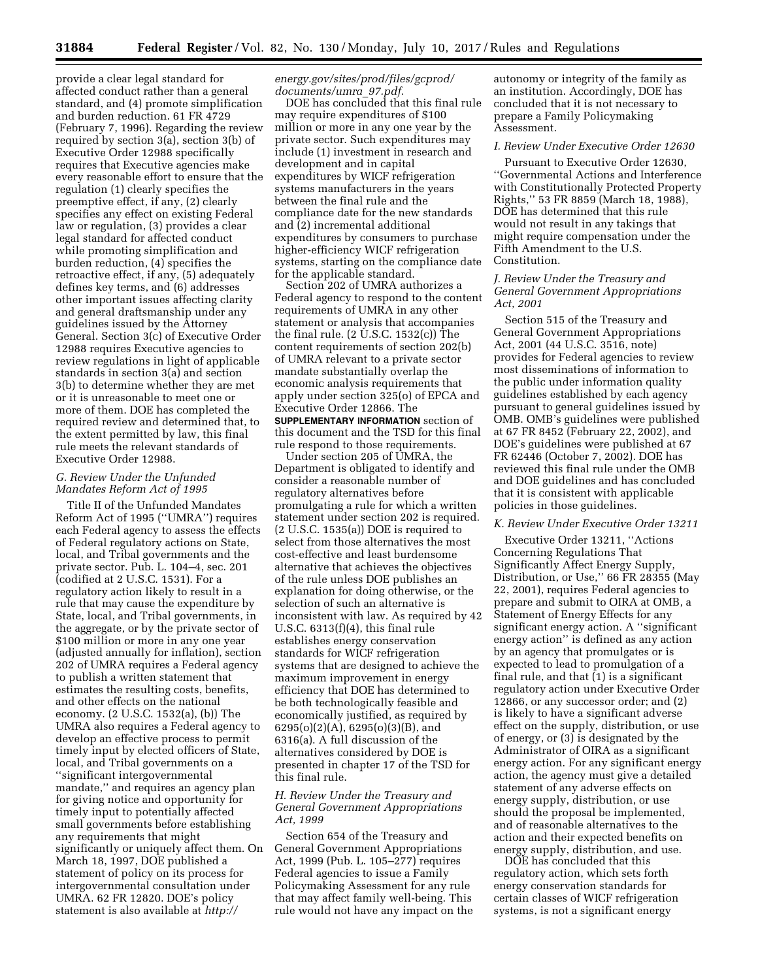provide a clear legal standard for affected conduct rather than a general standard, and (4) promote simplification and burden reduction. 61 FR 4729 (February 7, 1996). Regarding the review required by section 3(a), section 3(b) of Executive Order 12988 specifically requires that Executive agencies make every reasonable effort to ensure that the regulation (1) clearly specifies the preemptive effect, if any, (2) clearly specifies any effect on existing Federal law or regulation, (3) provides a clear legal standard for affected conduct while promoting simplification and burden reduction, (4) specifies the retroactive effect, if any, (5) adequately defines key terms, and (6) addresses other important issues affecting clarity and general draftsmanship under any guidelines issued by the Attorney General. Section 3(c) of Executive Order 12988 requires Executive agencies to review regulations in light of applicable standards in section 3(a) and section 3(b) to determine whether they are met or it is unreasonable to meet one or more of them. DOE has completed the required review and determined that, to the extent permitted by law, this final rule meets the relevant standards of Executive Order 12988.

# *G. Review Under the Unfunded Mandates Reform Act of 1995*

Title II of the Unfunded Mandates Reform Act of 1995 (''UMRA'') requires each Federal agency to assess the effects of Federal regulatory actions on State, local, and Tribal governments and the private sector. Pub. L. 104–4, sec. 201 (codified at 2 U.S.C. 1531). For a regulatory action likely to result in a rule that may cause the expenditure by State, local, and Tribal governments, in the aggregate, or by the private sector of \$100 million or more in any one year (adjusted annually for inflation), section 202 of UMRA requires a Federal agency to publish a written statement that estimates the resulting costs, benefits, and other effects on the national economy. (2 U.S.C. 1532(a), (b)) The UMRA also requires a Federal agency to develop an effective process to permit timely input by elected officers of State, local, and Tribal governments on a ''significant intergovernmental mandate,'' and requires an agency plan for giving notice and opportunity for timely input to potentially affected small governments before establishing any requirements that might significantly or uniquely affect them. On March 18, 1997, DOE published a statement of policy on its process for intergovernmental consultation under UMRA. 62 FR 12820. DOE's policy statement is also available at *[http://](http://energy.gov/sites/prod/files/gcprod/documents/umra_97.pdf)*

### *[energy.gov/sites/prod/files/gcprod/](http://energy.gov/sites/prod/files/gcprod/documents/umra_97.pdf) [documents/umra](http://energy.gov/sites/prod/files/gcprod/documents/umra_97.pdf)*\_*97.pdf.*

DOE has concluded that this final rule may require expenditures of \$100 million or more in any one year by the private sector. Such expenditures may include (1) investment in research and development and in capital expenditures by WICF refrigeration systems manufacturers in the years between the final rule and the compliance date for the new standards and (2) incremental additional expenditures by consumers to purchase higher-efficiency WICF refrigeration systems, starting on the compliance date for the applicable standard.

Section 202 of UMRA authorizes a Federal agency to respond to the content requirements of UMRA in any other statement or analysis that accompanies the final rule. (2 U.S.C. 1532(c)) The content requirements of section 202(b) of UMRA relevant to a private sector mandate substantially overlap the economic analysis requirements that apply under section 325(o) of EPCA and Executive Order 12866. The **SUPPLEMENTARY INFORMATION** section of this document and the TSD for this final rule respond to those requirements.

Under section 205 of UMRA, the Department is obligated to identify and consider a reasonable number of regulatory alternatives before promulgating a rule for which a written statement under section 202 is required. (2 U.S.C. 1535(a)) DOE is required to select from those alternatives the most cost-effective and least burdensome alternative that achieves the objectives of the rule unless DOE publishes an explanation for doing otherwise, or the selection of such an alternative is inconsistent with law. As required by 42 U.S.C. 6313(f)(4), this final rule establishes energy conservation standards for WICF refrigeration systems that are designed to achieve the maximum improvement in energy efficiency that DOE has determined to be both technologically feasible and economically justified, as required by 6295(o)(2)(A), 6295(o)(3)(B), and 6316(a). A full discussion of the alternatives considered by DOE is presented in chapter 17 of the TSD for this final rule.

# *H. Review Under the Treasury and General Government Appropriations Act, 1999*

Section 654 of the Treasury and General Government Appropriations Act, 1999 (Pub. L. 105–277) requires Federal agencies to issue a Family Policymaking Assessment for any rule that may affect family well-being. This rule would not have any impact on the

autonomy or integrity of the family as an institution. Accordingly, DOE has concluded that it is not necessary to prepare a Family Policymaking Assessment.

# *I. Review Under Executive Order 12630*

Pursuant to Executive Order 12630, ''Governmental Actions and Interference with Constitutionally Protected Property Rights,'' 53 FR 8859 (March 18, 1988), DOE has determined that this rule would not result in any takings that might require compensation under the Fifth Amendment to the U.S. Constitution.

# *J. Review Under the Treasury and General Government Appropriations Act, 2001*

Section 515 of the Treasury and General Government Appropriations Act, 2001 (44 U.S.C. 3516, note) provides for Federal agencies to review most disseminations of information to the public under information quality guidelines established by each agency pursuant to general guidelines issued by OMB. OMB's guidelines were published at 67 FR 8452 (February 22, 2002), and DOE's guidelines were published at 67 FR 62446 (October 7, 2002). DOE has reviewed this final rule under the OMB and DOE guidelines and has concluded that it is consistent with applicable policies in those guidelines.

#### *K. Review Under Executive Order 13211*

Executive Order 13211, ''Actions Concerning Regulations That Significantly Affect Energy Supply, Distribution, or Use,'' 66 FR 28355 (May 22, 2001), requires Federal agencies to prepare and submit to OIRA at OMB, a Statement of Energy Effects for any significant energy action. A ''significant energy action'' is defined as any action by an agency that promulgates or is expected to lead to promulgation of a final rule, and that (1) is a significant regulatory action under Executive Order 12866, or any successor order; and (2) is likely to have a significant adverse effect on the supply, distribution, or use of energy, or (3) is designated by the Administrator of OIRA as a significant energy action. For any significant energy action, the agency must give a detailed statement of any adverse effects on energy supply, distribution, or use should the proposal be implemented, and of reasonable alternatives to the action and their expected benefits on energy supply, distribution, and use.

DOE has concluded that this regulatory action, which sets forth energy conservation standards for certain classes of WICF refrigeration systems, is not a significant energy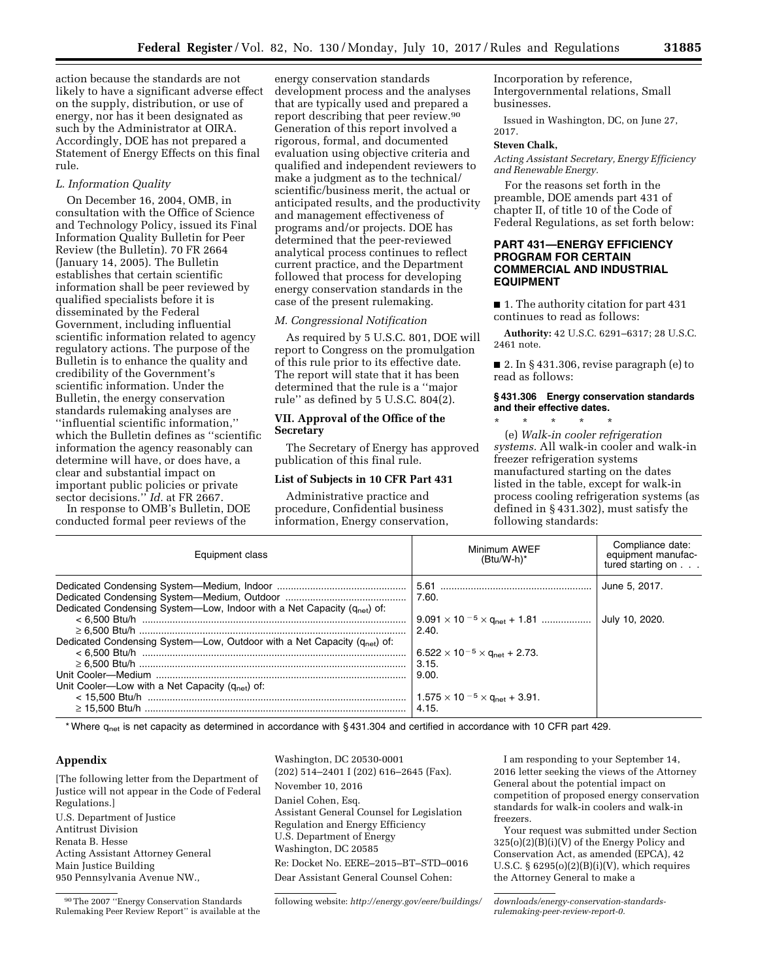action because the standards are not likely to have a significant adverse effect on the supply, distribution, or use of energy, nor has it been designated as such by the Administrator at OIRA. Accordingly, DOE has not prepared a Statement of Energy Effects on this final rule.

#### *L. Information Quality*

On December 16, 2004, OMB, in consultation with the Office of Science and Technology Policy, issued its Final Information Quality Bulletin for Peer Review (the Bulletin). 70 FR 2664 (January 14, 2005). The Bulletin establishes that certain scientific information shall be peer reviewed by qualified specialists before it is disseminated by the Federal Government, including influential scientific information related to agency regulatory actions. The purpose of the Bulletin is to enhance the quality and credibility of the Government's scientific information. Under the Bulletin, the energy conservation standards rulemaking analyses are ''influential scientific information,'' which the Bulletin defines as ''scientific information the agency reasonably can determine will have, or does have, a clear and substantial impact on important public policies or private sector decisions.'' *Id.* at FR 2667.

In response to OMB's Bulletin, DOE conducted formal peer reviews of the

energy conservation standards development process and the analyses that are typically used and prepared a report describing that peer review.90 Generation of this report involved a rigorous, formal, and documented evaluation using objective criteria and qualified and independent reviewers to make a judgment as to the technical/ scientific/business merit, the actual or anticipated results, and the productivity and management effectiveness of programs and/or projects. DOE has determined that the peer-reviewed analytical process continues to reflect current practice, and the Department followed that process for developing energy conservation standards in the case of the present rulemaking.

#### *M. Congressional Notification*

As required by 5 U.S.C. 801, DOE will report to Congress on the promulgation of this rule prior to its effective date. The report will state that it has been determined that the rule is a ''major rule'' as defined by 5 U.S.C. 804(2).

# **VII. Approval of the Office of the Secretary**

The Secretary of Energy has approved publication of this final rule.

#### **List of Subjects in 10 CFR Part 431**

Administrative practice and procedure, Confidential business information, Energy conservation, Incorporation by reference, Intergovernmental relations, Small businesses.

Issued in Washington, DC, on June 27, 2017.

#### **Steven Chalk,**

*Acting Assistant Secretary, Energy Efficiency and Renewable Energy.* 

For the reasons set forth in the preamble, DOE amends part 431 of chapter II, of title 10 of the Code of Federal Regulations, as set forth below:

# **PART 431—ENERGY EFFICIENCY PROGRAM FOR CERTAIN COMMERCIAL AND INDUSTRIAL EQUIPMENT**

■ 1. The authority citation for part 431 continues to read as follows:

**Authority:** 42 U.S.C. 6291–6317; 28 U.S.C. 2461 note.

■ 2. In §431.306, revise paragraph (e) to read as follows:

### **§ 431.306 Energy conservation standards and their effective dates.**

\* \* \* \* \* (e) *Walk-in cooler refrigeration systems.* All walk-in cooler and walk-in freezer refrigeration systems manufactured starting on the dates listed in the table, except for walk-in process cooling refrigeration systems (as defined in § 431.302), must satisfy the following standards:

| Equipment class                                                                      | Minimum AWEF<br>$(Btu/W-h)^*$                          | Compliance date:<br>equipment manufac-<br>tured starting on |
|--------------------------------------------------------------------------------------|--------------------------------------------------------|-------------------------------------------------------------|
|                                                                                      |                                                        | June 5, 2017.                                               |
|                                                                                      | 7.60.                                                  |                                                             |
| Dedicated Condensing System—Low, Indoor with a Net Capacity (q <sub>net</sub> ) of:  |                                                        |                                                             |
|                                                                                      | $9.091 \times 10^{-5} \times q_{\text{net}} + 1.81$    | July 10, 2020.                                              |
|                                                                                      | 2.40                                                   |                                                             |
| Dedicated Condensing System—Low, Outdoor with a Net Capacity (q <sub>net</sub> ) of: |                                                        |                                                             |
|                                                                                      | $6.522 \times 10^{-5} \times$ G <sub>net</sub> + 2.73. |                                                             |
|                                                                                      | 3.15.                                                  |                                                             |
|                                                                                      | 9.00.                                                  |                                                             |
| Unit Cooler—Low with a Net Capacity $(q_{net})$ of:                                  |                                                        |                                                             |
|                                                                                      | $1.575 \times 10^{-5} \times$ G <sub>net</sub> + 3.91. |                                                             |
|                                                                                      | 4.15.                                                  |                                                             |

\* Where q<sub>net</sub> is net capacity as determined in accordance with § 431.304 and certified in accordance with 10 CFR part 429.

# **Appendix**

[The following letter from the Department of Justice will not appear in the Code of Federal Regulations.] U.S. Department of Justice Antitrust Division Renata B. Hesse Acting Assistant Attorney General Main Justice Building 950 Pennsylvania Avenue NW.,

Washington, DC 20530-0001 (202) 514–2401 I (202) 616–2645 (Fax). November 10, 2016 Daniel Cohen, Esq. Assistant General Counsel for Legislation Regulation and Energy Efficiency U.S. Department of Energy Washington, DC 20585 Re: Docket No. EERE–2015–BT–STD–0016 Dear Assistant General Counsel Cohen:

following website: *[http://energy.gov/eere/buildings/ downloads/energy-conservation-standards-](http://energy.gov/eere/buildings/downloads/energy-conservation-standards-rulemaking-peer-review-report-0)*

I am responding to your September 14, 2016 letter seeking the views of the Attorney General about the potential impact on competition of proposed energy conservation standards for walk-in coolers and walk-in freezers.

Your request was submitted under Section  $325(o)(2)(B)(i)(V)$  of the Energy Policy and Conservation Act, as amended (EPCA), 42 U.S.C.  $\S$  6295(o)(2)(B)(i)(V), which requires the Attorney General to make a

*[rulemaking-peer-review-report-0.](http://energy.gov/eere/buildings/downloads/energy-conservation-standards-rulemaking-peer-review-report-0)* 

<sup>90</sup>The 2007 ''Energy Conservation Standards Rulemaking Peer Review Report'' is available at the